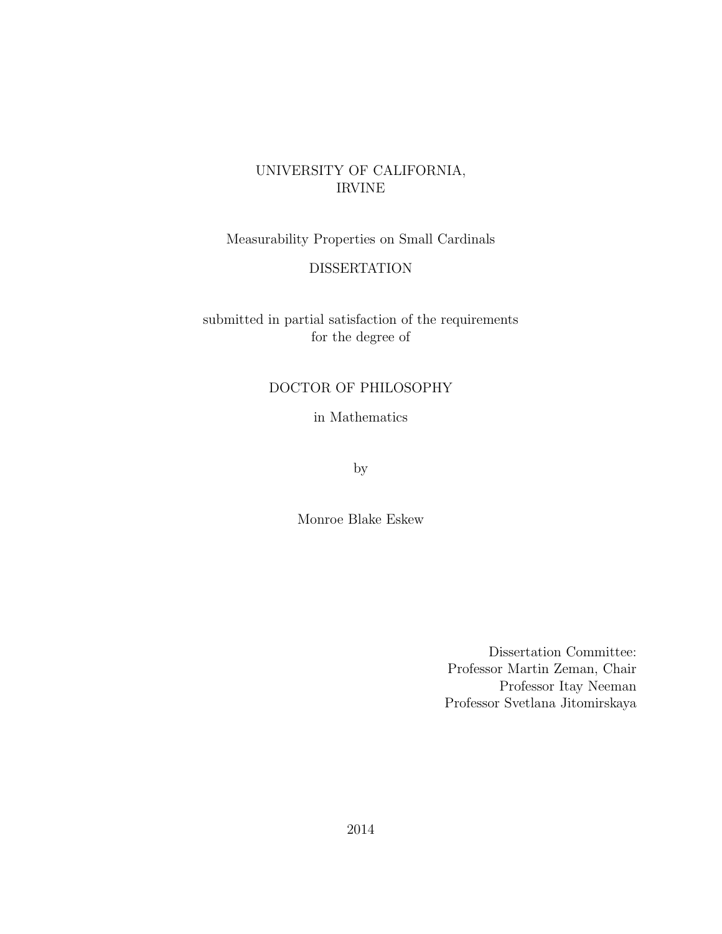## UNIVERSITY OF CALIFORNIA, IRVINE

Measurability Properties on Small Cardinals

#### DISSERTATION

submitted in partial satisfaction of the requirements for the degree of

#### DOCTOR OF PHILOSOPHY

in Mathematics

by

Monroe Blake Eskew

Dissertation Committee: Professor Martin Zeman, Chair Professor Itay Neeman Professor Svetlana Jitomirskaya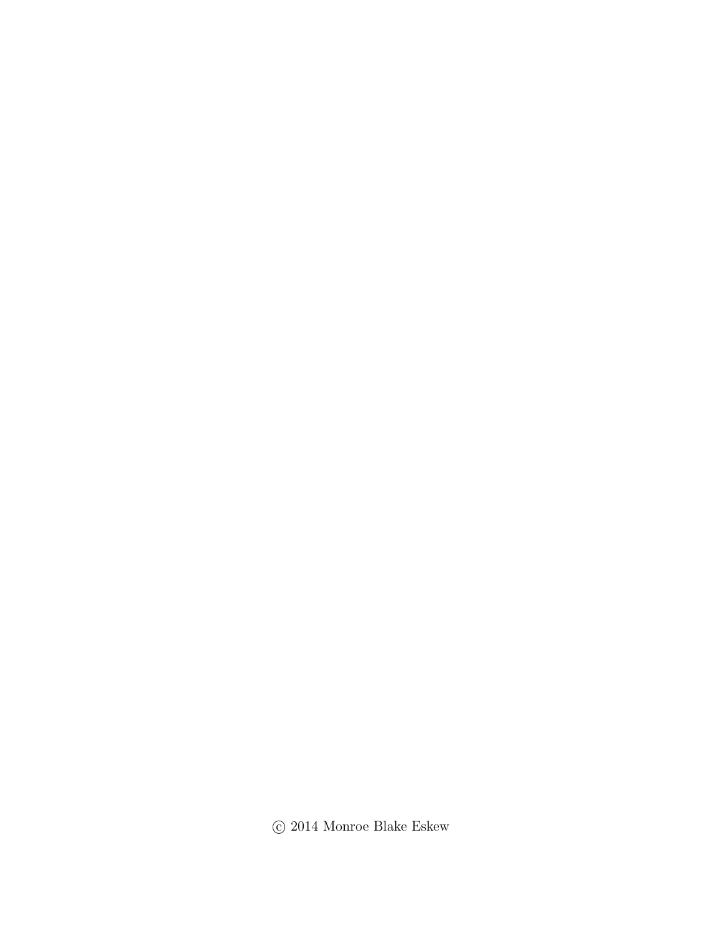$\odot$  2014 Monroe Blake Eskew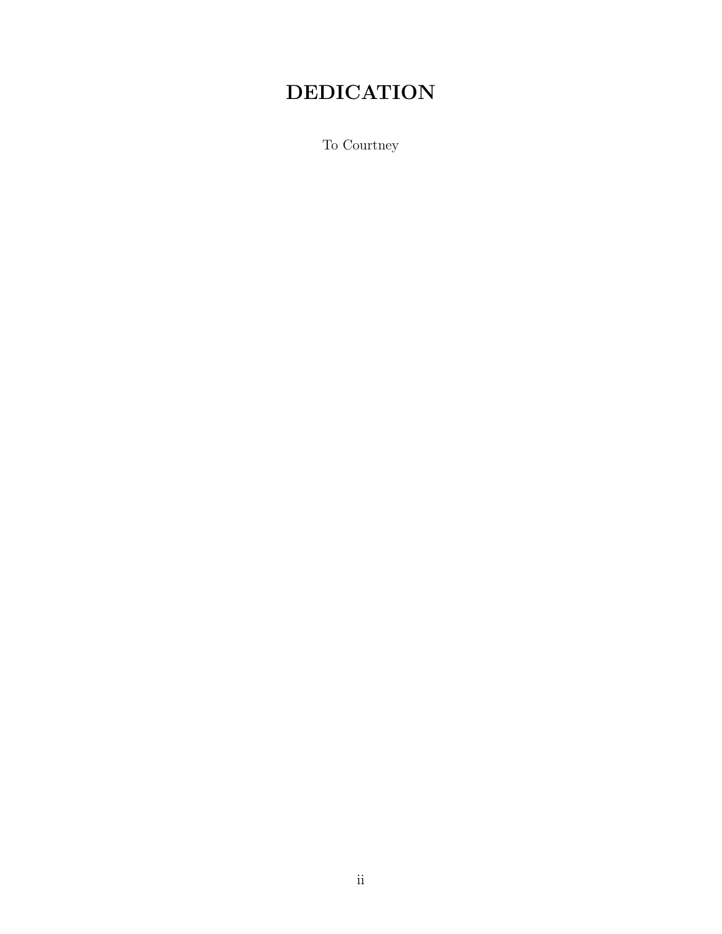## DEDICATION

To Courtney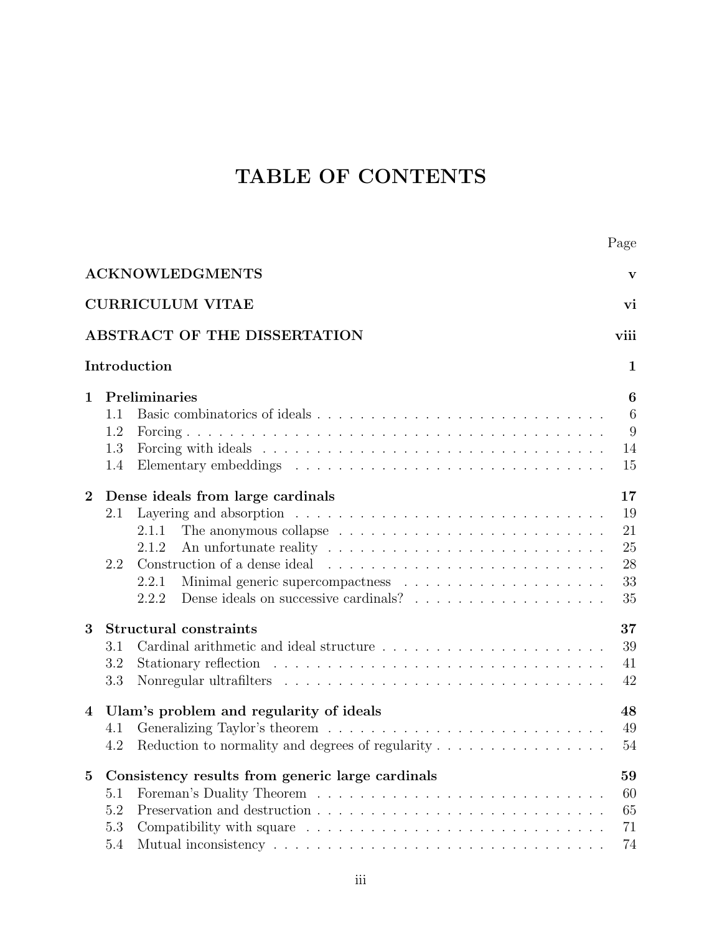## TABLE OF CONTENTS

|              |                          | Page                                                                                                                                                                                                        |                           |
|--------------|--------------------------|-------------------------------------------------------------------------------------------------------------------------------------------------------------------------------------------------------------|---------------------------|
|              |                          | <b>ACKNOWLEDGMENTS</b>                                                                                                                                                                                      | $\mathbf{V}$              |
|              |                          | <b>CURRICULUM VITAE</b><br>vi                                                                                                                                                                               |                           |
|              |                          | ABSTRACT OF THE DISSERTATION<br>viii                                                                                                                                                                        |                           |
|              |                          | Introduction                                                                                                                                                                                                | $\mathbf{1}$              |
| $\mathbf{1}$ | 1.1<br>1.2<br>1.3<br>1.4 | Preliminaries<br>14<br>15                                                                                                                                                                                   | 6<br>$6\phantom{.}6$<br>9 |
| $\bf{2}$     | 2.1<br>2.2               | Dense ideals from large cardinals<br>17<br>Layering and absorption $\ldots \ldots \ldots \ldots \ldots \ldots \ldots \ldots \ldots$<br>19<br>21<br>2.1.1<br>25<br>2.1.2<br>28<br>33<br>2.2.1<br>35<br>2.2.2 |                           |
| 3<br>4       | 3.1<br>3.2<br>3.3        | Structural constraints<br>37<br>39<br>41<br>42<br>Ulam's problem and regularity of ideals<br>48                                                                                                             |                           |
|              | 4.1<br>4.2               | 49<br>54<br>Reduction to normality and degrees of regularity $\dots \dots \dots \dots \dots \dots$                                                                                                          |                           |
| 5            | 5.1<br>5.2<br>5.3<br>5.4 | Consistency results from generic large cardinals<br>59<br>60<br>65<br>71<br>74                                                                                                                              |                           |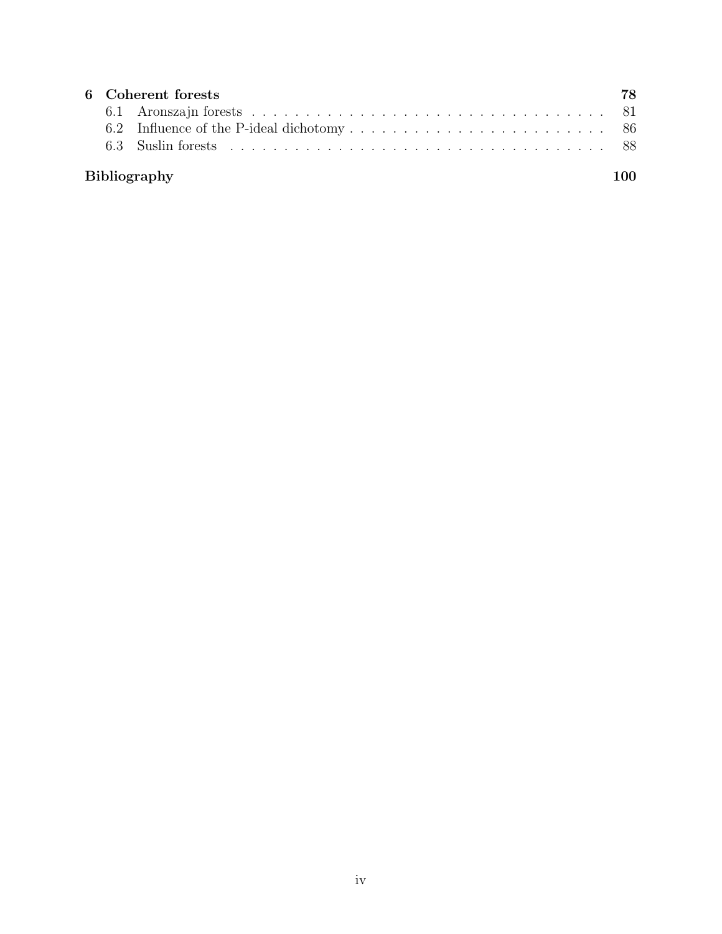|                     | 6 Coherent forests |  |  |  |  |
|---------------------|--------------------|--|--|--|--|
|                     |                    |  |  |  |  |
|                     |                    |  |  |  |  |
|                     |                    |  |  |  |  |
| <b>Bibliography</b> |                    |  |  |  |  |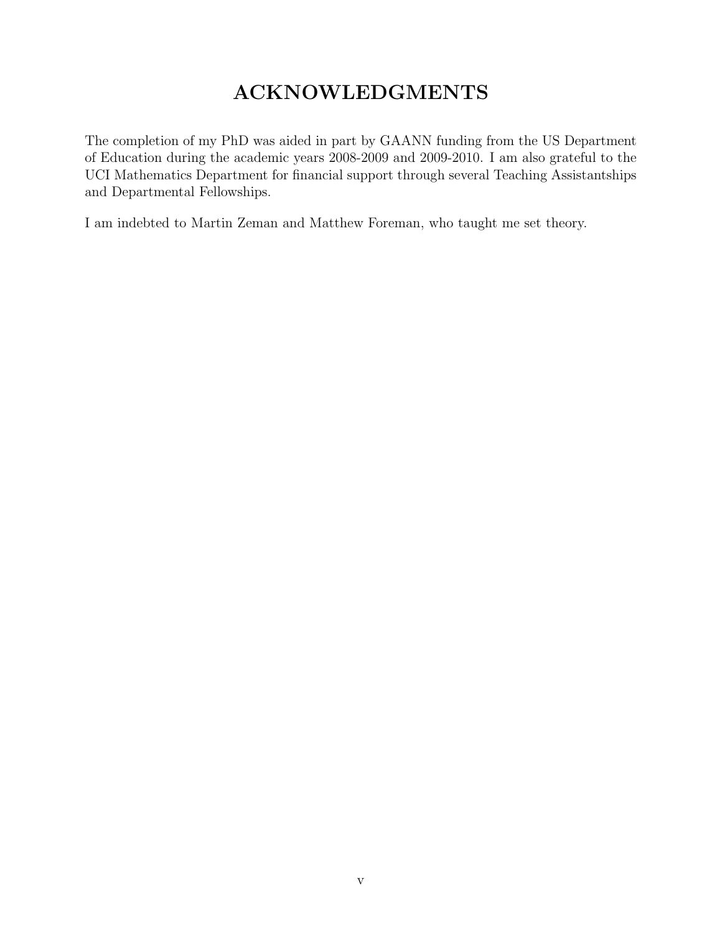## ACKNOWLEDGMENTS

<span id="page-5-0"></span>The completion of my PhD was aided in part by GAANN funding from the US Department of Education during the academic years 2008-2009 and 2009-2010. I am also grateful to the UCI Mathematics Department for financial support through several Teaching Assistantships and Departmental Fellowships.

I am indebted to Martin Zeman and Matthew Foreman, who taught me set theory.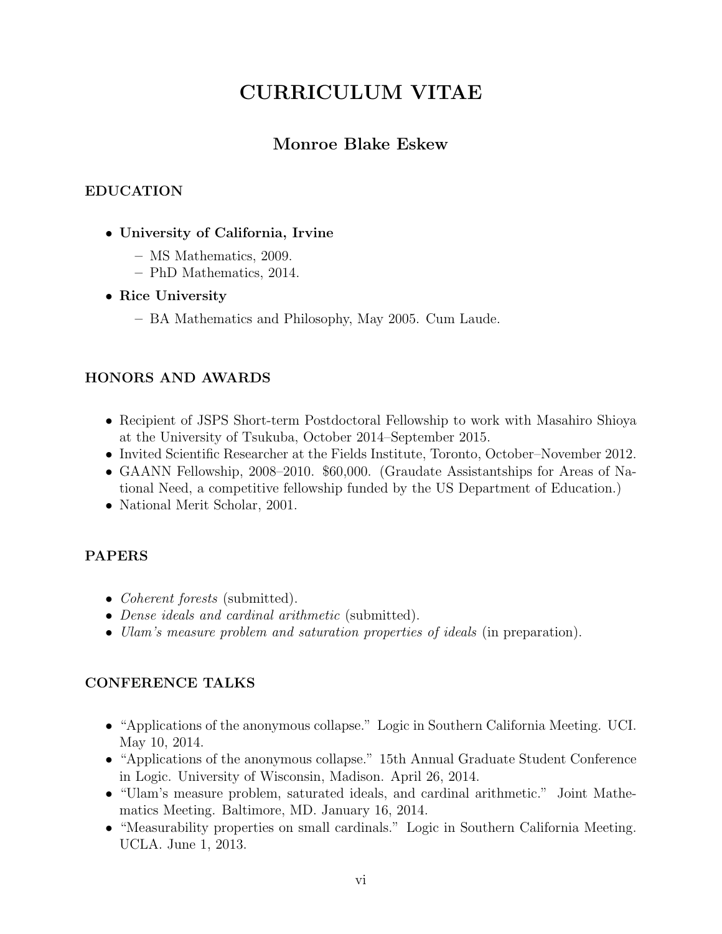## CURRICULUM VITAE

## Monroe Blake Eskew

### <span id="page-6-0"></span>EDUCATION

- University of California, Irvine
	- MS Mathematics, 2009.
	- PhD Mathematics, 2014.

### • Rice University

– BA Mathematics and Philosophy, May 2005. Cum Laude.

### HONORS AND AWARDS

- Recipient of JSPS Short-term Postdoctoral Fellowship to work with Masahiro Shioya at the University of Tsukuba, October 2014–September 2015.
- Invited Scientific Researcher at the Fields Institute, Toronto, October–November 2012.
- GAANN Fellowship, 2008–2010. \$60,000. (Graudate Assistantships for Areas of National Need, a competitive fellowship funded by the US Department of Education.)
- National Merit Scholar, 2001.

## PAPERS

- *Coherent forests* (submitted).
- Dense ideals and cardinal arithmetic (submitted).
- Ulam's measure problem and saturation properties of ideals (in preparation).

## CONFERENCE TALKS

- "Applications of the anonymous collapse." Logic in Southern California Meeting. UCI. May 10, 2014.
- "Applications of the anonymous collapse." 15th Annual Graduate Student Conference in Logic. University of Wisconsin, Madison. April 26, 2014.
- "Ulam's measure problem, saturated ideals, and cardinal arithmetic." Joint Mathematics Meeting. Baltimore, MD. January 16, 2014.
- "Measurability properties on small cardinals." Logic in Southern California Meeting. UCLA. June 1, 2013.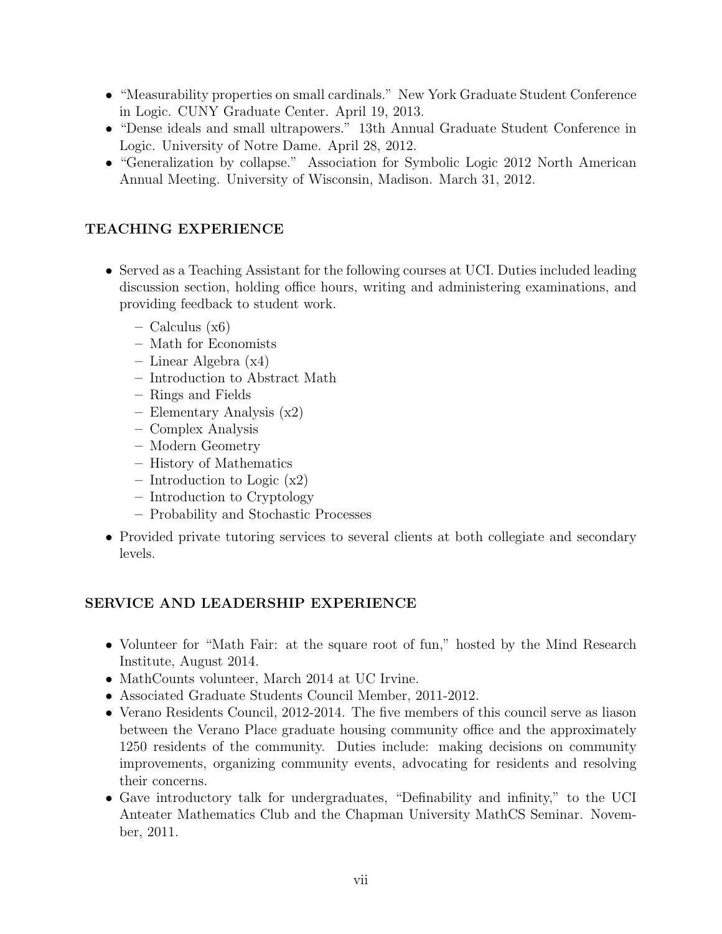- "Measurability properties on small cardinals." New York Graduate Student Conference in Logic. CUNY Graduate Center. April 19, 2013.
- "Dense ideals and small ultrapowers." 13th Annual Graduate Student Conference in Logic. University of Notre Dame. April 28, 2012.
- "Generalization by collapse." Association for Symbolic Logic 2012 North American Annual Meeting. University of Wisconsin, Madison. March 31, 2012.

### TEACHING EXPERIENCE

- Served as a Teaching Assistant for the following courses at UCI. Duties included leading discussion section, holding office hours, writing and administering examinations, and providing feedback to student work.
	- Calculus (x6)
	- Math for Economists
	- Linear Algebra (x4)
	- Introduction to Abstract Math
	- Rings and Fields
	- Elementary Analysis (x2)
	- Complex Analysis
	- Modern Geometry
	- History of Mathematics
	- Introduction to Logic (x2)
	- Introduction to Cryptology
	- Probability and Stochastic Processes
- Provided private tutoring services to several clients at both collegiate and secondary levels.

### SERVICE AND LEADERSHIP EXPERIENCE

- Volunteer for "Math Fair: at the square root of fun," hosted by the Mind Research Institute, August 2014.
- MathCounts volunteer, March 2014 at UC Irvine.
- Associated Graduate Students Council Member, 2011-2012.
- Verano Residents Council, 2012-2014. The five members of this council serve as liason between the Verano Place graduate housing community office and the approximately 1250 residents of the community. Duties include: making decisions on community improvements, organizing community events, advocating for residents and resolving their concerns.
- Gave introductory talk for undergraduates, "Definability and infinity," to the UCI Anteater Mathematics Club and the Chapman University MathCS Seminar. November, 2011.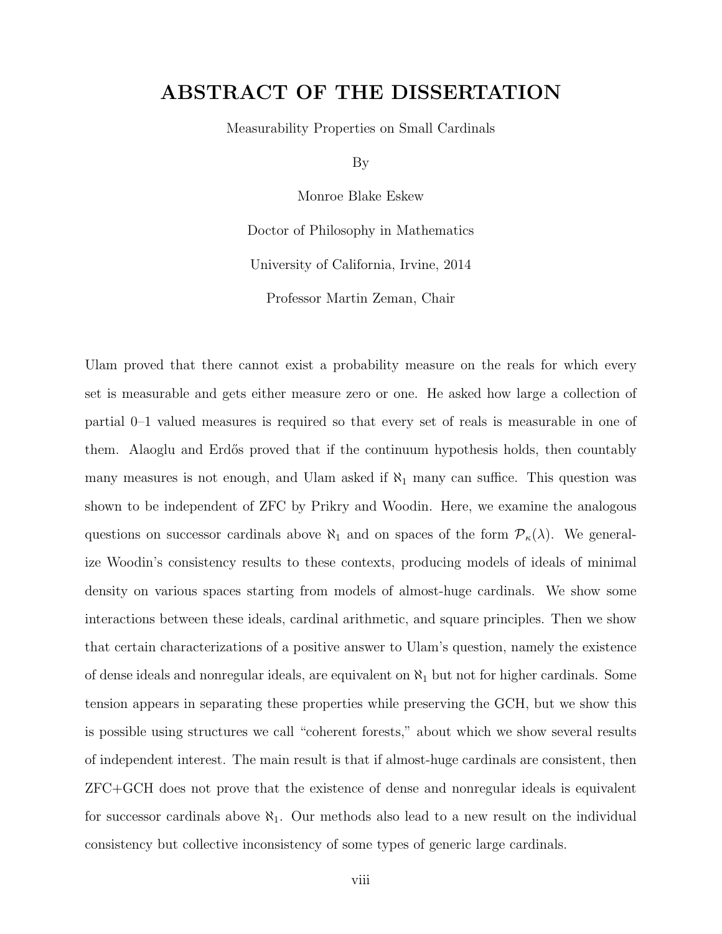## <span id="page-8-0"></span>ABSTRACT OF THE DISSERTATION

Measurability Properties on Small Cardinals

By

Monroe Blake Eskew

Doctor of Philosophy in Mathematics University of California, Irvine, 2014 Professor Martin Zeman, Chair

Ulam proved that there cannot exist a probability measure on the reals for which every set is measurable and gets either measure zero or one. He asked how large a collection of partial 0–1 valued measures is required so that every set of reals is measurable in one of them. Alaoglu and Erdős proved that if the continuum hypothesis holds, then countably many measures is not enough, and Ulam asked if  $\aleph_1$  many can suffice. This question was shown to be independent of ZFC by Prikry and Woodin. Here, we examine the analogous questions on successor cardinals above  $\aleph_1$  and on spaces of the form  $\mathcal{P}_{\kappa}(\lambda)$ . We generalize Woodin's consistency results to these contexts, producing models of ideals of minimal density on various spaces starting from models of almost-huge cardinals. We show some interactions between these ideals, cardinal arithmetic, and square principles. Then we show that certain characterizations of a positive answer to Ulam's question, namely the existence of dense ideals and nonregular ideals, are equivalent on  $\aleph_1$  but not for higher cardinals. Some tension appears in separating these properties while preserving the GCH, but we show this is possible using structures we call "coherent forests," about which we show several results of independent interest. The main result is that if almost-huge cardinals are consistent, then ZFC+GCH does not prove that the existence of dense and nonregular ideals is equivalent for successor cardinals above  $\aleph_1$ . Our methods also lead to a new result on the individual consistency but collective inconsistency of some types of generic large cardinals.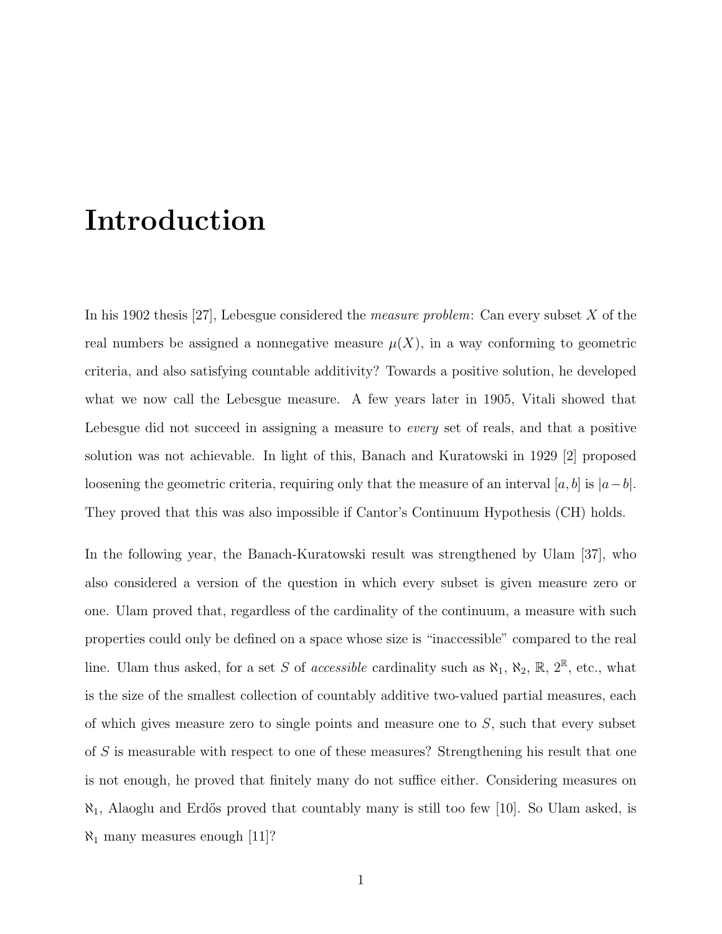# <span id="page-9-0"></span>Introduction

In his 1902 thesis [\[27\]](#page-109-0), Lebesgue considered the *measure problem*: Can every subset  $X$  of the real numbers be assigned a nonnegative measure  $\mu(X)$ , in a way conforming to geometric criteria, and also satisfying countable additivity? Towards a positive solution, he developed what we now call the Lebesgue measure. A few years later in 1905, Vitali showed that Lebesgue did not succeed in assigning a measure to *every* set of reals, and that a positive solution was not achievable. In light of this, Banach and Kuratowski in 1929 [\[2\]](#page-108-1) proposed loosening the geometric criteria, requiring only that the measure of an interval [a, b] is  $|a-b|$ . They proved that this was also impossible if Cantor's Continuum Hypothesis (CH) holds.

In the following year, the Banach-Kuratowski result was strengthened by Ulam [\[37\]](#page-110-0), who also considered a version of the question in which every subset is given measure zero or one. Ulam proved that, regardless of the cardinality of the continuum, a measure with such properties could only be defined on a space whose size is "inaccessible" compared to the real line. Ulam thus asked, for a set S of *accessible* cardinality such as  $\aleph_1$ ,  $\aleph_2$ ,  $\mathbb{R}$ ,  $2^{\mathbb{R}}$ , etc., what is the size of the smallest collection of countably additive two-valued partial measures, each of which gives measure zero to single points and measure one to S, such that every subset of S is measurable with respect to one of these measures? Strengthening his result that one is not enough, he proved that finitely many do not suffice either. Considering measures on  $\aleph_1$ , Alaoglu and Erdős proved that countably many is still too few [\[10\]](#page-108-2). So Ulam asked, is  $\aleph_1$  many measures enough [\[11\]](#page-108-3)?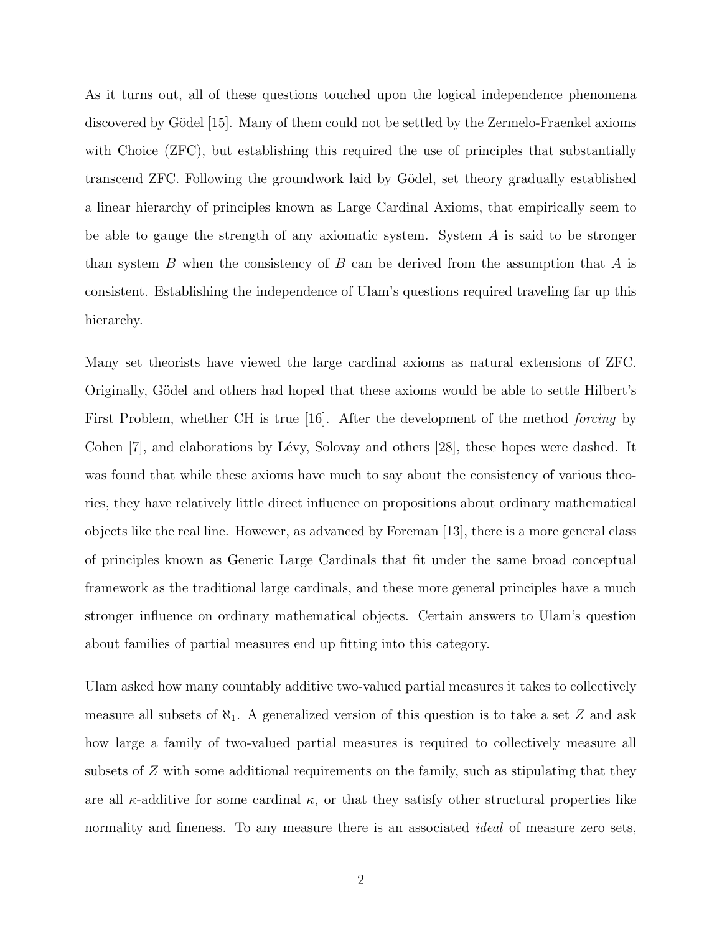As it turns out, all of these questions touched upon the logical independence phenomena discovered by Gödel [\[15\]](#page-109-1). Many of them could not be settled by the Zermelo-Fraenkel axioms with Choice (ZFC), but establishing this required the use of principles that substantially transcend ZFC. Following the groundwork laid by Gödel, set theory gradually established a linear hierarchy of principles known as Large Cardinal Axioms, that empirically seem to be able to gauge the strength of any axiomatic system. System  $A$  is said to be stronger than system B when the consistency of B can be derived from the assumption that A is consistent. Establishing the independence of Ulam's questions required traveling far up this hierarchy.

Many set theorists have viewed the large cardinal axioms as natural extensions of ZFC. Originally, Gödel and others had hoped that these axioms would be able to settle Hilbert's First Problem, whether CH is true [\[16\]](#page-109-2). After the development of the method *forcing* by Cohen [\[7\]](#page-108-4), and elaborations by Lévy, Solovay and others [\[28\]](#page-109-3), these hopes were dashed. It was found that while these axioms have much to say about the consistency of various theories, they have relatively little direct influence on propositions about ordinary mathematical objects like the real line. However, as advanced by Foreman [\[13\]](#page-108-5), there is a more general class of principles known as Generic Large Cardinals that fit under the same broad conceptual framework as the traditional large cardinals, and these more general principles have a much stronger influence on ordinary mathematical objects. Certain answers to Ulam's question about families of partial measures end up fitting into this category.

Ulam asked how many countably additive two-valued partial measures it takes to collectively measure all subsets of  $\aleph_1$ . A generalized version of this question is to take a set Z and ask how large a family of two-valued partial measures is required to collectively measure all subsets of Z with some additional requirements on the family, such as stipulating that they are all  $\kappa$ -additive for some cardinal  $\kappa$ , or that they satisfy other structural properties like normality and fineness. To any measure there is an associated *ideal* of measure zero sets,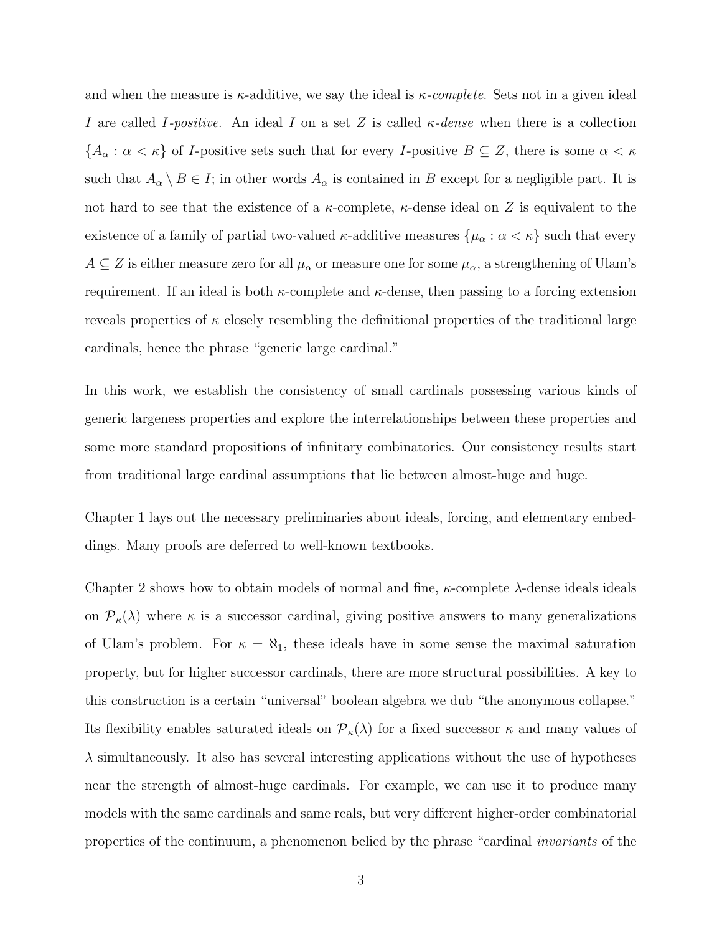and when the measure is  $\kappa$ -additive, we say the ideal is  $\kappa$ -complete. Sets not in a given ideal I are called I-positive. An ideal I on a set Z is called  $\kappa$ -dense when there is a collection  ${A_{\alpha} : \alpha < \kappa}$  of *I*-positive sets such that for every *I*-positive  $B \subseteq Z$ , there is some  $\alpha < \kappa$ such that  $A_{\alpha} \setminus B \in I$ ; in other words  $A_{\alpha}$  is contained in B except for a negligible part. It is not hard to see that the existence of a  $\kappa$ -complete,  $\kappa$ -dense ideal on Z is equivalent to the existence of a family of partial two-valued  $\kappa$ -additive measures  $\{\mu_\alpha : \alpha < \kappa\}$  such that every  $A \subseteq Z$  is either measure zero for all  $\mu_{\alpha}$  or measure one for some  $\mu_{\alpha}$ , a strengthening of Ulam's requirement. If an ideal is both  $\kappa$ -complete and  $\kappa$ -dense, then passing to a forcing extension reveals properties of  $\kappa$  closely resembling the definitional properties of the traditional large cardinals, hence the phrase "generic large cardinal."

In this work, we establish the consistency of small cardinals possessing various kinds of generic largeness properties and explore the interrelationships between these properties and some more standard propositions of infinitary combinatorics. Our consistency results start from traditional large cardinal assumptions that lie between almost-huge and huge.

Chapter 1 lays out the necessary preliminaries about ideals, forcing, and elementary embeddings. Many proofs are deferred to well-known textbooks.

Chapter 2 shows how to obtain models of normal and fine,  $\kappa$ -complete  $\lambda$ -dense ideals ideals on  $\mathcal{P}_{\kappa}(\lambda)$  where  $\kappa$  is a successor cardinal, giving positive answers to many generalizations of Ulam's problem. For  $\kappa = \aleph_1$ , these ideals have in some sense the maximal saturation property, but for higher successor cardinals, there are more structural possibilities. A key to this construction is a certain "universal" boolean algebra we dub "the anonymous collapse." Its flexibility enables saturated ideals on  $\mathcal{P}_{\kappa}(\lambda)$  for a fixed successor  $\kappa$  and many values of  $\lambda$  simultaneously. It also has several interesting applications without the use of hypotheses near the strength of almost-huge cardinals. For example, we can use it to produce many models with the same cardinals and same reals, but very different higher-order combinatorial properties of the continuum, a phenomenon belied by the phrase "cardinal invariants of the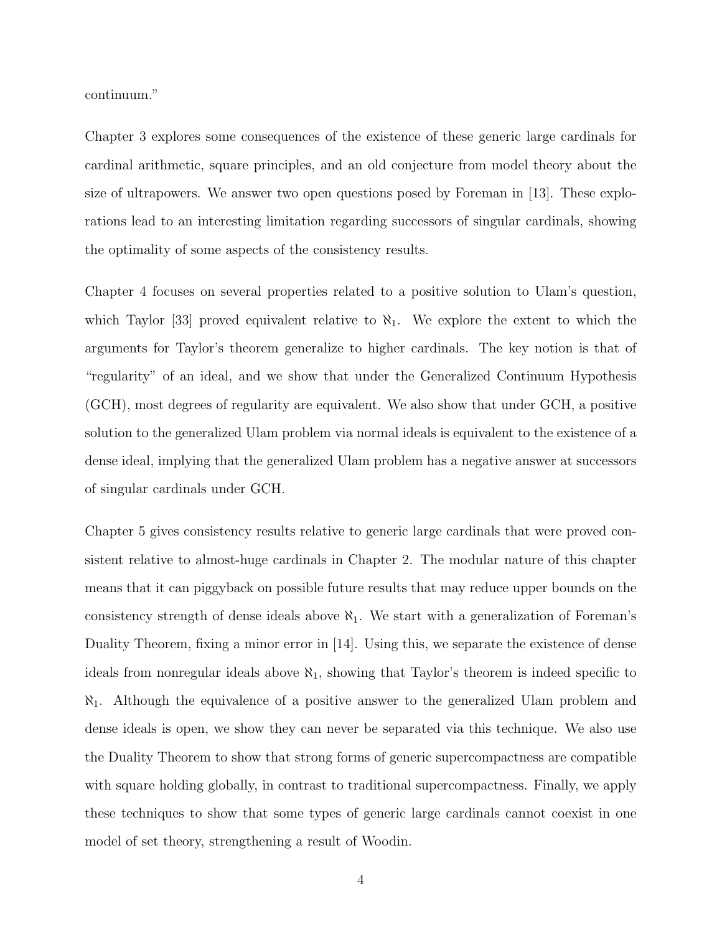continuum."

Chapter 3 explores some consequences of the existence of these generic large cardinals for cardinal arithmetic, square principles, and an old conjecture from model theory about the size of ultrapowers. We answer two open questions posed by Foreman in [\[13\]](#page-108-5). These explorations lead to an interesting limitation regarding successors of singular cardinals, showing the optimality of some aspects of the consistency results.

Chapter 4 focuses on several properties related to a positive solution to Ulam's question, which Taylor [\[33\]](#page-110-1) proved equivalent relative to  $\aleph_1$ . We explore the extent to which the arguments for Taylor's theorem generalize to higher cardinals. The key notion is that of "regularity" of an ideal, and we show that under the Generalized Continuum Hypothesis (GCH), most degrees of regularity are equivalent. We also show that under GCH, a positive solution to the generalized Ulam problem via normal ideals is equivalent to the existence of a dense ideal, implying that the generalized Ulam problem has a negative answer at successors of singular cardinals under GCH.

Chapter 5 gives consistency results relative to generic large cardinals that were proved consistent relative to almost-huge cardinals in Chapter 2. The modular nature of this chapter means that it can piggyback on possible future results that may reduce upper bounds on the consistency strength of dense ideals above  $\aleph_1$ . We start with a generalization of Foreman's Duality Theorem, fixing a minor error in [\[14\]](#page-109-4). Using this, we separate the existence of dense ideals from nonregular ideals above  $\aleph_1$ , showing that Taylor's theorem is indeed specific to  $\aleph_1$ . Although the equivalence of a positive answer to the generalized Ulam problem and dense ideals is open, we show they can never be separated via this technique. We also use the Duality Theorem to show that strong forms of generic supercompactness are compatible with square holding globally, in contrast to traditional supercompactness. Finally, we apply these techniques to show that some types of generic large cardinals cannot coexist in one model of set theory, strengthening a result of Woodin.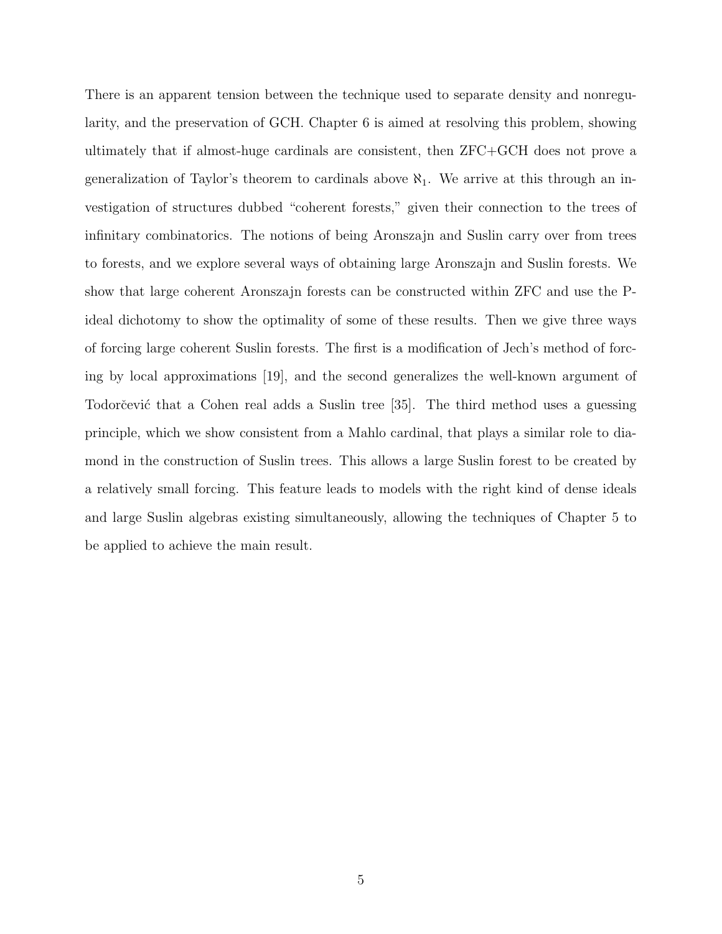There is an apparent tension between the technique used to separate density and nonregularity, and the preservation of GCH. Chapter 6 is aimed at resolving this problem, showing ultimately that if almost-huge cardinals are consistent, then ZFC+GCH does not prove a generalization of Taylor's theorem to cardinals above  $\aleph_1$ . We arrive at this through an investigation of structures dubbed "coherent forests," given their connection to the trees of infinitary combinatorics. The notions of being Aronszajn and Suslin carry over from trees to forests, and we explore several ways of obtaining large Aronszajn and Suslin forests. We show that large coherent Aronszajn forests can be constructed within ZFC and use the Pideal dichotomy to show the optimality of some of these results. Then we give three ways of forcing large coherent Suslin forests. The first is a modification of Jech's method of forcing by local approximations [\[19\]](#page-109-5), and the second generalizes the well-known argument of Todorčević that a Cohen real adds a Suslin tree [\[35\]](#page-110-2). The third method uses a guessing principle, which we show consistent from a Mahlo cardinal, that plays a similar role to diamond in the construction of Suslin trees. This allows a large Suslin forest to be created by a relatively small forcing. This feature leads to models with the right kind of dense ideals and large Suslin algebras existing simultaneously, allowing the techniques of Chapter 5 to be applied to achieve the main result.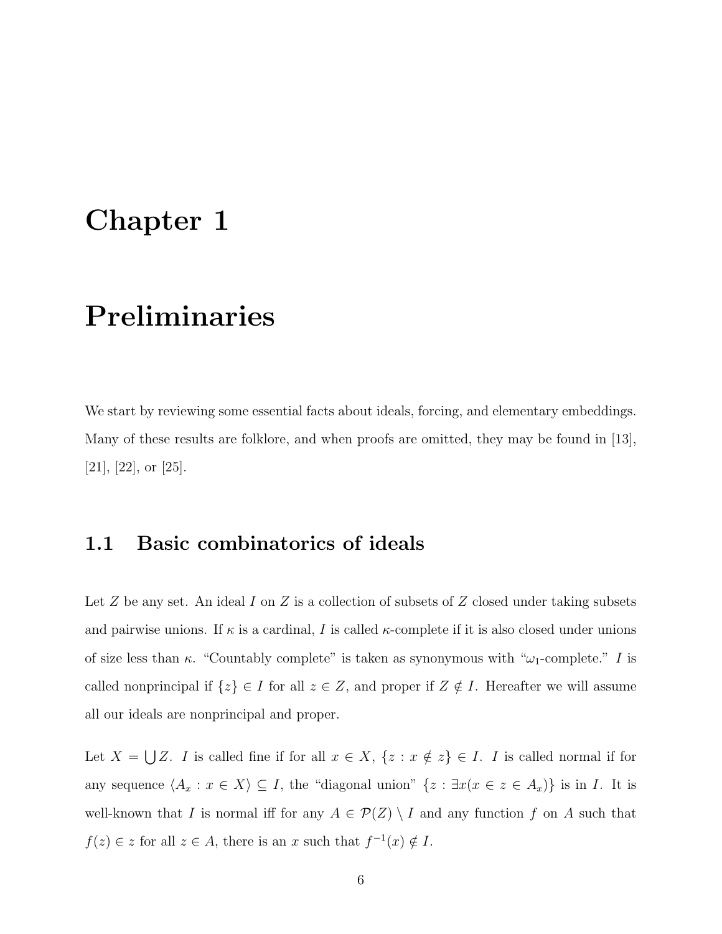# <span id="page-14-0"></span>Chapter 1

# Preliminaries

We start by reviewing some essential facts about ideals, forcing, and elementary embeddings. Many of these results are folklore, and when proofs are omitted, they may be found in [\[13\]](#page-108-5), [\[21\]](#page-109-6), [\[22\]](#page-109-7), or [\[25\]](#page-109-8).

## <span id="page-14-1"></span>1.1 Basic combinatorics of ideals

Let  $Z$  be any set. An ideal  $I$  on  $Z$  is a collection of subsets of  $Z$  closed under taking subsets and pairwise unions. If  $\kappa$  is a cardinal, I is called  $\kappa$ -complete if it is also closed under unions of size less than  $\kappa$ . "Countably complete" is taken as synonymous with " $\omega_1$ -complete." I is called nonprincipal if  $\{z\} \in I$  for all  $z \in Z$ , and proper if  $Z \notin I$ . Hereafter we will assume all our ideals are nonprincipal and proper.

Let  $X = \bigcup Z$ . I is called fine if for all  $x \in X$ ,  $\{z : x \notin z\} \in I$ . I is called normal if for any sequence  $\langle A_x : x \in X \rangle \subseteq I$ , the "diagonal union"  $\{z : \exists x (x \in z \in A_x)\}\$ is in I. It is well-known that I is normal iff for any  $A \in \mathcal{P}(Z) \setminus I$  and any function f on A such that  $f(z) \in z$  for all  $z \in A$ , there is an x such that  $f^{-1}(x) \notin I$ .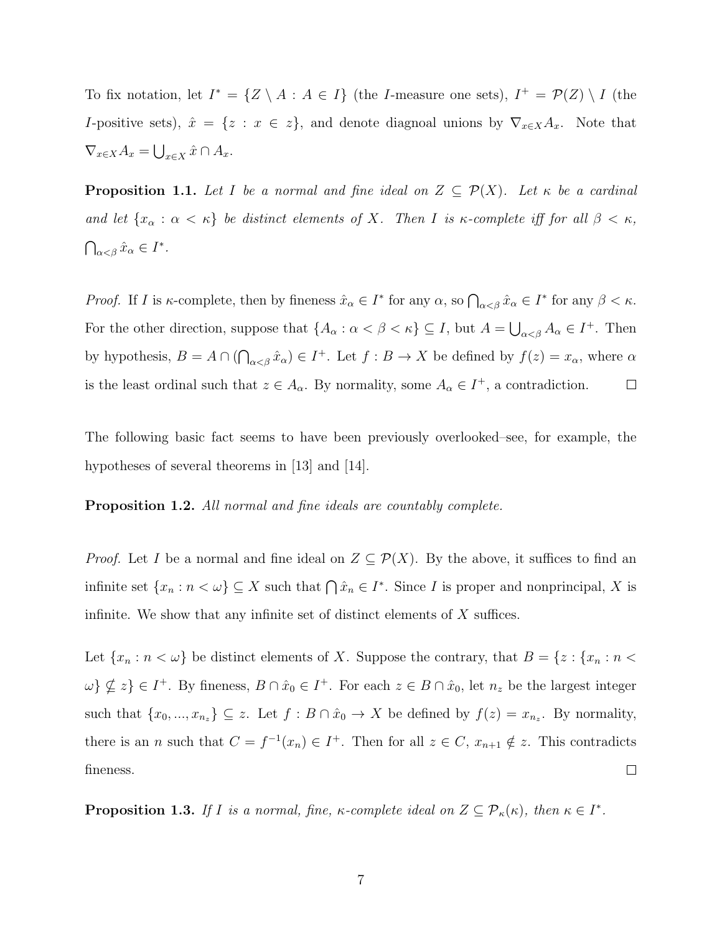To fix notation, let  $I^* = \{Z \setminus A : A \in I\}$  (the *I*-measure one sets),  $I^+ = \mathcal{P}(Z) \setminus I$  (the I-positive sets),  $\hat{x} = \{z : x \in z\}$ , and denote diagnoal unions by  $\nabla_{x \in X} A_x$ . Note that  $\nabla_{x\in X}A_x = \bigcup_{x\in X}\hat{x}\cap A_x.$ 

**Proposition 1.1.** Let I be a normal and fine ideal on  $Z \subseteq \mathcal{P}(X)$ . Let  $\kappa$  be a cardinal and let  $\{x_\alpha : \alpha < \kappa\}$  be distinct elements of X. Then I is  $\kappa$ -complete iff for all  $\beta < \kappa$ ,  $\bigcap_{\alpha<\beta}\hat{x}_{\alpha}\in I^*.$ 

*Proof.* If I is  $\kappa$ -complete, then by fineness  $\hat{x}_\alpha \in I^*$  for any  $\alpha$ , so  $\bigcap_{\alpha < \beta} \hat{x}_\alpha \in I^*$  for any  $\beta < \kappa$ . For the other direction, suppose that  $\{A_\alpha : \alpha < \beta < \kappa\} \subseteq I$ , but  $A = \bigcup_{\alpha < \beta} A_\alpha \in I^+$ . Then by hypothesis,  $B = A \cap (\bigcap_{\alpha < \beta} \hat{x}_\alpha) \in I^+$ . Let  $f : B \to X$  be defined by  $f(z) = x_\alpha$ , where  $\alpha$ is the least ordinal such that  $z \in A_{\alpha}$ . By normality, some  $A_{\alpha} \in I^+$ , a contradiction.  $\Box$ 

The following basic fact seems to have been previously overlooked–see, for example, the hypotheses of several theorems in [\[13\]](#page-108-5) and [\[14\]](#page-109-4).

Proposition 1.2. All normal and fine ideals are countably complete.

*Proof.* Let I be a normal and fine ideal on  $Z \subseteq \mathcal{P}(X)$ . By the above, it suffices to find an infinite set  $\{x_n : n < \omega\} \subseteq X$  such that  $\bigcap \hat{x}_n \in I^*$ . Since I is proper and nonprincipal, X is infinite. We show that any infinite set of distinct elements of X suffices.

Let  $\{x_n : n < \omega\}$  be distinct elements of X. Suppose the contrary, that  $B = \{z : \{x_n : n < \omega\}$  $\{\omega\} \nsubseteq z$   $\in I^+$ . By fineness,  $B \cap \hat{x}_0 \in I^+$ . For each  $z \in B \cap \hat{x}_0$ , let  $n_z$  be the largest integer such that  $\{x_0, ..., x_{n_z}\} \subseteq z$ . Let  $f : B \cap \hat{x}_0 \to X$  be defined by  $f(z) = x_{n_z}$ . By normality, there is an *n* such that  $C = f^{-1}(x_n) \in I^+$ . Then for all  $z \in C$ ,  $x_{n+1} \notin z$ . This contradicts fineness.  $\Box$ 

**Proposition 1.3.** If I is a normal, fine,  $\kappa$ -complete ideal on  $Z \subseteq \mathcal{P}_{\kappa}(\kappa)$ , then  $\kappa \in I^*$ .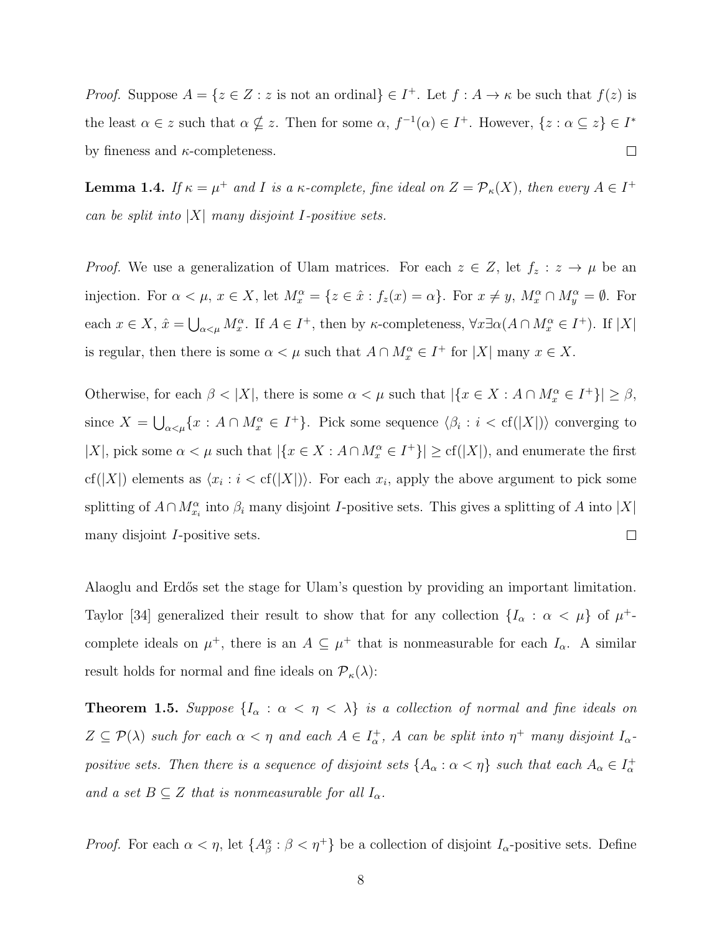*Proof.* Suppose  $A = \{z \in \mathbb{Z} : z \text{ is not an ordinal}\}\in I^+$ . Let  $f : A \to \kappa$  be such that  $f(z)$  is the least  $\alpha \in \mathbb{Z}$  such that  $\alpha \notin \mathbb{Z}$ . Then for some  $\alpha$ ,  $f^{-1}(\alpha) \in I^+$ . However,  $\{z : \alpha \subseteq z\} \in I^*$ by fineness and  $\kappa$ -completeness.  $\Box$ 

**Lemma 1.4.** If  $\kappa = \mu^+$  and I is a  $\kappa$ -complete, fine ideal on  $Z = \mathcal{P}_{\kappa}(X)$ , then every  $A \in I^+$ can be split into  $|X|$  many disjoint I-positive sets.

*Proof.* We use a generalization of Ulam matrices. For each  $z \in Z$ , let  $f_z : z \to \mu$  be an injection. For  $\alpha < \mu$ ,  $x \in X$ , let  $M_x^{\alpha} = \{z \in \hat{x} : f_z(x) = \alpha\}$ . For  $x \neq y$ ,  $M_x^{\alpha} \cap M_y^{\alpha} = \emptyset$ . For each  $x \in X$ ,  $\hat{x} = \bigcup_{\alpha < \mu} M_x^{\alpha}$ . If  $A \in I^+$ , then by  $\kappa$ -completeness,  $\forall x \exists \alpha (A \cap M_x^{\alpha} \in I^+)$ . If  $|X|$ is regular, then there is some  $\alpha < \mu$  such that  $A \cap M_x^{\alpha} \in I^+$  for  $|X|$  many  $x \in X$ .

Otherwise, for each  $\beta < |X|$ , there is some  $\alpha < \mu$  such that  $|\{x \in X : A \cap M_x^{\alpha} \in I^+\}| \geq \beta$ , since  $X = \bigcup_{\alpha < \mu} \{x : A \cap M_x^{\alpha} \in I^+\}$ . Pick some sequence  $\langle \beta_i : i < \text{cf}(|X|) \rangle$  converging to |X|, pick some  $\alpha < \mu$  such that  $|\{x \in X : A \cap M_x^{\alpha} \in I^+\}| \geq cf(|X|)$ , and enumerate the first cf(|X|) elements as  $\langle x_i : i < \text{cf}(|X|) \rangle$ . For each  $x_i$ , apply the above argument to pick some splitting of  $A \cap M_{x_i}^{\alpha}$  into  $\beta_i$  many disjoint I-positive sets. This gives a splitting of A into  $|X|$ many disjoint I-positive sets.  $\Box$ 

Alaoglu and Erdős set the stage for Ulam's question by providing an important limitation. Taylor [\[34\]](#page-110-3) generalized their result to show that for any collection  $\{I_{\alpha} : \alpha < \mu\}$  of  $\mu^+$ complete ideals on  $\mu^+$ , there is an  $A \subseteq \mu^+$  that is nonmeasurable for each  $I_\alpha$ . A similar result holds for normal and fine ideals on  $\mathcal{P}_{\kappa}(\lambda)$ :

**Theorem 1.5.** Suppose  $\{I_{\alpha} : \alpha < \eta < \lambda\}$  is a collection of normal and fine ideals on  $Z \subseteq \mathcal{P}(\lambda)$  such for each  $\alpha < \eta$  and each  $A \in I_{\alpha}^+$ , A can be split into  $\eta^+$  many disjoint  $I_{\alpha}$ positive sets. Then there is a sequence of disjoint sets  $\{A_\alpha:\alpha<\eta\}$  such that each  $A_\alpha\in I_\alpha^+$ and a set  $B \subseteq Z$  that is nonmeasurable for all  $I_{\alpha}$ .

*Proof.* For each  $\alpha < \eta$ , let  $\{A_{\beta}^{\alpha} : \beta < \eta^+\}$  be a collection of disjoint  $I_{\alpha}$ -positive sets. Define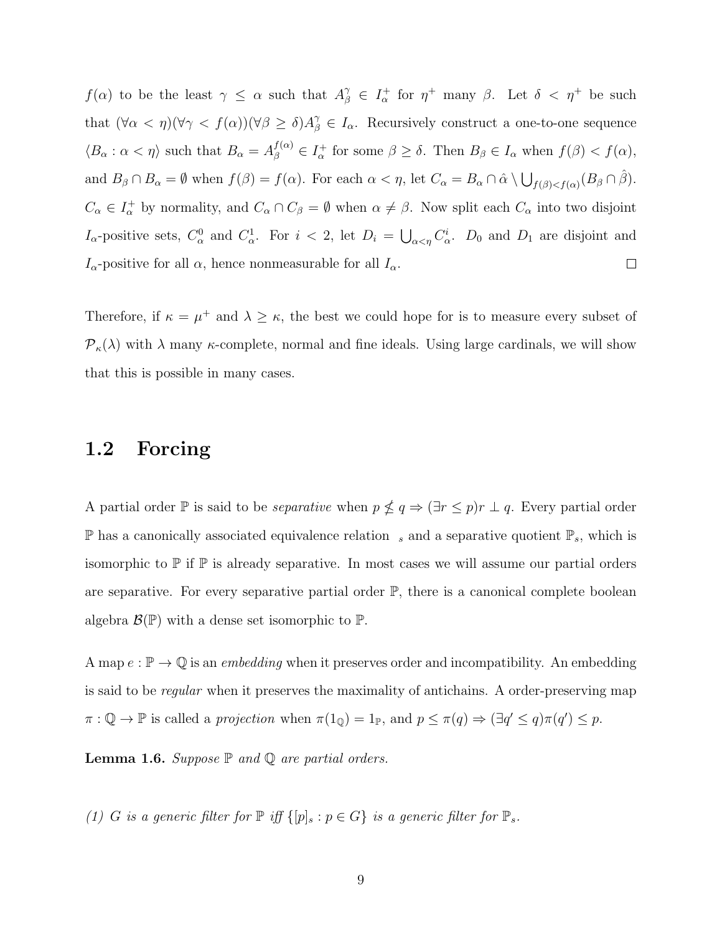$f(\alpha)$  to be the least  $\gamma \leq \alpha$  such that  $A_{\beta}^{\gamma} \in I_{\alpha}^{+}$  for  $\eta^{+}$  many  $\beta$ . Let  $\delta < \eta^{+}$  be such that  $(\forall \alpha < \eta)(\forall \gamma < f(\alpha))(\forall \beta \geq \delta)A_{\beta}^{\gamma} \in I_{\alpha}$ . Recursively construct a one-to-one sequence  $\langle B_\alpha : \alpha < \eta \rangle$  such that  $B_\alpha = A_\beta^{f(\alpha)} \in I_\alpha^+$  for some  $\beta \ge \delta$ . Then  $B_\beta \in I_\alpha$  when  $f(\beta) < f(\alpha)$ , and  $B_{\beta} \cap B_{\alpha} = \emptyset$  when  $f(\beta) = f(\alpha)$ . For each  $\alpha < \eta$ , let  $C_{\alpha} = B_{\alpha} \cap \hat{\alpha} \setminus \bigcup_{f(\beta) < f(\alpha)} (B_{\beta} \cap \hat{\beta})$ .  $C_{\alpha} \in I_{\alpha}^+$  by normality, and  $C_{\alpha} \cap C_{\beta} = \emptyset$  when  $\alpha \neq \beta$ . Now split each  $C_{\alpha}$  into two disjoint  $I_{\alpha}$ -positive sets,  $C_{\alpha}^0$  and  $C_{\alpha}^1$ . For  $i < 2$ , let  $D_i = \bigcup_{\alpha < \eta} C_{\alpha}^i$ .  $D_0$  and  $D_1$  are disjoint and  $I_{\alpha}$ -positive for all  $\alpha$ , hence nonmeasurable for all  $I_{\alpha}$ .  $\Box$ 

Therefore, if  $\kappa = \mu^+$  and  $\lambda \geq \kappa$ , the best we could hope for is to measure every subset of  $\mathcal{P}_{\kappa}(\lambda)$  with  $\lambda$  many  $\kappa$ -complete, normal and fine ideals. Using large cardinals, we will show that this is possible in many cases.

## <span id="page-17-0"></span>1.2 Forcing

A partial order  $\mathbb P$  is said to be *separative* when  $p \nleq q \Rightarrow (\exists r \leq p)r \perp q$ . Every partial order  $\mathbb P$  has a canonically associated equivalence relation  $s$  and a separative quotient  $\mathbb P_s$ , which is isomorphic to  $\mathbb P$  if  $\mathbb P$  is already separative. In most cases we will assume our partial orders are separative. For every separative partial order  $\mathbb{P}$ , there is a canonical complete boolean algebra  $\mathcal{B}(\mathbb{P})$  with a dense set isomorphic to  $\mathbb{P}$ .

A map  $e : \mathbb{P} \to \mathbb{Q}$  is an *embedding* when it preserves order and incompatibility. An embedding is said to be *regular* when it preserves the maximality of antichains. A order-preserving map  $\pi : \mathbb{Q} \to \mathbb{P}$  is called a projection when  $\pi(1_{\mathbb{Q}}) = 1_{\mathbb{P}}$ , and  $p \leq \pi(q) \Rightarrow (\exists q' \leq q) \pi(q') \leq p$ .

**Lemma 1.6.** Suppose  $\mathbb P$  and  $\mathbb Q$  are partial orders.

(1) G is a generic filter for  $\mathbb{P}$  iff  $\{[p]_s : p \in G\}$  is a generic filter for  $\mathbb{P}_s$ .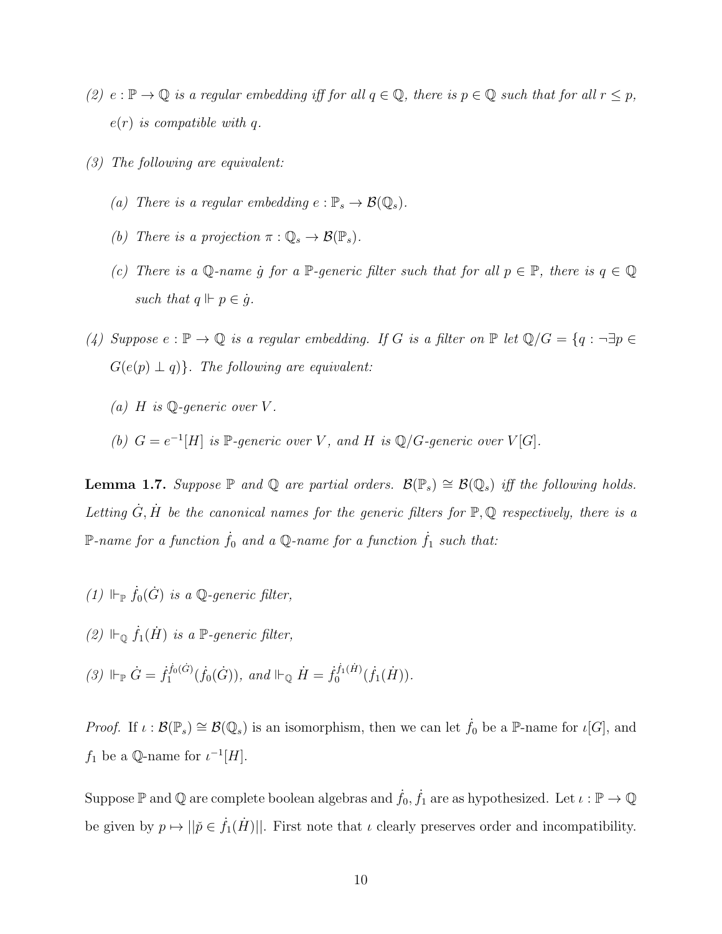- (2)  $e : \mathbb{P} \to \mathbb{Q}$  is a regular embedding iff for all  $q \in \mathbb{Q}$ , there is  $p \in \mathbb{Q}$  such that for all  $r \leq p$ ,  $e(r)$  is compatible with q.
- (3) The following are equivalent:
	- (a) There is a regular embedding  $e : \mathbb{P}_s \to \mathcal{B}(\mathbb{Q}_s)$ .
	- (b) There is a projection  $\pi : \mathbb{Q}_s \to \mathcal{B}(\mathbb{P}_s)$ .
	- (c) There is a Q-name g for a P-generic filter such that for all  $p \in \mathbb{P}$ , there is  $q \in \mathbb{Q}$ such that  $q \Vdash p \in \dot{g}$ .
- (4) Suppose  $e : \mathbb{P} \to \mathbb{Q}$  is a regular embedding. If G is a filter on  $\mathbb{P}$  let  $\mathbb{Q}/G = \{q : \neg \exists p \in \mathbb{Q} \mid \exists p \in \mathbb{Q} \mid \exists q \in \mathbb{Q} \mid \exists q \in \mathbb{Q} \mid \exists q \in \mathbb{Q} \mid \exists q \in \mathbb{Q} \mid \exists q \in \mathbb{Q} \mid \exists q \in \mathbb{Q} \mid \exists q \in \mathbb{Q} \mid \$  $G(e(p) \perp q)$ . The following are equivalent:
	- (a) H is  $\mathbb{O}$ -generic over V.
	- (b)  $G = e^{-1}[H]$  is P-generic over V, and H is Q/G-generic over  $V[G]$ .

**Lemma 1.7.** Suppose  $\mathbb P$  and  $\mathbb Q$  are partial orders.  $\mathcal B(\mathbb P_s) \cong \mathcal B(\mathbb Q_s)$  iff the following holds. Letting  $\dot{G}, \dot{H}$  be the canonical names for the generic filters for  $\mathbb{P}, \mathbb{Q}$  respectively, there is a P-name for a function  $\dot{f}_0$  and a Q-name for a function  $\dot{f}_1$  such that:

- (1)  $\Vdash_{\mathbb{P}} \dot{f}_0(\dot{G})$  is a Q-generic filter,
- (2)  $\Vdash_{\mathbb{Q}} \dot{f}_1(\dot{H})$  is a  $\mathbb{P}\text{-}generic filter$ ,
- (3)  $\Vdash_{\mathbb{P}} \dot{G} = \dot{f}_1^{f_0(G)}$  $i_1^{f_0(G)}(f_0(G))$ , and  $\Vdash_{\mathbb{Q}} \dot{H} = \dot{f}_0^{f_1(\dot{H})}$  $\delta_0^{f_1(\hat{H})}(\dot{f}_1(\dot{H})).$

*Proof.* If  $\iota : \mathcal{B}(\mathbb{P}_s) \cong \mathcal{B}(\mathbb{Q}_s)$  is an isomorphism, then we can let  $f_0$  be a P-name for  $\iota[G]$ , and  $f_1$  be a Q-name for  $\iota^{-1}[H]$ .

Suppose  $\mathbb P$  and  $\mathbb Q$  are complete boolean algebras and  $\dot{f}_0, \dot{f}_1$  are as hypothesized. Let  $\iota : \mathbb P \to \mathbb Q$ be given by  $p \mapsto ||\check{p} \in \dot{f}_1(\dot{H})||$ . First note that  $\iota$  clearly preserves order and incompatibility.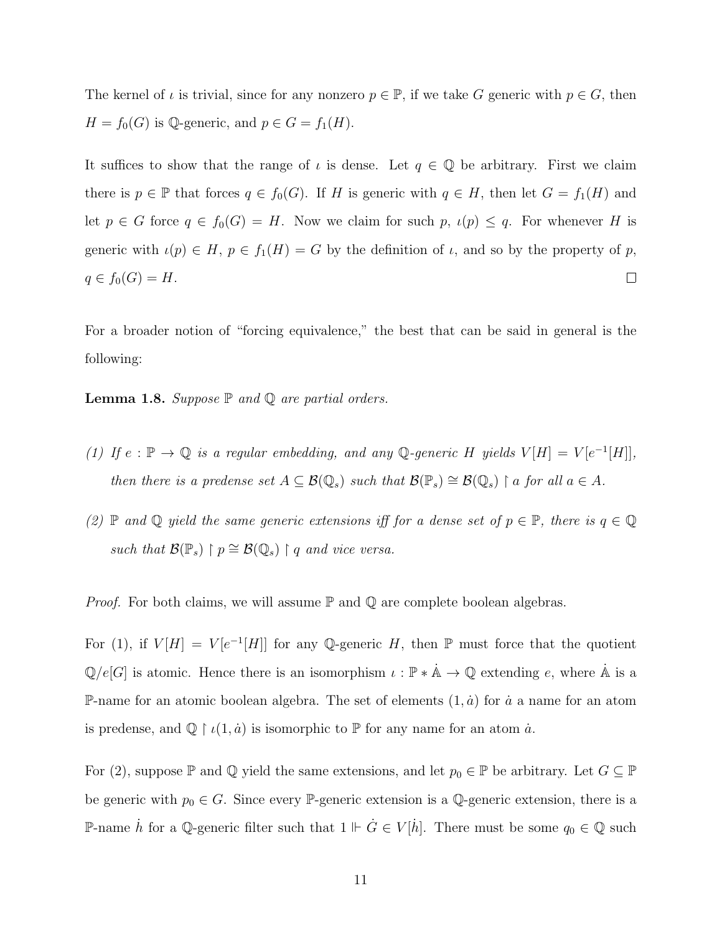The kernel of  $\iota$  is trivial, since for any nonzero  $p \in \mathbb{P}$ , if we take G generic with  $p \in G$ , then  $H = f_0(G)$  is Q-generic, and  $p \in G = f_1(H)$ .

It suffices to show that the range of  $\iota$  is dense. Let  $q \in \mathbb{Q}$  be arbitrary. First we claim there is  $p \in \mathbb{P}$  that forces  $q \in f_0(G)$ . If H is generic with  $q \in H$ , then let  $G = f_1(H)$  and let  $p \in G$  force  $q \in f_0(G) = H$ . Now we claim for such  $p$ ,  $\iota(p) \leq q$ . For whenever H is generic with  $\iota(p) \in H$ ,  $p \in f_1(H) = G$  by the definition of  $\iota$ , and so by the property of p,  $q \in f_0(G) = H.$  $\Box$ 

For a broader notion of "forcing equivalence," the best that can be said in general is the following:

**Lemma 1.8.** Suppose  $\mathbb P$  and  $\mathbb Q$  are partial orders.

- (1) If  $e : \mathbb{P} \to \mathbb{Q}$  is a regular embedding, and any  $\mathbb{Q}$ -generic H yields  $V[H] = V[e^{-1}[H]]$ , then there is a predense set  $A \subseteq \mathcal{B}(\mathbb{Q}_s)$  such that  $\mathcal{B}(\mathbb{P}_s) \cong \mathcal{B}(\mathbb{Q}_s) \restriction a$  for all  $a \in A$ .
- (2)  $\mathbb P$  and  $\mathbb Q$  yield the same generic extensions iff for a dense set of  $p \in \mathbb P$ , there is  $q \in \mathbb Q$ such that  $\mathcal{B}(\mathbb{P}_s) \restriction p \cong \mathcal{B}(\mathbb{Q}_s) \restriction q$  and vice versa.

*Proof.* For both claims, we will assume  $\mathbb P$  and  $\mathbb Q$  are complete boolean algebras.

For (1), if  $V[H] = V[e^{-1}[H]]$  for any Q-generic H, then  $\mathbb P$  must force that the quotient  $\mathbb{Q}/e[G]$  is atomic. Hence there is an isomorphism  $\iota : \mathbb{P} * \mathbb{A} \to \mathbb{Q}$  extending e, where  $\mathbb{A}$  is a P-name for an atomic boolean algebra. The set of elements  $(1, \dot{a})$  for  $\dot{a}$  a name for an atom is predense, and  $\mathbb{Q} \restriction \iota(1, \dot{a})$  is isomorphic to  $\mathbb P$  for any name for an atom  $\dot{a}$ .

For (2), suppose  $\mathbb P$  and  $\mathbb Q$  yield the same extensions, and let  $p_0 \in \mathbb P$  be arbitrary. Let  $G \subseteq \mathbb P$ be generic with  $p_0 \in G$ . Since every P-generic extension is a Q-generic extension, there is a P-name  $\dot{h}$  for a Q-generic filter such that  $1 \Vdash \dot{G} \in V[\dot{h}]$ . There must be some  $q_0 \in \mathbb{Q}$  such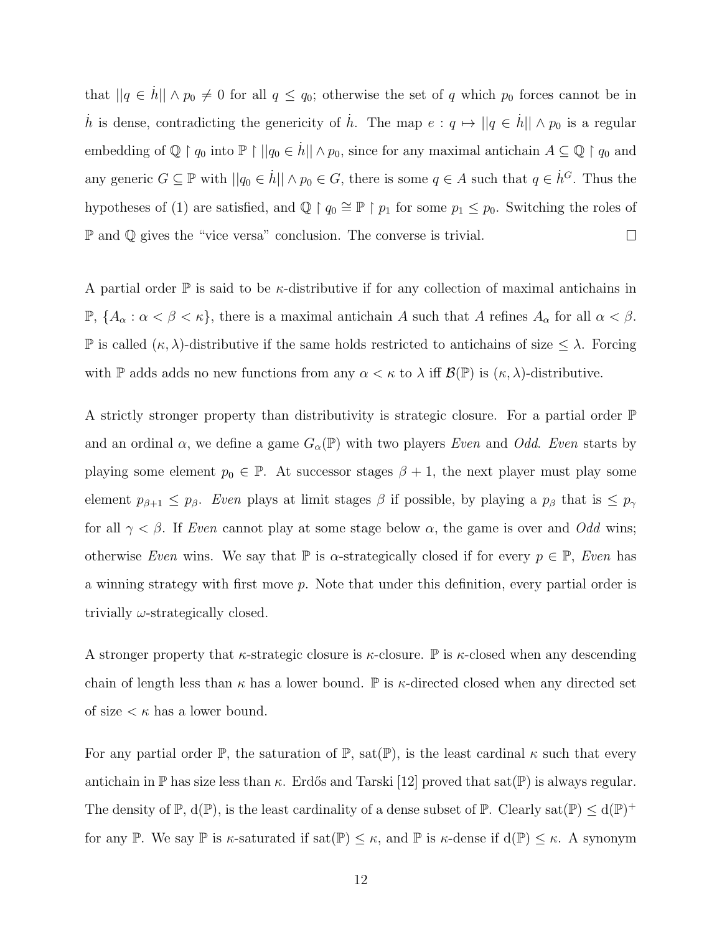that  $||q \n\t\in \dot{h}|| \wedge p_0 \neq 0$  for all  $q \leq q_0$ ; otherwise the set of q which  $p_0$  forces cannot be in h is dense, contradicting the genericity of h. The map  $e: q \mapsto ||q \in \dot{h}|| \wedge p_0$  is a regular embedding of  $\mathbb{Q} \restriction q_0$  into  $\mathbb{P} \restriction ||q_0 \in \dot{h}|| \land p_0$ , since for any maximal antichain  $A \subseteq \mathbb{Q} \restriction q_0$  and any generic  $G \subseteq \mathbb{P}$  with  $||q_0 \in \dot{h}|| \wedge p_0 \in G$ , there is some  $q \in A$  such that  $q \in \dot{h}^G$ . Thus the hypotheses of (1) are satisfied, and  $\mathbb{Q} \restriction q_0 \cong \mathbb{P} \restriction p_1$  for some  $p_1 \leq p_0$ . Switching the roles of  $\mathbb P$  and  $\mathbb Q$  gives the "vice versa" conclusion. The converse is trivial.  $\Box$ 

A partial order  $\mathbb P$  is said to be *κ*-distributive if for any collection of maximal antichains in  $\mathbb{P}, \{A_{\alpha} : \alpha < \beta < \kappa\},\$  there is a maximal antichain A such that A refines  $A_{\alpha}$  for all  $\alpha < \beta$ . P is called  $(\kappa, \lambda)$ -distributive if the same holds restricted to antichains of size  $\leq \lambda$ . Forcing with P adds adds no new functions from any  $\alpha < \kappa$  to  $\lambda$  iff  $\mathcal{B}(\mathbb{P})$  is  $(\kappa, \lambda)$ -distributive.

A strictly stronger property than distributivity is strategic closure. For a partial order P and an ordinal  $\alpha$ , we define a game  $G_{\alpha}(\mathbb{P})$  with two players Even and Odd. Even starts by playing some element  $p_0 \in \mathbb{P}$ . At successor stages  $\beta + 1$ , the next player must play some element  $p_{\beta+1} \leq p_{\beta}$ . Even plays at limit stages  $\beta$  if possible, by playing a  $p_{\beta}$  that is  $\leq p_{\gamma}$ for all  $\gamma < \beta$ . If Even cannot play at some stage below  $\alpha$ , the game is over and Odd wins; otherwise Even wins. We say that  $\mathbb P$  is  $\alpha$ -strategically closed if for every  $p \in \mathbb P$ , Even has a winning strategy with first move p. Note that under this definition, every partial order is trivially  $\omega$ -strategically closed.

A stronger property that  $\kappa$ -strategic closure is  $\kappa$ -closure. P is  $\kappa$ -closed when any descending chain of length less than  $\kappa$  has a lower bound.  $\mathbb P$  is  $\kappa$ -directed closed when any directed set of size  $\lt \kappa$  has a lower bound.

For any partial order  $\mathbb{P}$ , the saturation of  $\mathbb{P}$ , sat $(\mathbb{P})$ , is the least cardinal  $\kappa$  such that every antichain in  $\mathbb P$  has size less than  $\kappa$ . Erdős and Tarski [\[12\]](#page-108-6) proved that sat $(\mathbb P)$  is always regular. The density of  $\mathbb{P}, d(\mathbb{P})$ , is the least cardinality of a dense subset of  $\mathbb{P}$ . Clearly sat $(\mathbb{P}) \leq d(\mathbb{P})^+$ for any P. We say P is  $\kappa$ -saturated if sat $(\mathbb{P}) \leq \kappa$ , and P is  $\kappa$ -dense if  $d(\mathbb{P}) \leq \kappa$ . A synonym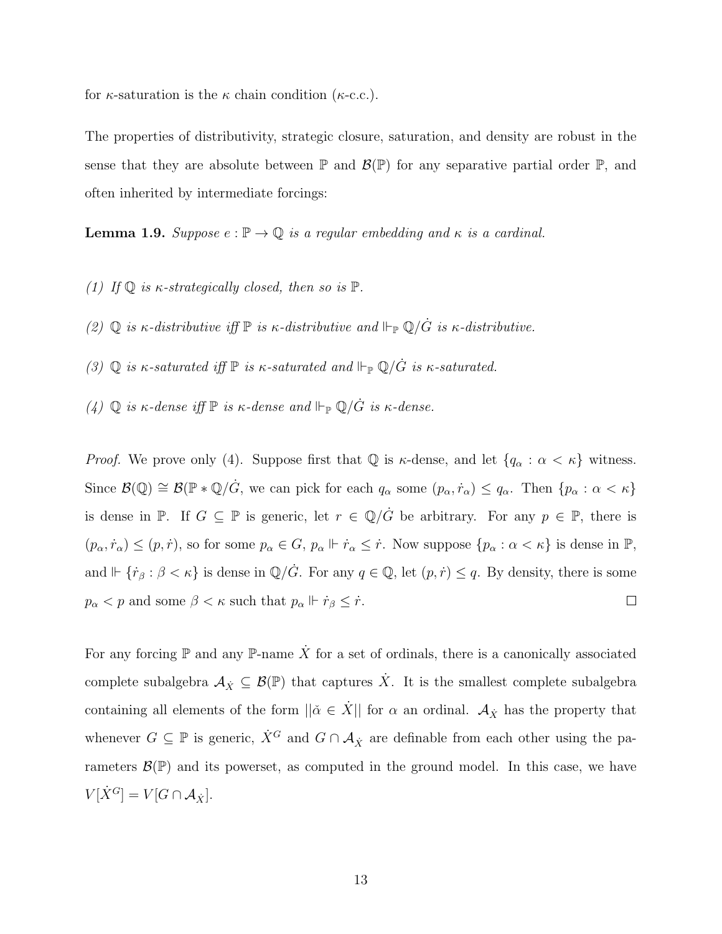for  $\kappa$ -saturation is the  $\kappa$  chain condition ( $\kappa$ -c.c.).

The properties of distributivity, strategic closure, saturation, and density are robust in the sense that they are absolute between  $\mathbb P$  and  $\mathcal{B}(\mathbb P)$  for any separative partial order  $\mathbb P$ , and often inherited by intermediate forcings:

**Lemma 1.9.** Suppose  $e : \mathbb{P} \to \mathbb{Q}$  is a regular embedding and  $\kappa$  is a cardinal.

- (1) If  $\mathbb Q$  is  $\kappa$ -strategically closed, then so is  $\mathbb P$ .
- (2)  $\mathbb Q$  is  $\kappa$ -distributive iff  $\mathbb P$  is  $\kappa$ -distributive and  $\Vdash_{\mathbb P} \mathbb Q/\dot{G}$  is  $\kappa$ -distributive.
- (3)  $\mathbb Q$  is  $\kappa$ -saturated iff  $\mathbb P$  is  $\kappa$ -saturated and  $\Vdash_{\mathbb P} \mathbb Q/\dot{G}$  is  $\kappa$ -saturated.
- (4)  $\mathbb Q$  is  $\kappa$ -dense iff  $\mathbb P$  is  $\kappa$ -dense and  $\Vdash_{\mathbb P} \mathbb Q/\dot{G}$  is  $\kappa$ -dense.

*Proof.* We prove only (4). Suppose first that  $\mathbb{Q}$  is  $\kappa$ -dense, and let  $\{q_\alpha : \alpha < \kappa\}$  witness. Since  $\mathcal{B}(\mathbb{Q}) \cong \mathcal{B}(\mathbb{P} * \mathbb{Q}/\dot{G})$ , we can pick for each  $q_\alpha$  some  $(p_\alpha, \dot{r}_\alpha) \leq q_\alpha$ . Then  $\{p_\alpha : \alpha < \kappa\}$ is dense in P. If  $G \subseteq \mathbb{P}$  is generic, let  $r \in \mathbb{Q}/\dot{G}$  be arbitrary. For any  $p \in \mathbb{P}$ , there is  $(p_\alpha, \dot{r}_\alpha) \leq (p, \dot{r})$ , so for some  $p_\alpha \in G$ ,  $p_\alpha \Vdash \dot{r}_\alpha \leq \dot{r}$ . Now suppose  $\{p_\alpha : \alpha < \kappa\}$  is dense in  $\mathbb{P}$ , and  $\Vdash \{\dot{r}_{\beta} : \beta < \kappa\}$  is dense in  $\mathbb{Q}/\dot{G}$ . For any  $q \in \mathbb{Q}$ , let  $(p, \dot{r}) \leq q$ . By density, there is some  $p_{\alpha} < p$  and some  $\beta < \kappa$  such that  $p_{\alpha} \Vdash \dot{r}_{\beta} \leq \dot{r}.$  $\Box$ 

For any forcing  $\mathbb P$  and any  $\mathbb P$ -name  $\dot{X}$  for a set of ordinals, there is a canonically associated complete subalgebra  $A_{\dot{X}} \subseteq \mathcal{B}(\mathbb{P})$  that captures  $\dot{X}$ . It is the smallest complete subalgebra containing all elements of the form  $\|\check{\alpha} \in \dot{X}\|$  for  $\alpha$  an ordinal.  $\mathcal{A}_{\dot{X}}$  has the property that whenever  $G \subseteq \mathbb{P}$  is generic,  $\dot{X}^G$  and  $G \cap A_{\dot{X}}$  are definable from each other using the parameters  $\mathcal{B}(\mathbb{P})$  and its powerset, as computed in the ground model. In this case, we have  $V[\dot{X}^G] = V[G \cap \mathcal{A}_{\dot{X}}].$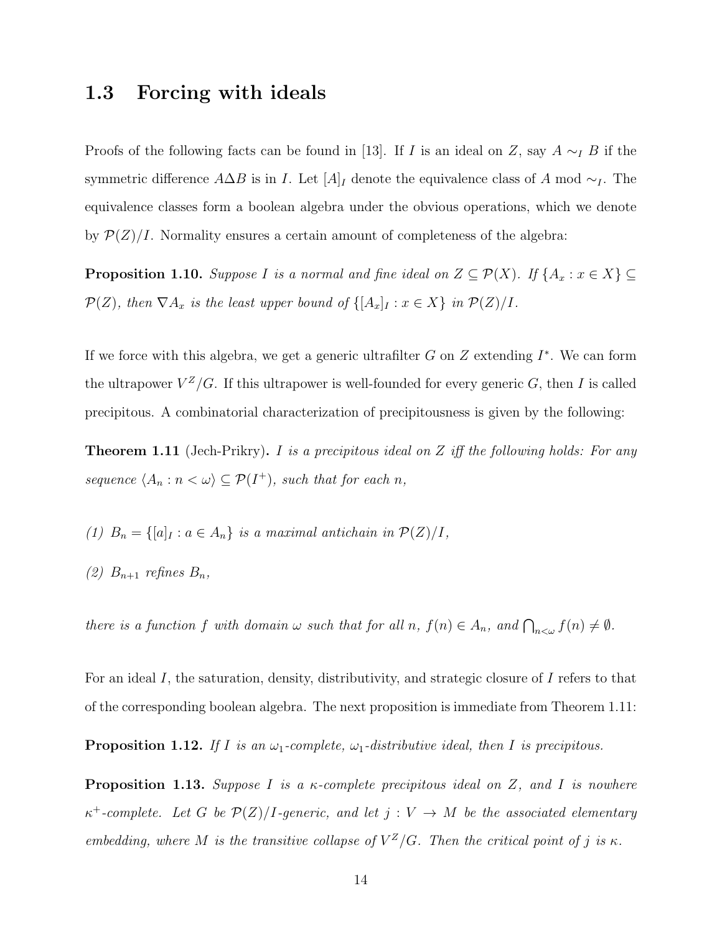## <span id="page-22-0"></span>1.3 Forcing with ideals

Proofs of the following facts can be found in [\[13\]](#page-108-5). If I is an ideal on Z, say  $A \sim_I B$  if the symmetric difference  $A\Delta B$  is in I. Let  $[A]_I$  denote the equivalence class of A mod  $\sim_I$ . The equivalence classes form a boolean algebra under the obvious operations, which we denote by  $\mathcal{P}(Z)/I$ . Normality ensures a certain amount of completeness of the algebra:

**Proposition 1.10.** Suppose I is a normal and fine ideal on  $Z \subseteq \mathcal{P}(X)$ . If  $\{A_x : x \in X\} \subseteq$  $\mathcal{P}(Z)$ , then  $\nabla A_x$  is the least upper bound of  $\{[A_x]_I : x \in X\}$  in  $\mathcal{P}(Z)/I$ .

If we force with this algebra, we get a generic ultrafilter  $G$  on  $Z$  extending  $I^*$ . We can form the ultrapower  $V^Z/G$ . If this ultrapower is well-founded for every generic G, then I is called precipitous. A combinatorial characterization of precipitousness is given by the following:

<span id="page-22-1"></span>**Theorem 1.11** (Jech-Prikry). I is a precipitous ideal on Z iff the following holds: For any sequence  $\langle A_n : n \langle \omega \rangle \subseteq \mathcal{P}(I^+),$  such that for each n,

- (1)  $B_n = \{ [a]_I : a \in A_n \}$  is a maximal antichain in  $\mathcal{P}(Z)/I$ ,
- (2)  $B_{n+1}$  refines  $B_n$ ,

there is a function f with domain  $\omega$  such that for all  $n, f(n) \in A_n$ , and  $\bigcap_{n<\omega} f(n) \neq \emptyset$ .

For an ideal I, the saturation, density, distributivity, and strategic closure of I refers to that of the corresponding boolean algebra. The next proposition is immediate from Theorem [1.11:](#page-22-1)

**Proposition 1.12.** If I is an  $\omega_1$ -complete,  $\omega_1$ -distributive ideal, then I is precipitous.

**Proposition 1.13.** Suppose I is a  $\kappa$ -complete precipitous ideal on Z, and I is nowhere  $\kappa^+$ -complete. Let G be  $\mathcal{P}(Z)/I$ -generic, and let  $j: V \to M$  be the associated elementary embedding, where M is the transitive collapse of  $V^Z/G$ . Then the critical point of j is  $\kappa$ .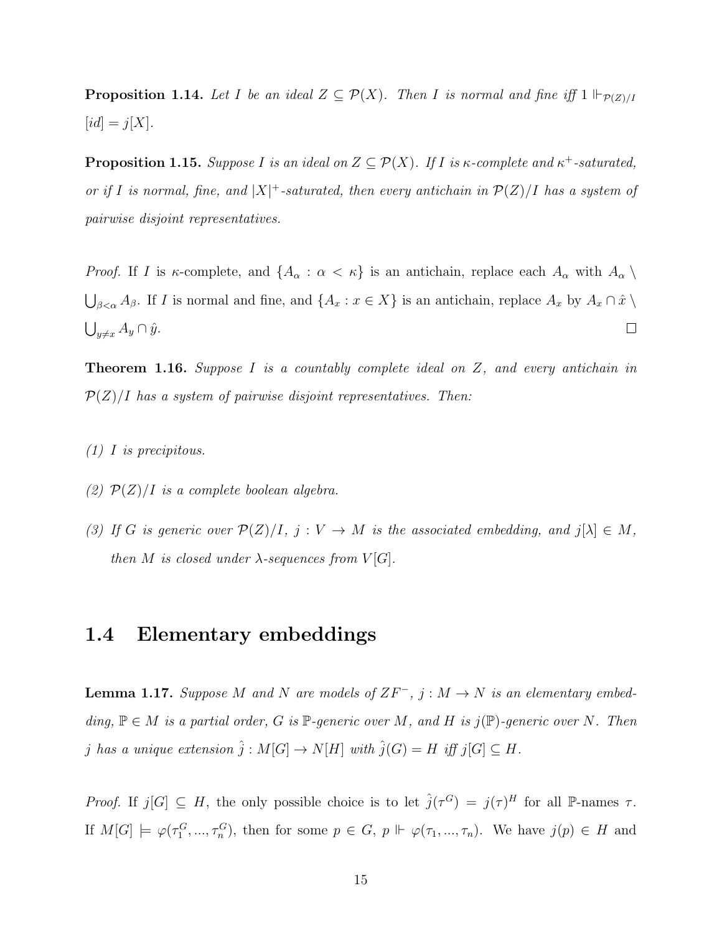**Proposition 1.14.** Let I be an ideal  $Z \subseteq \mathcal{P}(X)$ . Then I is normal and fine iff  $1 \Vdash_{\mathcal{P}(Z)/I}$  $[id] = j[X].$ 

**Proposition 1.15.** Suppose I is an ideal on  $Z \subseteq \mathcal{P}(X)$ . If I is  $\kappa$ -complete and  $\kappa^+$ -saturated, or if I is normal, fine, and  $|X|$ <sup>+</sup>-saturated, then every antichain in  $\mathcal{P}(Z)/I$  has a system of pairwise disjoint representatives.

*Proof.* If I is  $\kappa$ -complete, and  $\{A_\alpha : \alpha < \kappa\}$  is an antichain, replace each  $A_\alpha$  with  $A_\alpha \setminus$  $\bigcup_{\beta<\alpha}A_{\beta}$ . If I is normal and fine, and  $\{A_x : x \in X\}$  is an antichain, replace  $A_x$  by  $A_x \cap \hat{x} \setminus \emptyset$  $\bigcup_{y\neq x} A_y \cap \hat{y}.$  $\Box$ 

**Theorem 1.16.** Suppose  $I$  is a countably complete ideal on  $Z$ , and every antichain in  $P(Z)/I$  has a system of pairwise disjoint representatives. Then:

- (1) I is precipitous.
- (2)  $\mathcal{P}(Z)/I$  is a complete boolean algebra.
- (3) If G is generic over  $\mathcal{P}(Z)/I$ ,  $j: V \to M$  is the associated embedding, and  $j[\lambda] \in M$ , then M is closed under  $\lambda$ -sequences from  $V[G]$ .

## <span id="page-23-0"></span>1.4 Elementary embeddings

**Lemma 1.17.** Suppose M and N are models of  $ZF^-$ ,  $j : M \to N$  is an elementary embedding,  $\mathbb{P} \in M$  is a partial order, G is  $\mathbb{P}$ -generic over M, and H is  $j(\mathbb{P})$ -generic over N. Then j has a unique extension  $\hat{j}: M[G] \to N[H]$  with  $\hat{j}(G) = H$  iff  $j[G] \subseteq H$ .

Proof. If  $j[G] \subseteq H$ , the only possible choice is to let  $\hat{j}(\tau^G) = j(\tau)^H$  for all P-names  $\tau$ . If  $M[G] \models \varphi(\tau_1^G, ..., \tau_n^G)$ , then for some  $p \in G$ ,  $p \Vdash \varphi(\tau_1, ..., \tau_n)$ . We have  $j(p) \in H$  and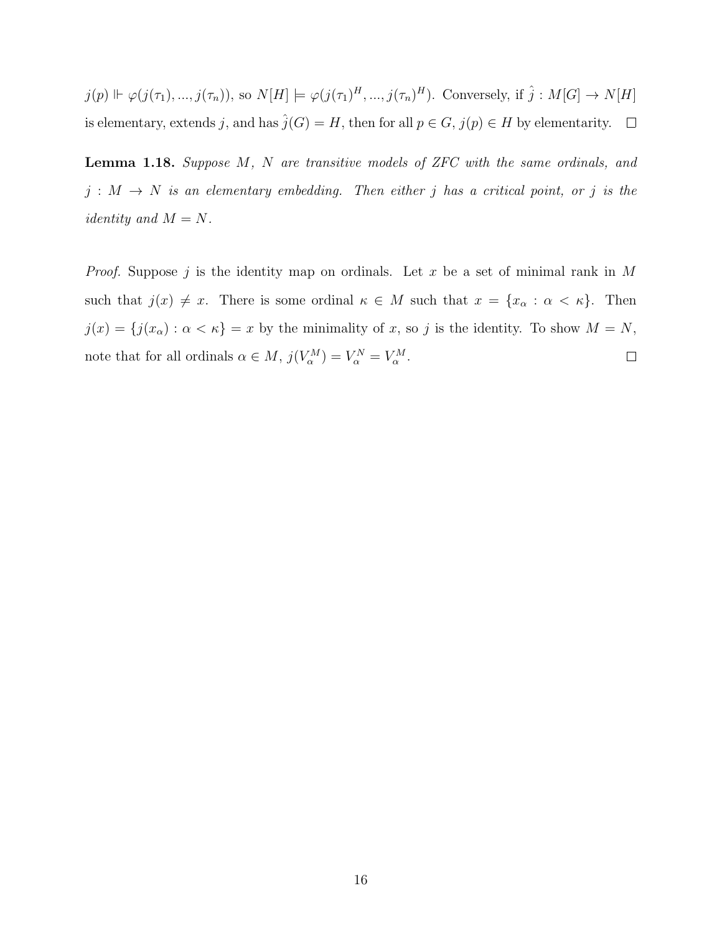$j(p) \Vdash \varphi(j(\tau_1),...,j(\tau_n)),$  so  $N[H] \models \varphi(j(\tau_1)^H,...,j(\tau_n)^H)$ . Conversely, if  $\hat{j}: M[G] \to N[H]$ is elementary, extends j, and has  $\hat{j}(G) = H$ , then for all  $p \in G$ ,  $j(p) \in H$  by elementarity.  $\Box$ 

Lemma 1.18. Suppose M, N are transitive models of ZFC with the same ordinals, and  $j : M \rightarrow N$  is an elementary embedding. Then either j has a critical point, or j is the *identity* and  $M = N$ .

*Proof.* Suppose j is the identity map on ordinals. Let x be a set of minimal rank in  $M$ such that  $j(x) \neq x$ . There is some ordinal  $\kappa \in M$  such that  $x = \{x_\alpha : \alpha < \kappa\}$ . Then  $j(x) = \{j(x_\alpha) : \alpha < \kappa\} = x$  by the minimality of x, so j is the identity. To show  $M = N$ , note that for all ordinals  $\alpha \in M$ ,  $j(V_{\alpha}^{M}) = V_{\alpha}^{N} = V_{\alpha}^{M}$ .  $\Box$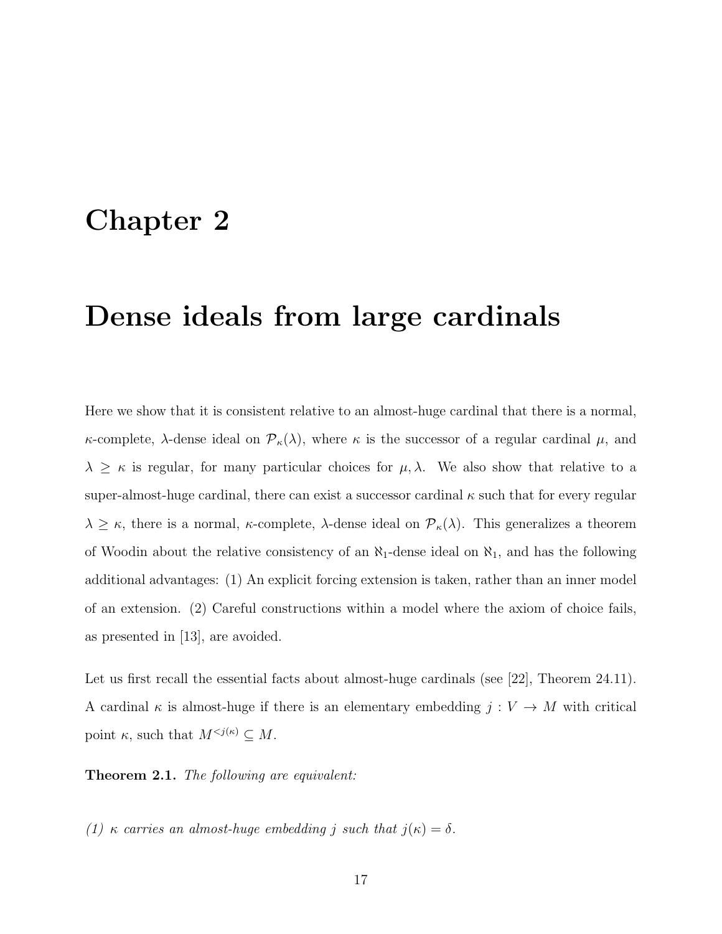# <span id="page-25-0"></span>Chapter 2

# Dense ideals from large cardinals

Here we show that it is consistent relative to an almost-huge cardinal that there is a normal, κ-complete, λ-dense ideal on  $\mathcal{P}_{\kappa}(\lambda)$ , where κ is the successor of a regular cardinal  $\mu$ , and  $\lambda \geq \kappa$  is regular, for many particular choices for  $\mu$ ,  $\lambda$ . We also show that relative to a super-almost-huge cardinal, there can exist a successor cardinal  $\kappa$  such that for every regular  $\lambda \geq \kappa$ , there is a normal,  $\kappa$ -complete,  $\lambda$ -dense ideal on  $\mathcal{P}_{\kappa}(\lambda)$ . This generalizes a theorem of Woodin about the relative consistency of an  $\aleph_1$ -dense ideal on  $\aleph_1$ , and has the following additional advantages: (1) An explicit forcing extension is taken, rather than an inner model of an extension. (2) Careful constructions within a model where the axiom of choice fails, as presented in [\[13\]](#page-108-5), are avoided.

Let us first recall the essential facts about almost-huge cardinals (see [\[22\]](#page-109-7), Theorem 24.11). A cardinal  $\kappa$  is almost-huge if there is an elementary embedding  $j: V \to M$  with critical point  $\kappa$ , such that  $M^{*(\kappa)} \subseteq M*$ .

Theorem 2.1. The following are equivalent:

(1) κ carries an almost-huge embedding j such that  $j(\kappa) = \delta$ .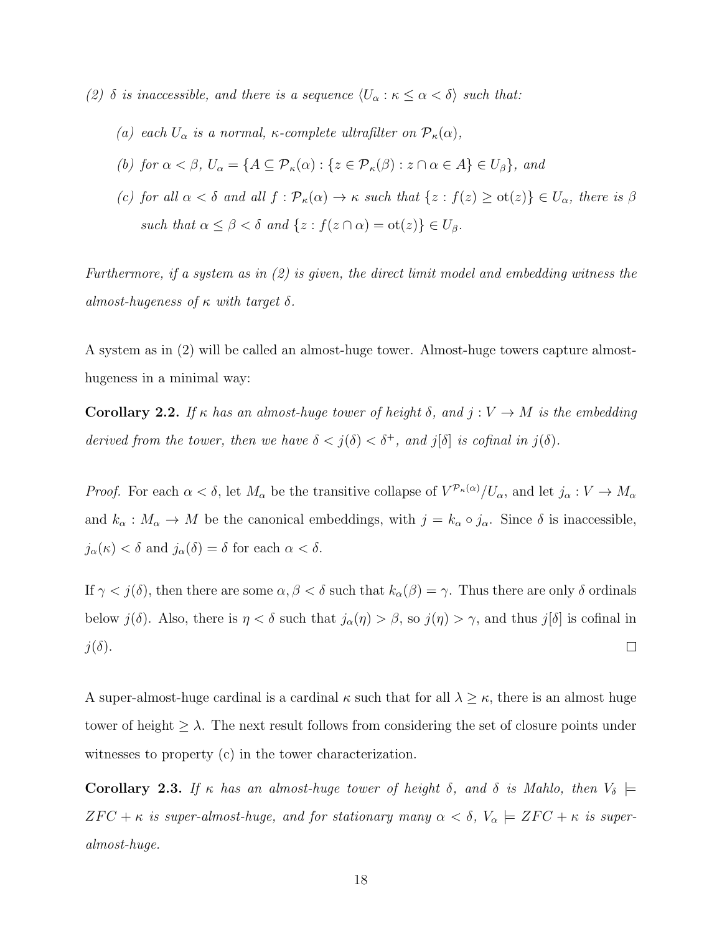- (2)  $\delta$  is inaccessible, and there is a sequence  $\langle U_{\alpha} : \kappa \leq \alpha < \delta \rangle$  such that:
	- (a) each  $U_{\alpha}$  is a normal, κ-complete ultrafilter on  $\mathcal{P}_{\kappa}(\alpha)$ ,
	- (b) for  $\alpha < \beta$ ,  $U_{\alpha} = \{A \subseteq \mathcal{P}_{\kappa}(\alpha) : \{z \in \mathcal{P}_{\kappa}(\beta) : z \cap \alpha \in A\} \in U_{\beta}\}\)$ , and
	- (c) for all  $\alpha < \delta$  and all  $f : \mathcal{P}_{\kappa}(\alpha) \to \kappa$  such that  $\{z : f(z) \geq \text{ot}(z)\} \in U_{\alpha}$ , there is  $\beta$ such that  $\alpha \leq \beta < \delta$  and  $\{z : f(z \cap \alpha) = \text{ot}(z)\} \in U_{\beta}$ .

Furthermore, if a system as in  $(2)$  is given, the direct limit model and embedding witness the almost-hugeness of  $\kappa$  with target  $\delta$ .

A system as in (2) will be called an almost-huge tower. Almost-huge towers capture almosthugeness in a minimal way:

Corollary 2.2. If  $\kappa$  has an almost-huge tower of height  $\delta$ , and  $j: V \to M$  is the embedding derived from the tower, then we have  $\delta < j(\delta) < \delta^+$ , and  $j[\delta]$  is cofinal in  $j(\delta)$ .

*Proof.* For each  $\alpha < \delta$ , let  $M_{\alpha}$  be the transitive collapse of  $V^{p_{\kappa}(\alpha)}/U_{\alpha}$ , and let  $j_{\alpha}: V \to M_{\alpha}$ and  $k_{\alpha}: M_{\alpha} \to M$  be the canonical embeddings, with  $j = k_{\alpha} \circ j_{\alpha}$ . Since  $\delta$  is inaccessible,  $j_{\alpha}(\kappa) < \delta$  and  $j_{\alpha}(\delta) = \delta$  for each  $\alpha < \delta$ .

If  $\gamma < j(\delta)$ , then there are some  $\alpha, \beta < \delta$  such that  $k_{\alpha}(\beta) = \gamma$ . Thus there are only  $\delta$  ordinals below  $j(\delta)$ . Also, there is  $\eta < \delta$  such that  $j_{\alpha}(\eta) > \beta$ , so  $j(\eta) > \gamma$ , and thus  $j[\delta]$  is cofinal in  $j(\delta)$ .  $\Box$ 

A super-almost-huge cardinal is a cardinal  $\kappa$  such that for all  $\lambda \geq \kappa$ , there is an almost huge tower of height  $\geq \lambda$ . The next result follows from considering the set of closure points under witnesses to property (c) in the tower characterization.

Corollary 2.3. If  $\kappa$  has an almost-huge tower of height  $\delta$ , and  $\delta$  is Mahlo, then  $V_{\delta}$   $\models$  $ZFC + \kappa$  is super-almost-huge, and for stationary many  $\alpha < \delta$ ,  $V_{\alpha} \models ZFC + \kappa$  is superalmost-huge.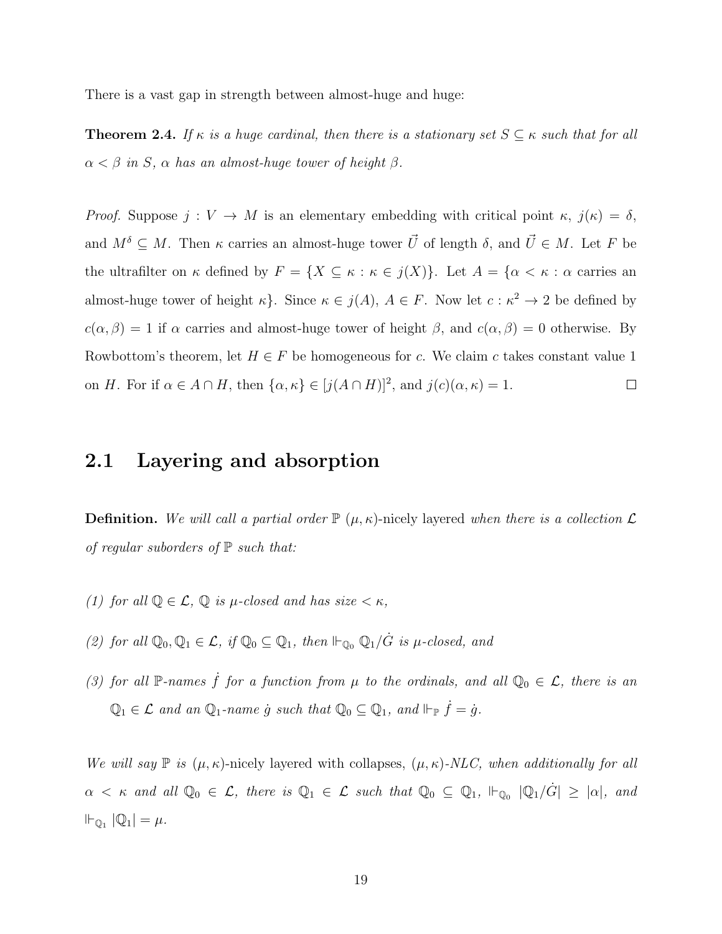There is a vast gap in strength between almost-huge and huge:

**Theorem 2.4.** If  $\kappa$  is a huge cardinal, then there is a stationary set  $S \subseteq \kappa$  such that for all  $\alpha < \beta$  in S,  $\alpha$  has an almost-huge tower of height  $\beta$ .

Proof. Suppose  $j: V \to M$  is an elementary embedding with critical point  $\kappa, j(\kappa) = \delta$ , and  $M^{\delta} \subseteq M$ . Then  $\kappa$  carries an almost-huge tower  $\vec{U}$  of length  $\delta$ , and  $\vec{U} \in M$ . Let F be the ultrafilter on  $\kappa$  defined by  $F = \{X \subseteq \kappa : \kappa \in j(X)\}$ . Let  $A = \{\alpha < \kappa : \alpha$  carries an almost-huge tower of height  $\kappa$ . Since  $\kappa \in j(A)$ ,  $A \in F$ . Now let  $c : \kappa^2 \to 2$  be defined by  $c(\alpha, \beta) = 1$  if  $\alpha$  carries and almost-huge tower of height  $\beta$ , and  $c(\alpha, \beta) = 0$  otherwise. By Rowbottom's theorem, let  $H \in F$  be homogeneous for c. We claim c takes constant value 1 on H. For if  $\alpha \in A \cap H$ , then  $\{\alpha, \kappa\} \in [j(A \cap H)]^2$ , and  $j(c)(\alpha, \kappa) = 1$ .  $\Box$ 

## <span id="page-27-0"></span>2.1 Layering and absorption

**Definition.** We will call a partial order  $\mathbb{P}(\mu,\kappa)$ -nicely layered when there is a collection  $\mathcal{L}$ of regular suborders of  $\mathbb P$  such that:

- (1) for all  $\mathbb{Q} \in \mathcal{L}$ ,  $\mathbb{Q}$  is  $\mu$ -closed and has size  $\lt \kappa$ ,
- (2) for all  $\mathbb{Q}_0, \mathbb{Q}_1 \in \mathcal{L}$ , if  $\mathbb{Q}_0 \subseteq \mathbb{Q}_1$ , then  $\Vdash_{\mathbb{Q}_0} \mathbb{Q}_1/\dot{G}$  is  $\mu$ -closed, and
- (3) for all P-names  $\dot{f}$  for a function from  $\mu$  to the ordinals, and all  $\mathbb{Q}_0 \in \mathcal{L}$ , there is an  $\mathbb{Q}_1 \in \mathcal{L}$  and an  $\mathbb{Q}_1$ -name  $\dot{g}$  such that  $\mathbb{Q}_0 \subseteq \mathbb{Q}_1$ , and  $\Vdash_{\mathbb{P}} \dot{f} = \dot{g}$ .

We will say  $\mathbb P$  is  $(\mu, \kappa)$ -nicely layered with collapses,  $(\mu, \kappa)$ -NLC, when additionally for all  $\alpha \leq \kappa$  and all  $\mathbb{Q}_0 \in \mathcal{L}$ , there is  $\mathbb{Q}_1 \in \mathcal{L}$  such that  $\mathbb{Q}_0 \subseteq \mathbb{Q}_1$ ,  $\mathbb{H}_{\mathbb{Q}_0}$   $|\mathbb{Q}_1/\dot{G}| \geq |\alpha|$ , and  $\mathbb{H}_{\mathbb{Q}_1} |\mathbb{Q}_1| = \mu.$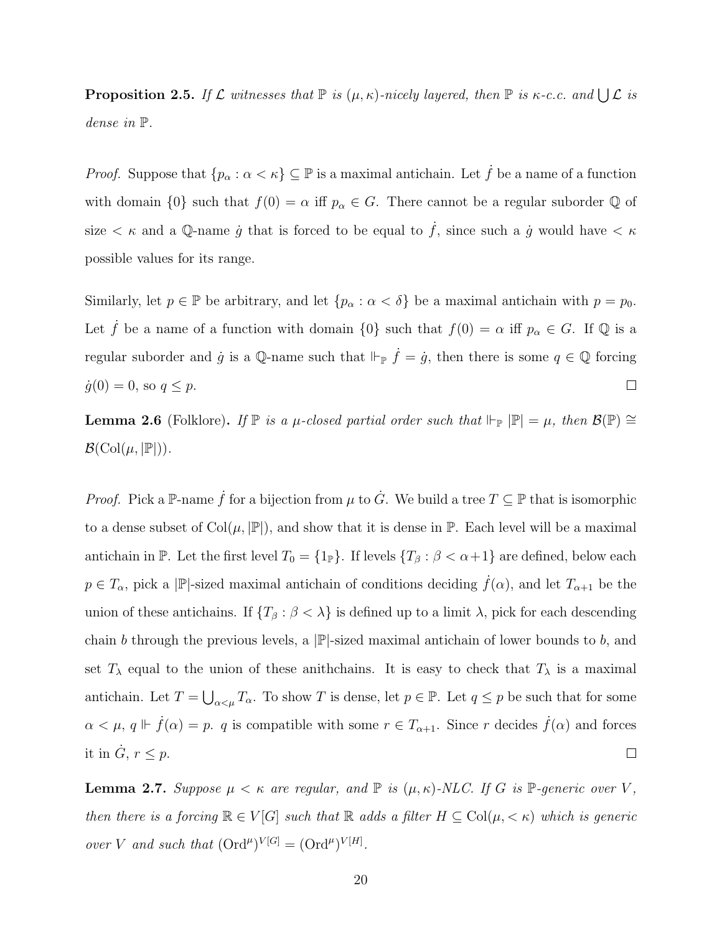**Proposition 2.5.** If  $\mathcal L$  witnesses that  $\mathbb P$  is  $(\mu, \kappa)$ -nicely layered, then  $\mathbb P$  is  $\kappa$ -c.c. and  $\bigcup \mathcal L$  is dense in P.

*Proof.* Suppose that  $\{p_{\alpha} : \alpha < \kappa\} \subseteq \mathbb{P}$  is a maximal antichain. Let  $\dot{f}$  be a name of a function with domain  $\{0\}$  such that  $f(0) = \alpha$  iff  $p_{\alpha} \in G$ . There cannot be a regular suborder  $\mathbb Q$  of size  $\lt \kappa$  and a Q-name *g* that is forced to be equal to *f*, since such a *g* would have  $\lt \kappa$ possible values for its range.

Similarly, let  $p \in \mathbb{P}$  be arbitrary, and let  $\{p_{\alpha} : \alpha < \delta\}$  be a maximal antichain with  $p = p_0$ . Let  $\dot{f}$  be a name of a function with domain  $\{0\}$  such that  $f(0) = \alpha$  iff  $p_{\alpha} \in G$ . If  $\mathbb Q$  is a regular suborder and  $\dot{g}$  is a Q-name such that  $\Vdash_{\mathbb{P}} \dot{f} = \dot{g}$ , then there is some  $q \in \mathbb{Q}$  forcing  $\Box$  $\dot{g}(0) = 0$ , so  $q \leq p$ .

<span id="page-28-0"></span>**Lemma 2.6** (Folklore). If  $\mathbb{P}$  is a  $\mu$ -closed partial order such that  $\Vdash_{\mathbb{P}} |\mathbb{P}| = \mu$ , then  $\mathcal{B}(\mathbb{P}) \cong$  $\mathcal{B}(\mathrm{Col}(\mu, |\mathbb{P}|)).$ 

*Proof.* Pick a P-name  $\dot{f}$  for a bijection from  $\mu$  to  $\dot{G}$ . We build a tree  $T \subseteq \mathbb{P}$  that is isomorphic to a dense subset of  $Col(\mu, |\mathbb{P}|)$ , and show that it is dense in  $\mathbb{P}$ . Each level will be a maximal antichain in P. Let the first level  $T_0 = \{1_{\mathbb{P}}\}$ . If levels  $\{T_\beta : \beta < \alpha + 1\}$  are defined, below each  $p \in T_\alpha$ , pick a |P|-sized maximal antichain of conditions deciding  $\dot{f}(\alpha)$ , and let  $T_{\alpha+1}$  be the union of these antichains. If  $\{T_\beta : \beta < \lambda\}$  is defined up to a limit  $\lambda$ , pick for each descending chain b through the previous levels, a  $|\mathbb{P}|$ -sized maximal antichain of lower bounds to b, and set  $T_{\lambda}$  equal to the union of these anithchains. It is easy to check that  $T_{\lambda}$  is a maximal antichain. Let  $T = \bigcup_{\alpha < \mu} T_\alpha$ . To show T is dense, let  $p \in \mathbb{P}$ . Let  $q \leq p$  be such that for some  $\alpha < \mu$ ,  $q \Vdash \dot{f}(\alpha) = p$ . q is compatible with some  $r \in T_{\alpha+1}$ . Since r decides  $\dot{f}(\alpha)$  and forces it in  $\dot{G}$ ,  $r \leq p$ .  $\Box$ 

<span id="page-28-1"></span>**Lemma 2.7.** Suppose  $\mu < \kappa$  are regular, and  $\mathbb{P}$  is  $(\mu, \kappa)$ -NLC. If G is  $\mathbb{P}$ -generic over V, then there is a forcing  $\mathbb{R} \in V[G]$  such that  $\mathbb{R}$  adds a filter  $H \subseteq \text{Col}(\mu, < \kappa)$  which is generic over V and such that  $(\text{Ord}^{\mu})^{V[G]} = (\text{Ord}^{\mu})^{V[H]}$ .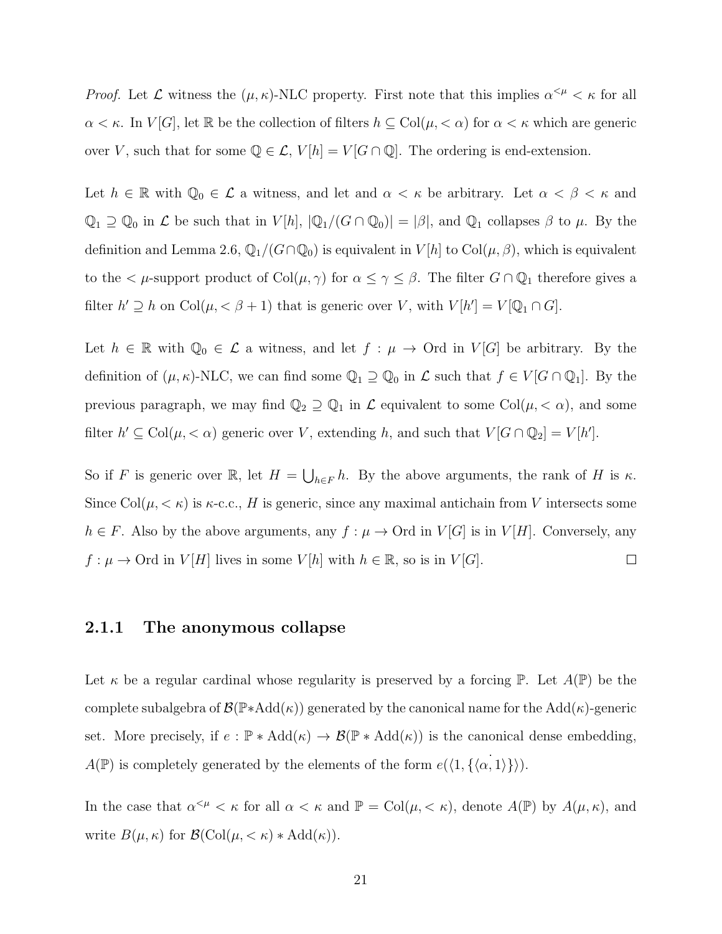*Proof.* Let  $\mathcal L$  witness the  $(\mu, \kappa)$ -NLC property. First note that this implies  $\alpha^{\leq \mu} < \kappa$  for all  $\alpha < \kappa$ . In  $V[G]$ , let R be the collection of filters  $h \subseteq \text{Col}(\mu, < \alpha)$  for  $\alpha < \kappa$  which are generic over V, such that for some  $\mathbb{Q} \in \mathcal{L}$ ,  $V[h] = V[G \cap \mathbb{Q}]$ . The ordering is end-extension.

Let  $h \in \mathbb{R}$  with  $\mathbb{Q}_0 \in \mathcal{L}$  a witness, and let and  $\alpha < \kappa$  be arbitrary. Let  $\alpha < \beta < \kappa$  and  $\mathbb{Q}_1 \supseteq \mathbb{Q}_0$  in  $\mathcal L$  be such that in  $V[h], |\mathbb{Q}_1/(G \cap \mathbb{Q}_0)| = |\beta|$ , and  $\mathbb{Q}_1$  collapses  $\beta$  to  $\mu$ . By the definition and Lemma [2.6,](#page-28-0)  $\mathbb{Q}_1/(G\cap\mathbb{Q}_0)$  is equivalent in  $V[h]$  to  $Col(\mu,\beta)$ , which is equivalent to the  $\lt \mu$ -support product of  $Col(\mu, \gamma)$  for  $\alpha \leq \gamma \leq \beta$ . The filter  $G \cap \mathbb{Q}_1$  therefore gives a filter  $h' \supseteq h$  on  $Col(\mu, < \beta + 1)$  that is generic over V, with  $V[h'] = V[\mathbb{Q}_1 \cap G]$ .

Let  $h \in \mathbb{R}$  with  $\mathbb{Q}_0 \in \mathcal{L}$  a witness, and let  $f : \mu \to \text{Ord}$  in  $V[G]$  be arbitrary. By the definition of  $(\mu, \kappa)$ -NLC, we can find some  $\mathbb{Q}_1 \supseteq \mathbb{Q}_0$  in  $\mathcal{L}$  such that  $f \in V[G \cap \mathbb{Q}_1]$ . By the previous paragraph, we may find  $\mathbb{Q}_2 \supseteq \mathbb{Q}_1$  in  $\mathcal L$  equivalent to some Col $(\mu, < \alpha)$ , and some filter  $h' \subseteq \text{Col}(\mu, < \alpha)$  generic over V, extending h, and such that  $V[G \cap \mathbb{Q}_2] = V[h']$ .

So if F is generic over  $\mathbb{R}$ , let  $H = \bigcup_{h \in F} h$ . By the above arguments, the rank of H is  $\kappa$ . Since Col $(\mu, < \kappa)$  is  $\kappa$ -c.c., H is generic, since any maximal antichain from V intersects some  $h \in F$ . Also by the above arguments, any  $f : \mu \to \text{Ord}$  in  $V[G]$  is in  $V[H]$ . Conversely, any  $f: \mu \to \text{Ord}$  in  $V[H]$  lives in some  $V[h]$  with  $h \in \mathbb{R}$ , so is in  $V[G]$ .  $\Box$ 

#### <span id="page-29-0"></span>2.1.1 The anonymous collapse

Let  $\kappa$  be a regular cardinal whose regularity is preserved by a forcing  $\mathbb P$ . Let  $A(\mathbb P)$  be the complete subalgebra of  $\mathcal{B}(\mathbb{P} * \text{Add}(\kappa))$  generated by the canonical name for the Add( $\kappa$ )-generic set. More precisely, if  $e : \mathbb{P} * \text{Add}(\kappa) \to \mathcal{B}(\mathbb{P} * \text{Add}(\kappa))$  is the canonical dense embedding,  $A(\mathbb{P})$  is completely generated by the elements of the form  $e(\langle 1, {\{\langle \alpha, 1 \rangle\}} \rangle)$ .

In the case that  $\alpha^{<\mu} < \kappa$  for all  $\alpha < \kappa$  and  $\mathbb{P} = \text{Col}(\mu, < \kappa)$ , denote  $A(\mathbb{P})$  by  $A(\mu, \kappa)$ , and write  $B(\mu, \kappa)$  for  $\mathcal{B}(\text{Col}(\mu, < \kappa) * \text{Add}(\kappa)).$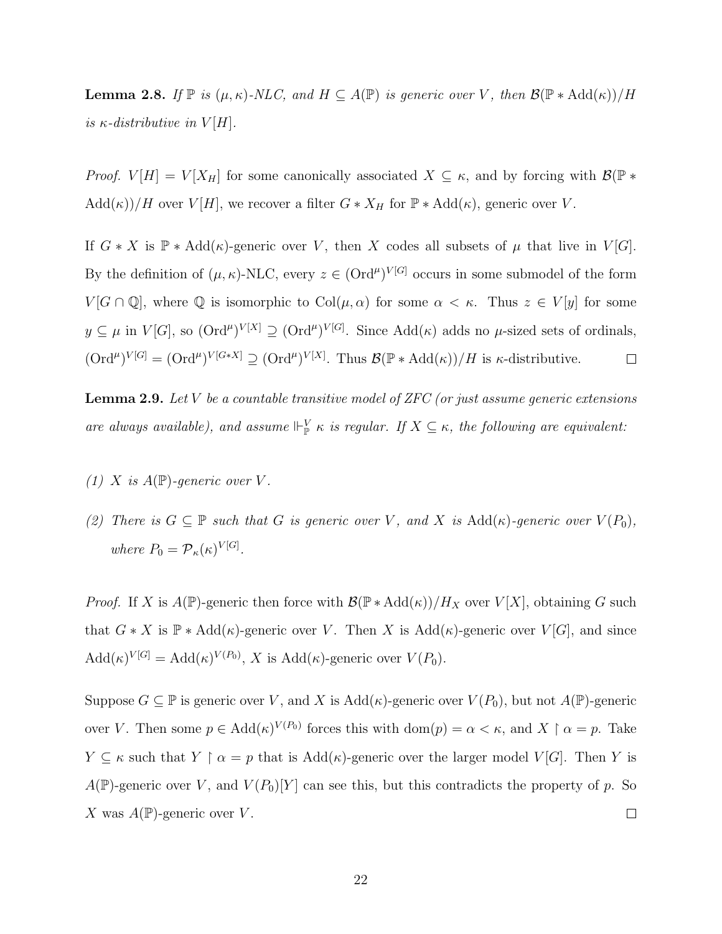**Lemma 2.8.** If  $\mathbb{P}$  is  $(\mu, \kappa)$ -NLC, and  $H \subseteq A(\mathbb{P})$  is generic over V, then  $\mathcal{B}(\mathbb{P} * \text{Add}(\kappa))/H$ is  $\kappa$ -distributive in  $V[H]$ .

*Proof.*  $V[H] = V[X_H]$  for some canonically associated  $X \subseteq \kappa$ , and by forcing with  $\mathcal{B}(\mathbb{P} *$  $Add(\kappa)/H$  over  $V[H]$ , we recover a filter  $G*X_H$  for  $\mathbb{P} * Add(\kappa)$ , generic over V.

If  $G * X$  is  $\mathbb{P} * \text{Add}(\kappa)$ -generic over V, then X codes all subsets of  $\mu$  that live in  $V[G]$ . By the definition of  $(\mu, \kappa)$ -NLC, every  $z \in (\text{Ord}^{\mu})^{V[G]}$  occurs in some submodel of the form  $V[G \cap \mathbb{Q}]$ , where  $\mathbb Q$  is isomorphic to  $Col(\mu, \alpha)$  for some  $\alpha < \kappa$ . Thus  $z \in V[y]$  for some  $y \subseteq \mu$  in  $V[G]$ , so  $(\text{Ord}^{\mu})^{V[X]} \supseteq (\text{Ord}^{\mu})^{V[G]}$ . Since  $\text{Add}(\kappa)$  adds no  $\mu$ -sized sets of ordinals,  $(\text{Ord}^{\mu})^{V[G]} = (\text{Ord}^{\mu})^{V[G*X]} \supseteq (\text{Ord}^{\mu})^{V[X]}$ . Thus  $\mathcal{B}(\mathbb{P} * \text{Add}(\kappa))/H$  is  $\kappa$ -distributive.  $\Box$ 

<span id="page-30-0"></span>**Lemma 2.9.** Let V be a countable transitive model of ZFC (or just assume generic extensions are always available), and assume  $\Vdash_{\mathbb{P}}^V \kappa$  is regular. If  $X \subseteq \kappa$ , the following are equivalent:

- (1) X is  $A(\mathbb{P})$ -generic over V.
- (2) There is  $G \subseteq \mathbb{P}$  such that G is generic over V, and X is  $Add(\kappa)$ -generic over  $V(P_0)$ , where  $P_0 = \mathcal{P}_{\kappa}(\kappa)^{V[G]}.$

*Proof.* If X is  $A(\mathbb{P})$ -generic then force with  $\mathcal{B}(\mathbb{P} * \text{Add}(\kappa))/H_X$  over  $V[X]$ , obtaining G such that  $G * X$  is  $\mathbb{P} * \text{Add}(\kappa)$ -generic over V. Then X is  $\text{Add}(\kappa)$ -generic over  $V[G]$ , and since  $\text{Add}(\kappa)^{V[G]} = \text{Add}(\kappa)^{V(P_0)}, X$  is  $\text{Add}(\kappa)$ -generic over  $V(P_0)$ .

Suppose  $G \subseteq \mathbb{P}$  is generic over V, and X is  $Add(\kappa)$ -generic over  $V(P_0)$ , but not  $A(\mathbb{P})$ -generic over V. Then some  $p \in \text{Add}(\kappa)^{V(P_0)}$  forces this with  $\text{dom}(p) = \alpha < \kappa$ , and  $X \restriction \alpha = p$ . Take  $Y \subseteq \kappa$  such that  $Y \upharpoonright \alpha = p$  that is  $Add(\kappa)$ -generic over the larger model  $V[G]$ . Then Y is  $A(\mathbb{P})$ -generic over V, and  $V(P_0)[Y]$  can see this, but this contradicts the property of p. So X was  $A(\mathbb{P})$ -generic over V.  $\Box$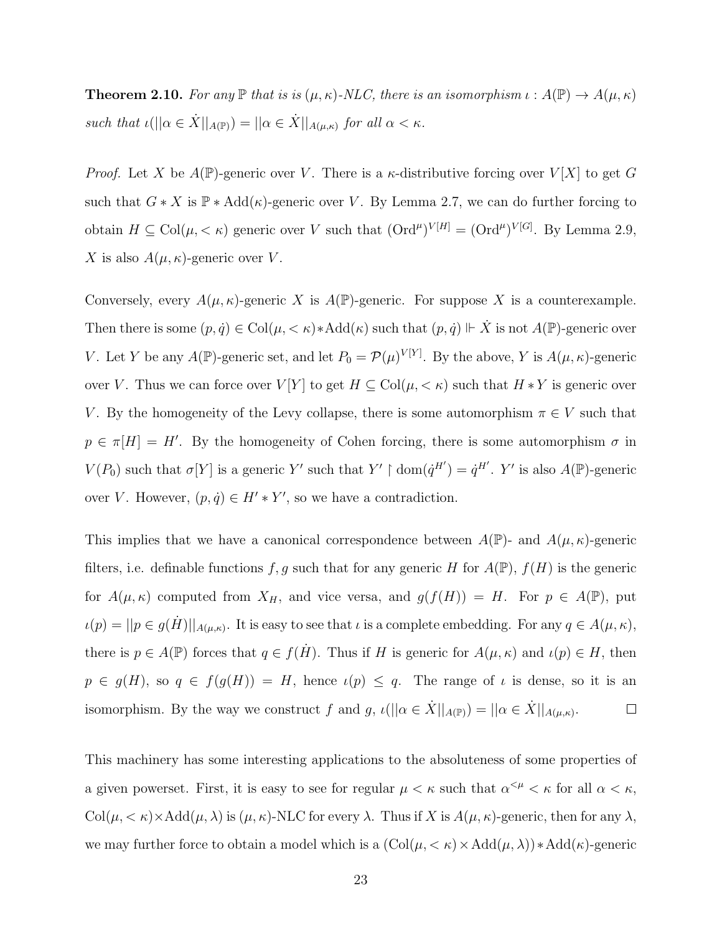**Theorem 2.10.** For any  $\mathbb P$  that is is  $(\mu, \kappa)$ -NLC, there is an isomorphism  $\iota : A(\mathbb P) \to A(\mu, \kappa)$ such that  $\iota(||\alpha \in \dot{X}||_{A(\mathbb{P})}) = ||\alpha \in \dot{X}||_{A(\mu,\kappa)}$  for all  $\alpha < \kappa$ .

*Proof.* Let X be  $A(\mathbb{P})$ -generic over V. There is a  $\kappa$ -distributive forcing over  $V[X]$  to get G such that  $G * X$  is  $\mathbb{P} * \text{Add}(\kappa)$ -generic over V. By Lemma [2.7,](#page-28-1) we can do further forcing to obtain  $H \subseteq \text{Col}(\mu, < \kappa)$  generic over V such that  $(\text{Ord}^{\mu})^{V[H]} = (\text{Ord}^{\mu})^{V[G]}$ . By Lemma [2.9,](#page-30-0) X is also  $A(\mu, \kappa)$ -generic over V.

Conversely, every  $A(\mu, \kappa)$ -generic X is  $A(\mathbb{P})$ -generic. For suppose X is a counterexample. Then there is some  $(p, \dot{q}) \in Col(\mu, \langle \kappa \rangle) * Add(\kappa)$  such that  $(p, \dot{q}) \Vdash \dot{X}$  is not  $A(\mathbb{P})$ -generic over V. Let Y be any  $A(\mathbb{P})$ -generic set, and let  $P_0 = \mathcal{P}(\mu)^{V[Y]}$ . By the above, Y is  $A(\mu, \kappa)$ -generic over V. Thus we can force over  $V[Y]$  to get  $H \subseteq \text{Col}(\mu, \langle \kappa \rangle)$  such that  $H * Y$  is generic over V. By the homogeneity of the Levy collapse, there is some automorphism  $\pi \in V$  such that  $p \in \pi[H] = H'$ . By the homogeneity of Cohen forcing, there is some automorphism  $\sigma$  in  $V(P_0)$  such that  $\sigma[Y]$  is a generic Y' such that  $Y' \restriction \text{dom}(\dot{q}^{H'}) = \dot{q}^{H'}$ . Y' is also  $A(\mathbb{P})$ -generic over V. However,  $(p, \dot{q}) \in H' * Y'$ , so we have a contradiction.

This implies that we have a canonical correspondence between  $A(\mathbb{P})$ - and  $A(\mu, \kappa)$ -generic filters, i.e. definable functions f, g such that for any generic H for  $A(\mathbb{P})$ ,  $f(H)$  is the generic for  $A(\mu, \kappa)$  computed from  $X_H$ , and vice versa, and  $g(f(H)) = H$ . For  $p \in A(\mathbb{P})$ , put  $\iota(p) = ||p \in g(\dot{H})||_{A(\mu,\kappa)}$ . It is easy to see that  $\iota$  is a complete embedding. For any  $q \in A(\mu,\kappa)$ , there is  $p \in A(\mathbb{P})$  forces that  $q \in f(H)$ . Thus if H is generic for  $A(\mu, \kappa)$  and  $\iota(p) \in H$ , then  $p \in g(H)$ , so  $q \in f(g(H)) = H$ , hence  $\iota(p) \leq q$ . The range of  $\iota$  is dense, so it is an isomorphism. By the way we construct f and g,  $\iota(||\alpha \in \dot{X}||_{A(\mathbb{P})}) = ||\alpha \in \dot{X}||_{A(\mu,\kappa)}$ .  $\Box$ 

This machinery has some interesting applications to the absoluteness of some properties of a given powerset. First, it is easy to see for regular  $\mu < \kappa$  such that  $\alpha^{<\mu} < \kappa$  for all  $\alpha < \kappa$ ,  $Col(\mu, \langle \kappa \rangle \times Add(\mu, \lambda))$  is  $(\mu, \kappa)$ -NLC for every  $\lambda$ . Thus if X is  $A(\mu, \kappa)$ -generic, then for any  $\lambda$ , we may further force to obtain a model which is a  $(\text{Col}(\mu, <\kappa) \times \text{Add}(\mu, \lambda)) * \text{Add}(\kappa)$ -generic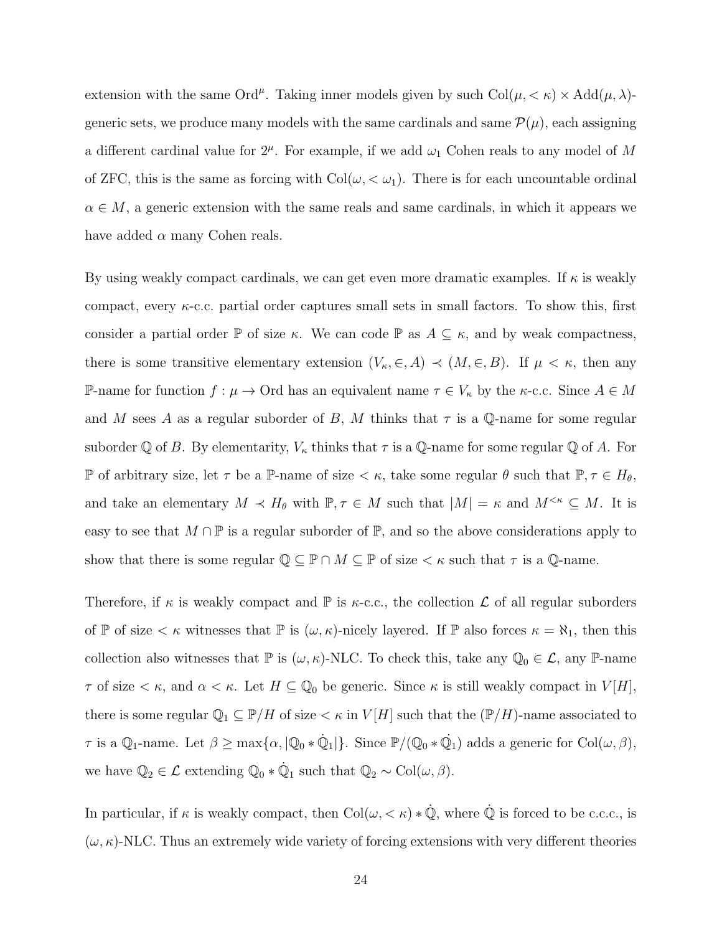extension with the same Ord<sup> $\mu$ </sup>. Taking inner models given by such  $Col(\mu, < \kappa) \times Add(\mu, \lambda)$ generic sets, we produce many models with the same cardinals and same  $\mathcal{P}(\mu)$ , each assigning a different cardinal value for  $2^{\mu}$ . For example, if we add  $\omega_1$  Cohen reals to any model of M of ZFC, this is the same as forcing with  $Col(\omega, < \omega_1)$ . There is for each uncountable ordinal  $\alpha \in M$ , a generic extension with the same reals and same cardinals, in which it appears we have added  $\alpha$  many Cohen reals.

By using weakly compact cardinals, we can get even more dramatic examples. If  $\kappa$  is weakly compact, every  $\kappa$ -c.c. partial order captures small sets in small factors. To show this, first consider a partial order  $\mathbb P$  of size  $\kappa$ . We can code  $\mathbb P$  as  $A \subseteq \kappa$ , and by weak compactness, there is some transitive elementary extension  $(V_{\kappa}, \in, A) \prec (M, \in, B)$ . If  $\mu < \kappa$ , then any P-name for function  $f : \mu \to \text{Ord}$  has an equivalent name  $\tau \in V_{\kappa}$  by the  $\kappa$ -c.c. Since  $A \in M$ and M sees A as a regular suborder of B, M thinks that  $\tau$  is a Q-name for some regular suborder Q of B. By elementarity,  $V_{\kappa}$  thinks that  $\tau$  is a Q-name for some regular Q of A. For P of arbitrary size, let  $\tau$  be a P-name of size  $\lt \kappa$ , take some regular  $\theta$  such that  $\mathbb{P}, \tau \in H_{\theta}$ , and take an elementary  $M \prec H_{\theta}$  with  $\mathbb{P}, \tau \in M$  such that  $|M| = \kappa$  and  $M^{\leq \kappa} \subseteq M$ . It is easy to see that  $M \cap \mathbb{P}$  is a regular suborder of  $\mathbb{P}$ , and so the above considerations apply to show that there is some regular  $\mathbb{Q} \subseteq \mathbb{P} \cap M \subseteq \mathbb{P}$  of size  $\lt \kappa$  such that  $\tau$  is a  $\mathbb{Q}$ -name.

Therefore, if  $\kappa$  is weakly compact and  $\mathbb P$  is  $\kappa$ -c.c., the collection  $\mathcal L$  of all regular suborders of  $\mathbb P$  of size  $\lt \kappa$  witnesses that  $\mathbb P$  is  $(\omega,\kappa)$ -nicely layered. If  $\mathbb P$  also forces  $\kappa = \aleph_1$ , then this collection also witnesses that  $\mathbb P$  is  $(\omega, \kappa)$ -NLC. To check this, take any  $\mathbb Q_0 \in \mathcal L$ , any  $\mathbb P$ -name  $\tau$  of size  $\lt \kappa$ , and  $\alpha \lt \kappa$ . Let  $H \subseteq \mathbb{Q}_0$  be generic. Since  $\kappa$  is still weakly compact in  $V[H]$ , there is some regular  $\mathbb{Q}_1 \subseteq \mathbb{P}/H$  of size  $\lt \kappa$  in  $V[H]$  such that the  $(\mathbb{P}/H)$ -name associated to  $\tau$  is a  $\mathbb{Q}_1$ -name. Let  $\beta \ge \max\{\alpha, |\mathbb{Q}_0 * \dot{\mathbb{Q}}_1|\}$ . Since  $\mathbb{P}/(\mathbb{Q}_0 * \dot{\mathbb{Q}}_1)$  adds a generic for  $Col(\omega, \beta)$ , we have  $\mathbb{Q}_2 \in \mathcal{L}$  extending  $\mathbb{Q}_0 * \dot{\mathbb{Q}}_1$  such that  $\mathbb{Q}_2 \sim \text{Col}(\omega, \beta)$ .

In particular, if  $\kappa$  is weakly compact, then  $Col(\omega, \langle \kappa \rangle * \dot{\mathbb{Q}},$  where  $\dot{\mathbb{Q}}$  is forced to be c.c.c., is  $(\omega, \kappa)$ -NLC. Thus an extremely wide variety of forcing extensions with very different theories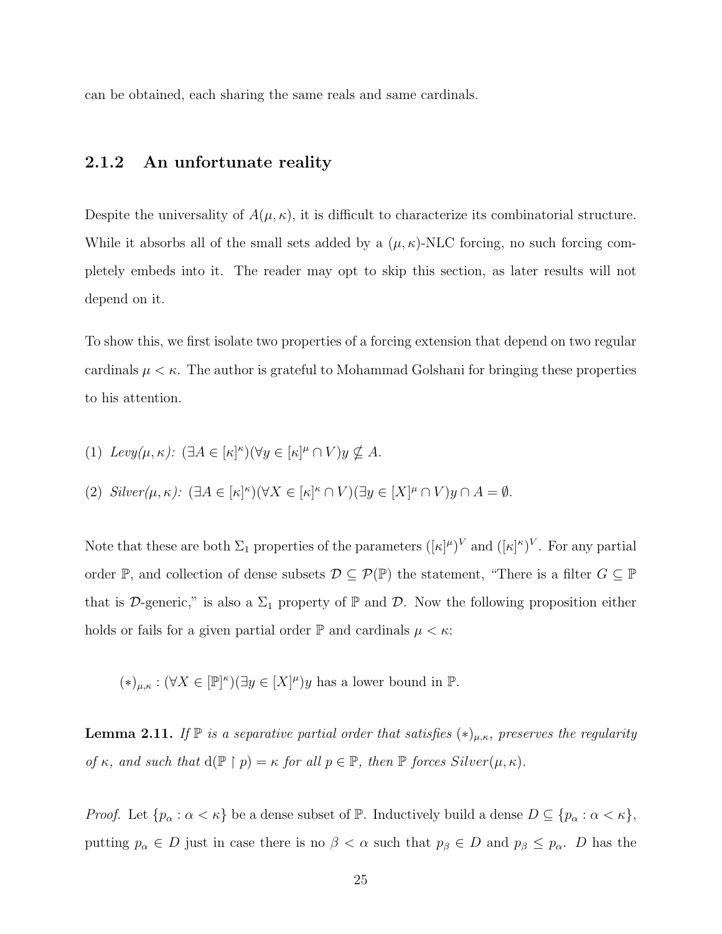<span id="page-33-0"></span>can be obtained, each sharing the same reals and same cardinals.

#### 2.1.2 An unfortunate reality

Despite the universality of  $A(\mu, \kappa)$ , it is difficult to characterize its combinatorial structure. While it absorbs all of the small sets added by a  $(\mu, \kappa)$ -NLC forcing, no such forcing completely embeds into it. The reader may opt to skip this section, as later results will not depend on it.

To show this, we first isolate two properties of a forcing extension that depend on two regular cardinals  $\mu < \kappa$ . The author is grateful to Mohammad Golshani for bringing these properties to his attention.

(1)  $Levy(\mu, \kappa)$ :  $(\exists A \in [\kappa]^{\kappa})(\forall y \in [\kappa]^{\mu} \cap V)y \nsubseteq A$ .

(2) 
$$
Sliver(\mu, \kappa)
$$
:  $(\exists A \in [\kappa]^{\kappa})(\forall X \in [\kappa]^{\kappa} \cap V)(\exists y \in [X]^{\mu} \cap V)y \cap A = \emptyset$ .

Note that these are both  $\Sigma_1$  properties of the parameters  $([\kappa]^\mu)^V$  and  $([\kappa]^\kappa)^V$ . For any partial order P, and collection of dense subsets  $\mathcal{D} \subseteq \mathcal{P}(\mathbb{P})$  the statement, "There is a filter  $G \subseteq \mathbb{P}$ that is D-generic," is also a  $\Sigma_1$  property of  $\mathbb P$  and  $\mathcal D$ . Now the following proposition either holds or fails for a given partial order  $\mathbb P$  and cardinals  $\mu < \kappa$ :

 $(*)_{\mu,\kappa} : (\forall X \in [\mathbb{P}]^{\kappa})(\exists y \in [X]^{\mu})y$  has a lower bound in  $\mathbb{P}$ .

**Lemma 2.11.** If  $\mathbb{P}$  is a separative partial order that satisfies  $(*)_{\mu,\kappa}$ , preserves the regularity of  $\kappa$ , and such that  $d(\mathbb{P} \restriction p) = \kappa$  for all  $p \in \mathbb{P}$ , then  $\mathbb P$  forces Silver $(\mu, \kappa)$ .

*Proof.* Let  $\{p_{\alpha} : \alpha < \kappa\}$  be a dense subset of  $\mathbb{P}$ . Inductively build a dense  $D \subseteq \{p_{\alpha} : \alpha < \kappa\}$ , putting  $p_{\alpha} \in D$  just in case there is no  $\beta < \alpha$  such that  $p_{\beta} \in D$  and  $p_{\beta} \leq p_{\alpha}$ . D has the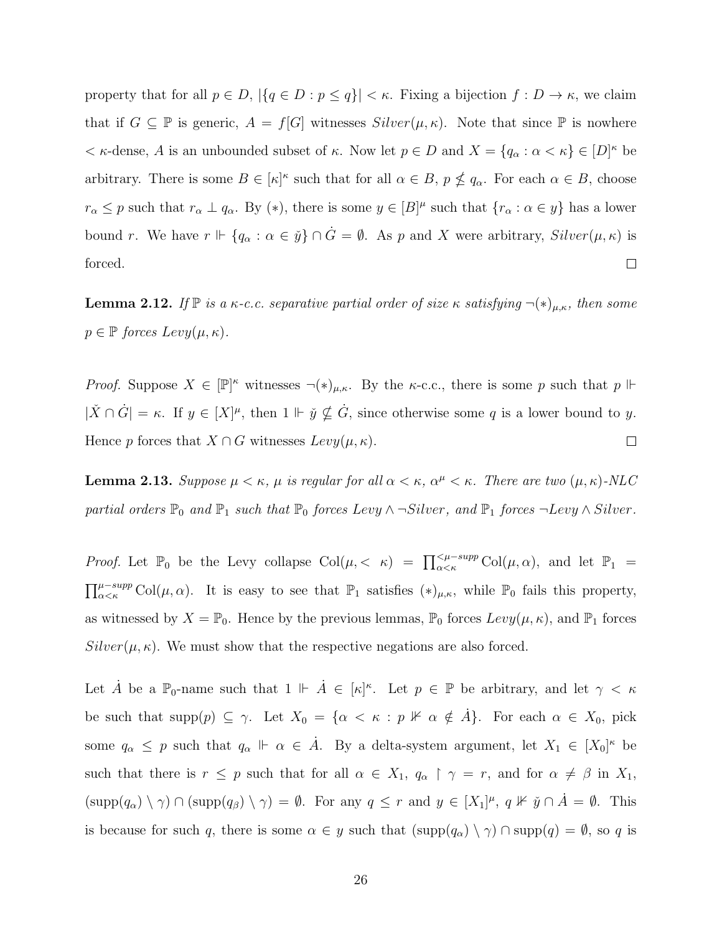property that for all  $p \in D$ ,  $|\{q \in D : p \leq q\}| < \kappa$ . Fixing a bijection  $f : D \to \kappa$ , we claim that if  $G \subseteq \mathbb{P}$  is generic,  $A = f[G]$  witnesses  $Silver(\mu, \kappa)$ . Note that since  $\mathbb{P}$  is nowhere  $\lt$   $\kappa$ -dense, A is an unbounded subset of  $\kappa$ . Now let  $p \in D$  and  $X = \{q_\alpha : \alpha < \kappa\} \in [D]^\kappa$  be arbitrary. There is some  $B \in [\kappa]^{\kappa}$  such that for all  $\alpha \in B$ ,  $p \nleq q_{\alpha}$ . For each  $\alpha \in B$ , choose  $r_{\alpha} \leq p$  such that  $r_{\alpha} \perp q_{\alpha}$ . By (\*), there is some  $y \in [B]^{\mu}$  such that  $\{r_{\alpha} : \alpha \in y\}$  has a lower bound r. We have  $r \Vdash \{q_\alpha : \alpha \in \check{y}\} \cap \dot{G} = \emptyset$ . As p and X were arbitrary,  $Silver(\mu, \kappa)$  is forced.  $\Box$ 

**Lemma 2.12.** If  $\mathbb{P}$  is a  $\kappa$ -c.c. separative partial order of size  $\kappa$  satisfying  $\neg(\ast)_{\mu,\kappa}$ , then some  $p \in \mathbb{P}$  forces  $Levy(\mu, \kappa)$ .

*Proof.* Suppose  $X \in [\mathbb{P}]^{\kappa}$  witnesses  $\neg(\ast)_{\mu,\kappa}$ . By the  $\kappa$ -c.c., there is some p such that p  $\Vdash$  $|\check{X} \cap \dot{G}| = \kappa$ . If  $y \in [X]^{\mu}$ , then  $1 \Vdash \check{y} \nsubseteq \dot{G}$ , since otherwise some q is a lower bound to y. Hence p forces that  $X \cap G$  witnesses  $Levy(\mu, \kappa)$ .  $\Box$ 

**Lemma 2.13.** Suppose  $\mu < \kappa$ ,  $\mu$  is regular for all  $\alpha < \kappa$ ,  $\alpha^{\mu} < \kappa$ . There are two  $(\mu, \kappa)$ -NLC partial orders  $\mathbb{P}_0$  and  $\mathbb{P}_1$  such that  $\mathbb{P}_0$  forces Levy  $\wedge \neg Silver$ , and  $\mathbb{P}_1$  forces  $\neg Levy \wedge Silver$ .

*Proof.* Let  $\mathbb{P}_0$  be the Levy collapse  $Col(\mu, \langle \kappa \rangle) = \prod_{\alpha \prec \kappa}^{\langle \mu - \text{supp} \space Col(\mu, \alpha), \text{ and let } \mathbb{P}_1$  $\prod_{\alpha<\kappa}^{\mu-supp} \text{Col}(\mu,\alpha)$ . It is easy to see that  $\mathbb{P}_1$  satisfies  $(*)_{\mu,\kappa}$ , while  $\mathbb{P}_0$  fails this property, as witnessed by  $X = \mathbb{P}_0$ . Hence by the previous lemmas,  $\mathbb{P}_0$  forces  $Levy(\mu, \kappa)$ , and  $\mathbb{P}_1$  forces  $Silver(\mu, \kappa)$ . We must show that the respective negations are also forced.

Let  $\dot{A}$  be a  $\mathbb{P}_0$ -name such that  $1 \Vdash \dot{A} \in [\kappa]^\kappa$ . Let  $p \in \mathbb{P}$  be arbitrary, and let  $\gamma < \kappa$ be such that  $\text{supp}(p) \subseteq \gamma$ . Let  $X_0 = \{ \alpha < \kappa : p \nVdash \alpha \notin \hat{A} \}$ . For each  $\alpha \in X_0$ , pick some  $q_{\alpha} \leq p$  such that  $q_{\alpha} \Vdash \alpha \in \dot{A}$ . By a delta-system argument, let  $X_1 \in [X_0]^{\kappa}$  be such that there is  $r \leq p$  such that for all  $\alpha \in X_1$ ,  $q_\alpha \restriction \gamma = r$ , and for  $\alpha \neq \beta$  in  $X_1$ ,  $(\text{supp}(q_{\alpha}) \setminus \gamma) \cap (\text{supp}(q_{\beta}) \setminus \gamma) = \emptyset$ . For any  $q \leq r$  and  $y \in [X_1]^{\mu}$ ,  $q \not\vdash \check{y} \cap \check{A} = \emptyset$ . This is because for such q, there is some  $\alpha \in y$  such that  $(\text{supp}(q_{\alpha}) \setminus \gamma) \cap \text{supp}(q) = \emptyset$ , so q is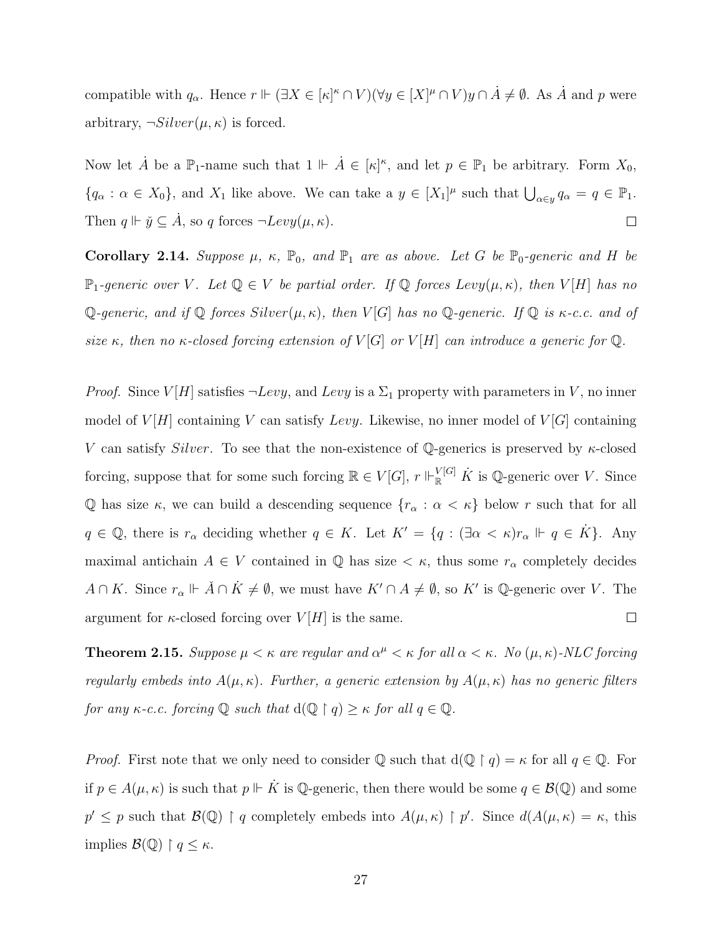compatible with  $q_\alpha$ . Hence  $r \Vdash (\exists X \in [\kappa]^{\kappa} \cap V)(\forall y \in [X]^{\mu} \cap V)y \cap \dot{A} \neq \emptyset$ . As  $\dot{A}$  and  $p$  were arbitrary,  $\neg Silver(\mu, \kappa)$  is forced.

Now let  $\dot{A}$  be a  $\mathbb{P}_{1}$ -name such that  $1 \Vdash \dot{A} \in [\kappa]^{\kappa}$ , and let  $p \in \mathbb{P}_{1}$  be arbitrary. Form  $X_{0}$ ,  ${q_\alpha : \alpha \in X_0},$  and  $X_1$  like above. We can take a  $y \in [X_1]^\mu$  such that  $\bigcup_{\alpha \in y} q_\alpha = q \in \mathbb{P}_1$ . Then  $q \Vdash \check{y} \subseteq \dot{A}$ , so q forces  $\neg Levy(\mu, \kappa)$ .  $\Box$ 

Corollary 2.14. Suppose  $\mu$ ,  $\kappa$ ,  $\mathbb{P}_0$ , and  $\mathbb{P}_1$  are as above. Let G be  $\mathbb{P}_0$ -generic and H be  $\mathbb{P}_1$ -generic over V. Let  $\mathbb{Q} \in V$  be partial order. If  $\mathbb{Q}$  forces Levy $(\mu, \kappa)$ , then  $V[H]$  has no Q-generic, and if Q forces  $Silver(\mu, \kappa)$ , then  $V[G]$  has no Q-generic. If Q is  $\kappa$ -c.c. and of size κ, then no κ-closed forcing extension of  $V[G]$  or  $V[H]$  can introduce a generic for  $\mathbb Q$ .

*Proof.* Since  $V[H]$  satisfies  $\neg Levy$ , and Levy is a  $\Sigma_1$  property with parameters in V, no inner model of  $V[H]$  containing V can satisfy Levy. Likewise, no inner model of  $V[G]$  containing V can satisfy Silver. To see that the non-existence of Q-generics is preserved by  $\kappa$ -closed forcing, suppose that for some such forcing  $\mathbb{R} \in V[G], r \Vdash_{\mathbb{R}}^{|V[G]} \dot{K}$  is Q-generic over V. Since Q has size  $\kappa$ , we can build a descending sequence  $\{r_\alpha : \alpha < \kappa\}$  below r such that for all  $q \in \mathbb{Q}$ , there is  $r_{\alpha}$  deciding whether  $q \in K$ . Let  $K' = \{q : (\exists \alpha < \kappa)r_{\alpha} \Vdash q \in K\}$ . Any maximal antichain  $A \in V$  contained in  $\mathbb Q$  has size  $\lt \kappa$ , thus some  $r_\alpha$  completely decides  $A \cap K$ . Since  $r_{\alpha} \Vdash \check{A} \cap \dot{K} \neq \emptyset$ , we must have  $K' \cap A \neq \emptyset$ , so  $K'$  is Q-generic over V. The argument for  $\kappa$ -closed forcing over  $V[H]$  is the same.  $\Box$ 

**Theorem 2.15.** Suppose  $\mu < \kappa$  are regular and  $\alpha^{\mu} < \kappa$  for all  $\alpha < \kappa$ . No  $(\mu, \kappa)$ -NLC forcing regularly embeds into  $A(\mu, \kappa)$ . Further, a generic extension by  $A(\mu, \kappa)$  has no generic filters for any  $\kappa$ -c.c. forcing  $\mathbb Q$  such that  $d(\mathbb Q \restriction q) \geq \kappa$  for all  $q \in \mathbb Q$ .

*Proof.* First note that we only need to consider Q such that  $d(Q \mid q) = \kappa$  for all  $q \in Q$ . For if  $p \in A(\mu, \kappa)$  is such that  $p \Vdash \dot{K}$  is Q-generic, then there would be some  $q \in \mathcal{B}(\mathbb{Q})$  and some  $p' \leq p$  such that  $\mathcal{B}(\mathbb{Q}) \restriction q$  completely embeds into  $A(\mu, \kappa) \restriction p'$ . Since  $d(A(\mu, \kappa) = \kappa$ , this implies  $\mathcal{B}(\mathbb{Q}) \restriction q \leq \kappa$ .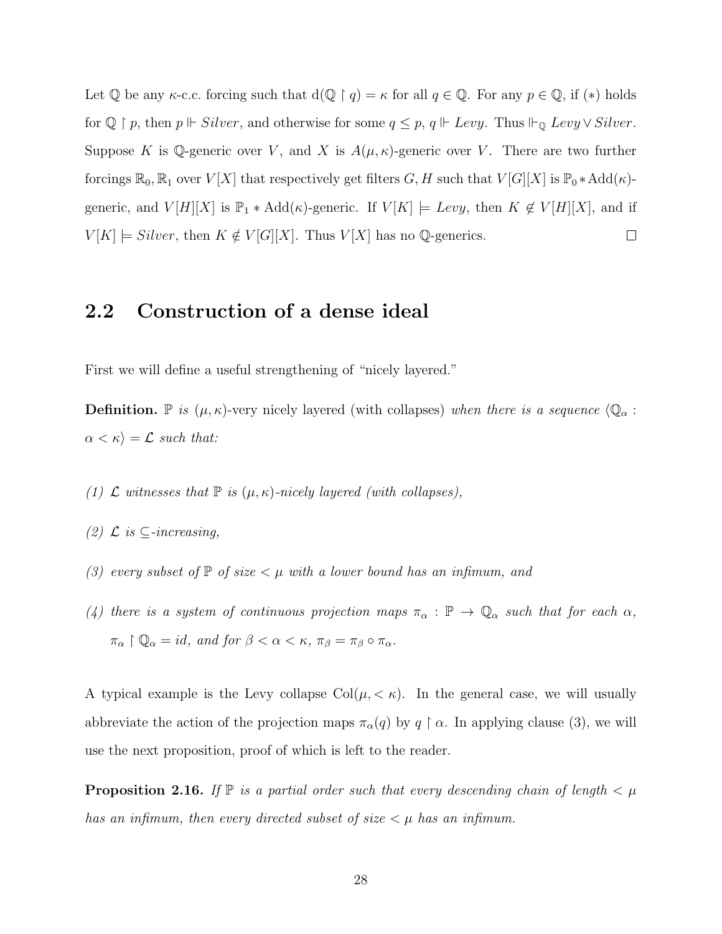Let Q be any  $\kappa$ -c.c. forcing such that  $d(\mathbb{Q} \restriction q) = \kappa$  for all  $q \in \mathbb{Q}$ . For any  $p \in \mathbb{Q}$ , if  $(*)$  holds for  $\mathbb{Q} \restriction p$ , then  $p \Vdash Silver$ , and otherwise for some  $q \leq p$ ,  $q \Vdash Levy$ . Thus  $\Vdash_{\mathbb{Q}} Levy \lor Silver$ . Suppose K is Q-generic over V, and X is  $A(\mu, \kappa)$ -generic over V. There are two further forcings  $\mathbb{R}_0$ ,  $\mathbb{R}_1$  over  $V[X]$  that respectively get filters  $G, H$  such that  $V[G][X]$  is  $\mathbb{P}_0 * \text{Add}(\kappa)$ generic, and  $V[H][X]$  is  $\mathbb{P}_1 * \text{Add}(\kappa)$ -generic. If  $V[K] \models \text{Levy}$ , then  $K \notin V[H][X]$ , and if  $V[K] \models Silver$ , then  $K \notin V[G][X]$ . Thus  $V[X]$  has no Q-generics.  $\Box$ 

#### 2.2 Construction of a dense ideal

First we will define a useful strengthening of "nicely layered."

**Definition.** P is  $(\mu, \kappa)$ -very nicely layered (with collapses) when there is a sequence  $\langle \mathbb{Q}_{\alpha}$ :  $\alpha < \kappa$ ) =  $\mathcal{L}$  such that:

- (1)  $\mathcal L$  witnesses that  $\mathbb P$  is  $(\mu, \kappa)$ -nicely layered (with collapses),
- (2)  $\mathcal{L}$  is  $\subseteq$ -increasing,
- (3) every subset of  $\mathbb P$  of size  $\lt \mu$  with a lower bound has an infimum, and
- (4) there is a system of continuous projection maps  $\pi_{\alpha} : \mathbb{P} \to \mathbb{Q}_{\alpha}$  such that for each  $\alpha$ ,  $\pi_{\alpha} \restriction \mathbb{Q}_{\alpha} = id$ , and for  $\beta < \alpha < \kappa$ ,  $\pi_{\beta} = \pi_{\beta} \circ \pi_{\alpha}$ .

A typical example is the Levy collapse  $Col(\mu, < \kappa)$ . In the general case, we will usually abbreviate the action of the projection maps  $\pi_{\alpha}(q)$  by  $q \restriction \alpha$ . In applying clause (3), we will use the next proposition, proof of which is left to the reader.

**Proposition 2.16.** If  $\mathbb{P}$  is a partial order such that every descending chain of length  $\lt \mu$ has an infimum, then every directed subset of size  $\lt \mu$  has an infimum.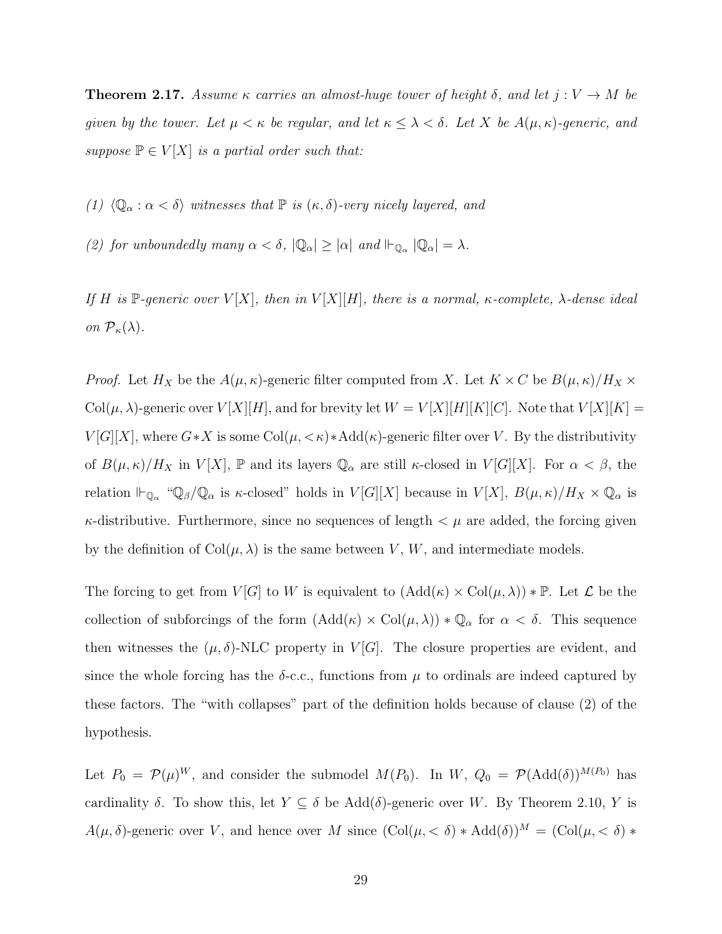<span id="page-37-0"></span>**Theorem 2.17.** Assume  $\kappa$  carries an almost-huge tower of height  $\delta$ , and let  $j: V \to M$  be given by the tower. Let  $\mu < \kappa$  be regular, and let  $\kappa \leq \lambda < \delta$ . Let X be  $A(\mu, \kappa)$ -generic, and suppose  $\mathbb{P} \in V[X]$  is a partial order such that:

(1)  $\langle \mathbb{Q}_{\alpha} : \alpha < \delta \rangle$  witnesses that  $\mathbb{P}$  is  $(\kappa, \delta)$ -very nicely layered, and

(2) for unboundedly many  $\alpha < \delta$ ,  $|\mathbb{Q}_{\alpha}| \geq |\alpha|$  and  $\mathbb{H}_{\mathbb{Q}_{\alpha}} |\mathbb{Q}_{\alpha}| = \lambda$ .

If H is P-generic over  $V[X]$ , then in  $V[X][H]$ , there is a normal,  $\kappa$ -complete,  $\lambda$ -dense ideal on  $\mathcal{P}_{\kappa}(\lambda)$ .

*Proof.* Let  $H_X$  be the  $A(\mu, \kappa)$ -generic filter computed from X. Let  $K \times C$  be  $B(\mu, \kappa) / H_X \times$ Col $(\mu, \lambda)$ -generic over  $V[X][H]$ , and for brevity let  $W = V[X][H][K][C]$ . Note that  $V[X][K] =$  $V[G][X]$ , where  $G*X$  is some  $Col(\mu, <\kappa)*Add(\kappa)$ -generic filter over V. By the distributivity of  $B(\mu,\kappa)/H_X$  in  $V[X]$ ,  $\mathbb P$  and its layers  $\mathbb Q_\alpha$  are still  $\kappa$ -closed in  $V[G][X]$ . For  $\alpha < \beta$ , the relation  $\Vdash_{\mathbb{Q}_\alpha}$  " $\mathbb{Q}_\beta/\mathbb{Q}_\alpha$  is  $\kappa$ -closed" holds in  $V[G][X]$  because in  $V[X]$ ,  $B(\mu,\kappa)/H_X \times \mathbb{Q}_\alpha$  is  $\kappa$ -distributive. Furthermore, since no sequences of length  $\lt \mu$  are added, the forcing given by the definition of  $Col(\mu, \lambda)$  is the same between V, W, and intermediate models.

The forcing to get from  $V[G]$  to W is equivalent to  $(Add(\kappa) \times Col(\mu, \lambda)) * \mathbb{P}$ . Let  $\mathcal L$  be the collection of subforcings of the form  $(Add(\kappa) \times Col(\mu, \lambda)) * \mathbb{Q}_{\alpha}$  for  $\alpha < \delta$ . This sequence then witnesses the  $(\mu, \delta)$ -NLC property in  $V[G]$ . The closure properties are evident, and since the whole forcing has the  $\delta$ -c.c., functions from  $\mu$  to ordinals are indeed captured by these factors. The "with collapses" part of the definition holds because of clause (2) of the hypothesis.

Let  $P_0 = \mathcal{P}(\mu)^W$ , and consider the submodel  $M(P_0)$ . In  $W, Q_0 = \mathcal{P}(\text{Add}(\delta))^{M(P_0)}$  has cardinality  $\delta$ . To show this, let  $Y \subseteq \delta$  be  $Add(\delta)$ -generic over W. By Theorem [2.10,](#page-31-0) Y is  $A(\mu, \delta)$ -generic over V, and hence over M since  $(\text{Col}(\mu, < \delta) * \text{Add}(\delta))^M = (\text{Col}(\mu, < \delta) *$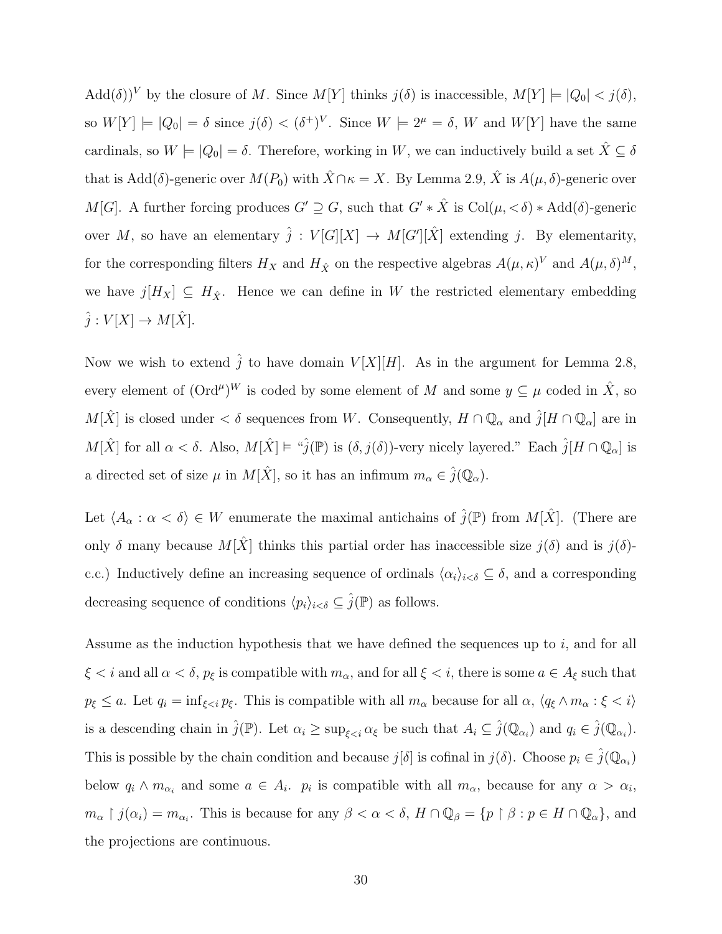Add $(\delta)^V$  by the closure of M. Since  $M[Y]$  thinks  $j(\delta)$  is inaccessible,  $M[Y] \models |Q_0| < j(\delta)$ , so  $W[Y] \models |Q_0| = \delta$  since  $j(\delta) < (\delta^+)^V$ . Since  $W \models 2^{\mu} = \delta$ , W and  $W[Y]$  have the same cardinals, so  $W \models |Q_0| = \delta$ . Therefore, working in W, we can inductively build a set  $\hat{X} \subseteq \delta$ that is Add( $\delta$ )-generic over  $M(P_0)$  with  $\hat{X} \cap \kappa = X$ . By Lemma [2.9,](#page-30-0)  $\hat{X}$  is  $A(\mu, \delta)$ -generic over M[G]. A further forcing produces  $G' \supseteq G$ , such that  $G' * \hat{X}$  is  $Col(\mu, < \delta) * Add(\delta)$ -generic over M, so have an elementary  $\hat{j}: V[G][X] \to M[G'][\hat{X}]$  extending j. By elementarity, for the corresponding filters  $H_X$  and  $H_{\hat{X}}$  on the respective algebras  $A(\mu, \kappa)^V$  and  $A(\mu, \delta)^M$ , we have  $j[H_X] \subseteq H_{\hat{X}}$ . Hence we can define in W the restricted elementary embedding  $\hat{j}: V[X] \to M[\hat{X}].$ 

Now we wish to extend  $\hat{j}$  to have domain  $V[X][H]$ . As in the argument for Lemma [2.8,](#page-30-1) every element of  $(\text{Ord}^{\mu})^W$  is coded by some element of M and some  $y \subseteq \mu$  coded in  $\hat{X}$ , so  $M[\hat{X}]$  is closed under  $\lt \delta$  sequences from W. Consequently,  $H \cap \mathbb{Q}_\alpha$  and  $\hat{j}[H \cap \mathbb{Q}_\alpha]$  are in  $M[\hat{X}]$  for all  $\alpha < \delta$ . Also,  $M[\hat{X}] \models \text{``}\hat{j}(\mathbb{P})$  is  $(\delta, j(\delta))$ -very nicely layered." Each  $\hat{j}[H \cap \mathbb{Q}_\alpha]$  is a directed set of size  $\mu$  in  $M[\hat{X}]$ , so it has an infimum  $m_{\alpha} \in \hat{j}(\mathbb{Q}_{\alpha})$ .

Let  $\langle A_{\alpha} : \alpha < \delta \rangle \in W$  enumerate the maximal antichains of  $\hat{j}(\mathbb{P})$  from  $M[\hat{X}]$ . (There are only  $\delta$  many because  $M[\hat{X}]$  thinks this partial order has inaccessible size  $j(\delta)$  and is  $j(\delta)$ c.c.) Inductively define an increasing sequence of ordinals  $\langle \alpha_i \rangle_{i < \delta} \subseteq \delta$ , and a corresponding decreasing sequence of conditions  $\langle p_i \rangle_{i < \delta} \subseteq \hat{j}(\mathbb{P})$  as follows.

Assume as the induction hypothesis that we have defined the sequences up to i, and for all  $\xi < i$  and all  $\alpha < \delta$ ,  $p_{\xi}$  is compatible with  $m_{\alpha}$ , and for all  $\xi < i$ , there is some  $a \in A_{\xi}$  such that  $p_{\xi} \leq a$ . Let  $q_i = \inf_{\xi \leq i} p_{\xi}$ . This is compatible with all  $m_{\alpha}$  because for all  $\alpha$ ,  $\langle q_{\xi} \wedge m_{\alpha} : \xi < i \rangle$ is a descending chain in  $\hat{j}(\mathbb{P})$ . Let  $\alpha_i \ge \sup_{\xi < i} \alpha_{\xi}$  be such that  $A_i \subseteq \hat{j}(\mathbb{Q}_{\alpha_i})$  and  $q_i \in \hat{j}(\mathbb{Q}_{\alpha_i})$ . This is possible by the chain condition and because  $j[\delta]$  is cofinal in  $j(\delta)$ . Choose  $p_i \in \hat{j}(\mathbb{Q}_{\alpha_i})$ below  $q_i \wedge m_{\alpha_i}$  and some  $a \in A_i$ .  $p_i$  is compatible with all  $m_\alpha$ , because for any  $\alpha > \alpha_i$ ,  $m_{\alpha} \restriction j(\alpha_i) = m_{\alpha_i}$ . This is because for any  $\beta < \alpha < \delta$ ,  $H \cap \mathbb{Q}_{\beta} = \{p \restriction \beta : p \in H \cap \mathbb{Q}_{\alpha}\}\)$ , and the projections are continuous.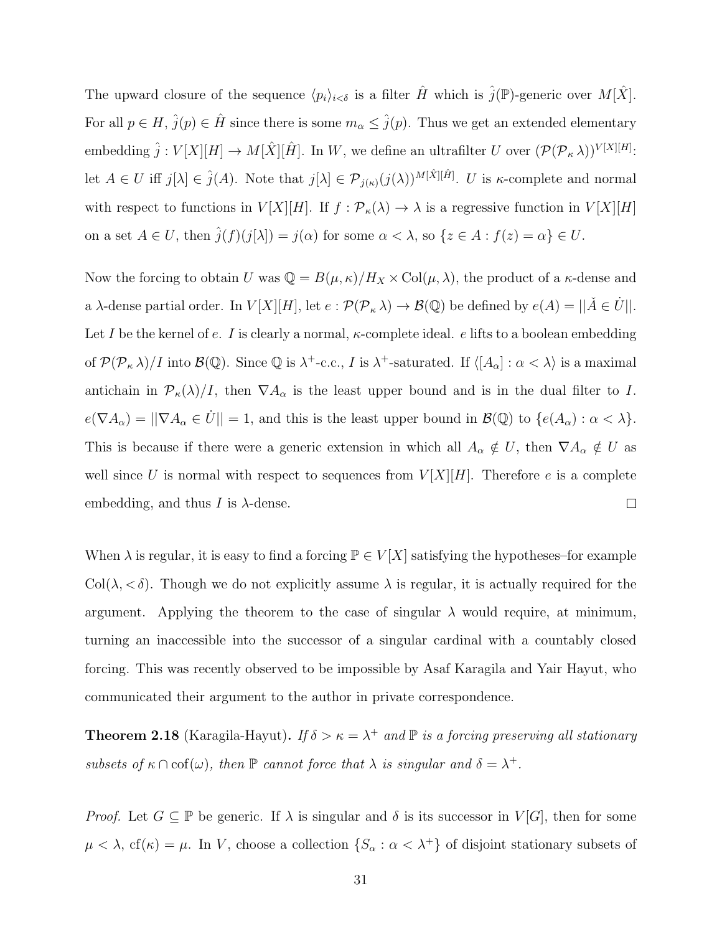The upward closure of the sequence  $\langle p_i \rangle_{i < \delta}$  is a filter  $\hat{H}$  which is  $\hat{j}(\mathbb{P})$ -generic over  $M[\hat{X}]$ . For all  $p \in H$ ,  $\hat{j}(p) \in \hat{H}$  since there is some  $m_{\alpha} \leq \hat{j}(p)$ . Thus we get an extended elementary embedding  $\hat{j}: V[X][H] \to M[\hat{X}][\hat{H}]$ . In W, we define an ultrafilter U over  $(\mathcal{P}(\mathcal{P}_{\kappa}\lambda))^{V[X][H]}$ : let  $A \in U$  iff  $j[\lambda] \in \hat{j}(A)$ . Note that  $j[\lambda] \in \mathcal{P}_{j(\kappa)}(j(\lambda))^{M[\hat{X}][\hat{H}]}$ . U is  $\kappa$ -complete and normal with respect to functions in  $V[X][H]$ . If  $f : \mathcal{P}_{\kappa}(\lambda) \to \lambda$  is a regressive function in  $V[X][H]$ on a set  $A \in U$ , then  $\hat{j}(f)(j[\lambda]) = j(\alpha)$  for some  $\alpha < \lambda$ , so  $\{z \in A : f(z) = \alpha\} \in U$ .

Now the forcing to obtain U was  $\mathbb{Q} = B(\mu, \kappa)/H_X \times \text{Col}(\mu, \lambda)$ , the product of a  $\kappa$ -dense and a  $\lambda$ -dense partial order. In  $V[X][H]$ , let  $e: \mathcal{P}(\mathcal{P}_\kappa \lambda) \to \mathcal{B}(\mathbb{Q})$  be defined by  $e(A) = ||\check{A} \in \dot{U}||$ . Let I be the kernel of e. I is clearly a normal,  $\kappa$ -complete ideal. e lifts to a boolean embedding of  $\mathcal{P}(\mathcal{P}_\kappa \lambda)/I$  into  $\mathcal{B}(\mathbb{Q})$ . Since  $\mathbb{Q}$  is  $\lambda^+$ -c.c., I is  $\lambda^+$ -saturated. If  $\langle [A_\alpha] : \alpha < \lambda \rangle$  is a maximal antichain in  $\mathcal{P}_{\kappa}(\lambda)/I$ , then  $\nabla A_{\alpha}$  is the least upper bound and is in the dual filter to I.  $e(\nabla A_{\alpha}) = ||\nabla A_{\alpha} \in \dot{U}|| = 1$ , and this is the least upper bound in  $\mathcal{B}(\mathbb{Q})$  to  $\{e(A_{\alpha}) : \alpha < \lambda\}.$ This is because if there were a generic extension in which all  $A_{\alpha} \notin U$ , then  $\nabla A_{\alpha} \notin U$  as well since U is normal with respect to sequences from  $V[X][H]$ . Therefore e is a complete  $\Box$ embedding, and thus I is  $\lambda$ -dense.

When  $\lambda$  is regular, it is easy to find a forcing  $\mathbb{P} \in V[X]$  satisfying the hypotheses–for example Col( $\lambda, <\delta$ ). Though we do not explicitly assume  $\lambda$  is regular, it is actually required for the argument. Applying the theorem to the case of singular  $\lambda$  would require, at minimum, turning an inaccessible into the successor of a singular cardinal with a countably closed forcing. This was recently observed to be impossible by Asaf Karagila and Yair Hayut, who communicated their argument to the author in private correspondence.

**Theorem 2.18** (Karagila-Hayut). If  $\delta > \kappa = \lambda^+$  and  $\mathbb P$  is a forcing preserving all stationary subsets of  $\kappa \cap \text{cof}(\omega)$ , then  $\mathbb P$  cannot force that  $\lambda$  is singular and  $\delta = \lambda^+$ .

*Proof.* Let  $G \subseteq \mathbb{P}$  be generic. If  $\lambda$  is singular and  $\delta$  is its successor in  $V[G]$ , then for some  $\mu < \lambda$ , cf( $\kappa$ ) =  $\mu$ . In V, choose a collection  $\{S_{\alpha} : \alpha < \lambda^{+}\}\$  of disjoint stationary subsets of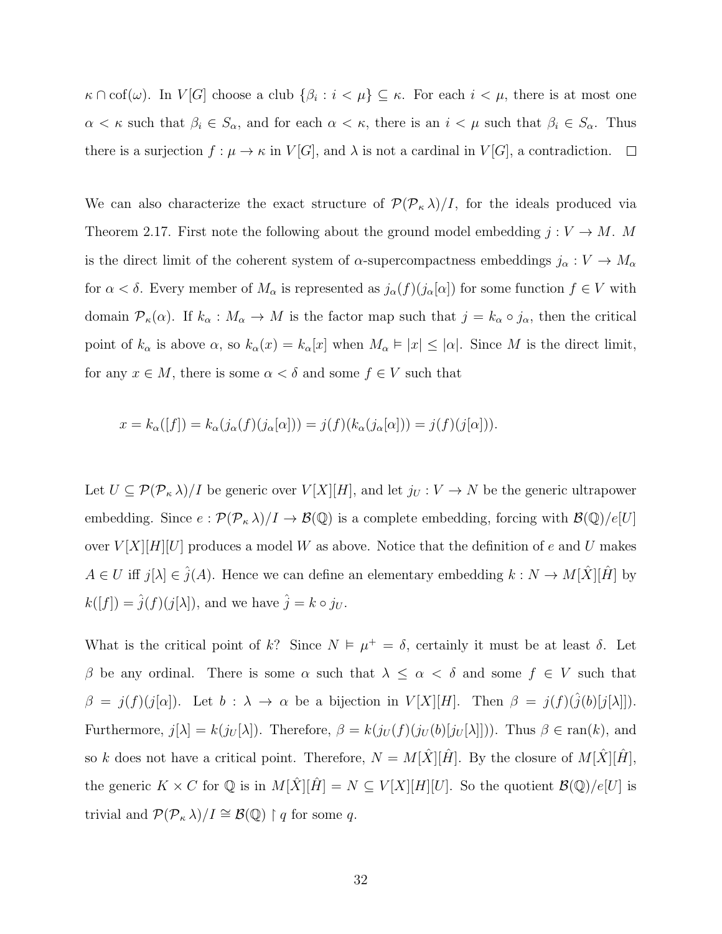$\kappa \cap \mathrm{cof}(\omega)$ . In  $V[G]$  choose a club  $\{\beta_i : i < \mu\} \subseteq \kappa$ . For each  $i < \mu$ , there is at most one  $\alpha < \kappa$  such that  $\beta_i \in S_\alpha$ , and for each  $\alpha < \kappa$ , there is an  $i < \mu$  such that  $\beta_i \in S_\alpha$ . Thus there is a surjection  $f : \mu \to \kappa$  in  $V[G]$ , and  $\lambda$  is not a cardinal in  $V[G]$ , a contradiction.  $\Box$ 

We can also characterize the exact structure of  $\mathcal{P}(\mathcal{P}_{\kappa}\lambda)/I$ , for the ideals produced via Theorem [2.17.](#page-37-0) First note the following about the ground model embedding  $j: V \to M$ . M is the direct limit of the coherent system of  $\alpha$ -supercompactness embeddings  $j_{\alpha}: V \to M_{\alpha}$ for  $\alpha < \delta$ . Every member of  $M_{\alpha}$  is represented as  $j_{\alpha}(f)(j_{\alpha}[\alpha])$  for some function  $f \in V$  with domain  $\mathcal{P}_{\kappa}(\alpha)$ . If  $k_{\alpha}: M_{\alpha} \to M$  is the factor map such that  $j = k_{\alpha} \circ j_{\alpha}$ , then the critical point of  $k_{\alpha}$  is above  $\alpha$ , so  $k_{\alpha}(x) = k_{\alpha}[x]$  when  $M_{\alpha} \models |x| \leq |\alpha|$ . Since M is the direct limit, for any  $x \in M$ , there is some  $\alpha < \delta$  and some  $f \in V$  such that

$$
x = k_{\alpha}([f]) = k_{\alpha}(j_{\alpha}(f)(j_{\alpha}[\alpha])) = j(f)(k_{\alpha}(j_{\alpha}[\alpha])) = j(f)(j[\alpha])).
$$

Let  $U \subseteq \mathcal{P}(\mathcal{P}_{\kappa} \lambda)/I$  be generic over  $V[X][H]$ , and let  $j_U : V \to N$  be the generic ultrapower embedding. Since  $e : \mathcal{P}(\mathcal{P}_\kappa \lambda)/I \to \mathcal{B}(\mathbb{Q})$  is a complete embedding, forcing with  $\mathcal{B}(\mathbb{Q})/e[U]$ over  $V[X][H][U]$  produces a model W as above. Notice that the definition of e and U makes  $A \in U$  iff  $j[\lambda] \in \hat{j}(A)$ . Hence we can define an elementary embedding  $k : N \to M[\hat{X}][\hat{H}]$  by  $k([f]) = \hat{j}(f)(j[\lambda]),$  and we have  $\hat{j} = k \circ j_U$ .

What is the critical point of k? Since  $N \vDash \mu^+ = \delta$ , certainly it must be at least  $\delta$ . Let β be any ordinal. There is some  $\alpha$  such that  $\lambda \leq \alpha < \delta$  and some  $f \in V$  such that  $\beta = j(f)(j[\alpha])$ . Let  $b : \lambda \to \alpha$  be a bijection in  $V[X][H]$ . Then  $\beta = j(f)(\hat{j}(b)[j[\lambda]])$ . Furthermore,  $j[\lambda] = k(j_U[\lambda])$ . Therefore,  $\beta = k(j_U(f)(j_U(b)[j_U[\lambda]]))$ . Thus  $\beta \in \text{ran}(k)$ , and so k does not have a critical point. Therefore,  $N = M[\hat{X}][\hat{H}]$ . By the closure of  $M[\hat{X}][\hat{H}]$ , the generic  $K \times C$  for  $\mathbb{Q}$  is in  $M[\hat{X}][\hat{H}] = N \subseteq V[X][H][U]$ . So the quotient  $\mathcal{B}(\mathbb{Q})/e[U]$  is trivial and  $\mathcal{P}(\mathcal{P}_{\kappa} \lambda)/I \cong \mathcal{B}(\mathbb{Q}) \restriction q$  for some q.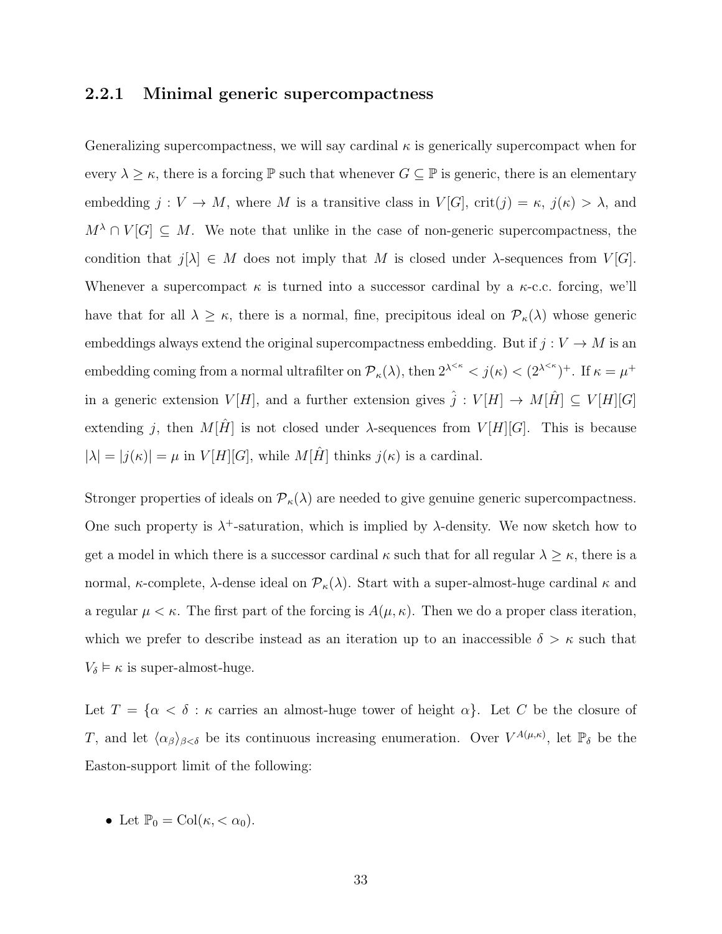#### 2.2.1 Minimal generic supercompactness

Generalizing supercompactness, we will say cardinal  $\kappa$  is generically supercompact when for every  $\lambda \geq \kappa$ , there is a forcing  $\mathbb P$  such that whenever  $G \subseteq \mathbb P$  is generic, there is an elementary embedding  $j: V \to M$ , where M is a transitive class in  $V[G]$ , crit $(j) = \kappa$ ,  $j(\kappa) > \lambda$ , and  $M^{\lambda} \cap V[G] \subseteq M$ . We note that unlike in the case of non-generic supercompactness, the condition that  $j[\lambda] \in M$  does not imply that M is closed under  $\lambda$ -sequences from  $V[G]$ . Whenever a supercompact  $\kappa$  is turned into a successor cardinal by a  $\kappa$ -c.c. forcing, we'll have that for all  $\lambda \geq \kappa$ , there is a normal, fine, precipitous ideal on  $\mathcal{P}_{\kappa}(\lambda)$  whose generic embeddings always extend the original supercompactness embedding. But if  $j: V \to M$  is an embedding coming from a normal ultrafilter on  $\mathcal{P}_{\kappa}(\lambda)$ , then  $2^{\lambda^{<\kappa}} < j(\kappa) < (2^{\lambda^{<\kappa}})^+$ . If  $\kappa = \mu^+$ in a generic extension  $V[H]$ , and a further extension gives  $\hat{j}: V[H] \to M[\hat{H}] \subseteq V[H][G]$ extending j, then  $M[\hat{H}]$  is not closed under  $\lambda$ -sequences from  $V[H][G]$ . This is because  $|\lambda| = |j(\kappa)| = \mu$  in  $V[H][G]$ , while  $M[\hat{H}]$  thinks  $j(\kappa)$  is a cardinal.

Stronger properties of ideals on  $\mathcal{P}_{\kappa}(\lambda)$  are needed to give genuine generic supercompactness. One such property is  $\lambda^+$ -saturation, which is implied by  $\lambda$ -density. We now sketch how to get a model in which there is a successor cardinal  $\kappa$  such that for all regular  $\lambda \geq \kappa$ , there is a normal, κ-complete, λ-dense ideal on  $\mathcal{P}_{\kappa}(\lambda)$ . Start with a super-almost-huge cardinal κ and a regular  $\mu < \kappa$ . The first part of the forcing is  $A(\mu, \kappa)$ . Then we do a proper class iteration, which we prefer to describe instead as an iteration up to an inaccessible  $\delta > \kappa$  such that  $V_{\delta} \models \kappa$  is super-almost-huge.

Let  $T = \{\alpha < \delta : \kappa \text{ carries an almost-huge tower of height } \alpha\}.$  Let C be the closure of T, and let  $\langle \alpha_\beta \rangle_{\beta < \delta}$  be its continuous increasing enumeration. Over  $V^{A(\mu,\kappa)}$ , let  $\mathbb{P}_\delta$  be the Easton-support limit of the following:

• Let  $\mathbb{P}_0 = \text{Col}(\kappa, < \alpha_0).$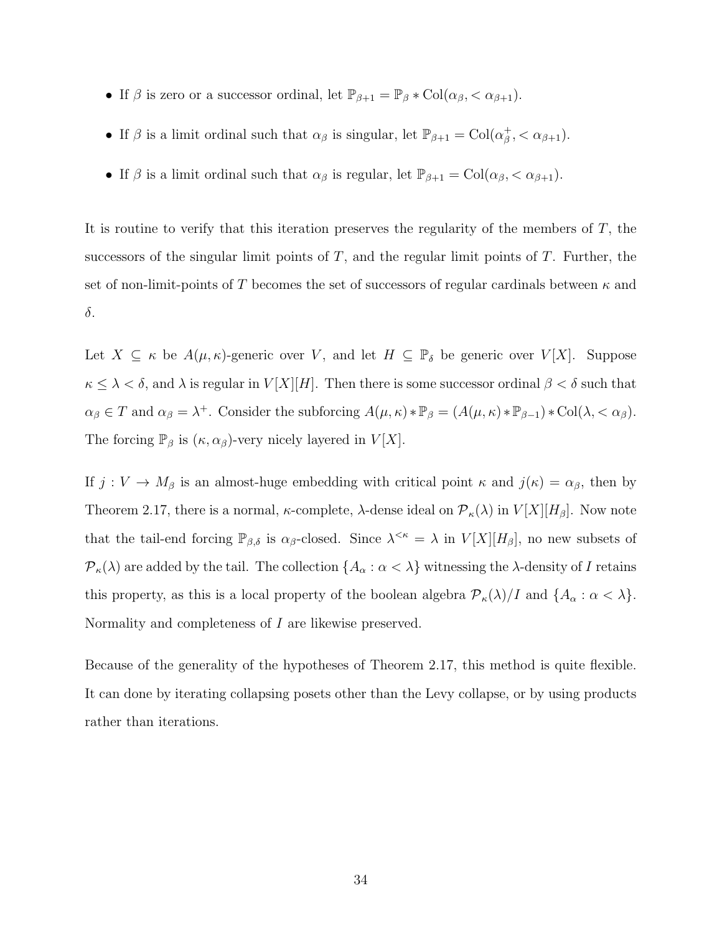- If  $\beta$  is zero or a successor ordinal, let  $\mathbb{P}_{\beta+1} = \mathbb{P}_{\beta} * \text{Col}(\alpha_{\beta}, < \alpha_{\beta+1}).$
- If  $\beta$  is a limit ordinal such that  $\alpha_{\beta}$  is singular, let  $\mathbb{P}_{\beta+1} = \text{Col}(\alpha_{\beta}^+)$  $_{\beta}^{+}$ , <  $\alpha_{\beta+1}$ ).
- If  $\beta$  is a limit ordinal such that  $\alpha_{\beta}$  is regular, let  $\mathbb{P}_{\beta+1} = \text{Col}(\alpha_{\beta}, \alpha_{\beta+1})$ .

It is routine to verify that this iteration preserves the regularity of the members of  $T$ , the successors of the singular limit points of  $T$ , and the regular limit points of  $T$ . Further, the set of non-limit-points of T becomes the set of successors of regular cardinals between  $\kappa$  and δ.

Let  $X \subseteq \kappa$  be  $A(\mu, \kappa)$ -generic over V, and let  $H \subseteq \mathbb{P}_{\delta}$  be generic over  $V[X]$ . Suppose  $\kappa \leq \lambda < \delta$ , and  $\lambda$  is regular in  $V[X][H]$ . Then there is some successor ordinal  $\beta < \delta$  such that  $\alpha_{\beta} \in T$  and  $\alpha_{\beta} = \lambda^{+}$ . Consider the subforcing  $A(\mu, \kappa) * \mathbb{P}_{\beta} = (A(\mu, \kappa) * \mathbb{P}_{\beta-1}) * \text{Col}(\lambda, < \alpha_{\beta})$ . The forcing  $\mathbb{P}_{\beta}$  is  $(\kappa, \alpha_{\beta})$ -very nicely layered in  $V[X]$ .

If  $j: V \to M_\beta$  is an almost-huge embedding with critical point  $\kappa$  and  $j(\kappa) = \alpha_\beta$ , then by Theorem [2.17,](#page-37-0) there is a normal,  $\kappa$ -complete,  $\lambda$ -dense ideal on  $\mathcal{P}_{\kappa}(\lambda)$  in  $V[X][H_{\beta}]$ . Now note that the tail-end forcing  $\mathbb{P}_{\beta,\delta}$  is  $\alpha_{\beta}$ -closed. Since  $\lambda^{<\kappa} = \lambda$  in  $V[X][H_{\beta}]$ , no new subsets of  $\mathcal{P}_{\kappa}(\lambda)$  are added by the tail. The collection  $\{A_{\alpha} : \alpha < \lambda\}$  witnessing the  $\lambda$ -density of I retains this property, as this is a local property of the boolean algebra  $\mathcal{P}_{\kappa}(\lambda)/I$  and  $\{A_{\alpha} : \alpha < \lambda\}$ . Normality and completeness of I are likewise preserved.

Because of the generality of the hypotheses of Theorem [2.17,](#page-37-0) this method is quite flexible. It can done by iterating collapsing posets other than the Levy collapse, or by using products rather than iterations.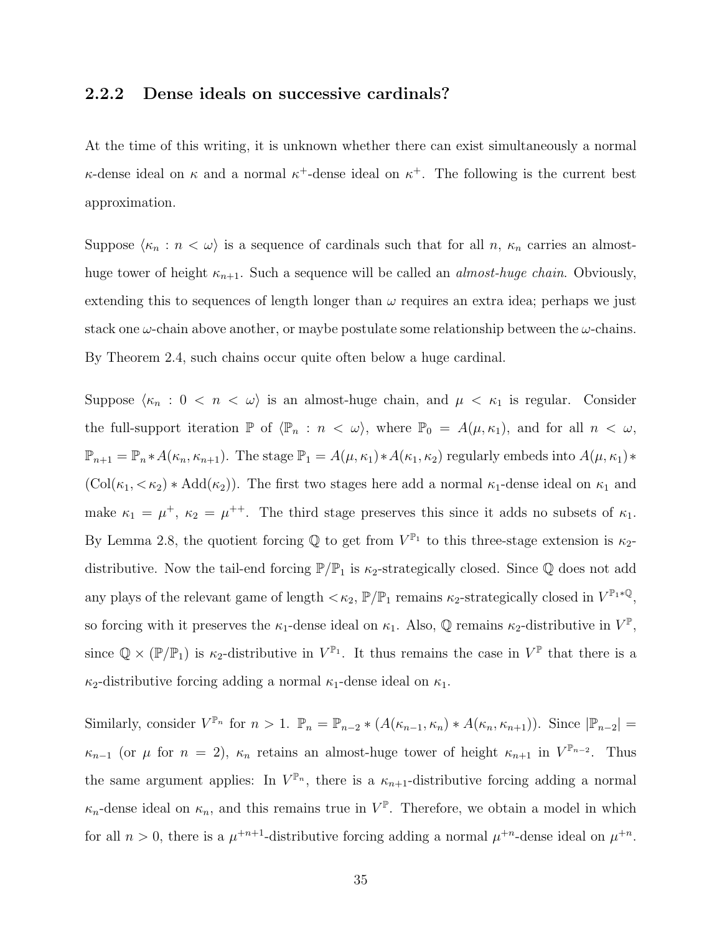#### 2.2.2 Dense ideals on successive cardinals?

At the time of this writing, it is unknown whether there can exist simultaneously a normal  $\kappa$ -dense ideal on  $\kappa$  and a normal  $\kappa^+$ -dense ideal on  $\kappa^+$ . The following is the current best approximation.

Suppose  $\langle \kappa_n : n < \omega \rangle$  is a sequence of cardinals such that for all n,  $\kappa_n$  carries an almosthuge tower of height  $\kappa_{n+1}$ . Such a sequence will be called an *almost-huge chain*. Obviously, extending this to sequences of length longer than  $\omega$  requires an extra idea; perhaps we just stack one  $\omega$ -chain above another, or may be postulate some relationship between the  $\omega$ -chains. By Theorem [2.4,](#page-27-0) such chains occur quite often below a huge cardinal.

Suppose  $\langle \kappa_n : 0 \langle \kappa_n \rangle \times \mathbb{R} \rangle$  is an almost-huge chain, and  $\mu \langle \kappa_1 \rangle$  is regular. Consider the full-support iteration  $\mathbb P$  of  $\langle \mathbb P_n : n < \omega \rangle$ , where  $\mathbb P_0 = A(\mu, \kappa_1)$ , and for all  $n < \omega$ ,  $\mathbb{P}_{n+1} = \mathbb{P}_n * A(\kappa_n, \kappa_{n+1})$ . The stage  $\mathbb{P}_1 = A(\mu, \kappa_1) * A(\kappa_1, \kappa_2)$  regularly embeds into  $A(\mu, \kappa_1) *$  $(Col(\kappa_1, < \kappa_2) * Add(\kappa_2))$ . The first two stages here add a normal  $\kappa_1$ -dense ideal on  $\kappa_1$  and make  $\kappa_1 = \mu^+, \ \kappa_2 = \mu^{++}$ . The third stage preserves this since it adds no subsets of  $\kappa_1$ . By Lemma [2.8,](#page-30-1) the quotient forcing  $\mathbb Q$  to get from  $V^{\mathbb{P}_1}$  to this three-stage extension is  $\kappa_2$ distributive. Now the tail-end forcing  $\mathbb{P}/\mathbb{P}_1$  is  $\kappa_2$ -strategically closed. Since Q does not add any plays of the relevant game of length  $\langle \kappa_2, \mathbb{P}/\mathbb{P}_1$  remains  $\kappa_2$ -strategically closed in  $V^{\mathbb{P}_1 * \mathbb{Q}}$ , so forcing with it preserves the  $\kappa_1$ -dense ideal on  $\kappa_1$ . Also, Q remains  $\kappa_2$ -distributive in  $V^{\mathbb{P}}$ , since  $\mathbb{Q} \times (\mathbb{P}/\mathbb{P}_1)$  is  $\kappa_2$ -distributive in  $V^{\mathbb{P}_1}$ . It thus remains the case in  $V^{\mathbb{P}}$  that there is a  $\kappa_2$ -distributive forcing adding a normal  $\kappa_1$ -dense ideal on  $\kappa_1$ .

Similarly, consider  $V^{\mathbb{P}_n}$  for  $n > 1$ .  $\mathbb{P}_n = \mathbb{P}_{n-2} * (A(\kappa_{n-1}, \kappa_n) * A(\kappa_n, \kappa_{n+1}))$ . Since  $|\mathbb{P}_{n-2}|$  $\kappa_{n-1}$  (or  $\mu$  for  $n = 2$ ),  $\kappa_n$  retains an almost-huge tower of height  $\kappa_{n+1}$  in  $V^{\mathbb{P}_{n-2}}$ . Thus the same argument applies: In  $V^{\mathbb{P}_n}$ , there is a  $\kappa_{n+1}$ -distributive forcing adding a normal  $\kappa_n$ -dense ideal on  $\kappa_n$ , and this remains true in  $V^{\mathbb{P}}$ . Therefore, we obtain a model in which for all  $n > 0$ , there is a  $\mu^{+n+1}$ -distributive forcing adding a normal  $\mu^{+n}$ -dense ideal on  $\mu^{+n}$ .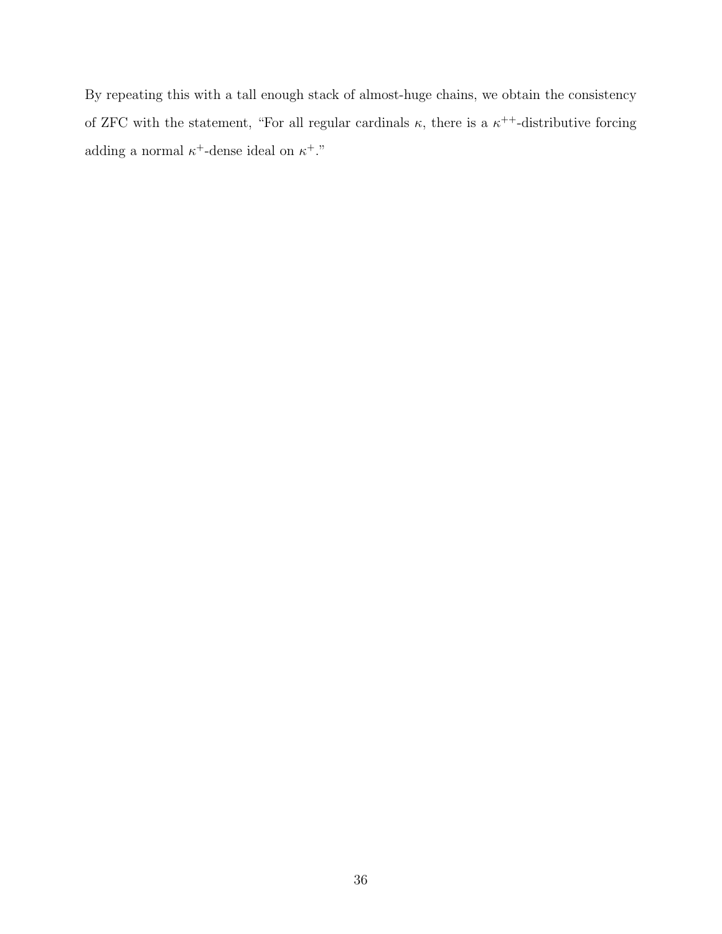By repeating this with a tall enough stack of almost-huge chains, we obtain the consistency of ZFC with the statement, "For all regular cardinals  $\kappa$ , there is a  $\kappa^{++}$ -distributive forcing adding a normal  $\kappa^+$ -dense ideal on  $\kappa^+$ ."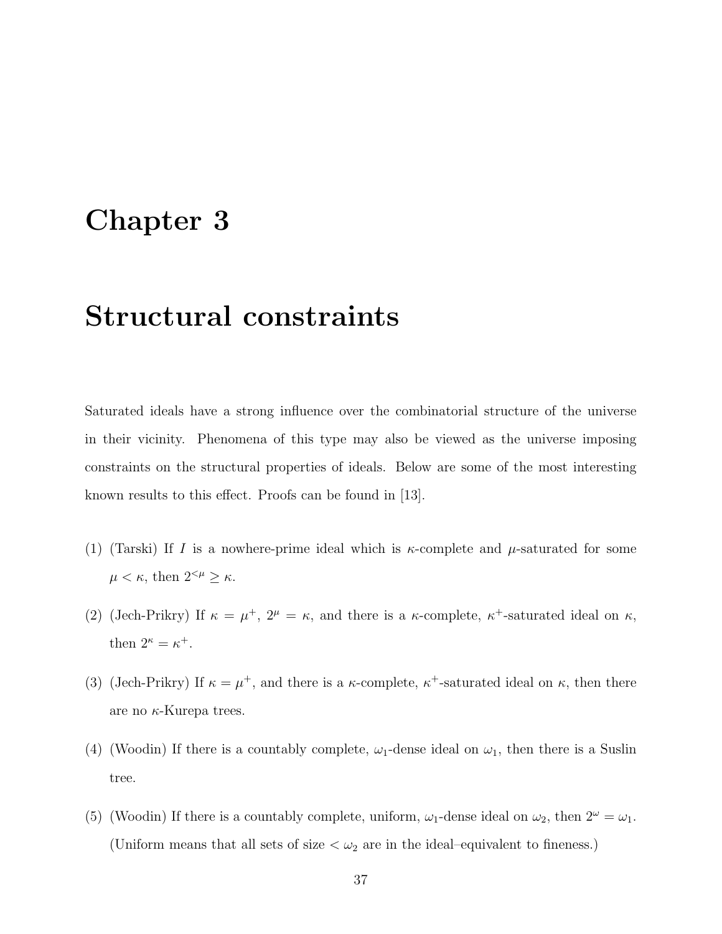### Chapter 3

### Structural constraints

Saturated ideals have a strong influence over the combinatorial structure of the universe in their vicinity. Phenomena of this type may also be viewed as the universe imposing constraints on the structural properties of ideals. Below are some of the most interesting known results to this effect. Proofs can be found in [\[13\]](#page-108-0).

- (1) (Tarski) If I is a nowhere-prime ideal which is  $\kappa$ -complete and  $\mu$ -saturated for some  $\mu < \kappa$ , then  $2^{<\mu} \geq \kappa$ .
- (2) (Jech-Prikry) If  $\kappa = \mu^+, 2^{\mu} = \kappa$ , and there is a  $\kappa$ -complete,  $\kappa^+$ -saturated ideal on  $\kappa$ , then  $2^{\kappa} = \kappa^+$ .
- (3) (Jech-Prikry) If  $\kappa = \mu^+$ , and there is a  $\kappa$ -complete,  $\kappa^+$ -saturated ideal on  $\kappa$ , then there are no  $\kappa$ -Kurepa trees.
- (4) (Woodin) If there is a countably complete,  $\omega_1$ -dense ideal on  $\omega_1$ , then there is a Suslin tree.
- (5) (Woodin) If there is a countably complete, uniform,  $\omega_1$ -dense ideal on  $\omega_2$ , then  $2^{\omega} = \omega_1$ . (Uniform means that all sets of size  $\langle \omega_2 \rangle$  are in the ideal–equivalent to fineness.)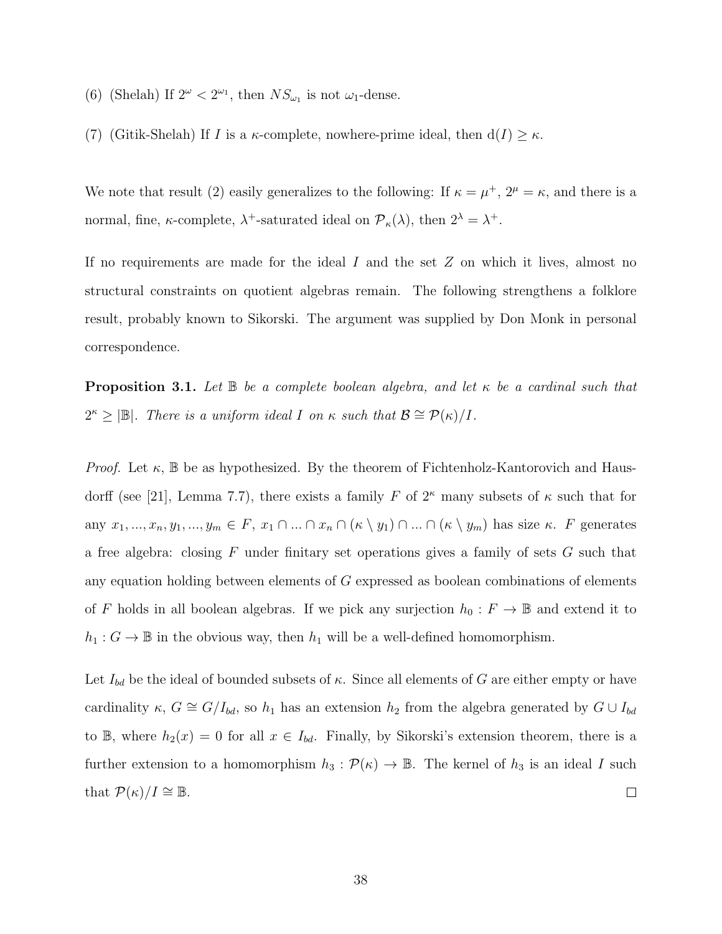- (6) (Shelah) If  $2^{\omega} < 2^{\omega_1}$ , then  $NS_{\omega_1}$  is not  $\omega_1$ -dense.
- (7) (Gitik-Shelah) If I is a  $\kappa$ -complete, nowhere-prime ideal, then  $d(I) \geq \kappa$ .

We note that result (2) easily generalizes to the following: If  $\kappa = \mu^+, 2^{\mu} = \kappa$ , and there is a normal, fine,  $\kappa$ -complete,  $\lambda^+$ -saturated ideal on  $\mathcal{P}_{\kappa}(\lambda)$ , then  $2^{\lambda} = \lambda^+$ .

If no requirements are made for the ideal  $I$  and the set  $Z$  on which it lives, almost no structural constraints on quotient algebras remain. The following strengthens a folklore result, probably known to Sikorski. The argument was supplied by Don Monk in personal correspondence.

**Proposition 3.1.** Let  $\mathbb{B}$  be a complete boolean algebra, and let  $\kappa$  be a cardinal such that  $2^{\kappa} \geq |\mathbb{B}|$ . There is a uniform ideal I on  $\kappa$  such that  $\mathcal{B} \cong \mathcal{P}(\kappa)/I$ .

*Proof.* Let  $\kappa$ ,  $\mathbb B$  be as hypothesized. By the theorem of Fichtenholz-Kantorovich and Haus-dorff (see [\[21\]](#page-109-0), Lemma 7.7), there exists a family F of  $2^{\kappa}$  many subsets of  $\kappa$  such that for any  $x_1, ..., x_n, y_1, ..., y_m \in F$ ,  $x_1 \cap ... \cap x_n \cap (\kappa \setminus y_1) \cap ... \cap (\kappa \setminus y_m)$  has size  $\kappa$ . F generates a free algebra: closing  $F$  under finitary set operations gives a family of sets  $G$  such that any equation holding between elements of G expressed as boolean combinations of elements of F holds in all boolean algebras. If we pick any surjection  $h_0 : F \to \mathbb{B}$  and extend it to  $h_1 : G \to \mathbb{B}$  in the obvious way, then  $h_1$  will be a well-defined homomorphism.

Let  $I_{bd}$  be the ideal of bounded subsets of  $\kappa$ . Since all elements of G are either empty or have cardinality  $\kappa$ ,  $G \cong G/I_{bd}$ , so  $h_1$  has an extension  $h_2$  from the algebra generated by  $G \cup I_{bd}$ to B, where  $h_2(x) = 0$  for all  $x \in I_{bd}$ . Finally, by Sikorski's extension theorem, there is a further extension to a homomorphism  $h_3 : \mathcal{P}(\kappa) \to \mathbb{B}$ . The kernel of  $h_3$  is an ideal I such that  $\mathcal{P}(\kappa)/I \cong \mathbb{B}$ .  $\Box$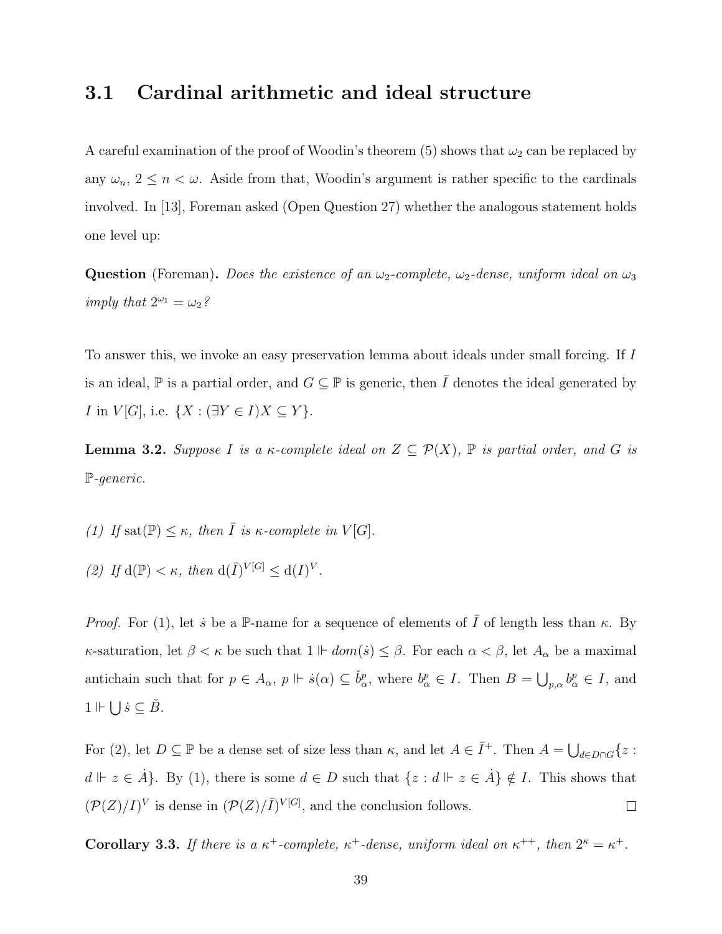### 3.1 Cardinal arithmetic and ideal structure

A careful examination of the proof of Woodin's theorem (5) shows that  $\omega_2$  can be replaced by any  $\omega_n$ ,  $2 \leq n < \omega$ . Aside from that, Woodin's argument is rather specific to the cardinals involved. In [\[13\]](#page-108-0), Foreman asked (Open Question 27) whether the analogous statement holds one level up:

**Question** (Foreman). Does the existence of an  $\omega_2$ -complete,  $\omega_2$ -dense, uniform ideal on  $\omega_3$ imply that  $2^{\omega_1} = \omega_2$ ?

To answer this, we invoke an easy preservation lemma about ideals under small forcing. If I is an ideal,  $\mathbb P$  is a partial order, and  $G \subseteq \mathbb P$  is generic, then  $\overline{I}$  denotes the ideal generated by *I* in  $V[G]$ , i.e.  $\{X : (\exists Y \in I)X \subseteq Y\}$ .

<span id="page-47-0"></span>**Lemma 3.2.** Suppose I is a  $\kappa$ -complete ideal on  $Z \subseteq \mathcal{P}(X)$ ,  $\mathbb{P}$  is partial order, and G is P-generic.

- (1) If sat $(\mathbb{P}) \leq \kappa$ , then  $\overline{I}$  is  $\kappa$ -complete in  $V[G]$ .
- (2) If  $d(\mathbb{P}) < \kappa$ , then  $d(\overline{I})^{V[G]} \leq d(I)^V$ .

*Proof.* For (1), let *s* be a P-name for a sequence of elements of  $\overline{I}$  of length less than  $\kappa$ . By  $κ$ -saturation, let  $β < κ$  be such that  $1 \Vdash dom(s) ≤ β$ . For each  $α < β$ , let  $A<sub>α</sub>$  be a maximal antichain such that for  $p \in A_{\alpha}$ ,  $p \Vdash \dot{s}(\alpha) \subseteq \check{b}_{\alpha}^p$ , where  $b_{\alpha}^p \in I$ . Then  $B = \bigcup_{p,\alpha} b_{\alpha}^p \in I$ , and  $1 \Vdash \bigcup \dot{s} \subseteq \check{B}.$ 

For (2), let  $D \subseteq \mathbb{P}$  be a dense set of size less than  $\kappa$ , and let  $A \in \overline{I}^+$ . Then  $A = \bigcup_{d \in D \cap G} \{z :$  $d \Vdash z \in \dot{A}$ . By (1), there is some  $d \in D$  such that  $\{z : d \Vdash z \in \dot{A}\} \notin I$ . This shows that  $(\mathcal{P}(Z)/I)^V$  is dense in  $(\mathcal{P}(Z)/\overline{I})^{V[G]}$ , and the conclusion follows.  $\Box$ 

<span id="page-47-1"></span>Corollary 3.3. If there is a  $\kappa^+$ -complete,  $\kappa^+$ -dense, uniform ideal on  $\kappa^{++}$ , then  $2^{\kappa} = \kappa^+$ .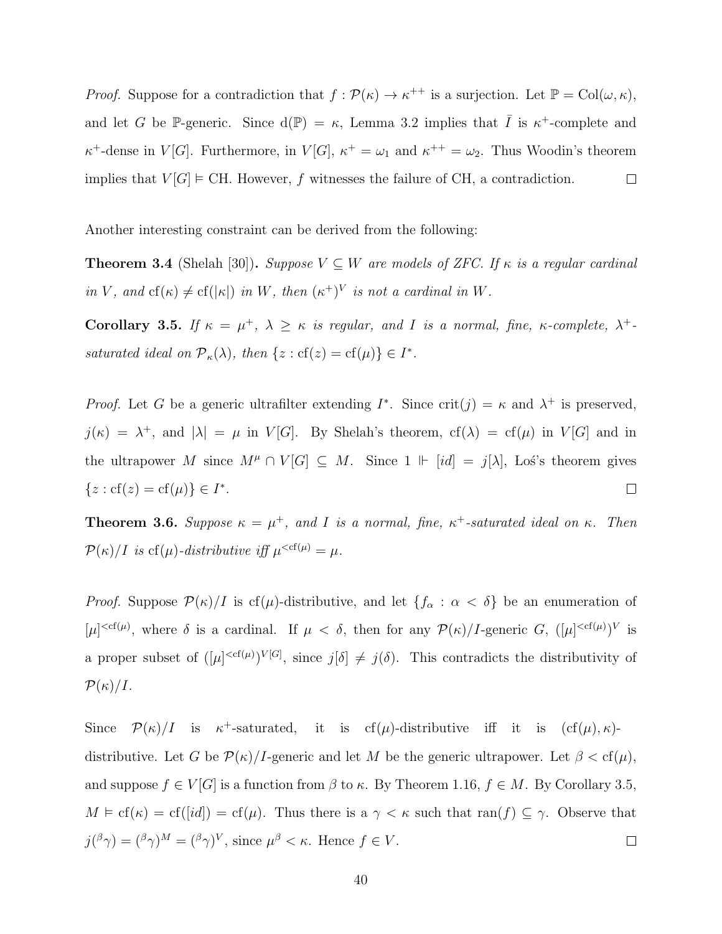*Proof.* Suppose for a contradiction that  $f : \mathcal{P}(\kappa) \to \kappa^{++}$  is a surjection. Let  $\mathbb{P} = Col(\omega, \kappa)$ , and let G be P-generic. Since  $d(P) = \kappa$ , Lemma [3.2](#page-47-0) implies that  $\overline{I}$  is  $\kappa^+$ -complete and  $\kappa^+$ -dense in  $V[G]$ . Furthermore, in  $V[G]$ ,  $\kappa^+ = \omega_1$  and  $\kappa^{++} = \omega_2$ . Thus Woodin's theorem implies that  $V[G] \models \text{CH. However, } f$  witnesses the failure of CH, a contradiction.  $\Box$ 

Another interesting constraint can be derived from the following:

**Theorem 3.4** (Shelah [\[30\]](#page-109-1)). Suppose  $V \subseteq W$  are models of ZFC. If  $\kappa$  is a regular cardinal in V, and  $cf(\kappa) \neq cf(|\kappa|)$  in W, then  $(\kappa^+)^V$  is not a cardinal in W.

<span id="page-48-0"></span>Corollary 3.5. If  $\kappa = \mu^+, \lambda \geq \kappa$  is regular, and I is a normal, fine,  $\kappa$ -complete,  $\lambda^+$ saturated ideal on  $\mathcal{P}_{\kappa}(\lambda)$ , then  $\{z : cf(z) = cf(\mu)\} \in I^*$ .

*Proof.* Let G be a generic ultrafilter extending  $I^*$ . Since crit $(j) = \kappa$  and  $\lambda^+$  is preserved,  $j(\kappa) = \lambda^+$ , and  $|\lambda| = \mu$  in  $V[G]$ . By Shelah's theorem,  $cf(\lambda) = cf(\mu)$  in  $V[G]$  and in the ultrapower M since  $M^{\mu} \cap V[G] \subseteq M$ . Since  $1 \Vdash [id] = j[\lambda]$ , Los's theorem gives  $\{z : cf(z) = cf(\mu)\} \in I^*$ .  $\Box$ 

<span id="page-48-1"></span>**Theorem 3.6.** Suppose  $\kappa = \mu^+$ , and I is a normal, fine,  $\kappa^+$ -saturated ideal on  $\kappa$ . Then  $\mathcal{P}(\kappa)/I$  is cf( $\mu$ )-distributive iff  $\mu^{\leq cf(\mu)} = \mu$ .

*Proof.* Suppose  $\mathcal{P}(\kappa)/I$  is cf( $\mu$ )-distributive, and let  $\{f_{\alpha} : \alpha < \delta\}$  be an enumeration of  $[\mu]^{<\text{cf}(\mu)}$ , where  $\delta$  is a cardinal. If  $\mu < \delta$ , then for any  $\mathcal{P}(\kappa)/I$ -generic G,  $([\mu]^{<\text{cf}(\mu)})^V$  is a proper subset of  $([\mu]^{, since  $j[\delta] \neq j(\delta)$ . This contradicts the distributivity of$  $\mathcal{P}(\kappa)/I$ .

Since  $\mathcal{P}(\kappa)/I$  is  $\kappa^+$ -saturated, it is cf( $\mu$ )-distributive iff it is  $(cf(\mu), \kappa)$ distributive. Let G be  $\mathcal{P}(\kappa)/I$ -generic and let M be the generic ultrapower. Let  $\beta < \text{cf}(\mu)$ , and suppose  $f \in V[G]$  is a function from  $\beta$  to  $\kappa$ . By Theorem [1.16,](#page-23-0)  $f \in M$ . By Corollary [3.5,](#page-48-0)  $M \models cf(\kappa) = cf([id]) = cf(\mu)$ . Thus there is a  $\gamma < \kappa$  such that ran(f)  $\subseteq \gamma$ . Observe that  $j({}^{\beta}\gamma) = ({}^{\beta}\gamma)^M = ({}^{\beta}\gamma)^V$ , since  $\mu^{\beta} < \kappa$ . Hence  $f \in V$ .  $\Box$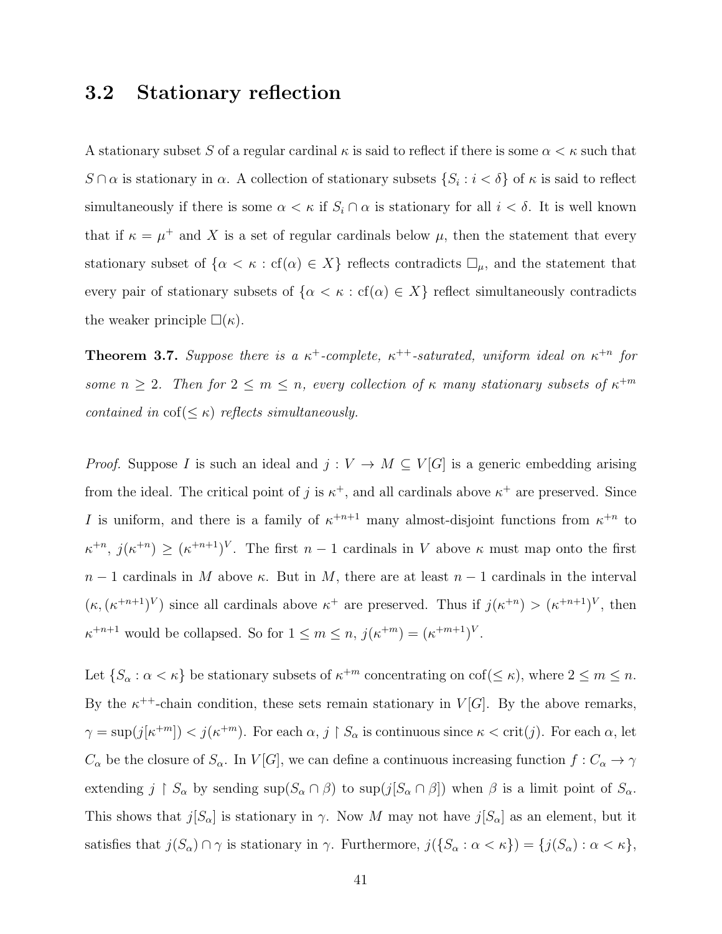### 3.2 Stationary reflection

A stationary subset S of a regular cardinal  $\kappa$  is said to reflect if there is some  $\alpha < \kappa$  such that  $S \cap \alpha$  is stationary in  $\alpha$ . A collection of stationary subsets  $\{S_i : i < \delta\}$  of  $\kappa$  is said to reflect simultaneously if there is some  $\alpha < \kappa$  if  $S_i \cap \alpha$  is stationary for all  $i < \delta$ . It is well known that if  $\kappa = \mu^+$  and X is a set of regular cardinals below  $\mu$ , then the statement that every stationary subset of  $\{\alpha < \kappa : cf(\alpha) \in X\}$  reflects contradicts  $\Box_{\mu}$ , and the statement that every pair of stationary subsets of  $\{\alpha < \kappa : cf(\alpha) \in X\}$  reflect simultaneously contradicts the weaker principle  $\square(\kappa)$ .

**Theorem 3.7.** Suppose there is a  $\kappa^+$ -complete,  $\kappa^{++}$ -saturated, uniform ideal on  $\kappa^{+n}$  for some  $n \geq 2$ . Then for  $2 \leq m \leq n$ , every collection of  $\kappa$  many stationary subsets of  $\kappa^{+m}$ contained in  $\text{cof}(\leq \kappa)$  reflects simultaneously.

*Proof.* Suppose I is such an ideal and  $j: V \to M \subseteq V[G]$  is a generic embedding arising from the ideal. The critical point of j is  $\kappa^+$ , and all cardinals above  $\kappa^+$  are preserved. Since I is uniform, and there is a family of  $\kappa^{+n+1}$  many almost-disjoint functions from  $\kappa^{+n}$  to  $\kappa^{+n}, j(\kappa^{+n}) \geq (\kappa^{+n+1})^V$ . The first  $n-1$  cardinals in V above  $\kappa$  must map onto the first  $n-1$  cardinals in M above  $\kappa$ . But in M, there are at least  $n-1$  cardinals in the interval  $(\kappa, (\kappa^{+n+1})^V)$  since all cardinals above  $\kappa^+$  are preserved. Thus if  $j(\kappa^{+n}) > (\kappa^{+n+1})^V$ , then  $\kappa^{+n+1}$  would be collapsed. So for  $1 \leq m \leq n$ ,  $j(\kappa^{+m}) = (\kappa^{+m+1})^V$ .

Let  $\{S_\alpha : \alpha < \kappa\}$  be stationary subsets of  $\kappa^{+m}$  concentrating on cof( $\leq \kappa$ ), where  $2 \leq m \leq n$ . By the  $\kappa^{++}$ -chain condition, these sets remain stationary in  $V[G]$ . By the above remarks,  $\gamma = \sup(j[\kappa^{+m}]) < j(\kappa^{+m})$ . For each  $\alpha, j \restriction S_\alpha$  is continuous since  $\kappa < \text{crit}(j)$ . For each  $\alpha$ , let  $C_{\alpha}$  be the closure of  $S_{\alpha}$ . In  $V[G]$ , we can define a continuous increasing function  $f: C_{\alpha} \to \gamma$ extending  $j \restriction S_\alpha$  by sending  $\sup(S_\alpha \cap \beta)$  to  $\sup(j[S_\alpha \cap \beta])$  when  $\beta$  is a limit point of  $S_\alpha$ . This shows that  $j[S_\alpha]$  is stationary in  $\gamma$ . Now M may not have  $j[S_\alpha]$  as an element, but it satisfies that  $j(S_\alpha) \cap \gamma$  is stationary in  $\gamma$ . Furthermore,  $j(\{S_\alpha : \alpha < \kappa\}) = \{j(S_\alpha) : \alpha < \kappa\},\$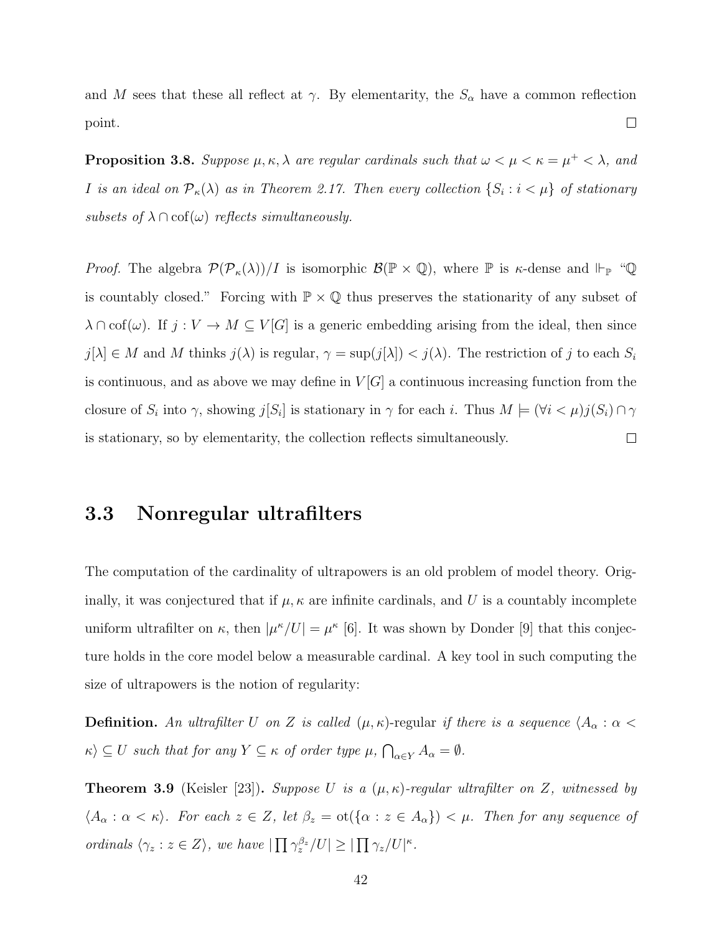and M sees that these all reflect at  $\gamma$ . By elementarity, the  $S_{\alpha}$  have a common reflection  $\Box$ point.

**Proposition 3.8.** Suppose  $\mu, \kappa, \lambda$  are regular cardinals such that  $\omega < \mu < \kappa = \mu^+ < \lambda$ , and I is an ideal on  $\mathcal{P}_{\kappa}(\lambda)$  as in Theorem [2.17.](#page-37-0) Then every collection  $\{S_i : i < \mu\}$  of stationary subsets of  $\lambda \cap \text{cof}(\omega)$  reflects simultaneously.

*Proof.* The algebra  $\mathcal{P}(\mathcal{P}_{\kappa}(\lambda))/I$  is isomorphic  $\mathcal{B}(\mathbb{P} \times \mathbb{Q})$ , where  $\mathbb P$  is  $\kappa$ -dense and  $\Vdash_{\mathbb{P}}$  "Q is countably closed." Forcing with  $\mathbb{P} \times \mathbb{Q}$  thus preserves the stationarity of any subset of  $\lambda \cap \mathrm{cof}(\omega)$ . If  $j: V \to M \subseteq V[G]$  is a generic embedding arising from the ideal, then since  $j[\lambda] \in M$  and M thinks  $j(\lambda)$  is regular,  $\gamma = \sup(j[\lambda]) < j(\lambda)$ . The restriction of j to each  $S_i$ is continuous, and as above we may define in  $V[G]$  a continuous increasing function from the closure of  $S_i$  into  $\gamma$ , showing  $j[S_i]$  is stationary in  $\gamma$  for each i. Thus  $M \models (\forall i \lt \mu) j(S_i) \cap \gamma$ is stationary, so by elementarity, the collection reflects simultaneously.  $\Box$ 

### 3.3 Nonregular ultrafilters

The computation of the cardinality of ultrapowers is an old problem of model theory. Originally, it was conjectured that if  $\mu$ ,  $\kappa$  are infinite cardinals, and U is a countably incomplete uniform ultrafilter on  $\kappa$ , then  $|\mu^{\kappa}/U| = \mu^{\kappa}$  [\[6\]](#page-108-1). It was shown by Donder [\[9\]](#page-108-2) that this conjecture holds in the core model below a measurable cardinal. A key tool in such computing the size of ultrapowers is the notion of regularity:

**Definition.** An ultrafilter U on Z is called  $(\mu, \kappa)$ -regular if there is a sequence  $\langle A_{\alpha} : \alpha <$  $\kappa \rangle \subseteq U$  such that for any  $Y \subseteq \kappa$  of order type  $\mu$ ,  $\bigcap_{\alpha \in Y} A_{\alpha} = \emptyset$ .

<span id="page-50-0"></span>**Theorem 3.9** (Keisler [\[23\]](#page-109-2)). Suppose U is a  $(\mu, \kappa)$ -regular ultrafilter on Z, witnessed by  $\langle A_{\alpha} : \alpha < \kappa \rangle$ . For each  $z \in Z$ , let  $\beta_z = \text{ot}(\{\alpha : z \in A_{\alpha}\}) < \mu$ . Then for any sequence of ordinals  $\langle \gamma_z : z \in Z \rangle$ , we have  $|\prod_{z} \gamma_z^{\beta_z} / U| \geq |\prod_{z} \gamma_z / U|^{\kappa}$ .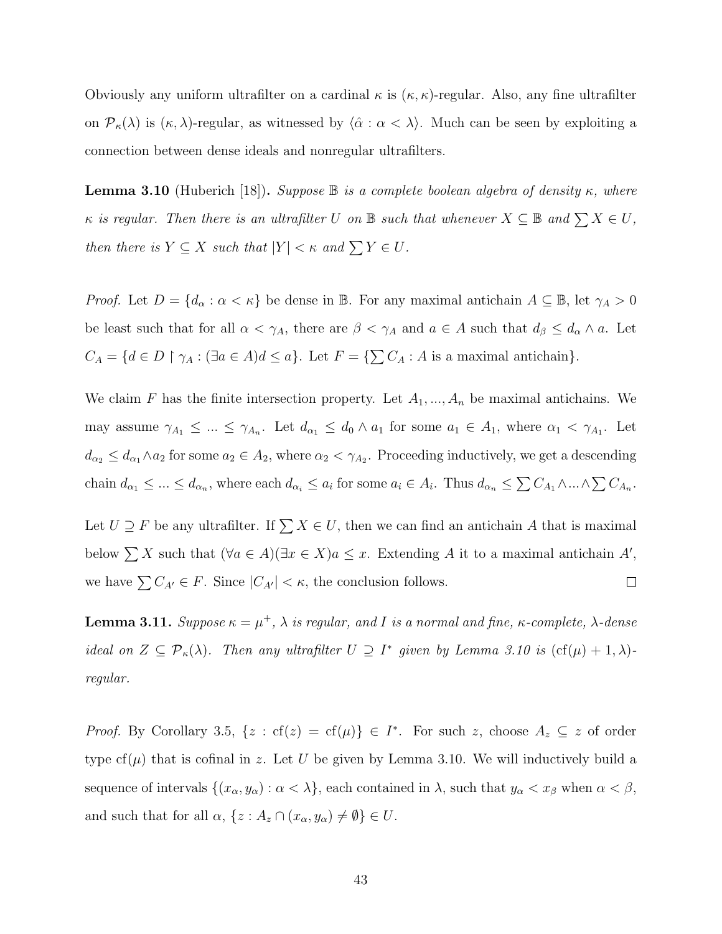Obviously any uniform ultrafilter on a cardinal  $\kappa$  is  $(\kappa, \kappa)$ -regular. Also, any fine ultrafilter on  $\mathcal{P}_{\kappa}(\lambda)$  is  $(\kappa, \lambda)$ -regular, as witnessed by  $\langle \hat{\alpha} : \alpha < \lambda \rangle$ . Much can be seen by exploiting a connection between dense ideals and nonregular ultrafilters.

<span id="page-51-0"></span>**Lemma 3.10** (Huberich [\[18\]](#page-109-3)). Suppose  $\mathbb B$  is a complete boolean algebra of density  $\kappa$ , where  $\kappa$  is regular. Then there is an ultrafilter U on B such that whenever  $X \subseteq B$  and  $\sum X \in U$ , then there is  $Y \subseteq X$  such that  $|Y| < \kappa$  and  $\sum Y \in U$ .

*Proof.* Let  $D = \{d_{\alpha} : \alpha < \kappa\}$  be dense in B. For any maximal antichain  $A \subseteq B$ , let  $\gamma_A > 0$ be least such that for all  $\alpha < \gamma_A$ , there are  $\beta < \gamma_A$  and  $a \in A$  such that  $d_{\beta} \leq d_{\alpha} \wedge a$ . Let  $C_A = \{d \in D \restriction \gamma_A : (\exists a \in A) d \leq a\}.$  Let  $F = \{\sum C_A : A \text{ is a maximal antichain}\}.$ 

We claim F has the finite intersection property. Let  $A_1, ..., A_n$  be maximal antichains. We may assume  $\gamma_{A_1} \leq ... \leq \gamma_{A_n}$ . Let  $d_{\alpha_1} \leq d_0 \wedge a_1$  for some  $a_1 \in A_1$ , where  $\alpha_1 < \gamma_{A_1}$ . Let  $d_{\alpha_2} \leq d_{\alpha_1} \wedge a_2$  for some  $a_2 \in A_2$ , where  $\alpha_2 < \gamma_{A_2}$ . Proceeding inductively, we get a descending chain  $d_{\alpha_1} \leq \ldots \leq d_{\alpha_n}$ , where each  $d_{\alpha_i} \leq a_i$  for some  $a_i \in A_i$ . Thus  $d_{\alpha_n} \leq \sum C_{A_1} \wedge \ldots \wedge \sum C_{A_n}$ .

Let  $U \supseteq F$  be any ultrafilter. If  $\sum X \in U$ , then we can find an antichain A that is maximal below  $\sum X$  such that  $(\forall a \in A)(\exists x \in X)a \leq x$ . Extending A it to a maximal antichain A', we have  $\sum C_{A'} \in F$ . Since  $|C_{A'}| < \kappa$ , the conclusion follows.  $\Box$ 

<span id="page-51-1"></span>**Lemma 3.11.** Suppose  $\kappa = \mu^+$ ,  $\lambda$  is regular, and I is a normal and fine,  $\kappa$ -complete,  $\lambda$ -dense ideal on  $Z \subseteq \mathcal{P}_{\kappa}(\lambda)$ . Then any ultrafilter  $U \supseteq I^*$  given by Lemma [3.10](#page-51-0) is  $(\text{cf}(\mu) + 1, \lambda)$ regular.

*Proof.* By Corollary [3.5,](#page-48-0)  $\{z : cf(z) = cf(\mu)\}\in I^*$ . For such z, choose  $A_z \subseteq z$  of order type  $cf(\mu)$  that is cofinal in z. Let U be given by Lemma [3.10.](#page-51-0) We will inductively build a sequence of intervals  $\{(x_{\alpha}, y_{\alpha}) : \alpha < \lambda\}$ , each contained in  $\lambda$ , such that  $y_{\alpha} < x_{\beta}$  when  $\alpha < \beta$ , and such that for all  $\alpha$ ,  $\{z : A_z \cap (x_\alpha, y_\alpha) \neq \emptyset\} \in U$ .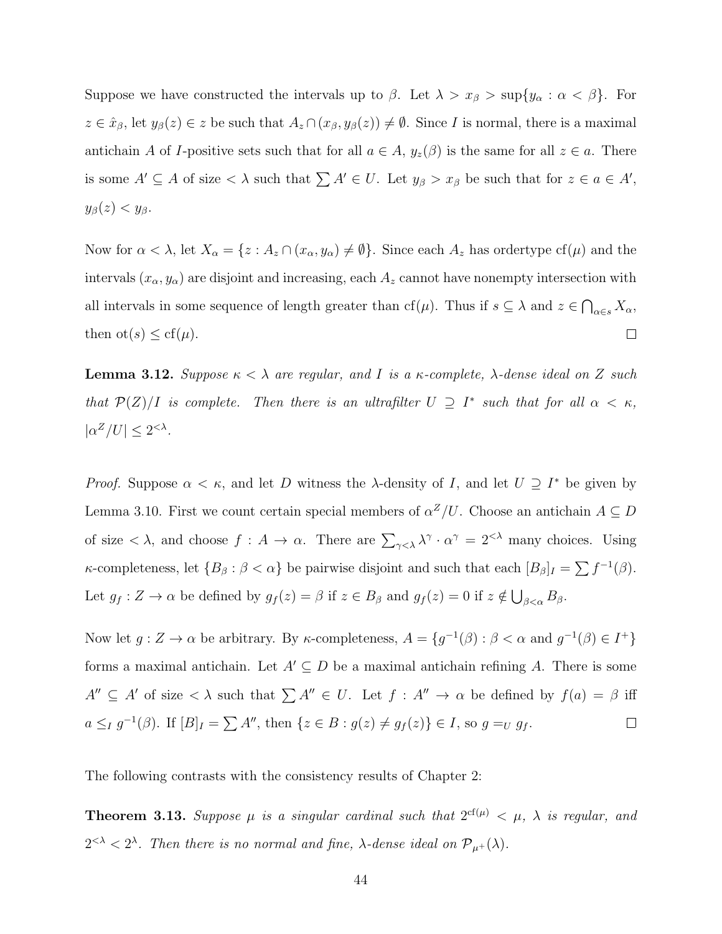Suppose we have constructed the intervals up to  $\beta$ . Let  $\lambda > x_{\beta} > \sup\{y_{\alpha} : \alpha < \beta\}$ . For  $z \in \hat{x}_{\beta}$ , let  $y_{\beta}(z) \in z$  be such that  $A_z \cap (x_{\beta}, y_{\beta}(z)) \neq \emptyset$ . Since *I* is normal, there is a maximal antichain A of I-positive sets such that for all  $a \in A$ ,  $y_z(\beta)$  is the same for all  $z \in a$ . There is some  $A' \subseteq A$  of size  $\langle \lambda \rangle$  such that  $\sum A' \in U$ . Let  $y_{\beta} > x_{\beta}$  be such that for  $z \in a \in A'$ ,  $y_{\beta}(z) < y_{\beta}.$ 

Now for  $\alpha < \lambda$ , let  $X_{\alpha} = \{z : A_z \cap (x_{\alpha}, y_{\alpha}) \neq \emptyset\}$ . Since each  $A_z$  has ordertype cf( $\mu$ ) and the intervals  $(x_{\alpha}, y_{\alpha})$  are disjoint and increasing, each  $A_z$  cannot have nonempty intersection with all intervals in some sequence of length greater than cf( $\mu$ ). Thus if  $s \subseteq \lambda$  and  $z \in \bigcap_{\alpha \in s} X_{\alpha}$ , then  $\mathrm{ot}(s) \leq \mathrm{cf}(\mu)$ .  $\Box$ 

<span id="page-52-0"></span>**Lemma 3.12.** Suppose  $\kappa < \lambda$  are regular, and I is a  $\kappa$ -complete,  $\lambda$ -dense ideal on Z such that  $\mathcal{P}(Z)/I$  is complete. Then there is an ultrafilter  $U \supseteq I^*$  such that for all  $\alpha < \kappa$ ,  $|\alpha^Z/U| \leq 2^{<\lambda}$ .

*Proof.* Suppose  $\alpha < \kappa$ , and let D witness the  $\lambda$ -density of I, and let  $U \supseteq I^*$  be given by Lemma [3.10.](#page-51-0) First we count certain special members of  $\alpha^Z/U$ . Choose an antichain  $A \subseteq D$ of size  $\langle \lambda \rangle$ , and choose  $f : A \to \alpha$ . There are  $\sum_{\gamma \leq \lambda} \lambda^{\gamma} \cdot \alpha^{\gamma} = 2^{<\lambda}$  many choices. Using κ-completeness, let  ${B_\beta : \beta < \alpha}$  be pairwise disjoint and such that each  $[B_\beta]_I = \sum f^{-1}(\beta)$ . Let  $g_f: Z \to \alpha$  be defined by  $g_f(z) = \beta$  if  $z \in B_\beta$  and  $g_f(z) = 0$  if  $z \notin \bigcup_{\beta < \alpha} B_\beta$ .

Now let  $g: Z \to \alpha$  be arbitrary. By  $\kappa$ -completeness,  $A = \{g^{-1}(\beta) : \beta < \alpha \text{ and } g^{-1}(\beta) \in I^+\}$ forms a maximal antichain. Let  $A' \subseteq D$  be a maximal antichain refining A. There is some  $A'' \subseteq A'$  of size  $\langle \lambda \rangle$  such that  $\sum A'' \in U$ . Let  $f : A'' \to \alpha$  be defined by  $f(a) = \beta$  iff  $a \leq_I g^{-1}(\beta)$ . If  $[B]_I = \sum A''$ , then  $\{z \in B : g(z) \neq g_f(z)\} \in I$ , so  $g =_U g_f$ .  $\Box$ 

The following contrasts with the consistency results of Chapter 2:

**Theorem 3.13.** Suppose  $\mu$  is a singular cardinal such that  $2^{cf(\mu)} < \mu$ ,  $\lambda$  is regular, and  $2^{<\lambda} < 2^{\lambda}$ . Then there is no normal and fine,  $\lambda$ -dense ideal on  $\mathcal{P}_{\mu^+}(\lambda)$ .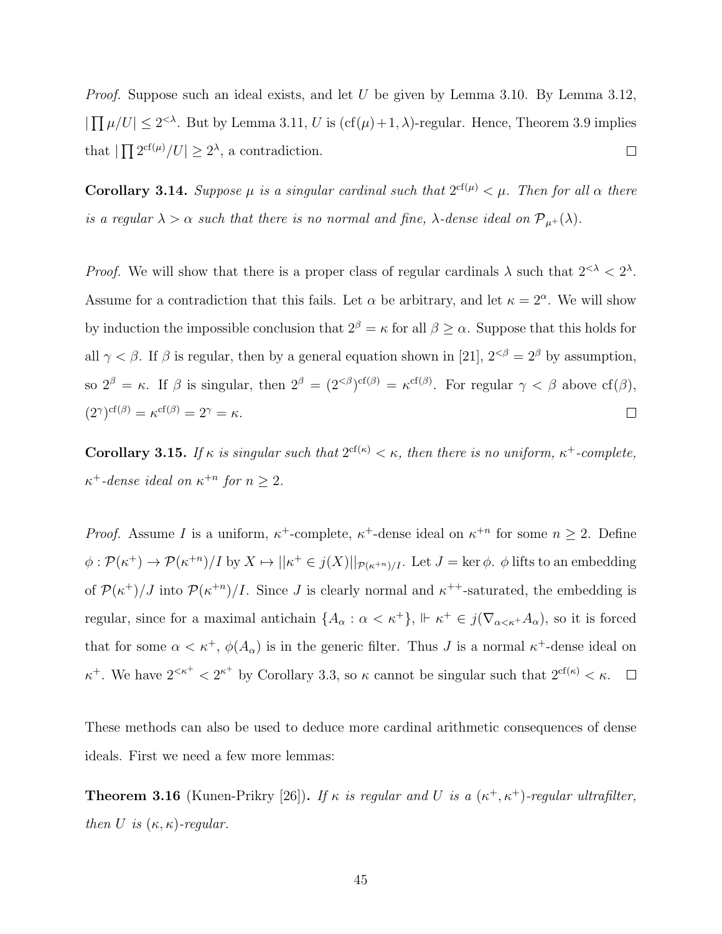*Proof.* Suppose such an ideal exists, and let U be given by Lemma [3.10.](#page-51-0) By Lemma [3.12,](#page-52-0)  $|\prod \mu/U| \leq 2^{<\lambda}$ . But by Lemma [3.11,](#page-51-1) U is  $(cf(\mu)+1, \lambda)$ -regular. Hence, Theorem [3.9](#page-50-0) implies that  $|\prod 2^{cf(\mu)}/U| \geq 2^{\lambda}$ , a contradiction.  $\Box$ 

**Corollary 3.14.** Suppose  $\mu$  is a singular cardinal such that  $2^{cf(\mu)} < \mu$ . Then for all  $\alpha$  there is a regular  $\lambda > \alpha$  such that there is no normal and fine,  $\lambda$ -dense ideal on  $\mathcal{P}_{\mu^+}(\lambda)$ .

*Proof.* We will show that there is a proper class of regular cardinals  $\lambda$  such that  $2^{<\lambda} < 2^{\lambda}$ . Assume for a contradiction that this fails. Let  $\alpha$  be arbitrary, and let  $\kappa = 2^{\alpha}$ . We will show by induction the impossible conclusion that  $2^{\beta} = \kappa$  for all  $\beta \geq \alpha$ . Suppose that this holds for all  $\gamma < \beta$ . If  $\beta$  is regular, then by a general equation shown in [\[21\]](#page-109-0),  $2^{< \beta} = 2^{\beta}$  by assumption, so  $2^{\beta} = \kappa$ . If  $\beta$  is singular, then  $2^{\beta} = (2^{<\beta})^{\text{cf}(\beta)} = \kappa^{\text{cf}(\beta)}$ . For regular  $\gamma < \beta$  above  $\text{cf}(\beta)$ ,  $(2^{\gamma})^{\mathrm{cf}(\beta)} = \kappa^{\mathrm{cf}(\beta)} = 2^{\gamma} = \kappa.$  $\Box$ 

**Corollary 3.15.** If  $\kappa$  is singular such that  $2^{\text{cf}(\kappa)} < \kappa$ , then there is no uniform,  $\kappa^+$ -complete,  $\kappa^+$ -dense ideal on  $\kappa^{+n}$  for  $n \geq 2$ .

*Proof.* Assume I is a uniform,  $\kappa^+$ -complete,  $\kappa^+$ -dense ideal on  $\kappa^{+n}$  for some  $n \geq 2$ . Define  $\phi: \mathcal{P}(\kappa^+) \to \mathcal{P}(\kappa^{+n})/I$  by  $X \mapsto ||\kappa^+ \in j(X)||_{\mathcal{P}(\kappa^{+n})/I}$ . Let  $J = \text{ker }\phi$ .  $\phi$  lifts to an embedding of  $\mathcal{P}(\kappa^+)/J$  into  $\mathcal{P}(\kappa^{+n})/I$ . Since J is clearly normal and  $\kappa^{++}$ -saturated, the embedding is regular, since for a maximal antichain  $\{A_{\alpha} : \alpha < \kappa^{+}\}\,$ ,  $\|\kappa^{+} \in j(\nabla_{\alpha < \kappa^{+}} A_{\alpha})$ , so it is forced that for some  $\alpha < \kappa^+$ ,  $\phi(A_\alpha)$  is in the generic filter. Thus J is a normal  $\kappa^+$ -dense ideal on  $\kappa^+$ . We have  $2^{<\kappa^+} < 2^{\kappa^+}$  by Corollary [3.3,](#page-47-1) so  $\kappa$  cannot be singular such that  $2^{\text{cf}(\kappa)} < \kappa$ .  $\Box$ 

These methods can also be used to deduce more cardinal arithmetic consequences of dense ideals. First we need a few more lemmas:

<span id="page-53-0"></span>**Theorem 3.16** (Kunen-Prikry [\[26\]](#page-109-4)). If  $\kappa$  is regular and U is a  $(\kappa^+, \kappa^+)$ -regular ultrafilter, then U is  $(\kappa, \kappa)$ -regular.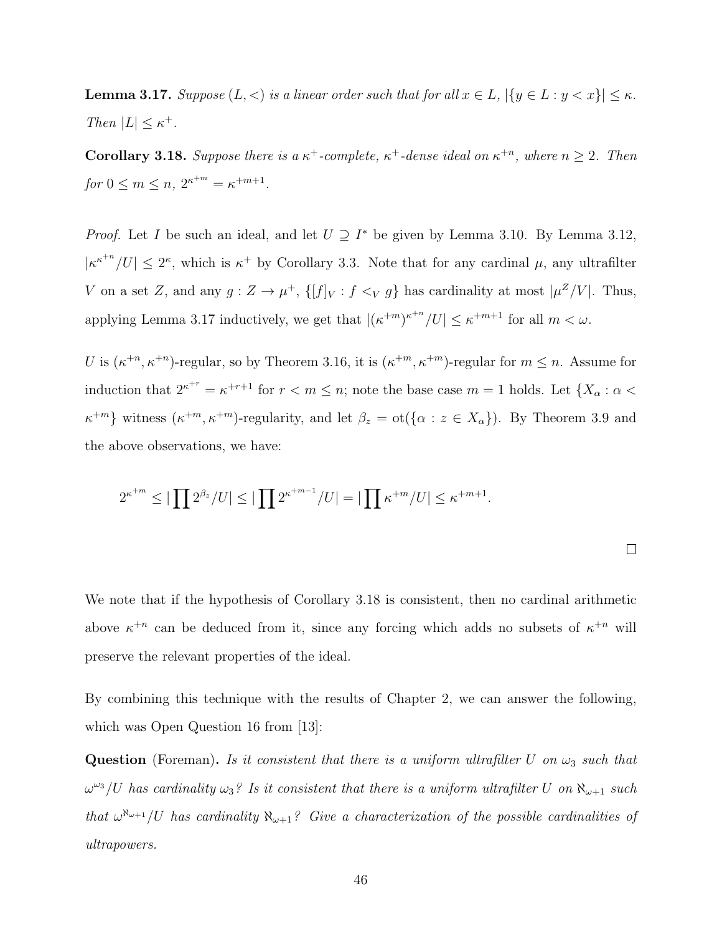<span id="page-54-0"></span>**Lemma 3.17.** Suppose  $(L, <)$  is a linear order such that for all  $x \in L$ ,  $|\{y \in L : y < x\}| \le \kappa$ . Then  $|L| \leq \kappa^+$ .

<span id="page-54-1"></span>**Corollary 3.18.** Suppose there is a  $\kappa^+$ -complete,  $\kappa^+$ -dense ideal on  $\kappa^{+n}$ , where  $n \geq 2$ . Then for  $0 \le m \le n$ ,  $2^{\kappa^{+m}} = \kappa^{+m+1}$ .

*Proof.* Let I be such an ideal, and let  $U \supseteq I^*$  be given by Lemma [3.10.](#page-51-0) By Lemma [3.12,](#page-52-0)  $|\kappa^{\kappa+n}/U| \leq 2^{\kappa}$ , which is  $\kappa^+$  by Corollary [3.3.](#page-47-1) Note that for any cardinal  $\mu$ , any ultrafilter V on a set Z, and any  $g: Z \to \mu^+, \{[f]_V : f \leq_V g\}$  has cardinality at most  $|\mu^Z/V|$ . Thus, applying Lemma [3.17](#page-54-0) inductively, we get that  $|(\kappa^{+m})^{\kappa^{+n}}/U| \leq \kappa^{+m+1}$  for all  $m < \omega$ .

U is  $(\kappa^{+n}, \kappa^{+n})$ -regular, so by Theorem [3.16,](#page-53-0) it is  $(\kappa^{+m}, \kappa^{+m})$ -regular for  $m \leq n$ . Assume for induction that  $2^{\kappa+r} = \kappa^{+r+1}$  for  $r < m \leq n$ ; note the base case  $m = 1$  holds. Let  $\{X_\alpha : \alpha <$  $\kappa^{+m}$  witness  $(\kappa^{+m}, \kappa^{+m})$ -regularity, and let  $\beta_z = \text{ot}(\{\alpha : z \in X_\alpha\})$ . By Theorem [3.9](#page-50-0) and the above observations, we have:

$$
2^{\kappa^{+m}} \leq |\prod 2^{\beta_z}/U| \leq |\prod 2^{\kappa^{+m-1}}/U| = |\prod \kappa^{+m}/U| \leq \kappa^{+m+1}.
$$

We note that if the hypothesis of Corollary [3.18](#page-54-1) is consistent, then no cardinal arithmetic above  $\kappa^{+n}$  can be deduced from it, since any forcing which adds no subsets of  $\kappa^{+n}$  will preserve the relevant properties of the ideal.

By combining this technique with the results of Chapter 2, we can answer the following, which was Open Question 16 from [\[13\]](#page-108-0):

Question (Foreman). Is it consistent that there is a uniform ultrafilter U on  $\omega_3$  such that  $\omega^{\omega_3}/U$  has cardinality  $\omega_3$ ? Is it consistent that there is a uniform ultrafilter U on  $\aleph_{\omega+1}$  such that  $\omega^{\aleph_{\omega+1}}/U$  has cardinality  $\aleph_{\omega+1}$ ? Give a characterization of the possible cardinalities of ultrapowers.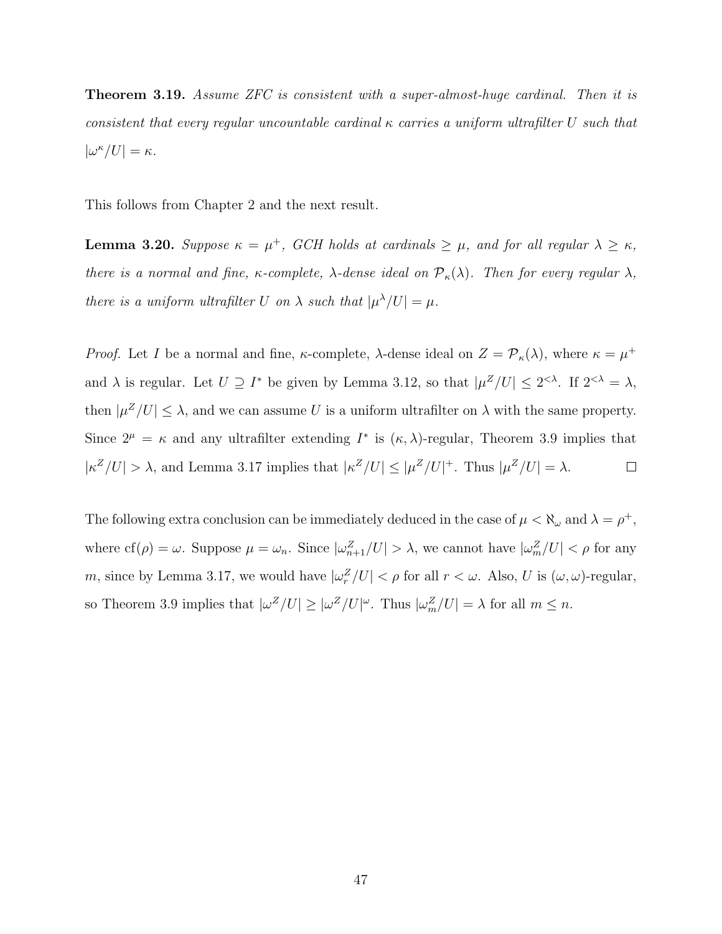**Theorem 3.19.** Assume ZFC is consistent with a super-almost-huge cardinal. Then it is consistent that every regular uncountable cardinal  $\kappa$  carries a uniform ultrafilter U such that  $|\omega^{\kappa}/U| = \kappa.$ 

This follows from Chapter 2 and the next result.

**Lemma 3.20.** Suppose  $\kappa = \mu^+$ , GCH holds at cardinals  $\geq \mu$ , and for all regular  $\lambda \geq \kappa$ , there is a normal and fine,  $\kappa$ -complete,  $\lambda$ -dense ideal on  $\mathcal{P}_{\kappa}(\lambda)$ . Then for every regular  $\lambda$ , there is a uniform ultrafilter U on  $\lambda$  such that  $|\mu^{\lambda}/U| = \mu$ .

*Proof.* Let I be a normal and fine,  $\kappa$ -complete,  $\lambda$ -dense ideal on  $Z = \mathcal{P}_{\kappa}(\lambda)$ , where  $\kappa = \mu^+$ and  $\lambda$  is regular. Let  $U \supseteq I^*$  be given by Lemma [3.12,](#page-52-0) so that  $|\mu^Z/U| \leq 2^{<\lambda}$ . If  $2^{<\lambda} = \lambda$ , then  $|\mu^Z/U| \leq \lambda$ , and we can assume U is a uniform ultrafilter on  $\lambda$  with the same property. Since  $2^{\mu} = \kappa$  and any ultrafilter extending  $I^*$  is  $(\kappa, \lambda)$ -regular, Theorem [3.9](#page-50-0) implies that  $|\kappa^Z/U| > \lambda$ , and Lemma [3.17](#page-54-0) implies that  $|\kappa^Z/U| \leq |\mu^Z/U|^+$ . Thus  $|\mu^Z/U| = \lambda$ .  $\Box$ 

The following extra conclusion can be immediately deduced in the case of  $\mu < \aleph_{\omega}$  and  $\lambda = \rho^+$ , where  $cf(\rho) = \omega$ . Suppose  $\mu = \omega_n$ . Since  $|\omega_{n+1}^Z/U| > \lambda$ , we cannot have  $|\omega_m^Z/U| < \rho$  for any m, since by Lemma [3.17,](#page-54-0) we would have  $|\omega_r^Z/U| < \rho$  for all  $r < \omega$ . Also, U is  $(\omega, \omega)$ -regular, so Theorem [3.9](#page-50-0) implies that  $|\omega^Z/U| \ge |\omega^Z/U|^{\omega}$ . Thus  $|\omega_m^Z/U| = \lambda$  for all  $m \le n$ .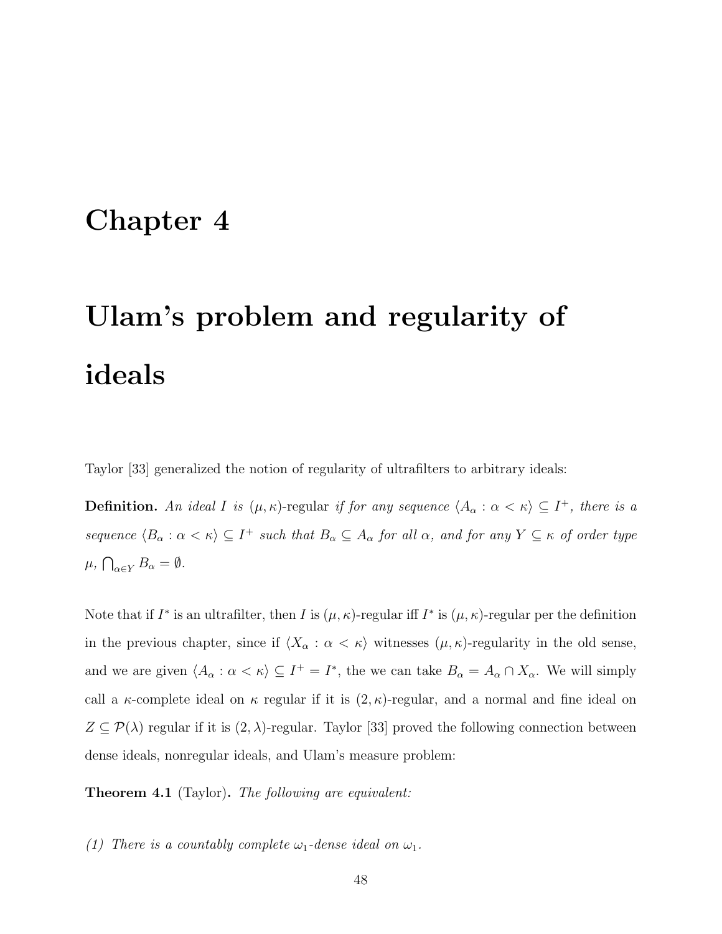## Chapter 4

# Ulam's problem and regularity of ideals

Taylor [\[33\]](#page-110-0) generalized the notion of regularity of ultrafilters to arbitrary ideals:

**Definition.** An ideal I is  $(\mu, \kappa)$ -regular if for any sequence  $\langle A_\alpha : \alpha < \kappa \rangle \subseteq I^+$ , there is a sequence  $\langle B_\alpha : \alpha < \kappa \rangle \subseteq I^+$  such that  $B_\alpha \subseteq A_\alpha$  for all  $\alpha$ , and for any  $Y \subseteq \kappa$  of order type  $\mu$ ,  $\bigcap_{\alpha \in Y} B_{\alpha} = \emptyset$ .

Note that if  $I^*$  is an ultrafilter, then I is  $(\mu, \kappa)$ -regular iff  $I^*$  is  $(\mu, \kappa)$ -regular per the definition in the previous chapter, since if  $\langle X_\alpha : \alpha < \kappa \rangle$  witnesses  $(\mu, \kappa)$ -regularity in the old sense, and we are given  $\langle A_\alpha : \alpha < \kappa \rangle \subseteq I^+ = I^*$ , the we can take  $B_\alpha = A_\alpha \cap X_\alpha$ . We will simply call a  $\kappa$ -complete ideal on  $\kappa$  regular if it is  $(2, \kappa)$ -regular, and a normal and fine ideal on  $Z \subseteq \mathcal{P}(\lambda)$  regular if it is  $(2, \lambda)$ -regular. Taylor [\[33\]](#page-110-0) proved the following connection between dense ideals, nonregular ideals, and Ulam's measure problem:

<span id="page-56-0"></span>**Theorem 4.1** (Taylor). The following are equivalent:

(1) There is a countably complete  $\omega_1$ -dense ideal on  $\omega_1$ .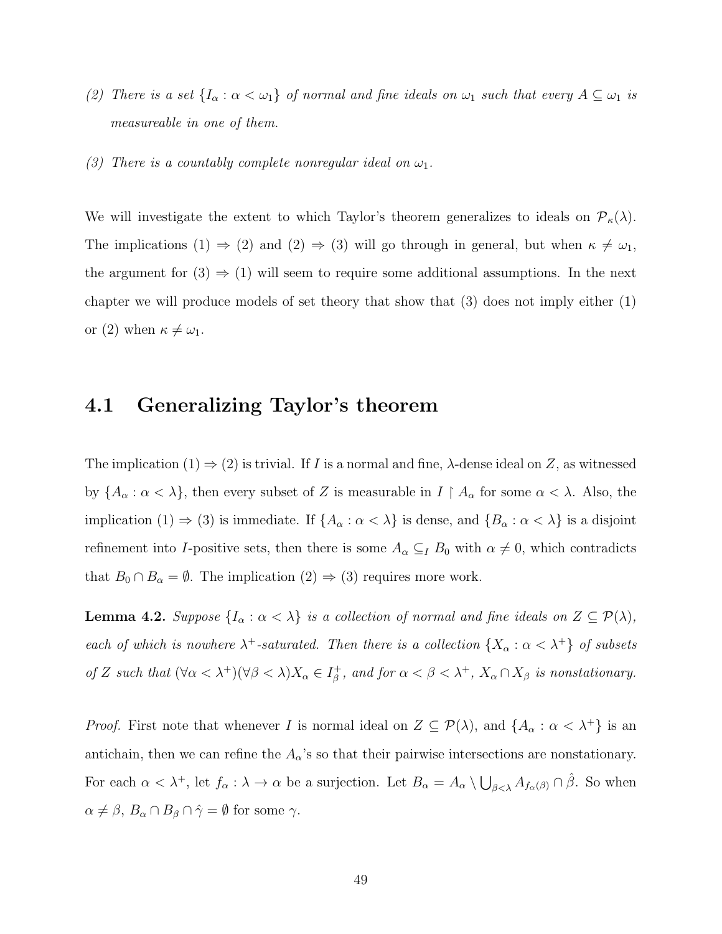- (2) There is a set  $\{I_{\alpha} : \alpha < \omega_1\}$  of normal and fine ideals on  $\omega_1$  such that every  $A \subseteq \omega_1$  is measureable in one of them.
- (3) There is a countably complete nonregular ideal on  $\omega_1$ .

We will investigate the extent to which Taylor's theorem generalizes to ideals on  $\mathcal{P}_{\kappa}(\lambda)$ . The implications (1)  $\Rightarrow$  (2) and (2)  $\Rightarrow$  (3) will go through in general, but when  $\kappa \neq \omega_1$ , the argument for  $(3) \Rightarrow (1)$  will seem to require some additional assumptions. In the next chapter we will produce models of set theory that show that (3) does not imply either (1) or (2) when  $\kappa \neq \omega_1$ .

### 4.1 Generalizing Taylor's theorem

The implication  $(1) \Rightarrow (2)$  is trivial. If I is a normal and fine,  $\lambda$ -dense ideal on Z, as witnessed by  $\{A_\alpha : \alpha < \lambda\}$ , then every subset of Z is measurable in  $I \upharpoonright A_\alpha$  for some  $\alpha < \lambda$ . Also, the implication (1)  $\Rightarrow$  (3) is immediate. If  $\{A_{\alpha} : \alpha < \lambda\}$  is dense, and  $\{B_{\alpha} : \alpha < \lambda\}$  is a disjoint refinement into I-positive sets, then there is some  $A_{\alpha} \subseteq I B_0$  with  $\alpha \neq 0$ , which contradicts that  $B_0 \cap B_\alpha = \emptyset$ . The implication  $(2) \Rightarrow (3)$  requires more work.

**Lemma 4.2.** Suppose  $\{I_{\alpha} : \alpha < \lambda\}$  is a collection of normal and fine ideals on  $Z \subseteq \mathcal{P}(\lambda)$ , each of which is nowhere  $\lambda^+$ -saturated. Then there is a collection  $\{X_\alpha : \alpha < \lambda^+\}$  of subsets of Z such that  $(\forall \alpha < \lambda^+)(\forall \beta < \lambda)X_\alpha \in I_\beta^+$  $\beta^+_{\beta}$ , and for  $\alpha < \beta < \lambda^+$ ,  $X_{\alpha} \cap X_{\beta}$  is nonstationary.

*Proof.* First note that whenever I is normal ideal on  $Z \subseteq \mathcal{P}(\lambda)$ , and  $\{A_{\alpha} : \alpha < \lambda^+\}\$ is an antichain, then we can refine the  $A_{\alpha}$ 's so that their pairwise intersections are nonstationary. For each  $\alpha < \lambda^+$ , let  $f_{\alpha}: \lambda \to \alpha$  be a surjection. Let  $B_{\alpha} = A_{\alpha} \setminus \bigcup_{\beta < \lambda} A_{f_{\alpha}(\beta)} \cap \hat{\beta}$ . So when  $\alpha \neq \beta$ ,  $B_{\alpha} \cap B_{\beta} \cap \hat{\gamma} = \emptyset$  for some  $\gamma$ .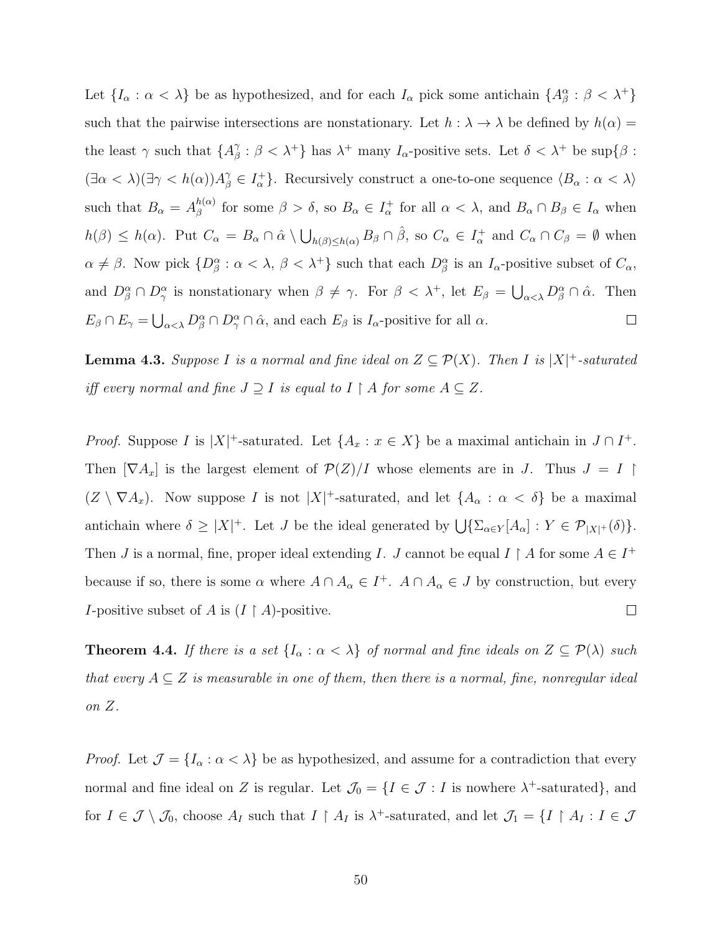Let  $\{I_\alpha : \alpha < \lambda\}$  be as hypothesized, and for each  $I_\alpha$  pick some antichain  $\{A_\beta^\alpha : \beta < \lambda^+\}$ such that the pairwise intersections are nonstationary. Let  $h : \lambda \to \lambda$  be defined by  $h(\alpha) =$ the least  $\gamma$  such that  $\{A_{\beta}^{\gamma}\}$  $\beta$  :  $\beta < \lambda^+$ } has  $\lambda^+$  many  $I_{\alpha}$ -positive sets. Let  $\delta < \lambda^+$  be sup $\{\beta :$  $(\exists \alpha < \lambda)(\exists \gamma < h(\alpha))A_{\beta}^{\gamma} \in I_{\alpha}^+$ . Recursively construct a one-to-one sequence  $\langle B_{\alpha} : \alpha < \lambda \rangle$ such that  $B_{\alpha} = A_{\beta}^{h(\alpha)}$  $\beta_{\beta}^{h(\alpha)}$  for some  $\beta > \delta$ , so  $B_{\alpha} \in I_{\alpha}^{+}$  for all  $\alpha < \lambda$ , and  $B_{\alpha} \cap B_{\beta} \in I_{\alpha}$  when  $h(\beta) \leq h(\alpha)$ . Put  $C_{\alpha} = B_{\alpha} \cap \hat{\alpha} \setminus \bigcup_{h(\beta) \leq h(\alpha)} B_{\beta} \cap \hat{\beta}$ , so  $C_{\alpha} \in I_{\alpha}^+$  and  $C_{\alpha} \cap C_{\beta} = \emptyset$  when  $\alpha \neq \beta$ . Now pick  $\{D^{\alpha}_{\beta} : \alpha < \lambda, \beta < \lambda^+\}$  such that each  $D^{\alpha}_{\beta}$  is an  $I_{\alpha}$ -positive subset of  $C_{\alpha}$ , and  $D^{\alpha}_{\beta} \cap D^{\alpha}_{\gamma}$  is nonstationary when  $\beta \neq \gamma$ . For  $\beta < \lambda^{+}$ , let  $E_{\beta} = \bigcup_{\alpha < \lambda} D^{\alpha}_{\beta} \cap \hat{\alpha}$ . Then  $E_{\beta} \cap E_{\gamma} = \bigcup_{\alpha < \lambda} D^{\alpha}_{\beta} \cap D^{\alpha}_{\gamma} \cap \hat{\alpha}$ , and each  $E_{\beta}$  is  $I_{\alpha}$ -positive for all  $\alpha$ .  $\Box$ 

<span id="page-58-0"></span>**Lemma 4.3.** Suppose I is a normal and fine ideal on  $Z \subseteq \mathcal{P}(X)$ . Then I is  $|X|$ <sup>+</sup>-saturated iff every normal and fine  $J \supseteq I$  is equal to  $I \upharpoonright A$  for some  $A \subseteq Z$ .

*Proof.* Suppose I is  $|X|$ <sup>+</sup>-saturated. Let  $\{A_x : x \in X\}$  be a maximal antichain in  $J \cap I^+$ . Then  $[\nabla A_x]$  is the largest element of  $\mathcal{P}(Z)/I$  whose elements are in J. Thus  $J = I$  $(Z \setminus \nabla A_x)$ . Now suppose I is not  $|X|^+$ -saturated, and let  $\{A_\alpha : \alpha < \delta\}$  be a maximal antichain where  $\delta \geq |X|^+$ . Let J be the ideal generated by  $\bigcup \{\sum_{\alpha \in Y} [A_{\alpha}] : Y \in \mathcal{P}_{|X|^+}(\delta)\}.$ Then *J* is a normal, fine, proper ideal extending *I*. *J* cannot be equal *I* | *A* for some  $A \in I^+$ because if so, there is some  $\alpha$  where  $A \cap A_{\alpha} \in I^+$ .  $A \cap A_{\alpha} \in J$  by construction, but every *I*-positive subset of A is  $(I \upharpoonright A)$ -positive.  $\Box$ 

<span id="page-58-1"></span>**Theorem 4.4.** If there is a set  $\{I_{\alpha} : \alpha < \lambda\}$  of normal and fine ideals on  $Z \subseteq \mathcal{P}(\lambda)$  such that every  $A \subseteq Z$  is measurable in one of them, then there is a normal, fine, nonregular ideal on Z.

*Proof.* Let  $\mathcal{J} = \{I_{\alpha} : \alpha < \lambda\}$  be as hypothesized, and assume for a contradiction that every normal and fine ideal on Z is regular. Let  $\mathcal{J}_0 = \{I \in \mathcal{J} : I$  is nowhere  $\lambda^+$ -saturated, and for  $I \in \mathcal{J} \setminus \mathcal{J}_0$ , choose  $A_I$  such that  $I \upharpoonright A_I$  is  $\lambda^+$ -saturated, and let  $\mathcal{J}_1 = \{I \upharpoonright A_I : I \in \mathcal{J}$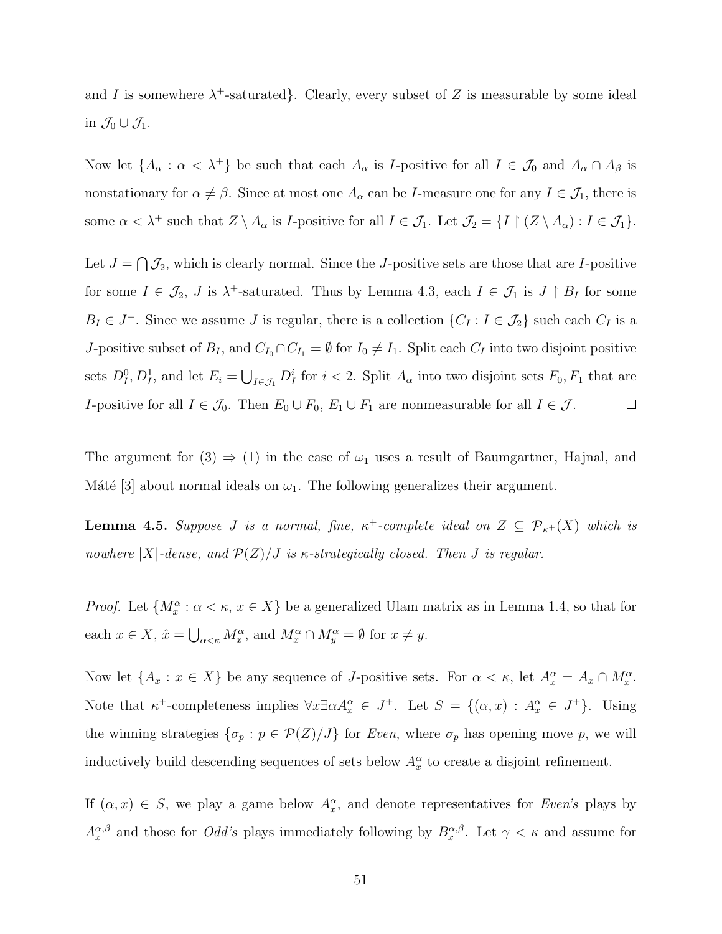and I is somewhere  $\lambda^+$ -saturated. Clearly, every subset of Z is measurable by some ideal in  $\mathcal{J}_0 \cup \mathcal{J}_1$ .

Now let  $\{A_\alpha : \alpha < \lambda^+\}$  be such that each  $A_\alpha$  is *I*-positive for all  $I \in \mathcal{J}_0$  and  $A_\alpha \cap A_\beta$  is nonstationary for  $\alpha \neq \beta$ . Since at most one  $A_{\alpha}$  can be *I*-measure one for any  $I \in \mathcal{J}_1$ , there is some  $\alpha < \lambda^+$  such that  $Z \setminus A_\alpha$  is *I*-positive for all  $I \in \mathcal{J}_1$ . Let  $\mathcal{J}_2 = \{I \upharpoonright (Z \setminus A_\alpha) : I \in \mathcal{J}_1\}.$ 

Let  $J = \bigcap \mathcal{J}_2$ , which is clearly normal. Since the J-positive sets are those that are I-positive for some  $I \in \mathcal{J}_2$ , J is  $\lambda^+$ -saturated. Thus by Lemma [4.3,](#page-58-0) each  $I \in \mathcal{J}_1$  is  $J \upharpoonright B_I$  for some  $B_I \in J^+$ . Since we assume J is regular, there is a collection  $\{C_I : I \in \mathcal{J}_2\}$  such each  $C_I$  is a J-positive subset of  $B_I$ , and  $C_{I_0} \cap C_{I_1} = \emptyset$  for  $I_0 \neq I_1$ . Split each  $C_I$  into two disjoint positive sets  $D_1^0, D_1^1$ , and let  $E_i = \bigcup_{I \in \mathcal{J}_1} D_I^i$  for  $i < 2$ . Split  $A_\alpha$  into two disjoint sets  $F_0, F_1$  that are I-positive for all  $I \in \mathcal{J}_0$ . Then  $E_0 \cup F_0$ ,  $E_1 \cup F_1$  are nonmeasurable for all  $I \in \mathcal{J}$ .  $\Box$ 

The argument for  $(3) \Rightarrow (1)$  in the case of  $\omega_1$  uses a result of Baumgartner, Hajnal, and Máté [\[3\]](#page-108-3) about normal ideals on  $\omega_1$ . The following generalizes their argument.

<span id="page-59-0"></span>**Lemma 4.5.** Suppose J is a normal, fine,  $\kappa^+$ -complete ideal on  $Z \subseteq \mathcal{P}_{\kappa^+}(X)$  which is nowhere  $|X|$ -dense, and  $\mathcal{P}(Z)/J$  is  $\kappa$ -strategically closed. Then J is regular.

*Proof.* Let  $\{M_x^{\alpha} : \alpha < \kappa, x \in X\}$  be a generalized Ulam matrix as in Lemma [1.4,](#page-16-0) so that for each  $x \in X$ ,  $\hat{x} = \bigcup_{\alpha < \kappa} M_x^{\alpha}$ , and  $M_x^{\alpha} \cap M_y^{\alpha} = \emptyset$  for  $x \neq y$ .

Now let  $\{A_x : x \in X\}$  be any sequence of *J*-positive sets. For  $\alpha < \kappa$ , let  $A_x^{\alpha} = A_x \cap M_x^{\alpha}$ . Note that  $\kappa^+$ -completeness implies  $\forall x \exists \alpha A_x^{\alpha} \in J^+$ . Let  $S = \{(\alpha, x) : A_x^{\alpha} \in J^+\}$ . Using the winning strategies  $\{\sigma_p : p \in \mathcal{P}(Z)/J\}$  for Even, where  $\sigma_p$  has opening move p, we will inductively build descending sequences of sets below  $A_x^{\alpha}$  to create a disjoint refinement.

If  $(\alpha, x) \in S$ , we play a game below  $A_x^{\alpha}$ , and denote representatives for Even's plays by  $A_x^{\alpha,\beta}$  and those for *Odd's* plays immediately following by  $B_x^{\alpha,\beta}$ . Let  $\gamma < \kappa$  and assume for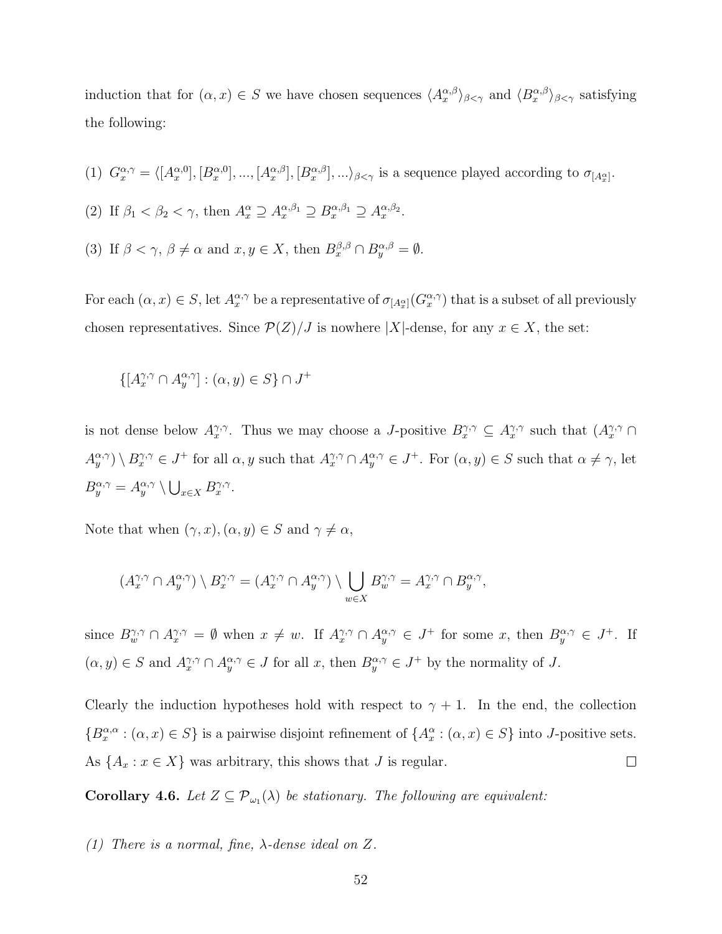induction that for  $(\alpha, x) \in S$  we have chosen sequences  $\langle A_x^{\alpha,\beta} \rangle_{\beta<\gamma}$  and  $\langle B_x^{\alpha,\beta} \rangle_{\beta<\gamma}$  satisfying the following:

- (1)  $G_x^{\alpha,\gamma} = \langle [A_x^{\alpha,0}], [B_x^{\alpha,0}], ..., [A_x^{\alpha,\beta}], [B_x^{\alpha,\beta}], ...\rangle_{\beta<\gamma}$  is a sequence played according to  $\sigma_{[A_x^{\alpha}]}$ .
- (2) If  $\beta_1 < \beta_2 < \gamma$ , then  $A_x^{\alpha} \supseteq A_x^{\alpha,\beta_1} \supseteq B_x^{\alpha,\beta_1} \supseteq A_x^{\alpha,\beta_2}$ .
- (3) If  $\beta < \gamma$ ,  $\beta \neq \alpha$  and  $x, y \in X$ , then  $B_x^{\beta,\beta} \cap B_y^{\alpha,\beta} = \emptyset$ .

For each  $(\alpha, x) \in S$ , let  $A_x^{\alpha, \gamma}$  be a representative of  $\sigma_{[A_x^{\alpha}]}(G_x^{\alpha, \gamma})$  that is a subset of all previously chosen representatives. Since  $\mathcal{P}(Z)/J$  is nowhere |X|-dense, for any  $x \in X$ , the set:

$$
\{ [A_x^{\gamma,\gamma} \cap A_y^{\alpha,\gamma}] : (\alpha, y) \in S \} \cap J^+
$$

is not dense below  $A_x^{\gamma,\gamma}$ . Thus we may choose a *J*-positive  $B_x^{\gamma,\gamma} \subseteq A_x^{\gamma,\gamma}$  such that  $(A_x^{\gamma,\gamma} \cap$  $A_y^{\alpha,\gamma}$   $\setminus B_x^{\gamma,\gamma} \in J^+$  for all  $\alpha, y$  such that  $A_x^{\gamma,\gamma} \cap A_y^{\alpha,\gamma} \in J^+$ . For  $(\alpha, y) \in S$  such that  $\alpha \neq \gamma$ , let  $B_y^{\alpha,\gamma} = A_y^{\alpha,\gamma} \setminus \bigcup_{x \in X} B_x^{\gamma,\gamma}.$ 

Note that when  $(\gamma, x), (\alpha, y) \in S$  and  $\gamma \neq \alpha$ ,

$$
(A_x^{\gamma,\gamma} \cap A_y^{\alpha,\gamma}) \setminus B_x^{\gamma,\gamma} = (A_x^{\gamma,\gamma} \cap A_y^{\alpha,\gamma}) \setminus \bigcup_{w \in X} B_w^{\gamma,\gamma} = A_x^{\gamma,\gamma} \cap B_y^{\alpha,\gamma},
$$

since  $B_{w}^{\gamma,\gamma} \cap A_{x}^{\gamma,\gamma} = \emptyset$  when  $x \neq w$ . If  $A_{x}^{\gamma,\gamma} \cap A_{y}^{\alpha,\gamma} \in J^{+}$  for some x, then  $B_{y}^{\alpha,\gamma} \in J^{+}$ . If  $(\alpha, y) \in S$  and  $A^{\gamma, \gamma}_{x} \cap A^{\alpha, \gamma}_{y} \in J$  for all x, then  $B^{\alpha, \gamma}_{y} \in J^{+}$  by the normality of J.

Clearly the induction hypotheses hold with respect to  $\gamma + 1$ . In the end, the collection  $\{B_x^{\alpha,\alpha}: (\alpha, x) \in S\}$  is a pairwise disjoint refinement of  $\{A_x^{\alpha}: (\alpha, x) \in S\}$  into J-positive sets. As  $\{A_x : x \in X\}$  was arbitrary, this shows that J is regular.  $\Box$ 

<span id="page-60-0"></span>**Corollary 4.6.** Let  $Z \subseteq \mathcal{P}_{\omega_1}(\lambda)$  be stationary. The following are equivalent:

(1) There is a normal, fine, λ-dense ideal on Z.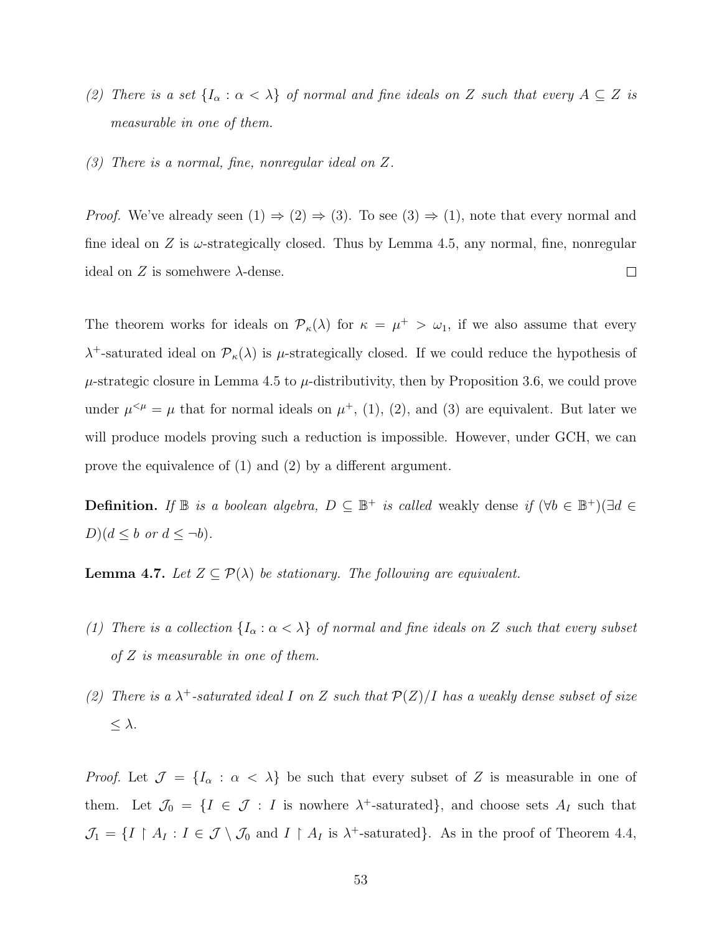- (2) There is a set  $\{I_{\alpha} : \alpha < \lambda\}$  of normal and fine ideals on Z such that every  $A \subseteq Z$  is measurable in one of them.
- (3) There is a normal, fine, nonregular ideal on Z.

*Proof.* We've already seen  $(1) \Rightarrow (2) \Rightarrow (3)$ . To see  $(3) \Rightarrow (1)$ , note that every normal and fine ideal on Z is  $\omega$ -strategically closed. Thus by Lemma [4.5,](#page-59-0) any normal, fine, nonregular  $\Box$ ideal on Z is somehwere  $\lambda$ -dense.

The theorem works for ideals on  $\mathcal{P}_{\kappa}(\lambda)$  for  $\kappa = \mu^+ > \omega_1$ , if we also assume that every  $\lambda^+$ -saturated ideal on  $\mathcal{P}_{\kappa}(\lambda)$  is  $\mu$ -strategically closed. If we could reduce the hypothesis of  $\mu$ -strategic closure in Lemma [4.5](#page-59-0) to  $\mu$ -distributivity, then by Proposition [3.6,](#page-48-1) we could prove under  $\mu^{<\mu} = \mu$  that for normal ideals on  $\mu^+$ , (1), (2), and (3) are equivalent. But later we will produce models proving such a reduction is impossible. However, under GCH, we can prove the equivalence of (1) and (2) by a different argument.

**Definition.** If  $\mathbb{B}$  is a boolean algebra,  $D \subseteq \mathbb{B}^+$  is called weakly dense if  $(\forall b \in \mathbb{B}^+)$  $(\exists d \in \mathbb{B}^+)$  $D$ ) $(d \leq b \text{ or } d \leq \neg b)$ .

**Lemma 4.7.** Let  $Z \subseteq \mathcal{P}(\lambda)$  be stationary. The following are equivalent.

- (1) There is a collection  $\{I_{\alpha} : \alpha < \lambda\}$  of normal and fine ideals on Z such that every subset of Z is measurable in one of them.
- (2) There is a  $\lambda^+$ -saturated ideal I on Z such that  $\mathcal{P}(Z)/I$  has a weakly dense subset of size  $\leq \lambda$ .

*Proof.* Let  $\mathcal{J} = \{I_\alpha : \alpha < \lambda\}$  be such that every subset of Z is measurable in one of them. Let  $\mathcal{J}_0 = \{I \in \mathcal{J} : I \text{ is nowhere } \lambda^+ \text{-saturated}\},\$ and choose sets  $A_I$  such that  $\mathcal{J}_1 = \{I \restriction A_I : I \in \mathcal{J} \setminus \mathcal{J}_0 \text{ and } I \restriction A_I \text{ is } \lambda^+\text{-saturated}\}.$  As in the proof of Theorem [4.4,](#page-58-1)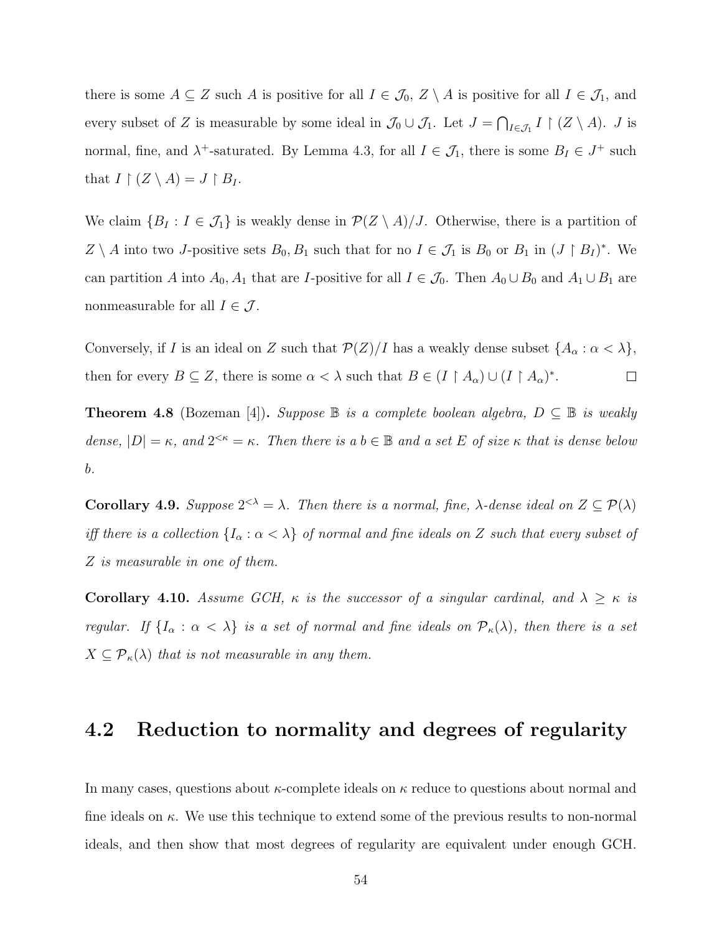there is some  $A \subseteq Z$  such A is positive for all  $I \in \mathcal{J}_0$ ,  $Z \setminus A$  is positive for all  $I \in \mathcal{J}_1$ , and every subset of Z is measurable by some ideal in  $\mathcal{J}_0 \cup \mathcal{J}_1$ . Let  $J = \bigcap_{I \in \mathcal{J}_1} I \upharpoonright (Z \setminus A)$ . J is normal, fine, and  $\lambda^+$ -saturated. By Lemma [4.3,](#page-58-0) for all  $I \in \mathcal{J}_1$ , there is some  $B_I \in J^+$  such that  $I \upharpoonright (Z \setminus A) = J \upharpoonright B_I$ .

We claim  $\{B_I : I \in \mathcal{J}_1\}$  is weakly dense in  $\mathcal{P}(Z \setminus A)/J$ . Otherwise, there is a partition of  $Z \setminus A$  into two J-positive sets  $B_0, B_1$  such that for no  $I \in \mathcal{J}_1$  is  $B_0$  or  $B_1$  in  $(J \upharpoonright B_I)^*$ . We can partition A into  $A_0$ ,  $A_1$  that are I-positive for all  $I \in \mathcal{J}_0$ . Then  $A_0 \cup B_0$  and  $A_1 \cup B_1$  are nonmeasurable for all  $I \in \mathcal{J}$ .

Conversely, if I is an ideal on Z such that  $\mathcal{P}(Z)/I$  has a weakly dense subset  $\{A_{\alpha} : \alpha < \lambda\}$ , then for every  $B \subseteq Z$ , there is some  $\alpha < \lambda$  such that  $B \in (I \upharpoonright A_{\alpha}) \cup (I \upharpoonright A_{\alpha})^*$ .  $\Box$ 

**Theorem 4.8** (Bozeman [\[4\]](#page-108-4)). Suppose  $\mathbb{B}$  is a complete boolean algebra,  $D \subseteq \mathbb{B}$  is weakly dense,  $|D| = \kappa$ , and  $2^{<\kappa} = \kappa$ . Then there is a  $b \in \mathbb{B}$  and a set E of size  $\kappa$  that is dense below b.

**Corollary 4.9.** Suppose  $2^{<\lambda} = \lambda$ . Then there is a normal, fine,  $\lambda$ -dense ideal on  $Z \subseteq \mathcal{P}(\lambda)$ iff there is a collection  $\{I_\alpha : \alpha < \lambda\}$  of normal and fine ideals on Z such that every subset of Z is measurable in one of them.

Corollary 4.10. Assume GCH,  $\kappa$  is the successor of a singular cardinal, and  $\lambda \geq \kappa$  is regular. If  $\{I_\alpha : \alpha < \lambda\}$  is a set of normal and fine ideals on  $\mathcal{P}_\kappa(\lambda)$ , then there is a set  $X \subseteq \mathcal{P}_{\kappa}(\lambda)$  that is not measurable in any them.

### 4.2 Reduction to normality and degrees of regularity

In many cases, questions about  $\kappa$ -complete ideals on  $\kappa$  reduce to questions about normal and fine ideals on  $\kappa$ . We use this technique to extend some of the previous results to non-normal ideals, and then show that most degrees of regularity are equivalent under enough GCH.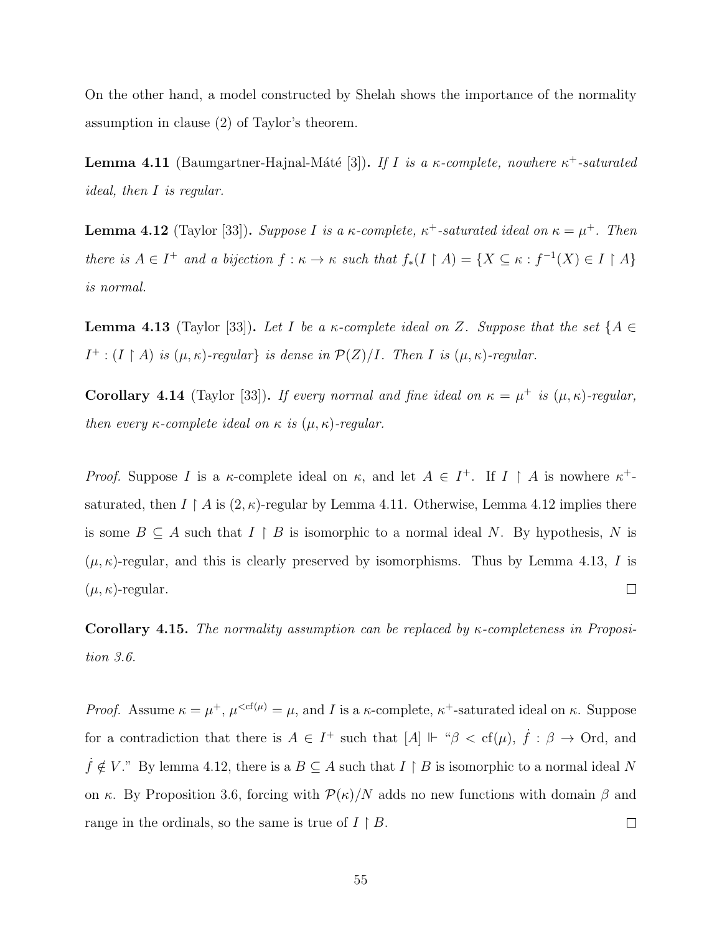On the other hand, a model constructed by Shelah shows the importance of the normality assumption in clause (2) of Taylor's theorem.

<span id="page-63-0"></span>**Lemma 4.11** (Baumgartner-Hajnal-Máté [\[3\]](#page-108-3)). If I is a  $\kappa$ -complete, nowhere  $\kappa^+$ -saturated ideal, then I is regular.

<span id="page-63-1"></span>**Lemma 4.12** (Taylor [\[33\]](#page-110-0)). Suppose I is a  $\kappa$ -complete,  $\kappa^+$ -saturated ideal on  $\kappa = \mu^+$ . Then there is  $A \in I^+$  and a bijection  $f : \kappa \to \kappa$  such that  $f_*(I \upharpoonright A) = \{X \subseteq \kappa : f^{-1}(X) \in I \upharpoonright A\}$ is normal.

<span id="page-63-2"></span>**Lemma 4.13** (Taylor [\[33\]](#page-110-0)). Let I be a  $\kappa$ -complete ideal on Z. Suppose that the set {A  $\in$  $I^+$ :  $(I \upharpoonright A)$  is  $(\mu, \kappa)$ -regular $\}$  is dense in  $\mathcal{P}(Z)/I$ . Then I is  $(\mu, \kappa)$ -regular.

**Corollary 4.14** (Taylor [\[33\]](#page-110-0)). If every normal and fine ideal on  $\kappa = \mu^+$  is  $(\mu, \kappa)$ -regular, then every  $\kappa$ -complete ideal on  $\kappa$  is  $(\mu, \kappa)$ -regular.

*Proof.* Suppose I is a  $\kappa$ -complete ideal on  $\kappa$ , and let  $A \in I^+$ . If  $I \upharpoonright A$  is nowhere  $\kappa^+$ saturated, then  $I \upharpoonright A$  is  $(2, \kappa)$ -regular by Lemma [4.11.](#page-63-0) Otherwise, Lemma [4.12](#page-63-1) implies there is some  $B \subseteq A$  such that  $I \upharpoonright B$  is isomorphic to a normal ideal N. By hypothesis, N is  $(\mu, \kappa)$ -regular, and this is clearly preserved by isomorphisms. Thus by Lemma [4.13,](#page-63-2) I is  $(\mu, \kappa)$ -regular.  $\Box$ 

**Corollary 4.15.** The normality assumption can be replaced by  $\kappa$ -completeness in Proposition [3.6.](#page-48-1)

*Proof.* Assume  $\kappa = \mu^+, \mu^{, and I is a  $\kappa$ -complete,  $\kappa^+$ -saturated ideal on  $\kappa$ . Suppose$ for a contradiction that there is  $A \in I^+$  such that  $[A] \Vdash \mathscr{B} < \text{cf}(\mu)$ ,  $\dot{f} : \beta \to \text{Ord}$ , and  $\dot{f}$  ∉ V." By lemma [4.12,](#page-63-1) there is a  $B \subseteq A$  such that  $I \upharpoonright B$  is isomorphic to a normal ideal N on κ. By Proposition [3.6,](#page-48-1) forcing with  $\mathcal{P}(\kappa)/N$  adds no new functions with domain  $\beta$  and range in the ordinals, so the same is true of  $I \upharpoonright B$ .  $\Box$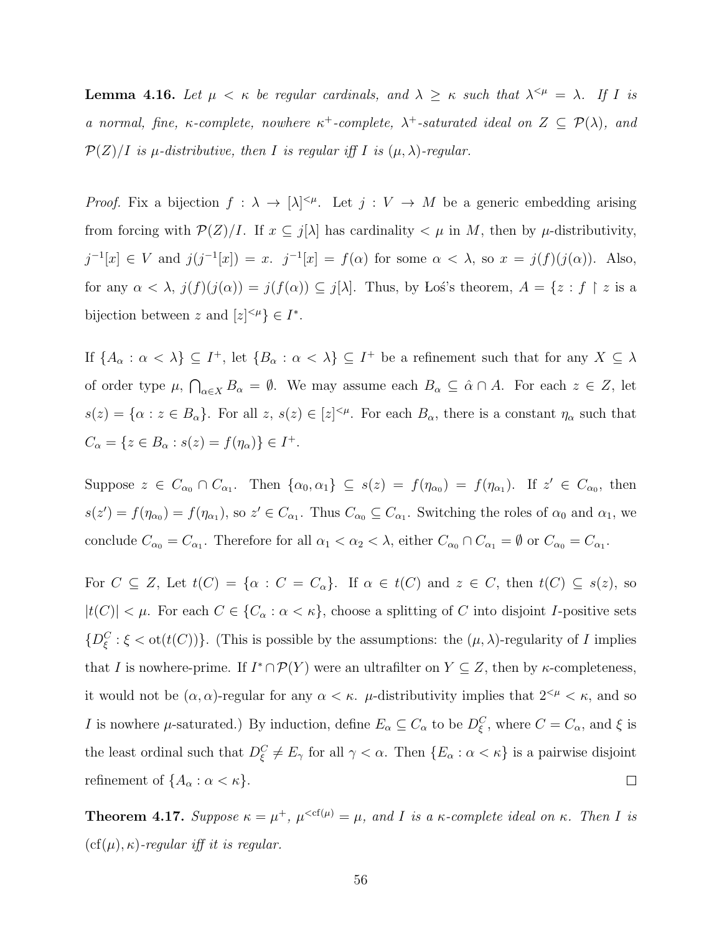<span id="page-64-0"></span>**Lemma 4.16.** Let  $\mu < \kappa$  be regular cardinals, and  $\lambda \geq \kappa$  such that  $\lambda^{<\mu} = \lambda$ . If I is a normal, fine, κ-complete, nowhere  $\kappa^+$ -complete,  $\lambda^+$ -saturated ideal on  $Z \subseteq \mathcal{P}(\lambda)$ , and  $\mathcal{P}(Z)/I$  is  $\mu$ -distributive, then I is regular iff I is  $(\mu, \lambda)$ -regular.

*Proof.* Fix a bijection  $f: \lambda \to [\lambda]^{<\mu}$ . Let  $j: V \to M$  be a generic embedding arising from forcing with  $\mathcal{P}(Z)/I$ . If  $x \subseteq j[\lambda]$  has cardinality  $\lt \mu$  in M, then by  $\mu$ -distributivity,  $j^{-1}[x] \in V$  and  $j(j^{-1}[x]) = x$ .  $j^{-1}[x] = f(\alpha)$  for some  $\alpha < \lambda$ , so  $x = j(f)(j(\alpha))$ . Also, for any  $\alpha < \lambda$ ,  $j(f)(j(\alpha)) = j(f(\alpha)) \subseteq j[\lambda]$ . Thus, by Los's theorem,  $A = \{z : f \restriction z \text{ is a }$ bijection between z and  $[z]^{<\mu} \in I^*$ .

If  $\{A_\alpha : \alpha < \lambda\} \subseteq I^+$ , let  $\{B_\alpha : \alpha < \lambda\} \subseteq I^+$  be a refinement such that for any  $X \subseteq \lambda$ of order type  $\mu$ ,  $\bigcap_{\alpha \in X} B_{\alpha} = \emptyset$ . We may assume each  $B_{\alpha} \subseteq \hat{\alpha} \cap A$ . For each  $z \in Z$ , let  $s(z) = \{\alpha : z \in B_\alpha\}.$  For all  $z, s(z) \in [z]^{<\mu}$ . For each  $B_\alpha$ , there is a constant  $\eta_\alpha$  such that  $C_{\alpha} = \{ z \in B_{\alpha} : s(z) = f(\eta_{\alpha}) \} \in I^{+}.$ 

Suppose  $z \in C_{\alpha_0} \cap C_{\alpha_1}$ . Then  $\{\alpha_0, \alpha_1\} \subseteq s(z) = f(\eta_{\alpha_0}) = f(\eta_{\alpha_1})$ . If  $z' \in C_{\alpha_0}$ , then  $s(z') = f(\eta_{\alpha_0}) = f(\eta_{\alpha_1}),$  so  $z' \in C_{\alpha_1}.$  Thus  $C_{\alpha_0} \subseteq C_{\alpha_1}.$  Switching the roles of  $\alpha_0$  and  $\alpha_1$ , we conclude  $C_{\alpha_0} = C_{\alpha_1}$ . Therefore for all  $\alpha_1 < \alpha_2 < \lambda$ , either  $C_{\alpha_0} \cap C_{\alpha_1} = \emptyset$  or  $C_{\alpha_0} = C_{\alpha_1}$ .

For  $C \subseteq Z$ , Let  $t(C) = \{\alpha : C = C_{\alpha}\}\$ . If  $\alpha \in t(C)$  and  $z \in C$ , then  $t(C) \subseteq s(z)$ , so  $|t(C)| < \mu$ . For each  $C \in \{C_{\alpha} : \alpha < \kappa\}$ , choose a splitting of C into disjoint I-positive sets  ${D_{\xi}^C : \xi < \text{ot}(t(C))}.$  (This is possible by the assumptions: the  $(\mu, \lambda)$ -regularity of I implies that I is nowhere-prime. If  $I^* \cap \mathcal{P}(Y)$  were an ultrafilter on  $Y \subseteq Z$ , then by  $\kappa$ -completeness, it would not be  $(\alpha, \alpha)$ -regular for any  $\alpha < \kappa$ .  $\mu$ -distributivity implies that  $2^{< \mu} < \kappa$ , and so I is nowhere  $\mu$ -saturated.) By induction, define  $E_{\alpha} \subseteq C_{\alpha}$  to be  $D_{\xi}^{C}$ , where  $C = C_{\alpha}$ , and  $\xi$  is the least ordinal such that  $D_{\xi}^{C} \neq E_{\gamma}$  for all  $\gamma < \alpha$ . Then  $\{E_{\alpha} : \alpha < \kappa\}$  is a pairwise disjoint refinement of  $\{A_\alpha : \alpha < \kappa\}.$  $\Box$ 

**Theorem 4.17.** Suppose  $\kappa = \mu^+$ ,  $\mu^{, and I is a  $\kappa$ -complete ideal on  $\kappa$ . Then I is$  $(cf(\mu), \kappa)$ -regular iff it is regular.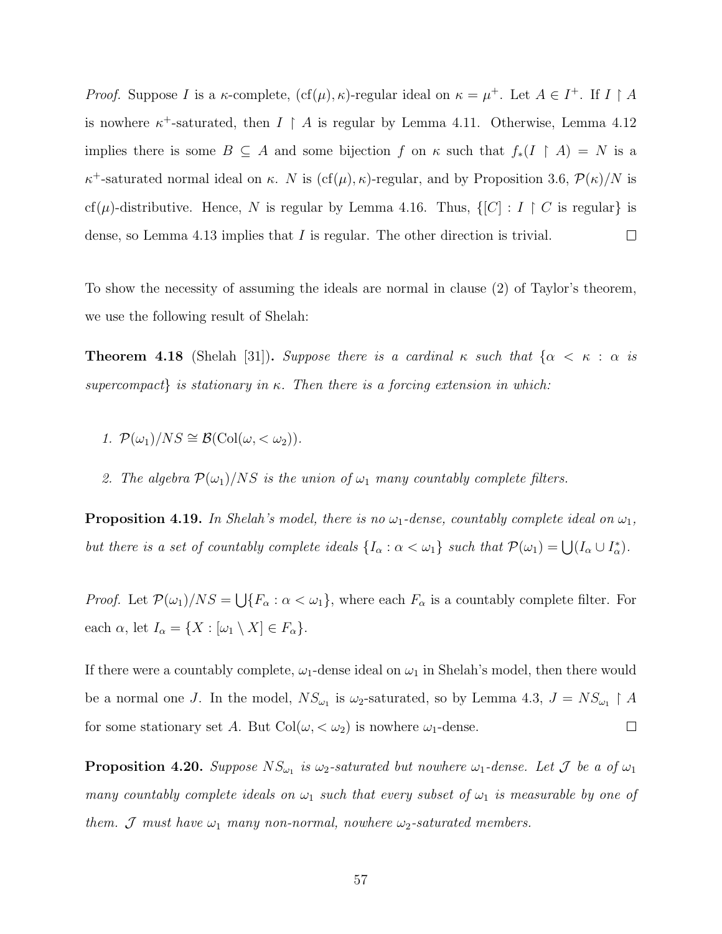*Proof.* Suppose I is a  $\kappa$ -complete,  $(cf(\mu), \kappa)$ -regular ideal on  $\kappa = \mu^+$ . Let  $A \in I^+$ . If  $I \upharpoonright A$ is nowhere  $\kappa^+$ -saturated, then  $I \restriction A$  is regular by Lemma [4.11.](#page-63-0) Otherwise, Lemma [4.12](#page-63-1) implies there is some  $B \subseteq A$  and some bijection f on  $\kappa$  such that  $f_*(I \upharpoonright A) = N$  is a  $\kappa^+$ -saturated normal ideal on κ. N is (cf(μ), κ)-regular, and by Proposition [3.6,](#page-48-1)  $\mathcal{P}(\kappa)/N$  is cf( $\mu$ )-distributive. Hence, N is regular by Lemma [4.16.](#page-64-0) Thus,  $\{[C] : I \restriction C$  is regular is dense, so Lemma [4.13](#page-63-2) implies that I is regular. The other direction is trivial.  $\Box$ 

To show the necessity of assuming the ideals are normal in clause (2) of Taylor's theorem, we use the following result of Shelah:

**Theorem 4.18** (Shelah [\[31\]](#page-109-5)). Suppose there is a cardinal  $\kappa$  such that  $\{\alpha < \kappa : \alpha$  is supercompact is stationary in κ. Then there is a forcing extension in which:

- 1.  $\mathcal{P}(\omega_1)/NS \cong \mathcal{B}(\text{Col}(\omega, < \omega_2)).$
- 2. The algebra  $\mathcal{P}(\omega_1)/NS$  is the union of  $\omega_1$  many countably complete filters.

**Proposition 4.19.** In Shelah's model, there is no  $\omega_1$ -dense, countably complete ideal on  $\omega_1$ , but there is a set of countably complete ideals  $\{I_\alpha : \alpha < \omega_1\}$  such that  $\mathcal{P}(\omega_1) = \bigcup (I_\alpha \cup I_\alpha^*)$ .

*Proof.* Let  $\mathcal{P}(\omega_1)/NS = \bigcup \{F_\alpha : \alpha < \omega_1\}$ , where each  $F_\alpha$  is a countably complete filter. For each  $\alpha$ , let  $I_{\alpha} = \{X : [\omega_1 \setminus X] \in F_{\alpha}\}.$ 

If there were a countably complete,  $\omega_1$ -dense ideal on  $\omega_1$  in Shelah's model, then there would be a normal one J. In the model,  $NS_{\omega_1}$  is  $\omega_2$ -saturated, so by Lemma [4.3,](#page-58-0)  $J = NS_{\omega_1} \upharpoonright A$  $\Box$ for some stationary set A. But  $Col(\omega, < \omega_2)$  is nowhere  $\omega_1$ -dense.

**Proposition 4.20.** Suppose  $NS_{\omega_1}$  is  $\omega_2$ -saturated but nowhere  $\omega_1$ -dense. Let  $\mathcal J$  be a of  $\omega_1$ many countably complete ideals on  $\omega_1$  such that every subset of  $\omega_1$  is measurable by one of them. J must have  $\omega_1$  many non-normal, nowhere  $\omega_2$ -saturated members.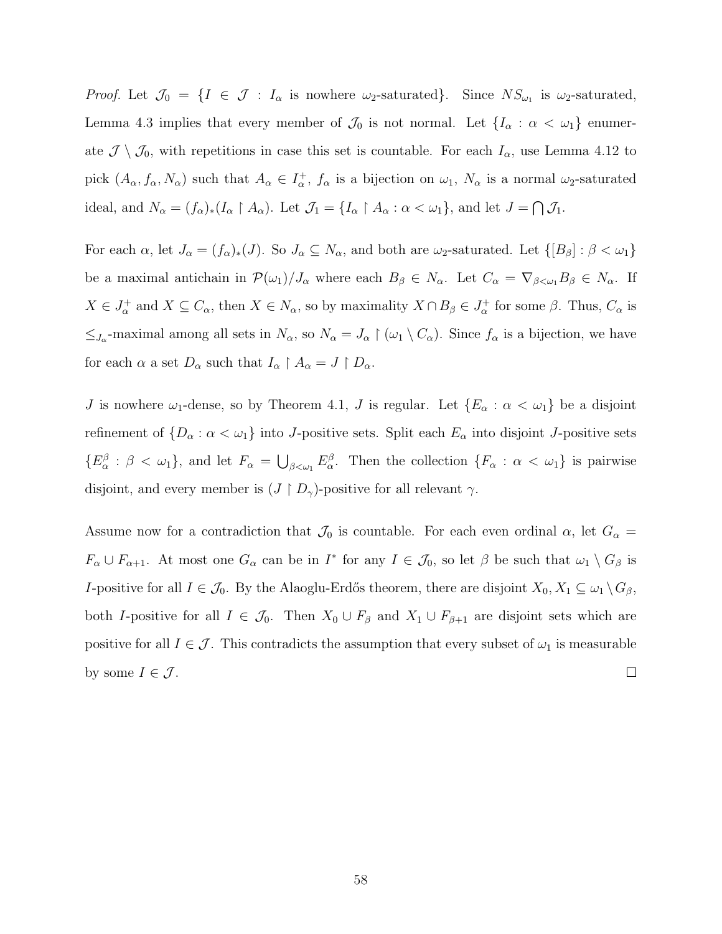Proof. Let  $\mathcal{J}_0 = \{I \in \mathcal{J} : I_\alpha \text{ is nowhere } \omega_2\text{-saturated}\}\.$  Since  $NS_{\omega_1}$  is  $\omega_2\text{-saturated}\,$ , Lemma [4.3](#page-58-0) implies that every member of  $\mathcal{J}_0$  is not normal. Let  $\{I_\alpha : \alpha < \omega_1\}$  enumerate  $\mathcal{J} \setminus \mathcal{J}_0$ , with repetitions in case this set is countable. For each  $I_\alpha$ , use Lemma [4.12](#page-63-1) to pick  $(A_\alpha, f_\alpha, N_\alpha)$  such that  $A_\alpha \in I_\alpha^+$ ,  $f_\alpha$  is a bijection on  $\omega_1$ ,  $N_\alpha$  is a normal  $\omega_2$ -saturated ideal, and  $N_{\alpha} = (f_{\alpha})_*(I_{\alpha} \upharpoonright A_{\alpha})$ . Let  $\mathcal{J}_1 = \{I_{\alpha} \upharpoonright A_{\alpha} : \alpha < \omega_1\}$ , and let  $J = \bigcap \mathcal{J}_1$ .

For each  $\alpha$ , let  $J_{\alpha} = (f_{\alpha})_*(J)$ . So  $J_{\alpha} \subseteq N_{\alpha}$ , and both are  $\omega_2$ -saturated. Let  $\{[B_{\beta}] : \beta < \omega_1\}$ be a maximal antichain in  $\mathcal{P}(\omega_1)/J_\alpha$  where each  $B_\beta \in N_\alpha$ . Let  $C_\alpha = \nabla_{\beta \lt \omega_1} B_\beta \in N_\alpha$ . If  $X \in J^+_{\alpha}$  and  $X \subseteq C_{\alpha}$ , then  $X \in N_{\alpha}$ , so by maximality  $X \cap B_{\beta} \in J^+_{\alpha}$  for some  $\beta$ . Thus,  $C_{\alpha}$  is  $\leq_{J_{\alpha}}$ -maximal among all sets in  $N_{\alpha}$ , so  $N_{\alpha} = J_{\alpha} \restriction (\omega_1 \setminus C_{\alpha})$ . Since  $f_{\alpha}$  is a bijection, we have for each  $\alpha$  a set  $D_{\alpha}$  such that  $I_{\alpha} \upharpoonright A_{\alpha} = J \upharpoonright D_{\alpha}$ .

J is nowhere  $\omega_1$ -dense, so by Theorem [4.1,](#page-56-0) J is regular. Let  $\{E_\alpha : \alpha < \omega_1\}$  be a disjoint refinement of  $\{D_\alpha : \alpha < \omega_1\}$  into J-positive sets. Split each  $E_\alpha$  into disjoint J-positive sets  $\{E_{\alpha}^{\beta} : \beta < \omega_1\}$ , and let  $F_{\alpha} = \bigcup_{\beta < \omega_1} E_{\alpha}^{\beta}$ . Then the collection  $\{F_{\alpha} : \alpha < \omega_1\}$  is pairwise disjoint, and every member is  $(J \restriction D_\gamma)$ -positive for all relevant  $\gamma$ .

Assume now for a contradiction that  $\mathcal{J}_0$  is countable. For each even ordinal  $\alpha$ , let  $G_{\alpha}$  =  $F_{\alpha} \cup F_{\alpha+1}$ . At most one  $G_{\alpha}$  can be in  $I^*$  for any  $I \in \mathcal{J}_0$ , so let  $\beta$  be such that  $\omega_1 \setminus G_{\beta}$  is I-positive for all  $I \in \mathcal{J}_0$ . By the Alaoglu-Erdős theorem, there are disjoint  $X_0, X_1 \subseteq \omega_1 \setminus G_\beta$ , both I-positive for all  $I \in \mathcal{J}_0$ . Then  $X_0 \cup F_\beta$  and  $X_1 \cup F_{\beta+1}$  are disjoint sets which are positive for all  $I \in \mathcal{J}$ . This contradicts the assumption that every subset of  $\omega_1$  is measurable by some  $I \in \mathcal{J}$ .  $\Box$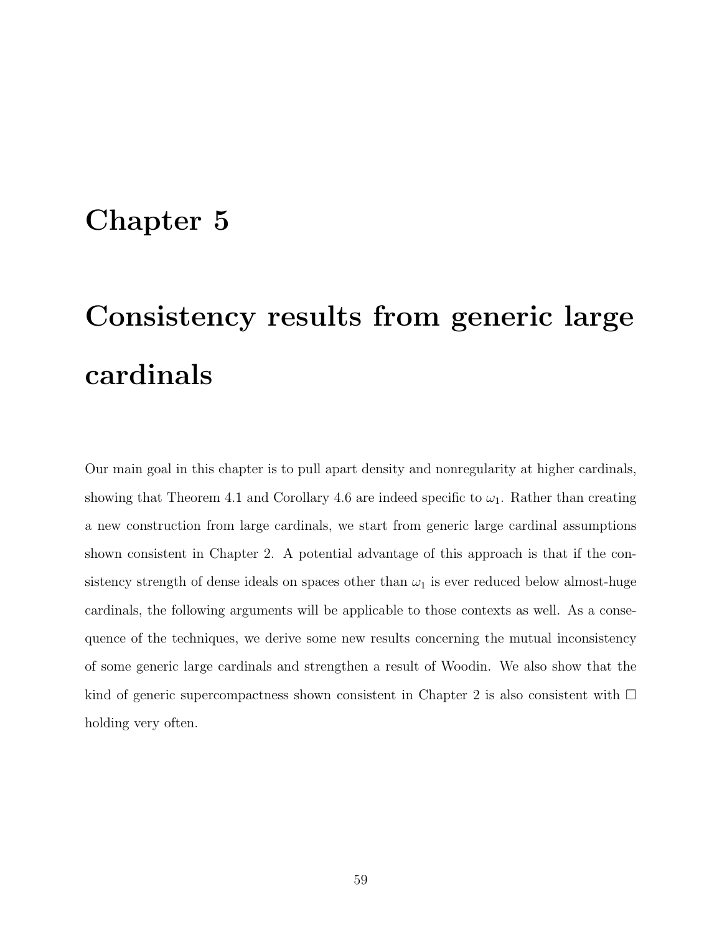## Chapter 5

# Consistency results from generic large cardinals

Our main goal in this chapter is to pull apart density and nonregularity at higher cardinals, showing that Theorem [4.1](#page-56-0) and Corollary [4.6](#page-60-0) are indeed specific to  $\omega_1$ . Rather than creating a new construction from large cardinals, we start from generic large cardinal assumptions shown consistent in Chapter 2. A potential advantage of this approach is that if the consistency strength of dense ideals on spaces other than  $\omega_1$  is ever reduced below almost-huge cardinals, the following arguments will be applicable to those contexts as well. As a consequence of the techniques, we derive some new results concerning the mutual inconsistency of some generic large cardinals and strengthen a result of Woodin. We also show that the kind of generic supercompactness shown consistent in Chapter 2 is also consistent with  $\Box$ holding very often.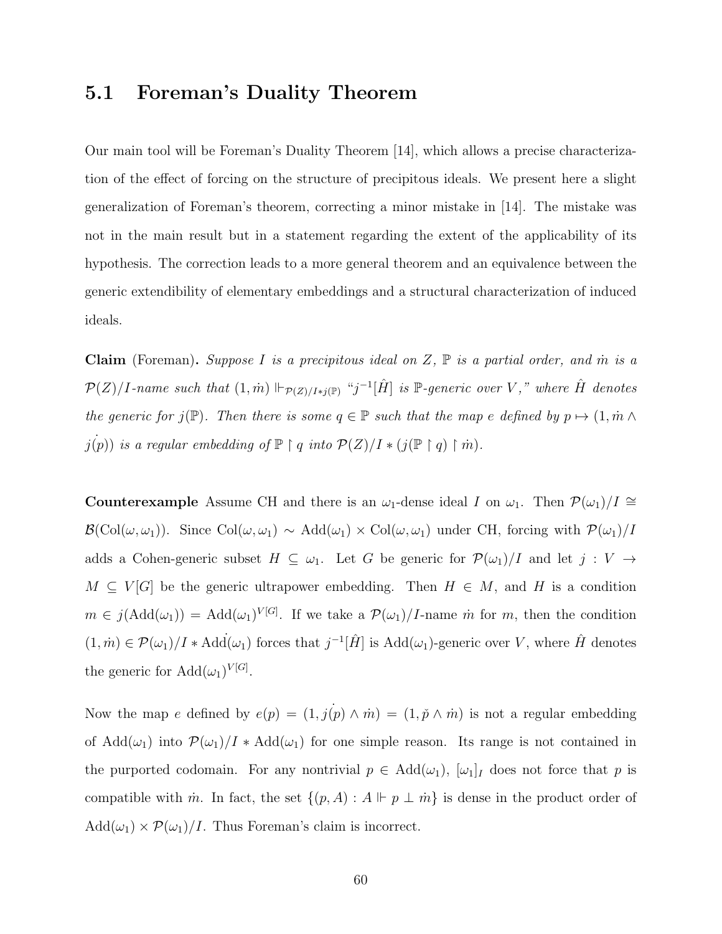### 5.1 Foreman's Duality Theorem

Our main tool will be Foreman's Duality Theorem [\[14\]](#page-109-6), which allows a precise characterization of the effect of forcing on the structure of precipitous ideals. We present here a slight generalization of Foreman's theorem, correcting a minor mistake in [\[14\]](#page-109-6). The mistake was not in the main result but in a statement regarding the extent of the applicability of its hypothesis. The correction leads to a more general theorem and an equivalence between the generic extendibility of elementary embeddings and a structural characterization of induced ideals.

**Claim** (Foreman). Suppose I is a precipitous ideal on Z,  $\mathbb{P}$  is a partial order, and  $\dot{m}$  is a  $\mathcal{P}(Z)/I$ -name such that  $(1,\dot{m}) \Vdash_{\mathcal{P}(Z)/I * j(\mathbb{P})}$  "j<sup>-1</sup>[ $\hat{H}$ ] is  $\mathbb{P}$ -generic over V," where  $\hat{H}$  denotes the generic for  $j(\mathbb{P})$ . Then there is some  $q \in \mathbb{P}$  such that the map e defined by  $p \mapsto (1, \dot{m} \wedge$  $j(p)$ ) is a regular embedding of  $\mathbb{P} \restriction q$  into  $\mathcal{P}(Z)/I * (j(\mathbb{P} \restriction q) \restriction m)$ .

**Counterexample** Assume CH and there is an  $\omega_1$ -dense ideal I on  $\omega_1$ . Then  $\mathcal{P}(\omega_1)/I \cong$  $\mathcal{B}(\text{Col}(\omega,\omega_1)).$  Since  $\text{Col}(\omega,\omega_1) \sim \text{Add}(\omega_1) \times \text{Col}(\omega,\omega_1)$  under CH, forcing with  $\mathcal{P}(\omega_1)/I$ adds a Cohen-generic subset  $H \subseteq \omega_1$ . Let G be generic for  $\mathcal{P}(\omega_1)/I$  and let  $j : V \to$  $M \subseteq V[G]$  be the generic ultrapower embedding. Then  $H \in M$ , and H is a condition  $m \in j(\text{Add}(\omega_1)) = \text{Add}(\omega_1)^{V[G]}$ . If we take a  $\mathcal{P}(\omega_1)/I$ -name *m* for *m*, then the condition  $(1,m) \in \mathcal{P}(\omega_1)/I * \text{Add}(\omega_1)$  forces that  $j^{-1}[\hat{H}]$  is  $\text{Add}(\omega_1)$ -generic over V, where  $\hat{H}$  denotes the generic for  $Add(\omega_1)^{V[G]}$ .

Now the map e defined by  $e(p) = (1, j(p) \wedge m) = (1, \tilde{p} \wedge m)$  is not a regular embedding of Add $(\omega_1)$  into  $\mathcal{P}(\omega_1)/I$  \* Add $(\omega_1)$  for one simple reason. Its range is not contained in the purported codomain. For any nontrivial  $p \in \text{Add}(\omega_1)$ ,  $[\omega_1]_I$  does not force that p is compatible with  $\dot{m}$ . In fact, the set  $\{(p, A) : A \Vdash p \perp \dot{m}\}\$ is dense in the product order of  $Add(\omega_1) \times \mathcal{P}(\omega_1)/I$ . Thus Foreman's claim is incorrect.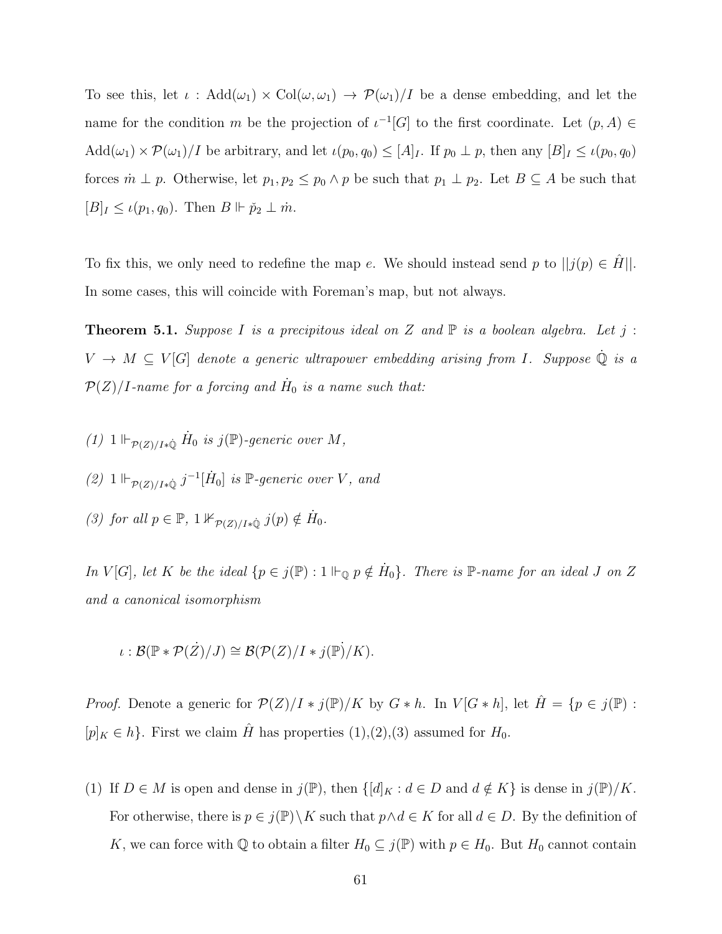To see this, let  $\iota$  : Add $(\omega_1) \times \text{Col}(\omega, \omega_1) \to \mathcal{P}(\omega_1)/I$  be a dense embedding, and let the name for the condition m be the projection of  $\iota^{-1}[G]$  to the first coordinate. Let  $(p, A) \in$  $Add(\omega_1) \times \mathcal{P}(\omega_1)/I$  be arbitrary, and let  $\iota(p_0, q_0) \leq [A]_I$ . If  $p_0 \perp p$ , then any  $[B]_I \leq \iota(p_0, q_0)$ forces  $m \perp p$ . Otherwise, let  $p_1, p_2 \leq p_0 \wedge p$  be such that  $p_1 \perp p_2$ . Let  $B \subseteq A$  be such that  $[B]_I \leq \iota(p_1, q_0)$ . Then  $B \Vdash \check{p}_2 \perp \dot{m}$ .

To fix this, we only need to redefine the map e. We should instead send p to  $||j(p) \in H||$ . In some cases, this will coincide with Foreman's map, but not always.

<span id="page-69-0"></span>**Theorem 5.1.** Suppose I is a precipitous ideal on Z and  $\mathbb P$  is a boolean algebra. Let j:  $V \to M \subseteq V[G]$  denote a generic ultrapower embedding arising from I. Suppose  $\dot{\mathbb{Q}}$  is a  $\mathcal{P}(Z)/I$ -name for a forcing and  $\dot{H}_0$  is a name such that:

- (1)  $1 \Vdash_{\mathcal{P}(Z)/I*Q} \dot{H}_0$  is  $j(\mathbb{P})$ -generic over M,
- (2)  $1 \Vdash_{\mathcal{P}(Z)/I^*\mathbb{Q}} j^{-1}[\dot{H}_0]$  is  $\mathbb{P}\text{-}generic over V, and$
- (3) for all  $p \in \mathbb{P}$ ,  $1 \nvDash_{\mathcal{P}(Z)/I \ast \mathbb{Q}} j(p) \notin \dot{H}_0$ .

In V[G], let K be the ideal  $\{p \in j(\mathbb{P}) : 1 \Vdash_{\mathbb{Q}} p \notin \dot{H}_0\}$ . There is  $\mathbb{P}\text{-name for an ideal } J$  on Z and a canonical isomorphism

$$
\iota : \mathcal{B}(\mathbb{P} * \mathcal{P}(Z)/J) \cong \mathcal{B}(\mathcal{P}(Z)/I * j(\mathbb{P})/K).
$$

*Proof.* Denote a generic for  $\mathcal{P}(Z)/I * j(\mathbb{P})/K$  by  $G * h$ . In  $V[G * h]$ , let  $\hat{H} = \{p \in j(\mathbb{P}) :$  $[p]_K \in h$ . First we claim  $\hat{H}$  has properties  $(1),(2),(3)$  assumed for  $H_0$ .

(1) If  $D \in M$  is open and dense in  $j(\mathbb{P})$ , then  $\{[d]_K : d \in D \text{ and } d \notin K\}$  is dense in  $j(\mathbb{P})/K$ . For otherwise, there is  $p \in j(\mathbb{P}) \backslash K$  such that  $p \land d \in K$  for all  $d \in D$ . By the definition of K, we can force with Q to obtain a filter  $H_0 \subseteq j(\mathbb{P})$  with  $p \in H_0$ . But  $H_0$  cannot contain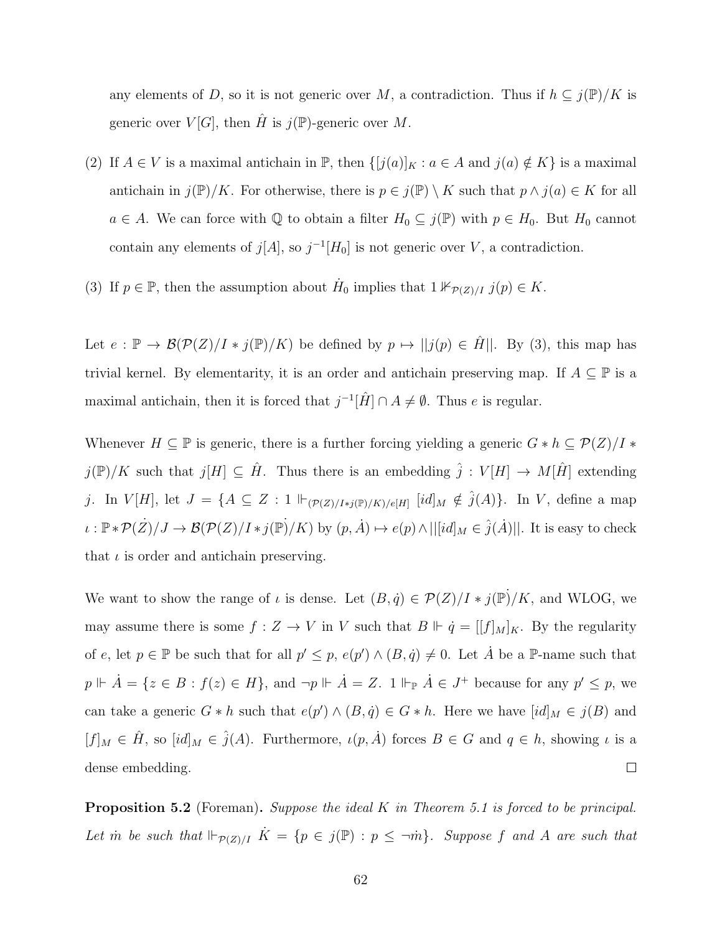any elements of D, so it is not generic over M, a contradiction. Thus if  $h \subseteq j(\mathbb{P})/K$  is generic over  $V[G]$ , then H is  $j(\mathbb{P})$ -generic over M.

- (2) If  $A \in V$  is a maximal antichain in  $\mathbb{P}$ , then  $\{[j(a)]_K : a \in A \text{ and } j(a) \notin K\}$  is a maximal antichain in  $j(\mathbb{P})/K$ . For otherwise, there is  $p \in j(\mathbb{P}) \setminus K$  such that  $p \wedge j(a) \in K$  for all  $a \in A$ . We can force with  $\mathbb Q$  to obtain a filter  $H_0 \subseteq j(\mathbb P)$  with  $p \in H_0$ . But  $H_0$  cannot contain any elements of  $j[A]$ , so  $j^{-1}[H_0]$  is not generic over V, a contradiction.
- (3) If  $p \in \mathbb{P}$ , then the assumption about  $\dot{H}_0$  implies that  $1 \nvDash_{\mathcal{P}(Z)/I} j(p) \in K$ .

Let  $e : \mathbb{P} \to \mathcal{B}(\mathcal{P}(Z)/I * j(\mathbb{P})/K)$  be defined by  $p \mapsto ||j(p) \in \hat{H}||$ . By (3), this map has trivial kernel. By elementarity, it is an order and antichain preserving map. If  $A \subseteq \mathbb{P}$  is a maximal antichain, then it is forced that  $j^{-1}[\hat{H}] \cap A \neq \emptyset$ . Thus e is regular.

Whenever  $H \subseteq \mathbb{P}$  is generic, there is a further forcing yielding a generic  $G * h \subseteq \mathcal{P}(Z)/I *$  $j(\mathbb{P})/K$  such that  $j[H] \subseteq \hat{H}$ . Thus there is an embedding  $\hat{j}: V[H] \to M[\hat{H}]$  extending j. In  $V[H]$ , let  $J = \{A \subseteq Z : 1 \Vdash_{(\mathcal{P}(Z)/I * j(\mathbb{P})/K)/e[H]} [id]_M \notin \hat{j}(A)\}.$  In V, define a map  $\iota : \mathbb{P} * \mathcal{P}(\dot{Z})/J \to \mathcal{B}(\mathcal{P}(Z)/I * j(\mathbb{P})/K)$  by  $(p, \dot{A}) \mapsto e(p) \wedge ||[id]_M \in \hat{j}(\dot{A})||$ . It is easy to check that  $\iota$  is order and antichain preserving.

We want to show the range of  $\iota$  is dense. Let  $(B, \dot{q}) \in \mathcal{P}(Z)/I * j(\mathbb{P})/K$ , and WLOG, we may assume there is some  $f: Z \to V$  in V such that  $B \Vdash \dot{q} = [[f]_M]_K$ . By the regularity of e, let  $p \in \mathbb{P}$  be such that for all  $p' \leq p$ ,  $e(p') \wedge (B, \dot{q}) \neq 0$ . Let  $\dot{A}$  be a  $\mathbb{P}\text{-name such that}$  $p \Vdash \dot{A} = \{z \in B : f(z) \in H\}$ , and  $\neg p \Vdash \dot{A} = Z$ .  $1 \Vdash_{\mathbb{P}} \dot{A} \in J^+$  because for any  $p' \leq p$ , we can take a generic  $G * h$  such that  $e(p') \wedge (B, \dot{q}) \in G * h$ . Here we have  $[id]_M \in j(B)$  and  $[f]_M \in \hat{H}$ , so  $[i d]_M \in \hat{j}(A)$ . Furthermore,  $\iota(p, \hat{A})$  forces  $B \in G$  and  $q \in h$ , showing  $\iota$  is a dense embedding.  $\Box$ 

**Proposition 5.2** (Foreman). Suppose the ideal K in Theorem [5.1](#page-69-0) is forced to be principal. Let m̀ be such that  $\Vdash_{\mathcal{P}(Z)/I} \dot{K} = \{p \in j(\mathbb{P}) : p \leq \neg \dot{m}\}$ . Suppose f and A are such that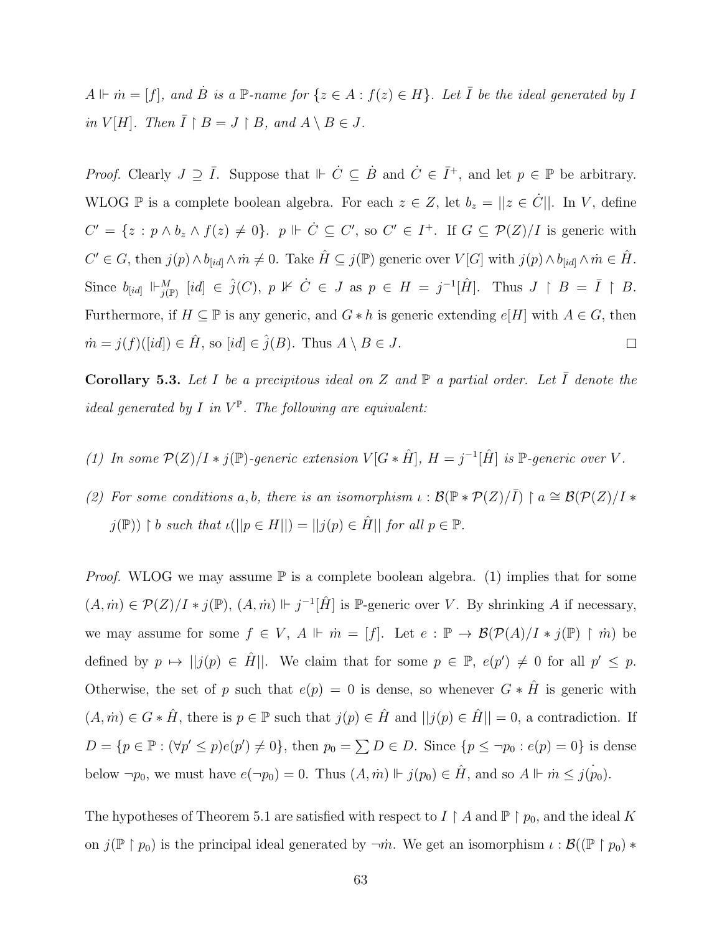$A \Vdash \dot{m} = [f],$  and  $\dot{B}$  is a  $\mathbb{P}\text{-name for }\{z \in A : f(z) \in H\}.$  Let  $\overline{I}$  be the ideal generated by I in  $V[H]$ . Then  $\overline{I} \restriction B = J \restriction B$ , and  $A \setminus B \in J$ .

*Proof.* Clearly  $J \supseteq \overline{I}$ . Suppose that  $\Vdash \dot{C} \subseteq \dot{B}$  and  $\dot{C} \in \overline{I}^+$ , and let  $p \in \mathbb{P}$  be arbitrary. WLOG P is a complete boolean algebra. For each  $z \in Z$ , let  $b_z = ||z \in \dot{C}||$ . In V, define  $C' = \{z : p \wedge b_z \wedge f(z) \neq 0\}$ .  $p \Vdash \dot{C} \subseteq C'$ , so  $C' \in I^+$ . If  $G \subseteq \mathcal{P}(Z)/I$  is generic with  $C' \in G$ , then  $j(p) \wedge b_{[id]} \wedge m \neq 0$ . Take  $\hat{H} \subseteq j(\mathbb{P})$  generic over  $V[G]$  with  $j(p) \wedge b_{[id]} \wedge m \in \hat{H}$ . Since  $b_{[id]} \Vdash_{j(\mathbb{P})}^M [id] \in \hat{j}(C), p \not\Vdash \dot{C} \in J$  as  $p \in H = j^{-1}[\hat{H}]$ . Thus  $J \upharpoonright B = \bar{I} \upharpoonright B$ . Furthermore, if  $H \subseteq \mathbb{P}$  is any generic, and  $G * h$  is generic extending  $e[H]$  with  $A \in G$ , then  $\dot{m} = j(f)(\vert id \vert) \in \hat{H}$ , so  $\vert id \vert \in \hat{j}(B)$ . Thus  $A \setminus B \in J$ .  $\Box$ 

**Corollary 5.3.** Let I be a precipitous ideal on Z and  $\mathbb{P}$  a partial order. Let  $\overline{I}$  denote the ideal generated by I in  $V^{\mathbb{P}}$ . The following are equivalent:

- (1) In some  $\mathcal{P}(Z)/I * j(\mathbb{P})$ -generic extension  $V[G * \hat{H}], H = j^{-1}[\hat{H}]$  is  $\mathbb{P}$ -generic over V.
- (2) For some conditions a, b, there is an isomorphism  $\iota : \mathcal{B}(\mathbb{P} * \mathcal{P}(Z)/\overline{I}) \restriction a \cong \mathcal{B}(\mathcal{P}(Z)/I *$  $j(\mathbb{P})) \restriction b$  such that  $\iota(||p \in H||) = ||j(p) \in \hat{H}||$  for all  $p \in \mathbb{P}$ .

*Proof.* WLOG we may assume  $\mathbb P$  is a complete boolean algebra. (1) implies that for some  $(A, \dot{m}) \in \mathcal{P}(Z)/I * j(\mathbb{P}), (A, \dot{m}) \Vdash j^{-1}[\hat{H}]$  is P-generic over V. By shrinking A if necessary, we may assume for some  $f \in V$ ,  $A \Vdash \dot{m} = [f]$ . Let  $e : \mathbb{P} \to \mathcal{B}(\mathcal{P}(A)/I * j(\mathbb{P}) \restriction \dot{m})$  be defined by  $p \mapsto ||j(p) \in \hat{H}||$ . We claim that for some  $p \in \mathbb{P}$ ,  $e(p') \neq 0$  for all  $p' \leq p$ . Otherwise, the set of p such that  $e(p) = 0$  is dense, so whenever  $G * \hat{H}$  is generic with  $(A, \dot{m}) \in G * \hat{H}$ , there is  $p \in \mathbb{P}$  such that  $j(p) \in \hat{H}$  and  $||j(p) \in \hat{H}|| = 0$ , a contradiction. If  $D = \{p \in \mathbb{P} : (\forall p' \leq p) e(p') \neq 0\},\$ then  $p_0 = \sum D \in D$ . Since  $\{p \leq \neg p_0 : e(p) = 0\}$  is dense below  $\neg p_0$ , we must have  $e(\neg p_0) = 0$ . Thus  $(A, \dot{m}) \Vdash j(p_0) \in \hat{H}$ , and so  $A \Vdash \dot{m} \leq j(p_0)$ .

The hypotheses of Theorem [5.1](#page-69-0) are satisfied with respect to  $I \upharpoonright A$  and  $\mathbb{P} \upharpoonright p_0$ , and the ideal K on  $j(\mathbb{P} \restriction p_0)$  is the principal ideal generated by  $\neg m$ . We get an isomorphism  $\iota : \mathcal{B}((\mathbb{P} \restriction p_0) *$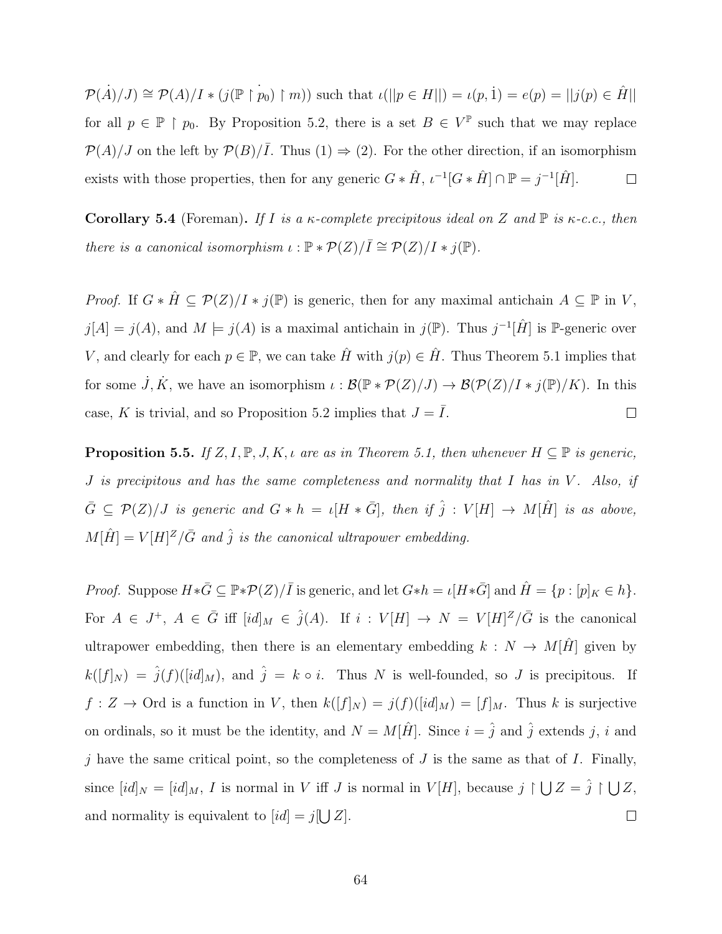$\mathcal{P}(\dot{A})/J \cong \mathcal{P}(A)/I * (j(\mathbb{P} \restriction p_0) \restriction m))$  such that  $\iota(||p \in H||) = \iota(p, 1) = e(p) = ||j(p) \in \hat{H}||$ for all  $p \in \mathbb{P} \restriction p_0$ . By Proposition [5.2,](#page-70-0) there is a set  $B \in V^{\mathbb{P}}$  such that we may replace  $\mathcal{P}(A)/J$  on the left by  $\mathcal{P}(B)/\overline{I}$ . Thus  $(1) \Rightarrow (2)$ . For the other direction, if an isomorphism exists with those properties, then for any generic  $G * \hat{H}$ ,  $\iota^{-1}[G * \hat{H}] \cap \mathbb{P} = j^{-1}[\hat{H}]$ .  $\Box$ 

<span id="page-72-0"></span>Corollary 5.4 (Foreman). If I is a  $\kappa$ -complete precipitous ideal on Z and  $\mathbb P$  is  $\kappa$ -c.c., then there is a canonical isomorphism  $\iota : \mathbb{P} * \mathcal{P}(Z)/\overline{I} \cong \mathcal{P}(Z)/I * j(\mathbb{P})$ .

*Proof.* If  $G * \hat{H} \subseteq \mathcal{P}(Z)/I * j(\mathbb{P})$  is generic, then for any maximal antichain  $A \subseteq \mathbb{P}$  in V,  $j[A] = j(A)$ , and  $M \models j(A)$  is a maximal antichain in  $j(\mathbb{P})$ . Thus  $j^{-1}[\hat{H}]$  is  $\mathbb{P}$ -generic over V, and clearly for each  $p \in \mathbb{P}$ , we can take  $\hat{H}$  with  $j(p) \in \hat{H}$ . Thus Theorem [5.1](#page-69-0) implies that for some  $\dot{J}, \dot{K}$ , we have an isomorphism  $\iota : \mathcal{B}(\mathbb{P} * \mathcal{P}(Z)/J) \to \mathcal{B}(\mathcal{P}(Z)/I * j(\mathbb{P})/K)$ . In this case, K is trivial, and so Proposition [5.2](#page-70-0) implies that  $J = \overline{I}$ .  $\Box$ 

<span id="page-72-1"></span>**Proposition 5.5.** If  $Z, I, \mathbb{P}, J, K, \iota$  are as in Theorem [5.1,](#page-69-0) then whenever  $H \subseteq \mathbb{P}$  is generic,  $J$  is precipitous and has the same completeness and normality that  $I$  has in  $V$ . Also, if  $\bar{G} \subseteq \mathcal{P}(Z)/J$  is generic and  $G * h = \iota[H * \bar{G}],$  then if  $\hat{j} : V[H] \to M[\hat{H}]$  is as above,  $M[\hat{H}] = V[H]^Z/\bar{G}$  and  $\hat{j}$  is the canonical ultrapower embedding.

*Proof.* Suppose  $H * \overline{G} \subseteq \mathbb{P} * \mathcal{P}(Z)/\overline{I}$  is generic, and let  $G * h = \iota[H * \overline{G}]$  and  $\hat{H} = \{p : [p]_K \in h\}.$ For  $A \in J^+$ ,  $A \in \bar{G}$  iff  $[id]_M \in \hat{j}(A)$ . If  $i: V[H] \to N = V[H]^Z/\bar{G}$  is the canonical ultrapower embedding, then there is an elementary embedding  $k : N \rightarrow M[\hat{H}]$  given by  $k([f]_N) = \hat{j}(f)([id]_M)$ , and  $\hat{j} = k \circ i$ . Thus N is well-founded, so J is precipitous. If  $f: Z \to \text{Ord}$  is a function in V, then  $k([f]_N) = j(f)([id]_M) = [f]_M$ . Thus k is surjective on ordinals, so it must be the identity, and  $N = M[\hat{H}]$ . Since  $i = \hat{j}$  and  $\hat{j}$  extends j, i and j have the same critical point, so the completeness of  $J$  is the same as that of  $I$ . Finally, since  $[id]_N = [id]_M$ , I is normal in V iff J is normal in  $V[H]$ , because  $j \restriction \bigcup Z = \hat{j} \restriction \bigcup Z$ , and normality is equivalent to  $(id] = j[\bigcup Z]$ .  $\Box$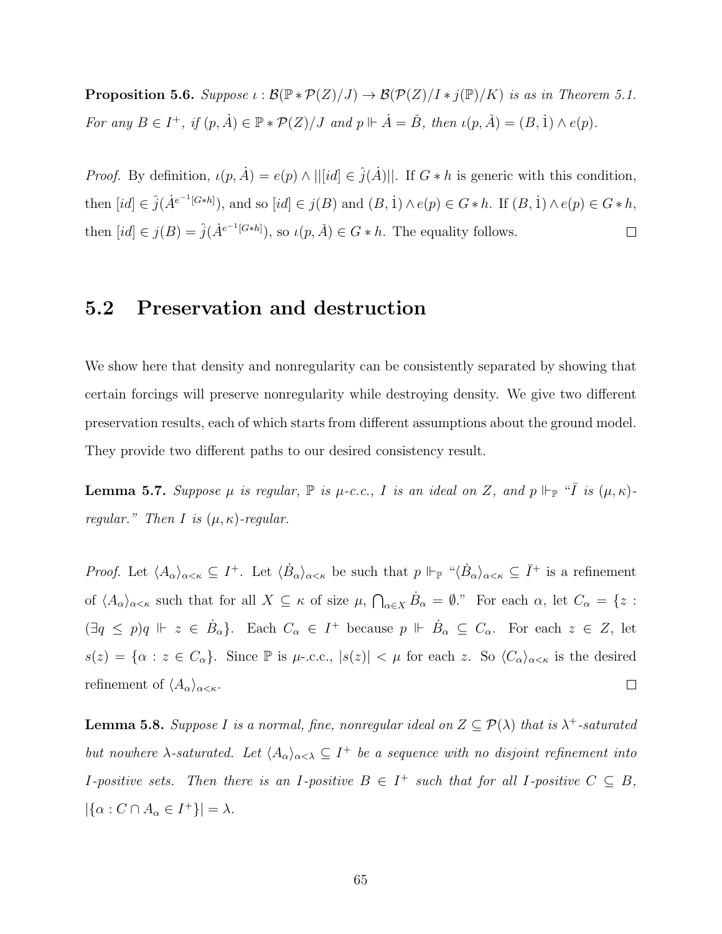**Proposition 5.6.** Suppose  $\iota : \mathcal{B}(\mathbb{P} * \mathcal{P}(Z)/J) \to \mathcal{B}(\mathcal{P}(Z)/I * j(\mathbb{P})/K)$  is as in Theorem [5.1.](#page-69-0) For any  $B \in I^+$ , if  $(p, \dot{A}) \in \mathbb{P} * \mathcal{P}(Z)/J$  and  $p \Vdash \dot{A} = \check{B}$ , then  $\iota(p, \check{A}) = (B, \dot{1}) \wedge e(p)$ .

*Proof.* By definition,  $\iota(p, \dot{A}) = e(p) \wedge ||[id] \in \hat{j}(\dot{A})||$ . If  $G * h$  is generic with this condition, then  $(id \in \hat{j}(A^{e^{-1}[G*h]})$ , and so  $(id \in j(B)$  and  $(B, 1) \wedge e(p) \in G*h$ . If  $(B, 1) \wedge e(p) \in G*h$ , then  $(id \in j(B) = \hat{j}(A^{e^{-1}[G*h]})$ , so  $\iota(p, \check{A}) \in G * h$ . The equality follows.  $\Box$ 

## 5.2 Preservation and destruction

We show here that density and nonregularity can be consistently separated by showing that certain forcings will preserve nonregularity while destroying density. We give two different preservation results, each of which starts from different assumptions about the ground model. They provide two different paths to our desired consistency result.

<span id="page-73-1"></span>**Lemma 5.7.** Suppose  $\mu$  is regular,  $\mathbb P$  is  $\mu$ -c.c., I is an ideal on Z, and  $p \Vdash_{\mathbb P}$  " $\overline{I}$  is  $(\mu, \kappa)$ regular." Then I is  $(\mu, \kappa)$ -regular.

*Proof.* Let  $\langle A_{\alpha}\rangle_{\alpha<\kappa} \subseteq I^+$ . Let  $\langle \dot{B}_{\alpha}\rangle_{\alpha<\kappa}$  be such that  $p \Vdash_{\mathbb{P}} \text{``}\langle \dot{B}_{\alpha}\rangle_{\alpha<\kappa} \subseteq \overline{I}^+$  is a refinement of  $\langle A_{\alpha}\rangle_{\alpha<\kappa}$  such that for all  $X\subseteq \kappa$  of size  $\mu$ ,  $\bigcap_{\alpha\in X}\dot{B}_{\alpha}=\emptyset$ ." For each  $\alpha$ , let  $C_{\alpha}=\{z:\alpha\in\mathbb{C}^n\mid |z|\leq \kappa\}$  $(\exists q \leq p) q \Vdash z \in \dot{B}_\alpha$ . Each  $C_\alpha \in I^+$  because  $p \Vdash \dot{B}_\alpha \subseteq C_\alpha$ . For each  $z \in Z$ , let  $s(z) = {\alpha : z \in C_\alpha}$ . Since P is  $\mu$ -.c.c.,  $|s(z)| < \mu$  for each z. So  $\langle C_\alpha \rangle_{\alpha < \kappa}$  is the desired refinement of  $\langle A_{\alpha}\rangle_{\alpha<\kappa}$ .  $\Box$ 

<span id="page-73-0"></span>**Lemma 5.8.** Suppose I is a normal, fine, nonregular ideal on  $Z \subseteq \mathcal{P}(\lambda)$  that is  $\lambda^+$ -saturated but nowhere  $\lambda$ -saturated. Let  $\langle A_{\alpha}\rangle_{\alpha<\lambda} \subseteq I^+$  be a sequence with no disjoint refinement into *I*-positive sets. Then there is an *I*-positive  $B \in I^+$  such that for all *I*-positive  $C \subseteq B$ ,  $|\{\alpha : C \cap A_{\alpha} \in I^+\}| = \lambda.$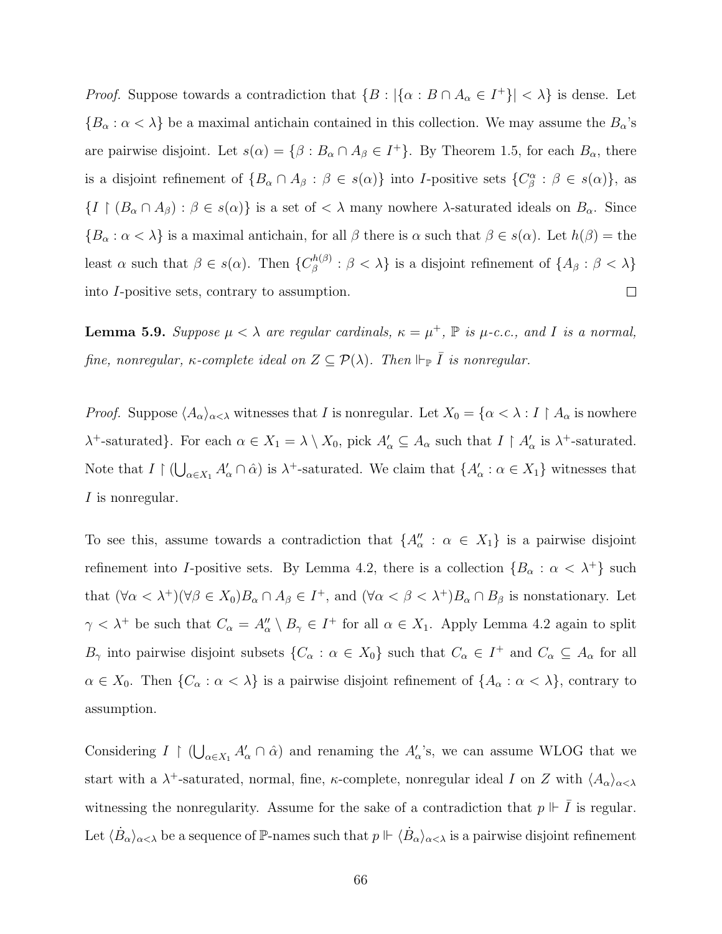*Proof.* Suppose towards a contradiction that  $\{B : |\{\alpha : B \cap A_{\alpha} \in I^+\}| < \lambda\}$  is dense. Let  ${B_\alpha : \alpha < \lambda}$  be a maximal antichain contained in this collection. We may assume the  $B_\alpha$ 's are pairwise disjoint. Let  $s(\alpha) = \{\beta : B_\alpha \cap A_\beta \in I^+\}$ . By Theorem [1.5,](#page-16-0) for each  $B_\alpha$ , there is a disjoint refinement of  $\{B_\alpha \cap A_\beta : \beta \in s(\alpha)\}\$ into I-positive sets  $\{C_\beta^\alpha : \beta \in s(\alpha)\}\$ , as  $\{I \mid (B_{\alpha} \cap A_{\beta}) : \beta \in s(\alpha)\}\$ is a set of  $\langle \lambda \rangle$  many nowhere  $\lambda$ -saturated ideals on  $B_{\alpha}$ . Since  ${B_\alpha : \alpha < \lambda}$  is a maximal antichain, for all  $\beta$  there is  $\alpha$  such that  $\beta \in s(\alpha)$ . Let  $h(\beta) =$  the least  $\alpha$  such that  $\beta \in s(\alpha)$ . Then  $\{C_{\beta}^{h(\beta)}\}$  $\beta^{(n(\beta))}$  :  $\beta < \lambda$  is a disjoint refinement of  $\{A_{\beta} : \beta < \lambda\}$ into I-positive sets, contrary to assumption.  $\Box$ 

<span id="page-74-0"></span>**Lemma 5.9.** Suppose  $\mu < \lambda$  are regular cardinals,  $\kappa = \mu^+$ ,  $\mathbb P$  is  $\mu$ -c.c., and I is a normal, fine, nonregular,  $\kappa$ -complete ideal on  $Z \subseteq \mathcal{P}(\lambda)$ . Then  $\Vdash_{\mathbb{P}} \overline{I}$  is nonregular.

*Proof.* Suppose  $\langle A_{\alpha}\rangle_{\alpha<\lambda}$  witnesses that I is nonregular. Let  $X_0 = \{\alpha<\lambda : I\restriction A_{\alpha}$  is nowhere  $\lambda^+$ -saturated}. For each  $\alpha \in X_1 = \lambda \setminus X_0$ , pick  $A'_\alpha \subseteq A_\alpha$  such that  $I \upharpoonright A'_\alpha$  is  $\lambda^+$ -saturated. Note that  $I \upharpoonright (\bigcup_{\alpha \in X_1} A'_\alpha \cap \hat{\alpha})$  is  $\lambda^+$ -saturated. We claim that  $\{A'_\alpha : \alpha \in X_1\}$  witnesses that I is nonregular.

To see this, assume towards a contradiction that  $\{A''_{\alpha} : \alpha \in X_1\}$  is a pairwise disjoint refinement into I-positive sets. By Lemma [4.2,](#page-57-0) there is a collection  $\{B_{\alpha} : \alpha < \lambda^+\}$  such that  $(\forall \alpha < \lambda^+)(\forall \beta \in X_0)B_\alpha \cap A_\beta \in I^+$ , and  $(\forall \alpha < \beta < \lambda^+)B_\alpha \cap B_\beta$  is nonstationary. Let  $\gamma < \lambda^+$  be such that  $C_\alpha = A''_\alpha \setminus B_\gamma \in I^+$  for all  $\alpha \in X_1$ . Apply Lemma [4.2](#page-57-0) again to split  $B_{\gamma}$  into pairwise disjoint subsets  $\{C_{\alpha}: \alpha \in X_0\}$  such that  $C_{\alpha} \in I^+$  and  $C_{\alpha} \subseteq A_{\alpha}$  for all  $\alpha \in X_0$ . Then  $\{C_\alpha : \alpha < \lambda\}$  is a pairwise disjoint refinement of  $\{A_\alpha : \alpha < \lambda\}$ , contrary to assumption.

Considering  $I \restriction (\bigcup_{\alpha \in X_1} A'_\alpha \cap \hat{\alpha})$  and renaming the  $A'_\alpha$ 's, we can assume WLOG that we start with a  $\lambda^+$ -saturated, normal, fine,  $\kappa$ -complete, nonregular ideal I on Z with  $\langle A_{\alpha}\rangle_{\alpha<\lambda}$ witnessing the nonregularity. Assume for the sake of a contradiction that  $p \Vdash \overline{I}$  is regular. Let  $\langle \dot{B}_\alpha \rangle_{\alpha<\lambda}$  be a sequence of P-names such that  $p \Vdash \langle \dot{B}_\alpha \rangle_{\alpha<\lambda}$  is a pairwise disjoint refinement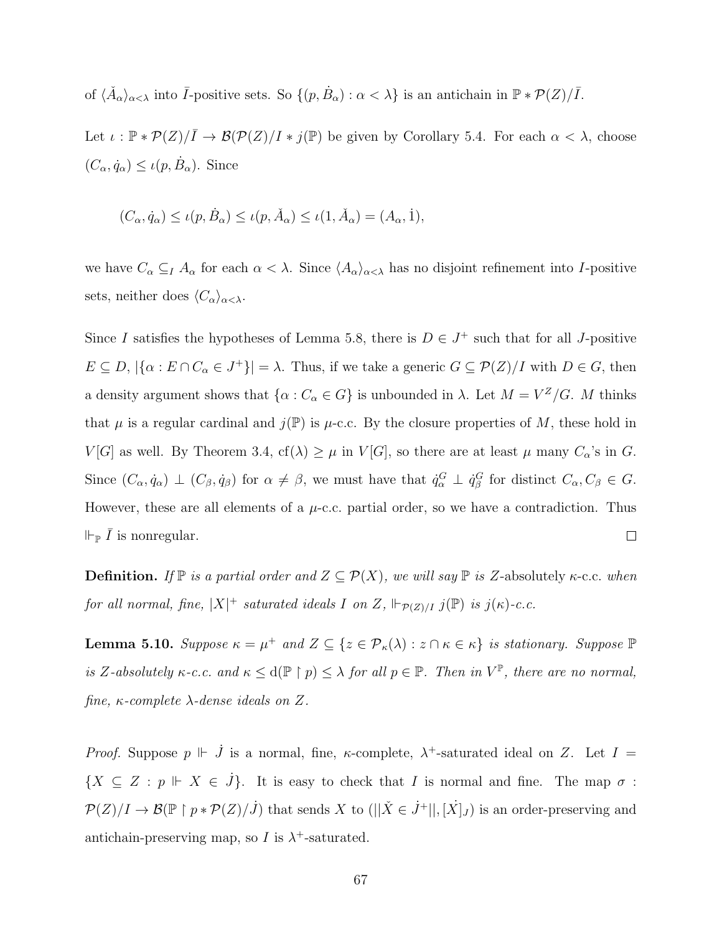of  $\langle \check{A}_{\alpha}\rangle_{\alpha<\lambda}$  into  $\bar{I}$ -positive sets. So  $\{(p, \dot{B}_{\alpha}) : \alpha<\lambda\}$  is an antichain in  $\mathbb{P} * \mathcal{P}(Z)/\bar{I}$ .

Let  $\iota : \mathbb{P} * \mathcal{P}(Z)/\overline{I} \to \mathcal{B}(\mathcal{P}(Z)/I * j(\mathbb{P})$  be given by Corollary [5.4.](#page-72-0) For each  $\alpha < \lambda$ , choose  $(C_{\alpha}, \dot{q}_{\alpha}) \leq \iota(p, \dot{B}_{\alpha})$ . Since

$$
(C_{\alpha}, \dot{q}_{\alpha}) \le \iota(p, \dot{B}_{\alpha}) \le \iota(p, \check{A}_{\alpha}) \le \iota(1, \check{A}_{\alpha}) = (A_{\alpha}, \dot{1}),
$$

we have  $C_{\alpha} \subseteq I$   $A_{\alpha}$  for each  $\alpha < \lambda$ . Since  $\langle A_{\alpha} \rangle_{\alpha < \lambda}$  has no disjoint refinement into I-positive sets, neither does  $\langle C_{\alpha}\rangle_{\alpha<\lambda}$ .

Since I satisfies the hypotheses of Lemma [5.8,](#page-73-0) there is  $D \in J^+$  such that for all J-positive  $E \subseteq D, |\{\alpha : E \cap C_{\alpha} \in J^+\}| = \lambda$ . Thus, if we take a generic  $G \subseteq \mathcal{P}(Z)/I$  with  $D \in G$ , then a density argument shows that  $\{\alpha : C_{\alpha} \in G\}$  is unbounded in  $\lambda$ . Let  $M = V^Z/G$ . M thinks that  $\mu$  is a regular cardinal and  $j(\mathbb{P})$  is  $\mu$ -c.c. By the closure properties of M, these hold in  $V[G]$  as well. By Theorem [3.4,](#page-48-0)  $cf(\lambda) \geq \mu$  in  $V[G]$ , so there are at least  $\mu$  many  $C_{\alpha}$ 's in G. Since  $(C_{\alpha}, \dot{q}_{\alpha}) \perp (C_{\beta}, \dot{q}_{\beta})$  for  $\alpha \neq \beta$ , we must have that  $\dot{q}_{\alpha}^G \perp \dot{q}_{\beta}^G$  for distinct  $C_{\alpha}, C_{\beta} \in G$ . However, these are all elements of a  $\mu$ -c.c. partial order, so we have a contradiction. Thus  $\Vdash_{\mathbb{P}} \bar{I}$  is nonregular.  $\Box$ 

**Definition.** If  $\mathbb{P}$  is a partial order and  $Z \subseteq \mathcal{P}(X)$ , we will say  $\mathbb{P}$  is Z-absolutely  $\kappa$ -c.c. when for all normal, fine,  $|X|^+$  saturated ideals I on Z,  $\Vdash_{\mathcal{P}(Z)/I} j(\mathbb{P})$  is  $j(\kappa)$ -c.c.

<span id="page-75-0"></span>**Lemma 5.10.** Suppose  $\kappa = \mu^+$  and  $Z \subseteq \{z \in \mathcal{P}_{\kappa}(\lambda) : z \cap \kappa \in \kappa\}$  is stationary. Suppose  $\mathbb{P}$ is Z-absolutely  $\kappa$ -c.c. and  $\kappa \leq d(\mathbb{P} \restriction p) \leq \lambda$  for all  $p \in \mathbb{P}$ . Then in  $V^{\mathbb{P}}$ , there are no normal, fine,  $\kappa$ -complete  $\lambda$ -dense ideals on Z.

Proof. Suppose  $p \Vdash \dot{J}$  is a normal, fine,  $\kappa$ -complete,  $\lambda^+$ -saturated ideal on Z. Let  $I =$  $\{X \subseteq Z : p \Vdash X \in J\}.$  It is easy to check that I is normal and fine. The map  $\sigma$ :  $\mathcal{P}(Z)/I \to \mathcal{B}(\mathbb{P} \restriction p \ast \mathcal{P}(Z)/J)$  that sends X to  $(||\check{X} \in \dot{J}^+||, [\dot{X}]_J)$  is an order-preserving and antichain-preserving map, so I is  $\lambda^+$ -saturated.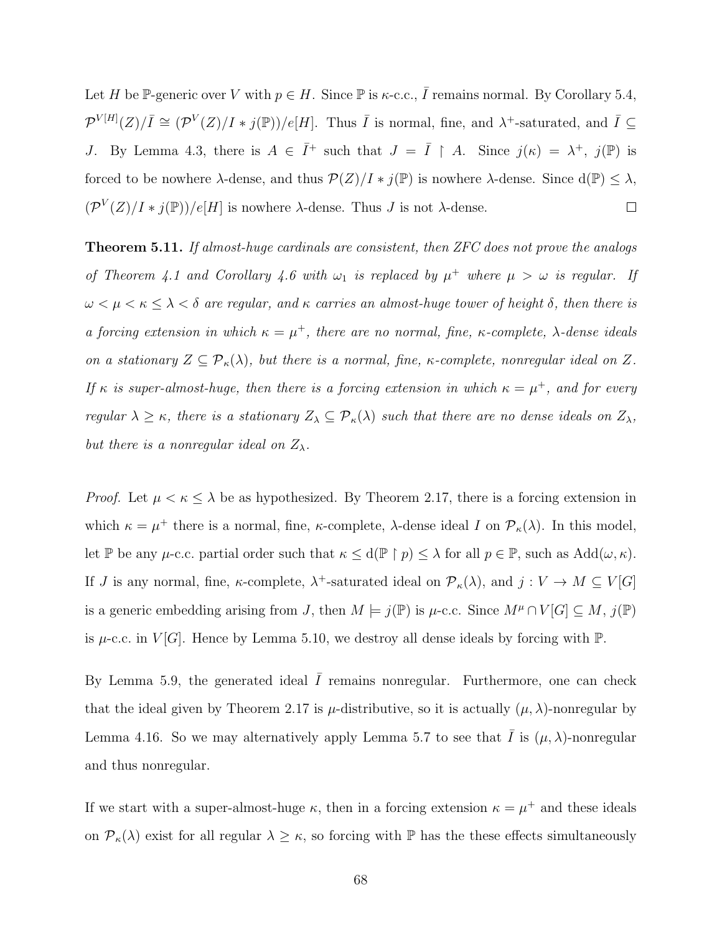Let H be P-generic over V with  $p \in H$ . Since P is  $\kappa$ -c.c.,  $\overline{I}$  remains normal. By Corollary [5.4,](#page-72-0)  $\mathcal{P}^{V[H]}(Z)/\overline{I} \cong (\mathcal{P}^V(Z)/I * j(\mathbb{P}))/e[H]$ . Thus  $\overline{I}$  is normal, fine, and  $\lambda^+$ -saturated, and  $\overline{I} \subseteq$ J. By Lemma [4.3,](#page-58-0) there is  $A \in \overline{I}^+$  such that  $J = \overline{I} \upharpoonright A$ . Since  $j(\kappa) = \lambda^+, j(\mathbb{P})$  is forced to be nowhere  $\lambda$ -dense, and thus  $\mathcal{P}(Z)/I * j(\mathbb{P})$  is nowhere  $\lambda$ -dense. Since  $d(\mathbb{P}) \leq \lambda$ ,  $(\mathcal{P}^V(Z)/I * j(\mathbb{P}))/e[H]$  is nowhere  $\lambda$ -dense. Thus J is not  $\lambda$ -dense.  $\Box$ 

<span id="page-76-0"></span>Theorem 5.11. If almost-huge cardinals are consistent, then ZFC does not prove the analogs of Theorem [4.1](#page-56-0) and Corollary [4.6](#page-60-0) with  $\omega_1$  is replaced by  $\mu^+$  where  $\mu > \omega$  is regular. If  $\omega < \mu < \kappa \leq \lambda < \delta$  are regular, and  $\kappa$  carries an almost-huge tower of height  $\delta$ , then there is a forcing extension in which  $\kappa = \mu^+$ , there are no normal, fine,  $\kappa$ -complete,  $\lambda$ -dense ideals on a stationary  $Z \subseteq \mathcal{P}_{\kappa}(\lambda)$ , but there is a normal, fine,  $\kappa$ -complete, nonregular ideal on Z. If  $\kappa$  is super-almost-huge, then there is a forcing extension in which  $\kappa = \mu^+$ , and for every regular  $\lambda \geq \kappa$ , there is a stationary  $Z_{\lambda} \subseteq \mathcal{P}_{\kappa}(\lambda)$  such that there are no dense ideals on  $Z_{\lambda}$ , but there is a nonregular ideal on  $Z_{\lambda}$ .

*Proof.* Let  $\mu < \kappa \leq \lambda$  be as hypothesized. By Theorem [2.17,](#page-37-0) there is a forcing extension in which  $\kappa = \mu^+$  there is a normal, fine,  $\kappa$ -complete,  $\lambda$ -dense ideal I on  $\mathcal{P}_{\kappa}(\lambda)$ . In this model, let P be any  $\mu$ -c.c. partial order such that  $\kappa \leq d(\mathbb{P} \restriction p) \leq \lambda$  for all  $p \in \mathbb{P}$ , such as  $Add(\omega, \kappa)$ . If *J* is any normal, fine,  $\kappa$ -complete,  $\lambda$ <sup>+</sup>-saturated ideal on  $\mathcal{P}_{\kappa}(\lambda)$ , and  $j: V \to M \subseteq V[G]$ is a generic embedding arising from J, then  $M \models j(\mathbb{P})$  is  $\mu$ -c.c. Since  $M^{\mu} \cap V[G] \subseteq M$ ,  $j(\mathbb{P})$ is  $\mu$ -c.c. in  $V[G]$ . Hence by Lemma [5.10,](#page-75-0) we destroy all dense ideals by forcing with  $\mathbb{P}$ .

By Lemma [5.9,](#page-74-0) the generated ideal  $\overline{I}$  remains nonregular. Furthermore, one can check that the ideal given by Theorem [2.17](#page-37-0) is  $\mu$ -distributive, so it is actually  $(\mu, \lambda)$ -nonregular by Lemma [4.16.](#page-64-0) So we may alternatively apply Lemma [5.7](#page-73-1) to see that I is  $(\mu, \lambda)$ -nonregular and thus nonregular.

If we start with a super-almost-huge  $\kappa$ , then in a forcing extension  $\kappa = \mu^+$  and these ideals on  $\mathcal{P}_{\kappa}(\lambda)$  exist for all regular  $\lambda \geq \kappa$ , so forcing with  $\mathbb P$  has the these effects simultaneously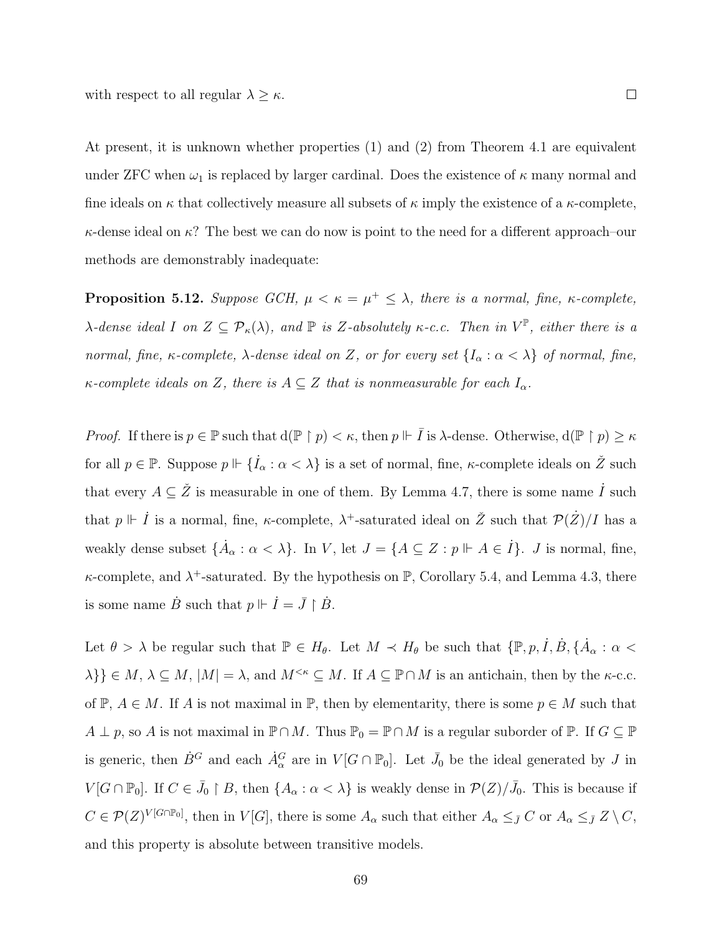with respect to all regular  $\lambda \geq \kappa$ .

At present, it is unknown whether properties (1) and (2) from Theorem [4.1](#page-56-0) are equivalent under ZFC when  $\omega_1$  is replaced by larger cardinal. Does the existence of  $\kappa$  many normal and fine ideals on  $\kappa$  that collectively measure all subsets of  $\kappa$  imply the existence of a  $\kappa$ -complete,  $\kappa$ -dense ideal on  $\kappa$ ? The best we can do now is point to the need for a different approach–our methods are demonstrably inadequate:

**Proposition 5.12.** Suppose GCH,  $\mu < \kappa = \mu^+ \leq \lambda$ , there is a normal, fine,  $\kappa$ -complete,  $\lambda$ -dense ideal I on  $Z \subseteq \mathcal{P}_{\kappa}(\lambda)$ , and  $\mathbb P$  is Z-absolutely  $\kappa$ -c.c. Then in  $V^{\mathbb P}$ , either there is a normal, fine, κ-complete,  $\lambda$ -dense ideal on Z, or for every set  $\{I_{\alpha} : \alpha < \lambda\}$  of normal, fine,  $\kappa$ -complete ideals on Z, there is  $A \subseteq Z$  that is nonmeasurable for each  $I_{\alpha}$ .

*Proof.* If there is  $p \in \mathbb{P}$  such that  $d(\mathbb{P} \restriction p) < \kappa$ , then  $p \Vdash \overline{I}$  is  $\lambda$ -dense. Otherwise,  $d(\mathbb{P} \restriction p) \geq \kappa$ for all  $p \in \mathbb{P}$ . Suppose  $p \Vdash \{\dot{I}_{\alpha} : \alpha < \lambda\}$  is a set of normal, fine,  $\kappa$ -complete ideals on  $\check{Z}$  such that every  $A \subseteq \check{Z}$  is measurable in one of them. By Lemma [4.7,](#page-61-0) there is some name  $\check{I}$  such that  $p \Vdash \dot{I}$  is a normal, fine,  $\kappa$ -complete,  $\lambda^+$ -saturated ideal on  $\check{Z}$  such that  $\mathcal{P}(\dot{Z})/I$  has a weakly dense subset  $\{\dot{A}_{\alpha}: \alpha < \lambda\}$ . In V, let  $J = \{A \subseteq Z : p \Vdash A \in \dot{I}\}\$ . J is normal, fine,  $\kappa$ -complete, and  $\lambda^+$ -saturated. By the hypothesis on  $\mathbb{P}$ , Corollary [5.4,](#page-72-0) and Lemma [4.3,](#page-58-0) there is some name  $\dot{B}$  such that  $p \Vdash \dot{I} = \bar{J} \restriction \dot{B}$ .

Let  $\theta > \lambda$  be regular such that  $\mathbb{P} \in H_{\theta}$ . Let  $M \prec H_{\theta}$  be such that  $\{\mathbb{P}, p, \dot{I}, \dot{B}, \{\dot{A}_{\alpha} : \alpha \leq \dot{A}_{\alpha}\}\}$  $\{\lambda\}\}\in M$ ,  $\lambda\subseteq M$ ,  $|M|=\lambda$ , and  $M^{\leq\kappa}\subseteq M$ . If  $A\subseteq \mathbb{P}\cap M$  is an antichain, then by the  $\kappa$ -c.c. of  $\mathbb{P}, A \in M$ . If A is not maximal in  $\mathbb{P}$ , then by elementarity, there is some  $p \in M$  such that  $A \perp p$ , so A is not maximal in  $\mathbb{P} \cap M$ . Thus  $\mathbb{P}_0 = \mathbb{P} \cap M$  is a regular suborder of  $\mathbb{P}$ . If  $G \subseteq \mathbb{P}$ is generic, then  $\dot{B}^G$  and each  $\dot{A}^G_\alpha$  are in  $V[G \cap \mathbb{P}_0]$ . Let  $\bar{J}_0$  be the ideal generated by J in  $V[G \cap \mathbb{P}_0]$ . If  $C \in \bar{J}_0 \restriction B$ , then  $\{A_\alpha : \alpha < \lambda\}$  is weakly dense in  $\mathcal{P}(Z)/\bar{J}_0$ . This is because if  $C \in \mathcal{P}(Z)^{V[G \cap \mathbb{P}_0]}$ , then in  $V[G]$ , there is some  $A_\alpha$  such that either  $A_\alpha \leq_{\bar{J}} C$  or  $A_\alpha \leq_{\bar{J}} Z \setminus C$ , and this property is absolute between transitive models.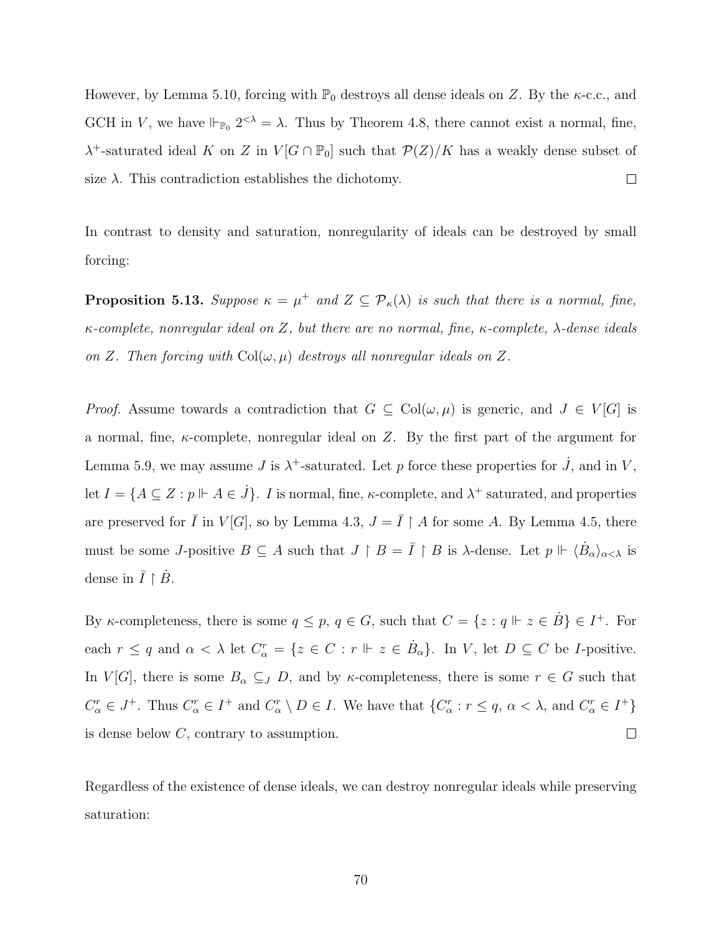However, by Lemma [5.10,](#page-75-0) forcing with  $\mathbb{P}_0$  destroys all dense ideals on Z. By the  $\kappa$ -c.c., and GCH in V, we have  $\Vdash_{\mathbb{P}_0} 2<\lambda = \lambda$ . Thus by Theorem [4.8,](#page-62-0) there cannot exist a normal, fine,  $\lambda^+$ -saturated ideal K on Z in  $V[G \cap \mathbb{P}_0]$  such that  $\mathcal{P}(Z)/K$  has a weakly dense subset of size  $\lambda$ . This contradiction establishes the dichotomy.  $\Box$ 

In contrast to density and saturation, nonregularity of ideals can be destroyed by small forcing:

**Proposition 5.13.** Suppose  $\kappa = \mu^+$  and  $Z \subseteq \mathcal{P}_{\kappa}(\lambda)$  is such that there is a normal, fine, κ-complete, nonregular ideal on Z, but there are no normal, fine, κ-complete, λ-dense ideals on Z. Then forcing with  $Col(\omega, \mu)$  destroys all nonregular ideals on Z.

*Proof.* Assume towards a contradiction that  $G \subseteq \text{Col}(\omega, \mu)$  is generic, and  $J \in V[G]$  is a normal, fine,  $\kappa$ -complete, nonregular ideal on Z. By the first part of the argument for Lemma [5.9,](#page-74-0) we may assume J is  $\lambda^+$ -saturated. Let p force these properties for  $\dot{J}$ , and in V, let  $I = \{A \subseteq Z : p \Vdash A \in \dot{J}\}\$ . I is normal, fine,  $\kappa$ -complete, and  $\lambda^+$  saturated, and properties are preserved for  $\overline{I}$  in  $V[G]$ , so by Lemma [4.3,](#page-58-0)  $J = \overline{I} \upharpoonright A$  for some A. By Lemma [4.5,](#page-59-0) there must be some *J*-positive  $B \subseteq A$  such that  $J \upharpoonright B = \overline{I} \upharpoonright B$  is  $\lambda$ -dense. Let  $p \Vdash \langle \dot{B}_{\alpha} \rangle_{\alpha < \lambda}$  is dense in  $\overline{I} \restriction \dot{B}$ .

By *k*-completeness, there is some  $q \leq p, q \in G$ , such that  $C = \{z : q \Vdash z \in \dot{B}\} \in I^+$ . For each  $r \leq q$  and  $\alpha < \lambda$  let  $C^r_\alpha = \{z \in C : r \Vdash z \in \dot{B}_\alpha\}$ . In V, let  $D \subseteq C$  be *I*-positive. In  $V[G]$ , there is some  $B_{\alpha} \subseteq J$  D, and by  $\kappa$ -completeness, there is some  $r \in G$  such that  $C_{\alpha}^{r} \in J^{+}$ . Thus  $C_{\alpha}^{r} \in I^{+}$  and  $C_{\alpha}^{r} \setminus D \in I$ . We have that  $\{C_{\alpha}^{r}: r \leq q, \alpha < \lambda, \text{ and } C_{\alpha}^{r} \in I^{+}\}\$ is dense below C, contrary to assumption.  $\Box$ 

Regardless of the existence of dense ideals, we can destroy nonregular ideals while preserving saturation: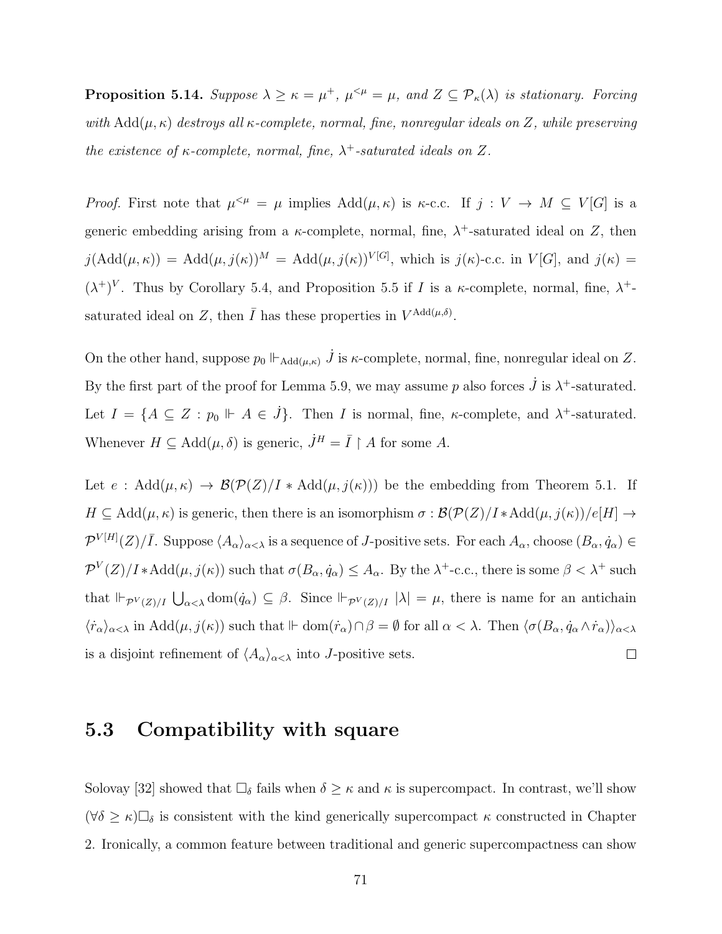**Proposition 5.14.** Suppose  $\lambda \geq \kappa = \mu^+$ ,  $\mu^{<\mu} = \mu$ , and  $Z \subseteq \mathcal{P}_{\kappa}(\lambda)$  is stationary. Forcing with  $Add(\mu, \kappa)$  destroys all  $\kappa$ -complete, normal, fine, nonregular ideals on Z, while preserving the existence of  $\kappa$ -complete, normal, fine,  $\lambda^+$ -saturated ideals on Z.

*Proof.* First note that  $\mu^{<\mu} = \mu$  implies  $Add(\mu, \kappa)$  is  $\kappa$ -c.c. If  $j : V \to M \subseteq V[G]$  is a generic embedding arising from a  $\kappa$ -complete, normal, fine,  $\lambda^+$ -saturated ideal on Z, then  $j(\text{Add}(\mu,\kappa)) = \text{Add}(\mu,j(\kappa))^M = \text{Add}(\mu,j(\kappa))^{V[G]},$  which is  $j(\kappa)$ -c.c. in  $V[G]$ , and  $j(\kappa) =$  $(\lambda^+)^V$ . Thus by Corollary [5.4,](#page-72-0) and Proposition [5.5](#page-72-1) if I is a  $\kappa$ -complete, normal, fine,  $\lambda^+$ saturated ideal on Z, then  $\overline{I}$  has these properties in  $V^{\text{Add}(\mu,\delta)}$ .

On the other hand, suppose  $p_0 \Vdash_{\text{Add}(\mu,\kappa)} \dot{J}$  is  $\kappa$ -complete, normal, fine, nonregular ideal on Z. By the first part of the proof for Lemma [5.9,](#page-74-0) we may assume p also forces  $\dot{J}$  is  $\lambda^+$ -saturated. Let  $I = \{A \subseteq Z : p_0 \Vdash A \in \dot{J}\}\$ . Then I is normal, fine,  $\kappa$ -complete, and  $\lambda^+$ -saturated. Whenever  $H \subseteq \text{Add}(\mu, \delta)$  is generic,  $\dot{J}^H = \overline{I} \upharpoonright A$  for some A.

Let  $e : \text{Add}(\mu, \kappa) \to \mathcal{B}(\mathcal{P}(Z)/I * \text{Add}(\mu, j(\kappa)))$  be the embedding from Theorem [5.1.](#page-69-0) If  $H \subseteq \text{Add}(\mu, \kappa)$  is generic, then there is an isomorphism  $\sigma : \mathcal{B}(\mathcal{P}(Z)/I \ast \text{Add}(\mu, j(\kappa))/e[H] \rightarrow$  $\mathcal{P}^{V[H]}(Z)/\overline{I}$ . Suppose  $\langle A_{\alpha}\rangle_{\alpha<\lambda}$  is a sequence of *J*-positive sets. For each  $A_{\alpha}$ , choose  $(B_{\alpha}, \dot{q}_{\alpha}) \in$  $\mathcal{P}^V(Z)/I * \text{Add}(\mu, j(\kappa))$  such that  $\sigma(B_\alpha, \dot{q}_\alpha) \leq A_\alpha$ . By the  $\lambda^+$ -c.c., there is some  $\beta < \lambda^+$  such that  $\Vdash_{\mathcal{P}^V(Z)/I} \bigcup_{\alpha<\lambda} \text{dom}(\dot{q}_\alpha) \subseteq \beta$ . Since  $\Vdash_{\mathcal{P}^V(Z)/I} |\lambda| = \mu$ , there is name for an antichain  $\langle \dot{r}_\alpha\rangle_{\alpha<\lambda}$  in Add $(\mu, j(\kappa))$  such that  $\mathbb{H}$  dom $(\dot{r}_\alpha)\cap\beta=\emptyset$  for all  $\alpha<\lambda$ . Then  $\langle \sigma(B_\alpha, \dot{q}_\alpha \wedge \dot{r}_\alpha)\rangle_{\alpha<\lambda}$ is a disjoint refinement of  $\langle A_{\alpha}\rangle_{\alpha<\lambda}$  into J-positive sets.  $\Box$ 

### 5.3 Compatibility with square

Solovay [\[32\]](#page-110-0) showed that  $\Box_{\delta}$  fails when  $\delta \geq \kappa$  and  $\kappa$  is supercompact. In contrast, we'll show  $(\forall \delta \geq \kappa) \Box_{\delta}$  is consistent with the kind generically supercompact  $\kappa$  constructed in Chapter 2. Ironically, a common feature between traditional and generic supercompactness can show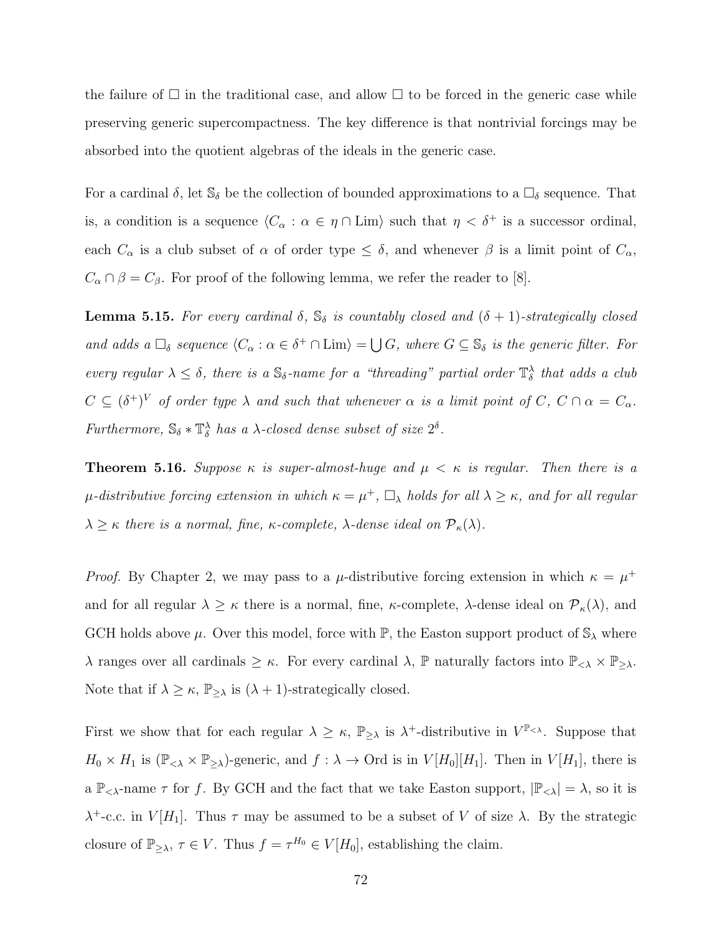the failure of  $\Box$  in the traditional case, and allow  $\Box$  to be forced in the generic case while preserving generic supercompactness. The key difference is that nontrivial forcings may be absorbed into the quotient algebras of the ideals in the generic case.

For a cardinal  $\delta$ , let  $\mathbb{S}_{\delta}$  be the collection of bounded approximations to a  $\square_{\delta}$  sequence. That is, a condition is a sequence  $\langle C_\alpha : \alpha \in \eta \cap \text{Lim} \rangle$  such that  $\eta < \delta^+$  is a successor ordinal, each  $C_{\alpha}$  is a club subset of  $\alpha$  of order type  $\leq \delta$ , and whenever  $\beta$  is a limit point of  $C_{\alpha}$ ,  $C_{\alpha} \cap \beta = C_{\beta}$ . For proof of the following lemma, we refer the reader to [\[8\]](#page-108-0).

**Lemma 5.15.** For every cardinal  $\delta$ ,  $\mathbb{S}_{\delta}$  is countably closed and  $(\delta + 1)$ -strategically closed and adds a  $\Box_{\delta}$  sequence  $\langle C_{\alpha} : \alpha \in \delta^+ \cap \text{Lim} \rangle = \bigcup G$ , where  $G \subseteq \mathbb{S}_{\delta}$  is the generic filter. For every regular  $\lambda \leq \delta$ , there is a  $\mathbb{S}_{\delta}$ -name for a "threading" partial order  $\mathbb{T}_{\delta}^{\lambda}$  that adds a club  $C \subseteq (\delta^+)^V$  of order type  $\lambda$  and such that whenever  $\alpha$  is a limit point of  $C, C \cap \alpha = C_{\alpha}$ . Furthermore,  $\mathbb{S}_{\delta} * \mathbb{T}_{\delta}^{\lambda}$  has a  $\lambda$ -closed dense subset of size  $2^{\delta}$ .

**Theorem 5.16.** Suppose  $\kappa$  is super-almost-huge and  $\mu < \kappa$  is regular. Then there is a  $\mu$ -distributive forcing extension in which  $\kappa = \mu^+$ ,  $\Box_{\lambda}$  holds for all  $\lambda \geq \kappa$ , and for all regular  $\lambda \geq \kappa$  there is a normal, fine,  $\kappa$ -complete,  $\lambda$ -dense ideal on  $\mathcal{P}_{\kappa}(\lambda)$ .

*Proof.* By Chapter 2, we may pass to a  $\mu$ -distributive forcing extension in which  $\kappa = \mu^+$ and for all regular  $\lambda \geq \kappa$  there is a normal, fine,  $\kappa$ -complete,  $\lambda$ -dense ideal on  $\mathcal{P}_{\kappa}(\lambda)$ , and GCH holds above  $\mu$ . Over this model, force with  $\mathbb{P}$ , the Easton support product of  $\mathbb{S}_{\lambda}$  where  $\lambda$  ranges over all cardinals  $\geq \kappa$ . For every cardinal  $\lambda$ ,  $\mathbb{P}$  naturally factors into  $\mathbb{P}_{<\lambda} \times \mathbb{P}_{\geq \lambda}$ . Note that if  $\lambda \geq \kappa$ ,  $\mathbb{P}_{\geq \lambda}$  is  $(\lambda + 1)$ -strategically closed.

First we show that for each regular  $\lambda \geq \kappa$ ,  $\mathbb{P}_{\geq \lambda}$  is  $\lambda^+$ -distributive in  $V^{\mathbb{P}_{\leq \lambda}}$ . Suppose that  $H_0 \times H_1$  is  $(\mathbb{P}_{\leq \lambda} \times \mathbb{P}_{\geq \lambda})$ -generic, and  $f : \lambda \to \text{Ord}$  is in  $V[H_0][H_1]$ . Then in  $V[H_1]$ , there is a  $\mathbb{P}_{< \lambda}$ -name  $\tau$  for f. By GCH and the fact that we take Easton support,  $|\mathbb{P}_{< \lambda}| = \lambda$ , so it is  $\lambda^+$ -c.c. in  $V[H_1]$ . Thus  $\tau$  may be assumed to be a subset of V of size  $\lambda$ . By the strategic closure of  $\mathbb{P}_{\geq \lambda}$ ,  $\tau \in V$ . Thus  $f = \tau^{H_0} \in V[H_0]$ , establishing the claim.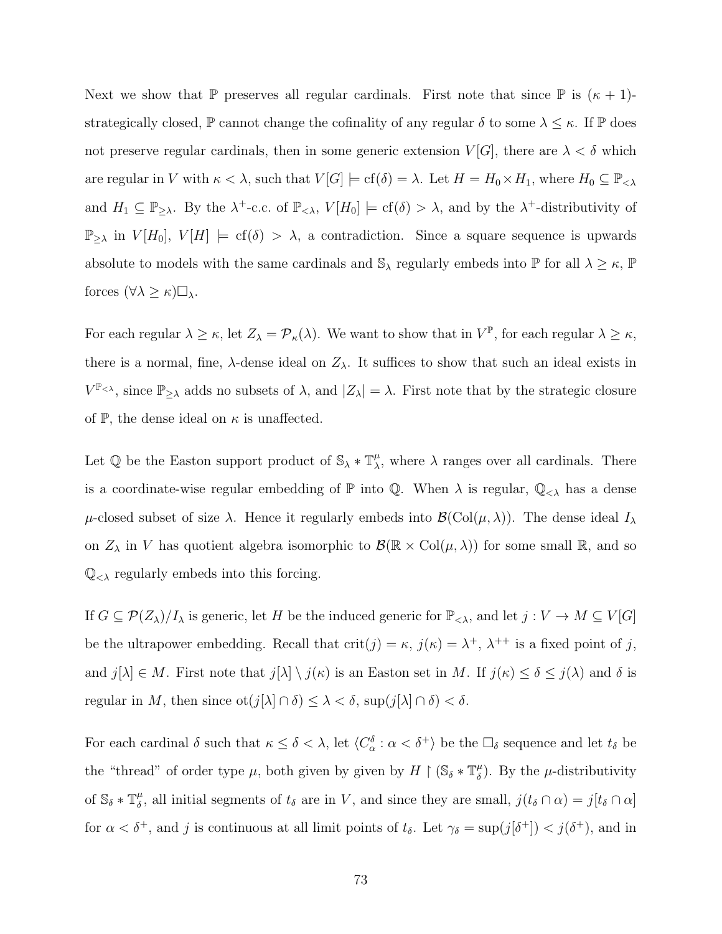Next we show that P preserves all regular cardinals. First note that since P is  $(\kappa + 1)$ strategically closed,  $\mathbb P$  cannot change the cofinality of any regular  $\delta$  to some  $\lambda \leq \kappa$ . If  $\mathbb P$  does not preserve regular cardinals, then in some generic extension  $V[G]$ , there are  $\lambda < \delta$  which are regular in V with  $\kappa < \lambda$ , such that  $V[G] \models cf(\delta) = \lambda$ . Let  $H = H_0 \times H_1$ , where  $H_0 \subseteq \mathbb{P}_{\leq \lambda}$ and  $H_1 \subseteq \mathbb{P}_{\geq \lambda}$ . By the  $\lambda^+$ -c.c. of  $\mathbb{P}_{\leq \lambda}$ ,  $V[H_0] \models cf(\delta) > \lambda$ , and by the  $\lambda^+$ -distributivity of  $\mathbb{P}_{\geq \lambda}$  in  $V[H_0], V[H] \models cf(\delta) > \lambda$ , a contradiction. Since a square sequence is upwards absolute to models with the same cardinals and  $\mathbb{S}_{\lambda}$  regularly embeds into  $\mathbb{P}$  for all  $\lambda \geq \kappa$ ,  $\mathbb{P}$ forces  $(\forall \lambda \geq \kappa) \square_{\lambda}$ .

For each regular  $\lambda \geq \kappa$ , let  $Z_{\lambda} = \mathcal{P}_{\kappa}(\lambda)$ . We want to show that in  $V^{\mathbb{P}},$  for each regular  $\lambda \geq \kappa$ , there is a normal, fine,  $\lambda$ -dense ideal on  $Z_{\lambda}$ . It suffices to show that such an ideal exists in  $V^{\mathbb{P}_{\leq \lambda}}$ , since  $\mathbb{P}_{\geq \lambda}$  adds no subsets of  $\lambda$ , and  $|Z_{\lambda}| = \lambda$ . First note that by the strategic closure of  $\mathbb{P}$ , the dense ideal on  $\kappa$  is unaffected.

Let  $\mathbb Q$  be the Easton support product of  $\mathbb S_\lambda * \mathbb T_\lambda^\mu$  $\mu_{\lambda}^{\mu}$ , where  $\lambda$  ranges over all cardinals. There is a coordinate-wise regular embedding of  $\mathbb P$  into  $\mathbb Q$ . When  $\lambda$  is regular,  $\mathbb Q_{<\lambda}$  has a dense  $\mu$ -closed subset of size  $\lambda$ . Hence it regularly embeds into  $\mathcal{B}(\text{Col}(\mu,\lambda))$ . The dense ideal  $I_\lambda$ on  $Z_{\lambda}$  in V has quotient algebra isomorphic to  $\mathcal{B}(\mathbb{R} \times \mathrm{Col}(\mu, \lambda))$  for some small  $\mathbb{R}$ , and so  $\mathbb{Q}_{<}$  regularly embeds into this forcing.

If  $G \subseteq \mathcal{P}(Z_{\lambda})/I_{\lambda}$  is generic, let H be the induced generic for  $\mathbb{P}_{\leq \lambda}$ , and let  $j: V \to M \subseteq V[G]$ be the ultrapower embedding. Recall that  $\text{crit}(j) = \kappa$ ,  $j(\kappa) = \lambda^+, \lambda^{++}$  is a fixed point of j, and  $j[\lambda] \in M$ . First note that  $j[\lambda] \setminus j(\kappa)$  is an Easton set in M. If  $j(\kappa) \leq \delta \leq j(\lambda)$  and  $\delta$  is regular in M, then since  $\mathrm{ot}(j[\lambda]\cap\delta)\leq\lambda<\delta$ ,  $\sup(j[\lambda]\cap\delta)<\delta$ .

For each cardinal  $\delta$  such that  $\kappa \leq \delta < \lambda$ , let  $\langle C_{\alpha}^{\delta} : \alpha < \delta^{+} \rangle$  be the  $\square_{\delta}$  sequence and let  $t_{\delta}$  be the "thread" of order type  $\mu$ , both given by given by  $H \restriction (\mathbb{S}_{\delta} * \mathbb{T}_{\delta}^{\mu})$  $\binom{\mu}{\delta}$ . By the  $\mu$ -distributivity of  $\mathbb{S}_{\delta} * \mathbb{T}_{\delta}^{\mu}$  $\delta$ , all initial segments of  $t_\delta$  are in V, and since they are small,  $j(t_\delta \cap \alpha) = j[t_\delta \cap \alpha]$ for  $\alpha < \delta^+$ , and j is continuous at all limit points of  $t_{\delta}$ . Let  $\gamma_{\delta} = \sup(j[\delta^+]) < j(\delta^+)$ , and in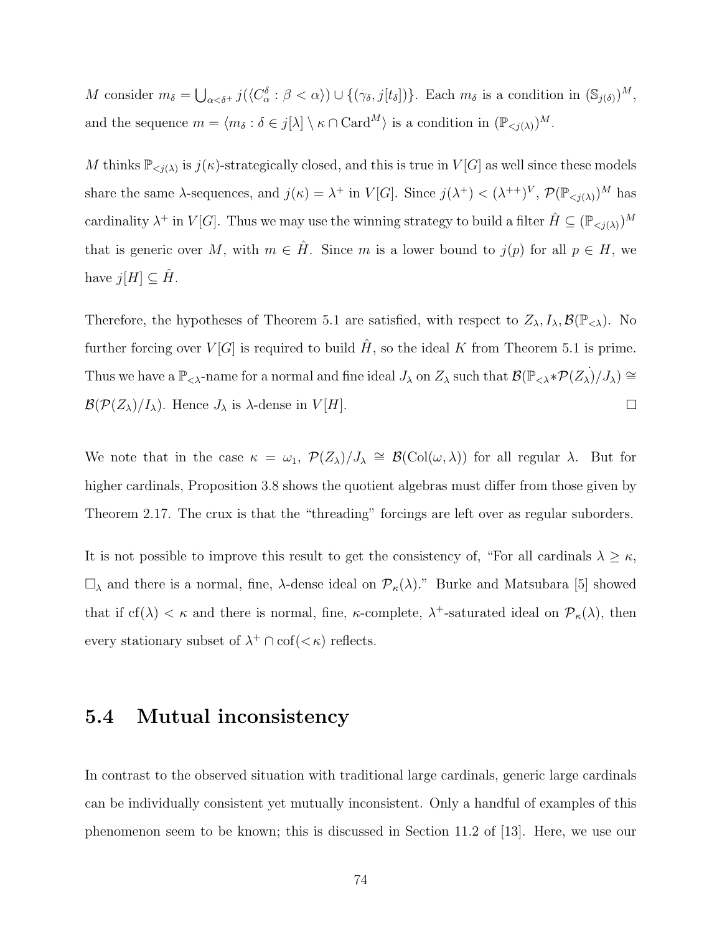M consider  $m_{\delta} = \bigcup_{\alpha < \delta^+} j(\langle C_{\alpha}^{\delta} : \beta < \alpha \rangle) \cup \{(\gamma_{\delta}, j[t_{\delta}])\}\)$ . Each  $m_{\delta}$  is a condition in  $(\mathbb{S}_{j(\delta)})^M$ , and the sequence  $m = \langle m_\delta : \delta \in j[\lambda] \setminus \kappa \cap \text{Card}^M \rangle$  is a condition in  $(\mathbb{P}_{\leq j(\lambda)})^M$ .

M thinks  $\mathbb{P}_{\leq j(\lambda)}$  is  $j(\kappa)$ -strategically closed, and this is true in  $V[G]$  as well since these models share the same  $\lambda$ -sequences, and  $j(\kappa) = \lambda^+$  in  $V[G]$ . Since  $j(\lambda^+) < (\lambda^{++})^V$ ,  $\mathcal{P}(\mathbb{P}_{\leq j(\lambda)})^M$  has cardinality  $\lambda^+$  in  $V[G]$ . Thus we may use the winning strategy to build a filter  $\hat{H} \subseteq (\mathbb{P}_{\leq j(\lambda)})^M$ that is generic over M, with  $m \in \hat{H}$ . Since m is a lower bound to  $j(p)$  for all  $p \in H$ , we have  $j[H] \subseteq \hat{H}$ .

Therefore, the hypotheses of Theorem [5.1](#page-69-0) are satisfied, with respect to  $Z_{\lambda}, I_{\lambda}, \mathcal{B}(\mathbb{P}_{<\lambda})$ . No further forcing over  $V[G]$  is required to build  $\hat{H}$ , so the ideal K from Theorem [5.1](#page-69-0) is prime. Thus we have a  $\mathbb{P}_{< \lambda}$ -name for a normal and fine ideal  $J_\lambda$  on  $Z_\lambda$  such that  $\mathcal{B}(\mathbb{P}_{< \lambda} * \mathcal{P}(Z_\lambda)/J_\lambda) \cong$  $\mathcal{B}(\mathcal{P}(Z_{\lambda})/I_{\lambda})$ . Hence  $J_{\lambda}$  is  $\lambda$ -dense in  $V[H]$ .  $\Box$ 

We note that in the case  $\kappa = \omega_1$ ,  $\mathcal{P}(Z_{\lambda})/J_{\lambda} \cong \mathcal{B}(\text{Col}(\omega, \lambda))$  for all regular  $\lambda$ . But for higher cardinals, Proposition [3.8](#page-50-0) shows the quotient algebras must differ from those given by Theorem [2.17.](#page-37-0) The crux is that the "threading" forcings are left over as regular suborders.

It is not possible to improve this result to get the consistency of, "For all cardinals  $\lambda \geq \kappa$ ,  $\square_{\lambda}$  and there is a normal, fine,  $\lambda$ -dense ideal on  $\mathcal{P}_{\kappa}(\lambda)$ ." Burke and Matsubara [\[5\]](#page-108-1) showed that if  $cf(\lambda) < \kappa$  and there is normal, fine,  $\kappa$ -complete,  $\lambda^+$ -saturated ideal on  $\mathcal{P}_{\kappa}(\lambda)$ , then every stationary subset of  $\lambda^+ \cap \text{cof}(<\kappa)$  reflects.

### 5.4 Mutual inconsistency

In contrast to the observed situation with traditional large cardinals, generic large cardinals can be individually consistent yet mutually inconsistent. Only a handful of examples of this phenomenon seem to be known; this is discussed in Section 11.2 of [\[13\]](#page-108-2). Here, we use our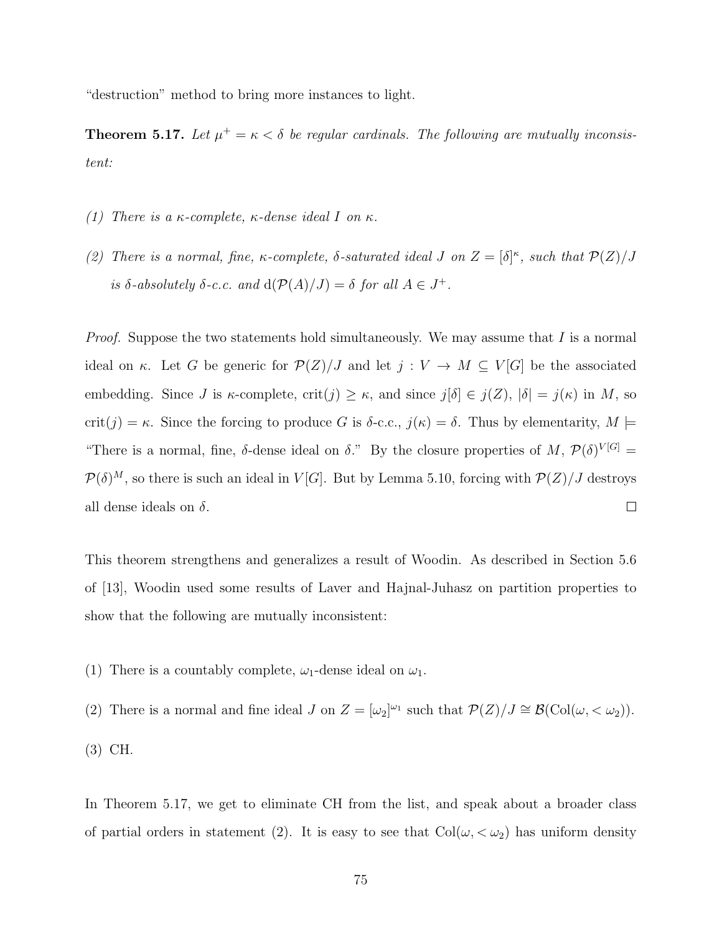"destruction" method to bring more instances to light.

<span id="page-83-0"></span>**Theorem 5.17.** Let  $\mu^+ = \kappa < \delta$  be regular cardinals. The following are mutually inconsistent:

- (1) There is a  $\kappa$ -complete,  $\kappa$ -dense ideal I on  $\kappa$ .
- (2) There is a normal, fine,  $\kappa$ -complete,  $\delta$ -saturated ideal J on  $Z = [\delta]^{\kappa}$ , such that  $\mathcal{P}(Z)/J$ is  $\delta$ -absolutely  $\delta$ -c.c. and  $d(\mathcal{P}(A)/J) = \delta$  for all  $A \in J^+$ .

*Proof.* Suppose the two statements hold simultaneously. We may assume that I is a normal ideal on κ. Let G be generic for  $\mathcal{P}(Z)/J$  and let  $j: V \to M \subseteq V[G]$  be the associated embedding. Since J is  $\kappa$ -complete, crit(j)  $\geq \kappa$ , and since  $j[\delta] \in j(Z)$ ,  $|\delta| = j(\kappa)$  in M, so crit(j) = κ. Since the forcing to produce G is  $\delta$ -c.c.,  $j(\kappa) = \delta$ . Thus by elementarity,  $M \models$ "There is a normal, fine,  $\delta$ -dense ideal on  $\delta$ ." By the closure properties of M,  $\mathcal{P}(\delta)^{V[G]}$  =  $\mathcal{P}(\delta)^M$ , so there is such an ideal in  $V[G]$ . But by Lemma [5.10,](#page-75-0) forcing with  $\mathcal{P}(Z)/J$  destroys all dense ideals on  $\delta$ .  $\Box$ 

This theorem strengthens and generalizes a result of Woodin. As described in Section 5.6 of [\[13\]](#page-108-2), Woodin used some results of Laver and Hajnal-Juhasz on partition properties to show that the following are mutually inconsistent:

(1) There is a countably complete,  $\omega_1$ -dense ideal on  $\omega_1$ .

(2) There is a normal and fine ideal J on  $Z = [\omega_2]^{\omega_1}$  such that  $\mathcal{P}(Z)/J \cong \mathcal{B}(\text{Col}(\omega, < \omega_2)).$ (3) CH.

In Theorem [5.17,](#page-83-0) we get to eliminate CH from the list, and speak about a broader class of partial orders in statement (2). It is easy to see that  $Col(\omega, < \omega_2)$  has uniform density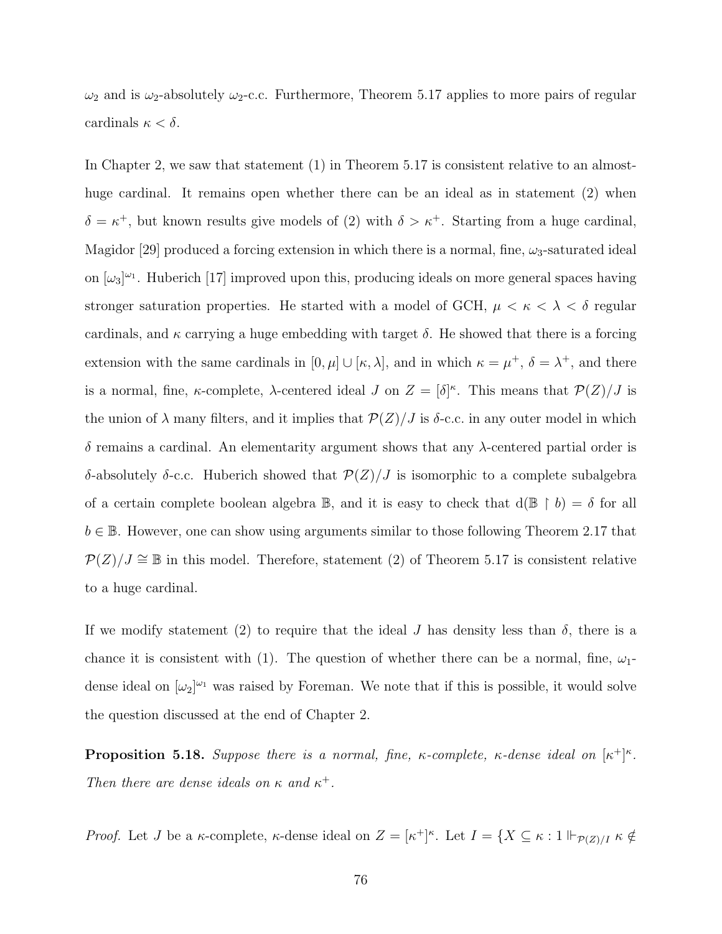$\omega_2$  and is  $\omega_2$ -absolutely  $\omega_2$ -c.c. Furthermore, Theorem [5.17](#page-83-0) applies to more pairs of regular cardinals  $\kappa < \delta$ .

In Chapter 2, we saw that statement (1) in Theorem [5.17](#page-83-0) is consistent relative to an almosthuge cardinal. It remains open whether there can be an ideal as in statement (2) when  $\delta = \kappa^+$ , but known results give models of (2) with  $\delta > \kappa^+$ . Starting from a huge cardinal, Magidor [\[29\]](#page-109-0) produced a forcing extension in which there is a normal, fine,  $\omega_3$ -saturated ideal on  $[\omega_3]^{\omega_1}$ . Huberich [\[17\]](#page-109-1) improved upon this, producing ideals on more general spaces having stronger saturation properties. He started with a model of GCH,  $\mu < \kappa < \lambda < \delta$  regular cardinals, and  $\kappa$  carrying a huge embedding with target  $\delta$ . He showed that there is a forcing extension with the same cardinals in  $[0, \mu] \cup [\kappa, \lambda]$ , and in which  $\kappa = \mu^+, \delta = \lambda^+$ , and there is a normal, fine,  $\kappa$ -complete,  $\lambda$ -centered ideal J on  $Z = [\delta]^{\kappa}$ . This means that  $\mathcal{P}(Z)/J$  is the union of  $\lambda$  many filters, and it implies that  $\mathcal{P}(Z)/J$  is  $\delta$ -c.c. in any outer model in which δ remains a cardinal. An elementarity argument shows that any λ-centered partial order is δ-absolutely δ-c.c. Huberich showed that  $\mathcal{P}(Z)/J$  is isomorphic to a complete subalgebra of a certain complete boolean algebra  $\mathbb{B}$ , and it is easy to check that  $d(\mathbb{B} \restriction b) = \delta$  for all  $b \in \mathbb{B}$ . However, one can show using arguments similar to those following Theorem [2.17](#page-37-0) that  $P(Z)/J \cong \mathbb{B}$  in this model. Therefore, statement (2) of Theorem [5.17](#page-83-0) is consistent relative to a huge cardinal.

If we modify statement (2) to require that the ideal J has density less than  $\delta$ , there is a chance it is consistent with (1). The question of whether there can be a normal, fine,  $\omega_1$ dense ideal on  $[\omega_2]^{\omega_1}$  was raised by Foreman. We note that if this is possible, it would solve the question discussed at the end of Chapter 2.

**Proposition 5.18.** Suppose there is a normal, fine,  $\kappa$ -complete,  $\kappa$ -dense ideal on  $[\kappa^+]^{\kappa}$ . Then there are dense ideals on  $\kappa$  and  $\kappa^+$ .

*Proof.* Let *J* be a  $\kappa$ -complete,  $\kappa$ -dense ideal on  $Z = [\kappa^+]^{\kappa}$ . Let  $I = \{X \subseteq \kappa : 1 \Vdash_{\mathcal{P}(Z)/I} \kappa \notin$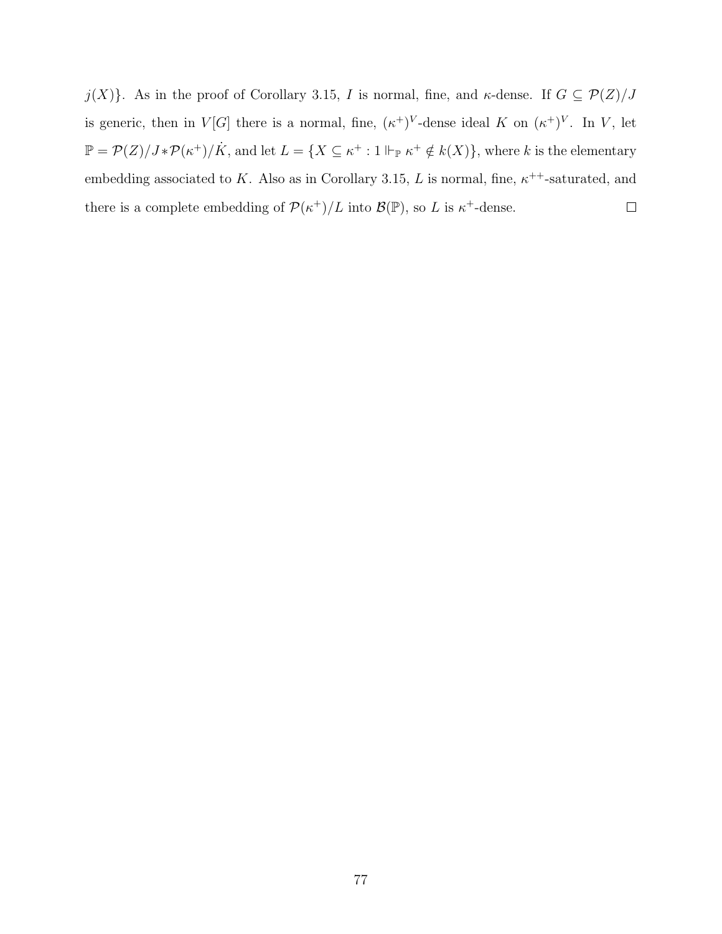$j(X)$ . As in the proof of Corollary [3.15,](#page-53-0) I is normal, fine, and  $\kappa$ -dense. If  $G \subseteq \mathcal{P}(Z)/J$ is generic, then in  $V[G]$  there is a normal, fine,  $(\kappa^+)^V$ -dense ideal K on  $(\kappa^+)^V$ . In V, let  $\mathbb{P} = \mathcal{P}(Z)/J^*\mathcal{P}(\kappa^+)/\dot{K}$ , and let  $L = \{X \subseteq \kappa^+ : 1 \Vdash_{\mathbb{P}} \kappa^+ \notin k(X)\},\$  where k is the elementary embedding associated to K. Also as in Corollary [3.15,](#page-53-0) L is normal, fine,  $\kappa^{++}$ -saturated, and there is a complete embedding of  $\mathcal{P}(\kappa^+)/L$  into  $\mathcal{B}(\mathbb{P})$ , so L is  $\kappa^+$ -dense.  $\Box$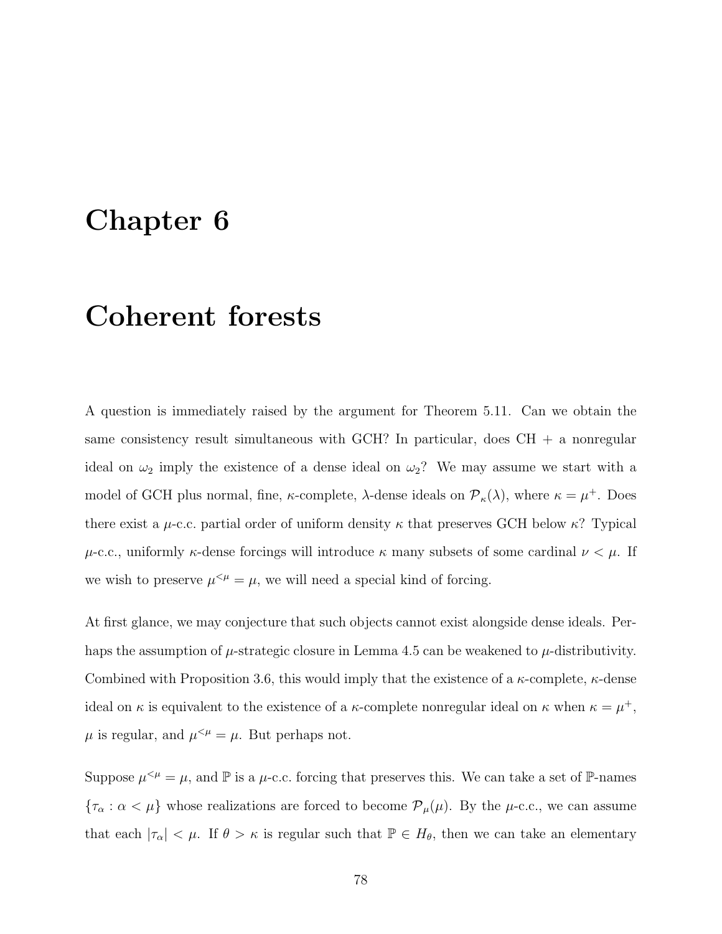# Chapter 6

# Coherent forests

A question is immediately raised by the argument for Theorem [5.11.](#page-76-0) Can we obtain the same consistency result simultaneous with GCH? In particular, does  $CH + a$  nonregular ideal on  $\omega_2$  imply the existence of a dense ideal on  $\omega_2$ ? We may assume we start with a model of GCH plus normal, fine,  $\kappa$ -complete,  $\lambda$ -dense ideals on  $\mathcal{P}_{\kappa}(\lambda)$ , where  $\kappa = \mu^+$ . Does there exist a  $\mu$ -c.c. partial order of uniform density  $\kappa$  that preserves GCH below  $\kappa$ ? Typical  $\mu$ -c.c., uniformly  $\kappa$ -dense forcings will introduce  $\kappa$  many subsets of some cardinal  $\nu < \mu$ . If we wish to preserve  $\mu^{<\mu} = \mu$ , we will need a special kind of forcing.

At first glance, we may conjecture that such objects cannot exist alongside dense ideals. Perhaps the assumption of  $\mu$ -strategic closure in Lemma [4.5](#page-59-0) can be weakened to  $\mu$ -distributivity. Combined with Proposition [3.6,](#page-48-1) this would imply that the existence of a  $\kappa$ -complete,  $\kappa$ -dense ideal on  $\kappa$  is equivalent to the existence of a  $\kappa$ -complete nonregular ideal on  $\kappa$  when  $\kappa = \mu^+$ ,  $\mu$  is regular, and  $\mu^{<\mu} = \mu$ . But perhaps not.

Suppose  $\mu^{\leq \mu} = \mu$ , and  $\mathbb P$  is a  $\mu$ -c.c. forcing that preserves this. We can take a set of  $\mathbb P$ -names  ${\tau_\alpha : \alpha < \mu}$  whose realizations are forced to become  ${\cal P}_\mu(\mu)$ . By the  $\mu$ -c.c., we can assume that each  $|\tau_{\alpha}| < \mu$ . If  $\theta > \kappa$  is regular such that  $\mathbb{P} \in H_{\theta}$ , then we can take an elementary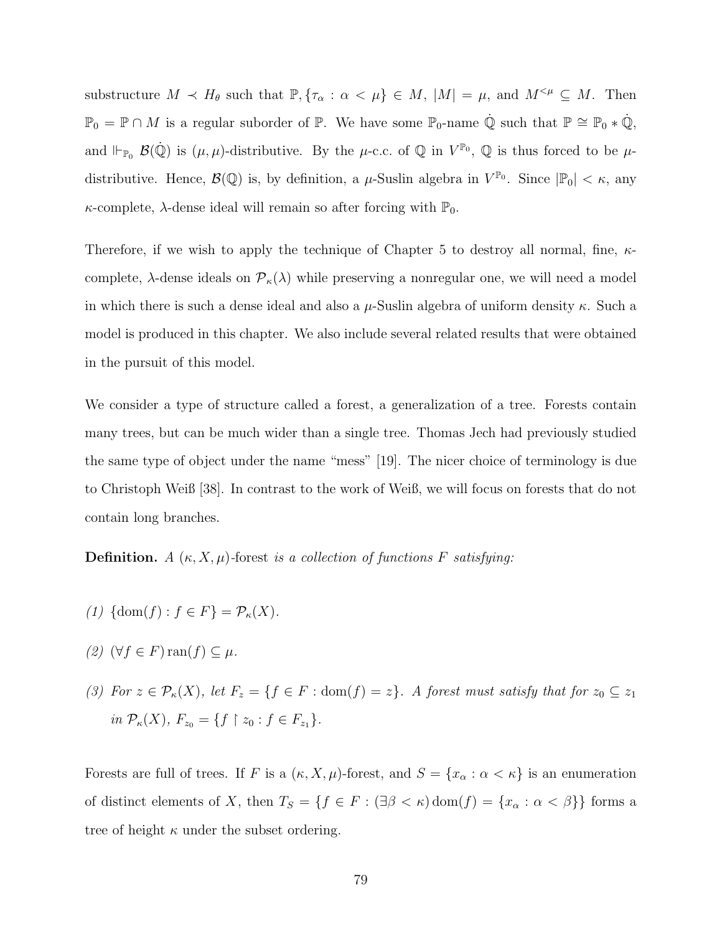substructure  $M \prec H_{\theta}$  such that  $\mathbb{P}, \{\tau_{\alpha} : \alpha \leq \mu\} \in M$ ,  $|M| = \mu$ , and  $M^{<\mu} \subseteq M$ . Then  $\mathbb{P}_0 = \mathbb{P} \cap M$  is a regular suborder of  $\mathbb{P}$ . We have some  $\mathbb{P}_0$ -name  $\dot{\mathbb{Q}}$  such that  $\mathbb{P} \cong \mathbb{P}_0 * \dot{\mathbb{Q}}$ , and  $\Vdash_{\mathbb{P}_0} \mathcal{B}(\dot{\mathbb{Q}})$  is  $(\mu, \mu)$ -distributive. By the  $\mu$ -c.c. of  $\mathbb{Q}$  in  $V^{\mathbb{P}_0}$ ,  $\mathbb{Q}$  is thus forced to be  $\mu$ distributive. Hence,  $\mathcal{B}(\mathbb{Q})$  is, by definition, a  $\mu$ -Suslin algebra in  $V^{\mathbb{P}_0}$ . Since  $|\mathbb{P}_0| < \kappa$ , any  $\kappa$ -complete,  $\lambda$ -dense ideal will remain so after forcing with  $\mathbb{P}_0$ .

Therefore, if we wish to apply the technique of Chapter 5 to destroy all normal, fine,  $\kappa$ complete,  $\lambda$ -dense ideals on  $\mathcal{P}_{\kappa}(\lambda)$  while preserving a nonregular one, we will need a model in which there is such a dense ideal and also a  $\mu$ -Suslin algebra of uniform density  $\kappa$ . Such a model is produced in this chapter. We also include several related results that were obtained in the pursuit of this model.

We consider a type of structure called a forest, a generalization of a tree. Forests contain many trees, but can be much wider than a single tree. Thomas Jech had previously studied the same type of object under the name "mess" [\[19\]](#page-109-2). The nicer choice of terminology is due to Christoph Weiß [\[38\]](#page-110-1). In contrast to the work of Weiß, we will focus on forests that do not contain long branches.

**Definition.** A  $(\kappa, X, \mu)$ -forest is a collection of functions F satisfying:

- (1)  $\{\text{dom}(f): f \in F\} = \mathcal{P}_{\kappa}(X).$
- (2)  $(\forall f \in F)$  ran $(f) \subseteq \mu$ .
- (3) For  $z \in \mathcal{P}_{\kappa}(X)$ , let  $F_z = \{f \in F : \text{dom}(f) = z\}$ . A forest must satisfy that for  $z_0 \subseteq z_1$ in  $\mathcal{P}_{\kappa}(X)$ ,  $F_{z_0} = \{f \restriction z_0 : f \in F_{z_1}\}.$

Forests are full of trees. If F is a  $(\kappa, X, \mu)$ -forest, and  $S = \{x_\alpha : \alpha < \kappa\}$  is an enumeration of distinct elements of X, then  $T_S = \{f \in F : (\exists \beta < \kappa) \text{dom}(f) = \{x_\alpha : \alpha < \beta\}\}\)$  forms a tree of height  $\kappa$  under the subset ordering.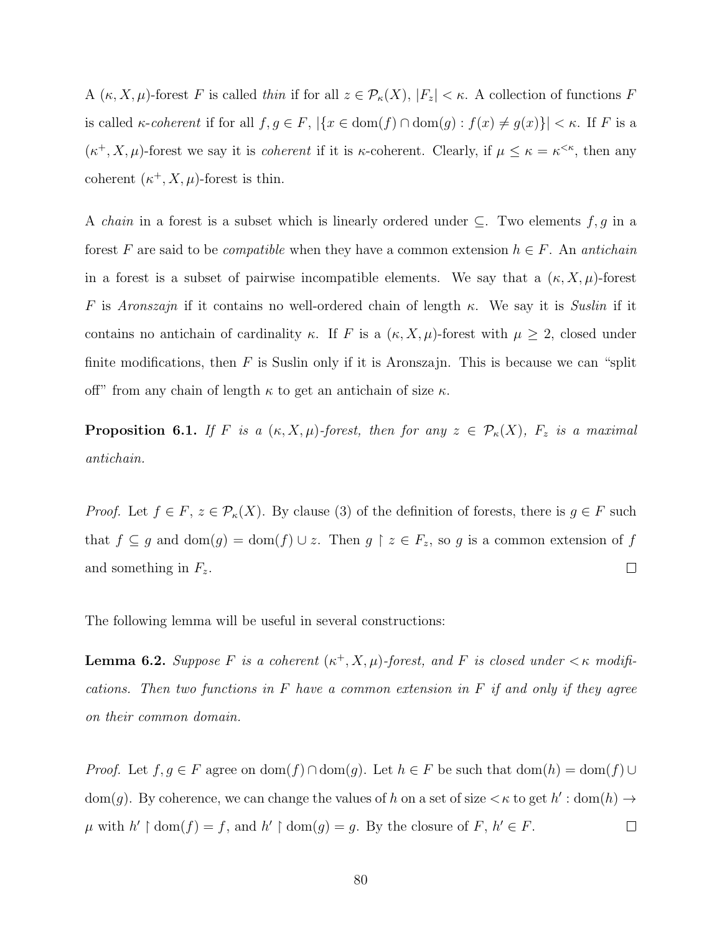A  $(\kappa, X, \mu)$ -forest F is called thin if for all  $z \in \mathcal{P}_{\kappa}(X), |F_z| < \kappa$ . A collection of functions F is called  $\kappa$ -coherent if for all  $f, g \in F$ ,  $|\{x \in \text{dom}(f) \cap \text{dom}(g) : f(x) \neq g(x)\}| < \kappa$ . If F is a  $(\kappa^+, X, \mu)$ -forest we say it is *coherent* if it is  $\kappa$ -coherent. Clearly, if  $\mu \leq \kappa = \kappa^{\leq \kappa}$ , then any coherent  $(\kappa^+, X, \mu)$ -forest is thin.

A *chain* in a forest is a subset which is linearly ordered under  $\subseteq$ . Two elements f, g in a forest F are said to be *compatible* when they have a common extension  $h \in F$ . An *antichain* in a forest is a subset of pairwise incompatible elements. We say that a  $(\kappa, X, \mu)$ -forest F is Aronszajn if it contains no well-ordered chain of length  $\kappa$ . We say it is Suslin if it contains no antichain of cardinality  $\kappa$ . If F is a  $(\kappa, X, \mu)$ -forest with  $\mu \geq 2$ , closed under finite modifications, then  $F$  is Suslin only if it is Aronszajn. This is because we can "split off" from any chain of length  $\kappa$  to get an antichain of size  $\kappa$ .

**Proposition 6.1.** If F is a  $(\kappa, X, \mu)$ -forest, then for any  $z \in \mathcal{P}_{\kappa}(X)$ ,  $F_z$  is a maximal antichain.

*Proof.* Let  $f \in F$ ,  $z \in \mathcal{P}_{\kappa}(X)$ . By clause (3) of the definition of forests, there is  $g \in F$  such that  $f \subseteq g$  and  $dom(g) = dom(f) \cup z$ . Then  $g \upharpoonright z \in F_z$ , so g is a common extension of f  $\Box$ and something in  $F_z$ .

The following lemma will be useful in several constructions:

<span id="page-88-0"></span>**Lemma 6.2.** Suppose F is a coherent  $(\kappa^+, X, \mu)$ -forest, and F is closed under  $\lt \kappa$  modifications. Then two functions in  $F$  have a common extension in  $F$  if and only if they agree on their common domain.

*Proof.* Let  $f, g \in F$  agree on  $\text{dom}(f) \cap \text{dom}(g)$ . Let  $h \in F$  be such that  $\text{dom}(h) = \text{dom}(f) \cup$ dom(g). By coherence, we can change the values of h on a set of size  $\lt \kappa$  to get  $h'$ : dom(h)  $\to$  $\mu$  with  $h' \restriction \text{dom}(f) = f$ , and  $h' \restriction \text{dom}(g) = g$ . By the closure of  $F, h' \in F$ .  $\Box$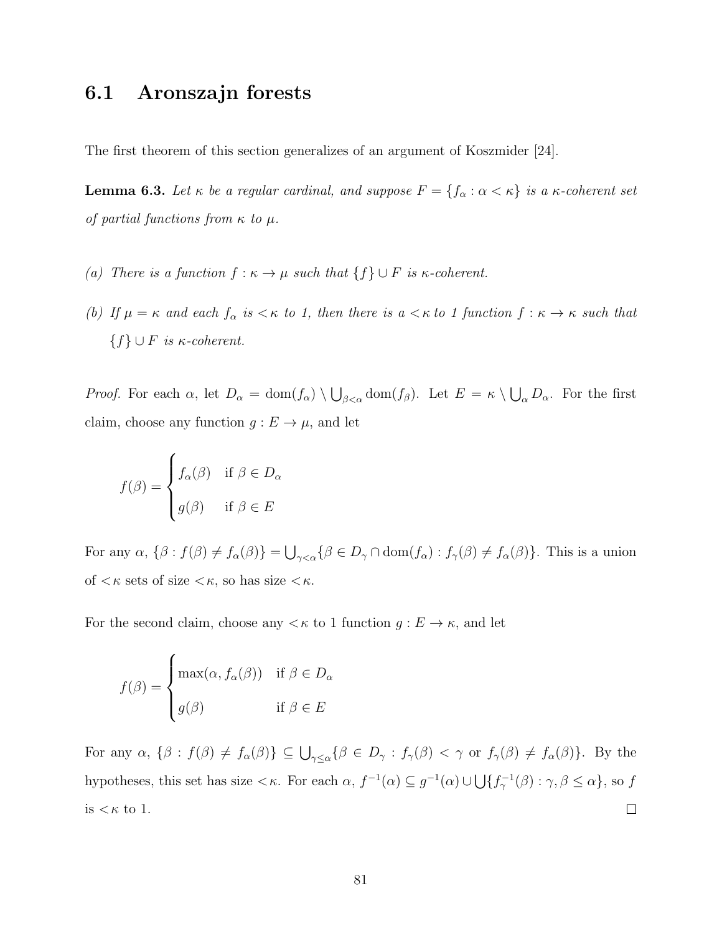## 6.1 Aronszajn forests

The first theorem of this section generalizes of an argument of Koszmider [\[24\]](#page-109-3).

<span id="page-89-0"></span>**Lemma 6.3.** Let  $\kappa$  be a regular cardinal, and suppose  $F = \{f_{\alpha} : \alpha < \kappa\}$  is a  $\kappa$ -coherent set of partial functions from  $\kappa$  to  $\mu$ .

- (a) There is a function  $f : \kappa \to \mu$  such that  $\{f\} \cup F$  is  $\kappa$ -coherent.
- (b) If  $\mu = \kappa$  and each  $f_{\alpha}$  is  $\lt \kappa$  to 1, then there is  $a \lt \kappa$  to 1 function  $f : \kappa \to \kappa$  such that  ${f} \cup F$  is  $\kappa$ -coherent.

*Proof.* For each  $\alpha$ , let  $D_{\alpha} = \text{dom}(f_{\alpha}) \setminus \bigcup_{\beta < \alpha} \text{dom}(f_{\beta})$ . Let  $E = \kappa \setminus \bigcup_{\alpha} D_{\alpha}$ . For the first claim, choose any function  $g : E \to \mu$ , and let

$$
f(\beta) = \begin{cases} f_{\alpha}(\beta) & \text{if } \beta \in D_{\alpha} \\ g(\beta) & \text{if } \beta \in E \end{cases}
$$

For any  $\alpha$ ,  $\{\beta : f(\beta) \neq f_\alpha(\beta)\} = \bigcup_{\gamma < \alpha} {\{\beta \in D_\gamma \cap \text{dom}(f_\alpha) : f_\gamma(\beta) \neq f_\alpha(\beta)\}}$ . This is a union of  $\lt$   $\kappa$  sets of size  $\lt$  $\kappa$ , so has size  $\lt$  $\kappa$ .

For the second claim, choose any  $\lt \kappa$  to 1 function  $g: E \to \kappa$ , and let

$$
f(\beta) = \begin{cases} \max(\alpha, f_{\alpha}(\beta)) & \text{if } \beta \in D_{\alpha} \\ g(\beta) & \text{if } \beta \in E \end{cases}
$$

For any  $\alpha$ ,  $\{\beta : f(\beta) \neq f_\alpha(\beta)\}\subseteq \bigcup_{\gamma\leq \alpha} \{\beta \in D_\gamma : f_\gamma(\beta) < \gamma \text{ or } f_\gamma(\beta) \neq f_\alpha(\beta)\}\.$  By the hypotheses, this set has size  $\lt \kappa$ . For each  $\alpha$ ,  $f^{-1}(\alpha) \subseteq g^{-1}(\alpha) \cup \bigcup \{f^{-1}_{\gamma}(\beta) : \gamma, \beta \leq \alpha\}$ , so f is  $<\kappa$  to 1.  $\Box$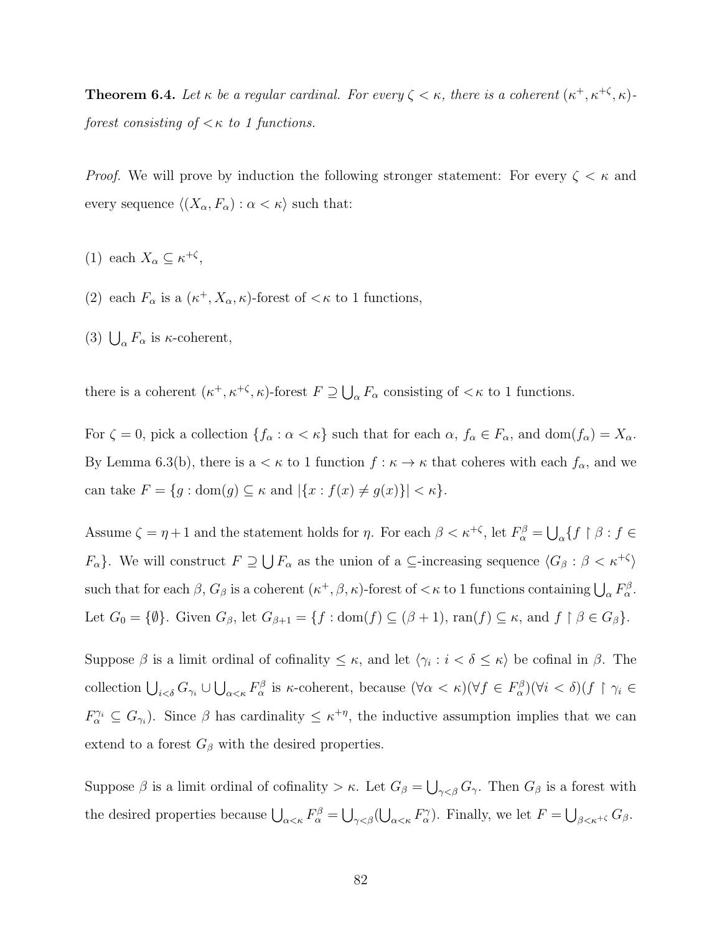<span id="page-90-0"></span>**Theorem 6.4.** Let  $\kappa$  be a regular cardinal. For every  $\zeta < \kappa$ , there is a coherent  $(\kappa^+, \kappa^{+\zeta}, \kappa)$ forest consisting of  $\lt \kappa$  to 1 functions.

*Proof.* We will prove by induction the following stronger statement: For every  $\zeta < \kappa$  and every sequence  $\langle (X_{\alpha}, F_{\alpha}) : \alpha < \kappa \rangle$  such that:

- (1) each  $X_{\alpha} \subseteq \kappa^{+\zeta}$ ,
- (2) each  $F_{\alpha}$  is a  $(\kappa^+, X_{\alpha}, \kappa)$ -forest of  $\lt \kappa$  to 1 functions,
- (3)  $\bigcup_{\alpha} F_{\alpha}$  is  $\kappa$ -coherent,

there is a coherent  $(\kappa^+, \kappa^{+\zeta}, \kappa)$ -forest  $F \supseteq \bigcup_{\alpha} F_{\alpha}$  consisting of  $\langle \kappa \rangle$  to 1 functions.

For  $\zeta = 0$ , pick a collection  $\{f_{\alpha} : \alpha < \kappa\}$  such that for each  $\alpha, f_{\alpha} \in F_{\alpha}$ , and  $dom(f_{\alpha}) = X_{\alpha}$ . By Lemma [6.3\(](#page-89-0)b), there is a  $\lt \kappa$  to 1 function  $f : \kappa \to \kappa$  that coheres with each  $f_\alpha$ , and we can take  $F = \{g : \text{dom}(g) \subseteq \kappa \text{ and } |\{x : f(x) \neq g(x)\}| < \kappa \}.$ 

Assume  $\zeta = \eta + 1$  and the statement holds for  $\eta$ . For each  $\beta < \kappa^{+\zeta}$ , let  $F_{\alpha}^{\beta} = \bigcup_{\alpha} \{f \restriction \beta : f \in$  $F_{\alpha}$ . We will construct  $F \supseteq \bigcup F_{\alpha}$  as the union of a  $\subseteq$ -increasing sequence  $\langle G_{\beta} : \beta < \kappa^{+\zeta} \rangle$ such that for each  $\beta$ ,  $G_{\beta}$  is a coherent  $(\kappa^+, \beta, \kappa)$ -forest of  $\lt \kappa$  to 1 functions containing  $\bigcup_{\alpha} F_{\alpha}^{\beta}$ . Let  $G_0 = \{\emptyset\}$ . Given  $G_\beta$ , let  $G_{\beta+1} = \{f : \text{dom}(f) \subseteq (\beta+1), \text{ran}(f) \subseteq \kappa$ , and  $f \upharpoonright \beta \in G_\beta\}$ .

Suppose  $\beta$  is a limit ordinal of cofinality  $\leq \kappa$ , and let  $\langle \gamma_i : i < \delta \leq \kappa \rangle$  be cofinal in  $\beta$ . The collection  $\bigcup_{i<\delta} G_{\gamma_i} \cup \bigcup_{\alpha<\kappa} F_{\alpha}^{\beta}$  is  $\kappa$ -coherent, because  $(\forall \alpha < \kappa)(\forall f \in F_{\alpha}^{\beta})(\forall i < \delta)(f \restriction \gamma_i \in F_{\alpha}^{\beta})$  $F_{\alpha}^{\gamma_i} \subseteq G_{\gamma_i}$ ). Since  $\beta$  has cardinality  $\leq \kappa^{+\eta}$ , the inductive assumption implies that we can extend to a forest  $G_\beta$  with the desired properties.

Suppose  $\beta$  is a limit ordinal of cofinality  $>\kappa$ . Let  $G_{\beta} = \bigcup_{\gamma<\beta} G_{\gamma}$ . Then  $G_{\beta}$  is a forest with the desired properties because  $\bigcup_{\alpha<\kappa}F_{\alpha}^{\beta}=\bigcup_{\gamma<\beta}(\bigcup_{\alpha<\kappa}F_{\alpha}^{\gamma})$ . Finally, we let  $F=\bigcup_{\beta<\kappa^{+\zeta}}G_{\beta}$ .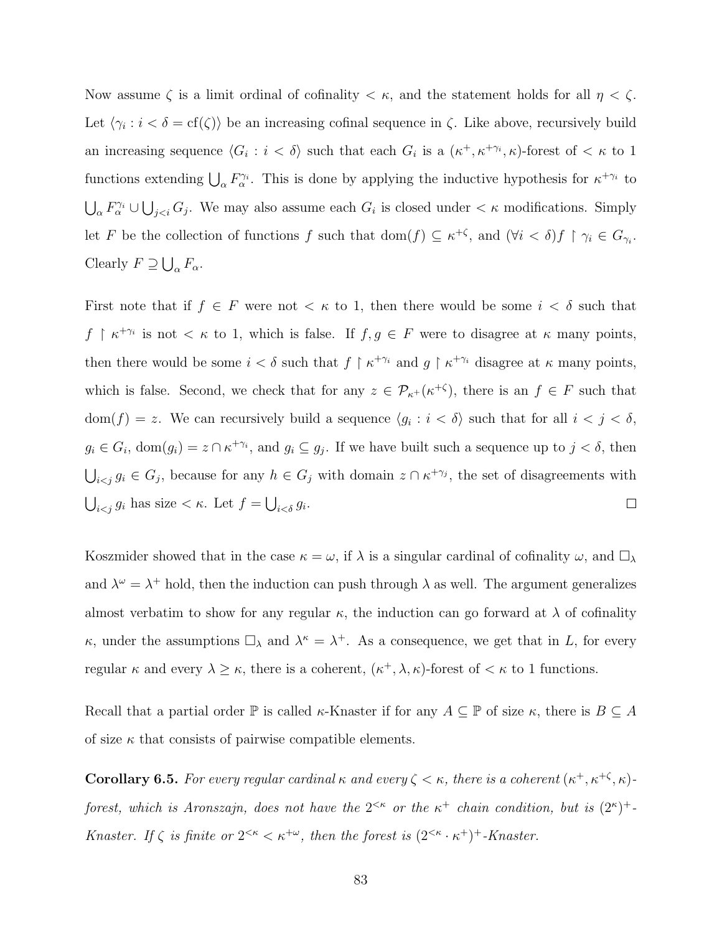Now assume  $\zeta$  is a limit ordinal of cofinality  $\zeta \kappa$ , and the statement holds for all  $\eta \zeta$ . Let  $\langle \gamma_i : i < \delta = \text{cf}(\zeta) \rangle$  be an increasing cofinal sequence in  $\zeta$ . Like above, recursively build an increasing sequence  $\langle G_i : i < \delta \rangle$  such that each  $G_i$  is a  $(\kappa^+, \kappa^{+\gamma_i}, \kappa)$ -forest of  $\langle \kappa \rangle$  to 1 functions extending  $\bigcup_{\alpha} F_{\alpha}^{\gamma_i}$ . This is done by applying the inductive hypothesis for  $\kappa^{+\gamma_i}$  to  $\bigcup_{\alpha} F_{\alpha}^{\gamma_i} \cup \bigcup_{j. We may also assume each  $G_i$  is closed under  $\lt \kappa$  modifications. Simply$ let F be the collection of functions f such that  $dom(f) \subseteq \kappa^{+\zeta}$ , and  $(\forall i < \delta) f \restriction \gamma_i \in G_{\gamma_i}$ . Clearly  $F \supseteq \bigcup_{\alpha} F_{\alpha}$ .

First note that if  $f \in F$  were not  $\lt \kappa$  to 1, then there would be some  $i \lt \delta$  such that  $f \restriction \kappa^{+\gamma_i}$  is not  $\lt \kappa$  to 1, which is false. If  $f, g \in F$  were to disagree at  $\kappa$  many points, then there would be some  $i < \delta$  such that  $f \restriction \kappa^{+\gamma_i}$  and  $g \restriction \kappa^{+\gamma_i}$  disagree at  $\kappa$  many points, which is false. Second, we check that for any  $z \in \mathcal{P}_{\kappa^+}(\kappa^{+\zeta})$ , there is an  $f \in F$  such that  $dom(f) = z$ . We can recursively build a sequence  $\langle g_i : i < \delta \rangle$  such that for all  $i < j < \delta$ ,  $g_i \in G_i$ ,  $dom(g_i) = z \cap \kappa^{+\gamma_i}$ , and  $g_i \subseteq g_j$ . If we have built such a sequence up to  $j < \delta$ , then  $\bigcup_{i < j} g_i \in G_j$ , because for any  $h \in G_j$  with domain  $z \cap \kappa^{+\gamma_j}$ , the set of disagreements with  $\bigcup_{i < j} g_i$  has size  $< \kappa$ . Let  $f = \bigcup_{i < \delta} g_i$ .  $\Box$ 

Koszmider showed that in the case  $\kappa = \omega$ , if  $\lambda$  is a singular cardinal of cofinality  $\omega$ , and  $\square_{\lambda}$ and  $\lambda^{\omega} = \lambda^{+}$  hold, then the induction can push through  $\lambda$  as well. The argument generalizes almost verbatim to show for any regular  $\kappa$ , the induction can go forward at  $\lambda$  of cofinality  $\kappa$ , under the assumptions  $\Box_{\lambda}$  and  $\lambda^{\kappa} = \lambda^{+}$ . As a consequence, we get that in L, for every regular  $\kappa$  and every  $\lambda \geq \kappa$ , there is a coherent,  $(\kappa^+, \lambda, \kappa)$ -forest of  $\lt \kappa$  to 1 functions.

Recall that a partial order  $\mathbb P$  is called  $\kappa$ -Knaster if for any  $A \subseteq \mathbb P$  of size  $\kappa$ , there is  $B \subseteq A$ of size  $\kappa$  that consists of pairwise compatible elements.

**Corollary 6.5.** For every regular cardinal  $\kappa$  and every  $\zeta < \kappa$ , there is a coherent  $(\kappa^+, \kappa^{+\zeta}, \kappa)$ forest, which is Aronszajn, does not have the  $2^{<\kappa}$  or the  $\kappa^+$  chain condition, but is  $(2^{\kappa})^+$ . Knaster. If  $\zeta$  is finite or  $2^{<\kappa} < \kappa^{+\omega}$ , then the forest is  $(2^{<\kappa} \cdot \kappa^+)^+$ -Knaster.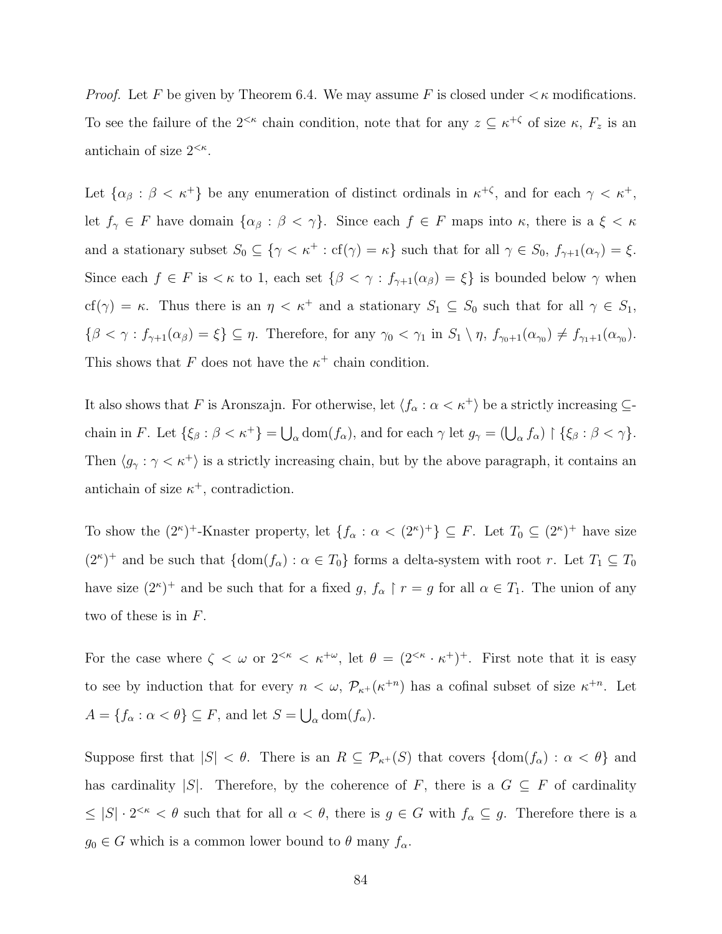*Proof.* Let F be given by Theorem [6.4.](#page-90-0) We may assume F is closed under  $\lt$   $\kappa$  modifications. To see the failure of the  $2^{<\kappa}$  chain condition, note that for any  $z \subseteq \kappa^{+\zeta}$  of size  $\kappa$ ,  $F_z$  is an antichain of size  $2^{<\kappa}$ .

Let  $\{\alpha_{\beta} : \beta < \kappa^+\}$  be any enumeration of distinct ordinals in  $\kappa^{+\zeta}$ , and for each  $\gamma < \kappa^+,$ let  $f_{\gamma} \in F$  have domain  $\{\alpha_{\beta} : \beta < \gamma\}$ . Since each  $f \in F$  maps into  $\kappa$ , there is a  $\xi < \kappa$ and a stationary subset  $S_0 \subseteq \{ \gamma < \kappa^+ : \text{cf}(\gamma) = \kappa \}$  such that for all  $\gamma \in S_0$ ,  $f_{\gamma+1}(\alpha_{\gamma}) = \xi$ . Since each  $f \in F$  is  $\lt \kappa$  to 1, each set  $\{\beta \lt \gamma : f_{\gamma+1}(\alpha_\beta) = \xi\}$  is bounded below  $\gamma$  when cf( $\gamma$ ) = κ. Thus there is an  $\eta < \kappa^+$  and a stationary  $S_1 \subseteq S_0$  such that for all  $\gamma \in S_1$ ,  $\{\beta < \gamma : f_{\gamma+1}(\alpha_{\beta}) = \xi\} \subseteq \eta$ . Therefore, for any  $\gamma_0 < \gamma_1$  in  $S_1 \setminus \eta$ ,  $f_{\gamma_0+1}(\alpha_{\gamma_0}) \neq f_{\gamma_1+1}(\alpha_{\gamma_0})$ . This shows that F does not have the  $\kappa^+$  chain condition.

It also shows that F is Aronszajn. For otherwise, let  $\langle f_\alpha : \alpha < \kappa^+ \rangle$  be a strictly increasing  $\subseteq$ chain in F. Let  $\{\xi_\beta : \beta < \kappa^+\} = \bigcup_\alpha \text{dom}(f_\alpha)$ , and for each  $\gamma$  let  $g_\gamma = (\bigcup_\alpha f_\alpha) \upharpoonright \{\xi_\beta : \beta < \gamma\}.$ Then  $\langle g_{\gamma} : \gamma < \kappa^{+} \rangle$  is a strictly increasing chain, but by the above paragraph, it contains an antichain of size  $\kappa^+$ , contradiction.

To show the  $(2^{\kappa})^+$ -Knaster property, let  $\{f_{\alpha} : \alpha < (2^{\kappa})^+\} \subseteq F$ . Let  $T_0 \subseteq (2^{\kappa})^+$  have size  $(2^{\kappa})^+$  and be such that  $\{\text{dom}(f_{\alpha}) : \alpha \in T_0\}$  forms a delta-system with root r. Let  $T_1 \subseteq T_0$ have size  $(2^{\kappa})^+$  and be such that for a fixed g,  $f_{\alpha} \restriction r = g$  for all  $\alpha \in T_1$ . The union of any two of these is in F.

For the case where  $\zeta < \omega$  or  $2^{<\kappa} < \kappa^{+\omega}$ , let  $\theta = (2^{<\kappa} \cdot \kappa^{+})^{+}$ . First note that it is easy to see by induction that for every  $n < \omega$ ,  $\mathcal{P}_{\kappa^+}(\kappa^{+n})$  has a cofinal subset of size  $\kappa^{+n}$ . Let  $A = \{f_{\alpha} : \alpha < \theta\} \subseteq F$ , and let  $S = \bigcup_{\alpha} \text{dom}(f_{\alpha})$ .

Suppose first that  $|S| < \theta$ . There is an  $R \subseteq \mathcal{P}_{\kappa+}(S)$  that covers  $\{\text{dom}(f_{\alpha}) : \alpha < \theta\}$  and has cardinality |S|. Therefore, by the coherence of F, there is a  $G \subseteq F$  of cardinality  $\leq |S| \cdot 2^{<\kappa} < \theta$  such that for all  $\alpha < \theta$ , there is  $g \in G$  with  $f_\alpha \subseteq g$ . Therefore there is a  $g_0 \in G$  which is a common lower bound to  $\theta$  many  $f_\alpha$ .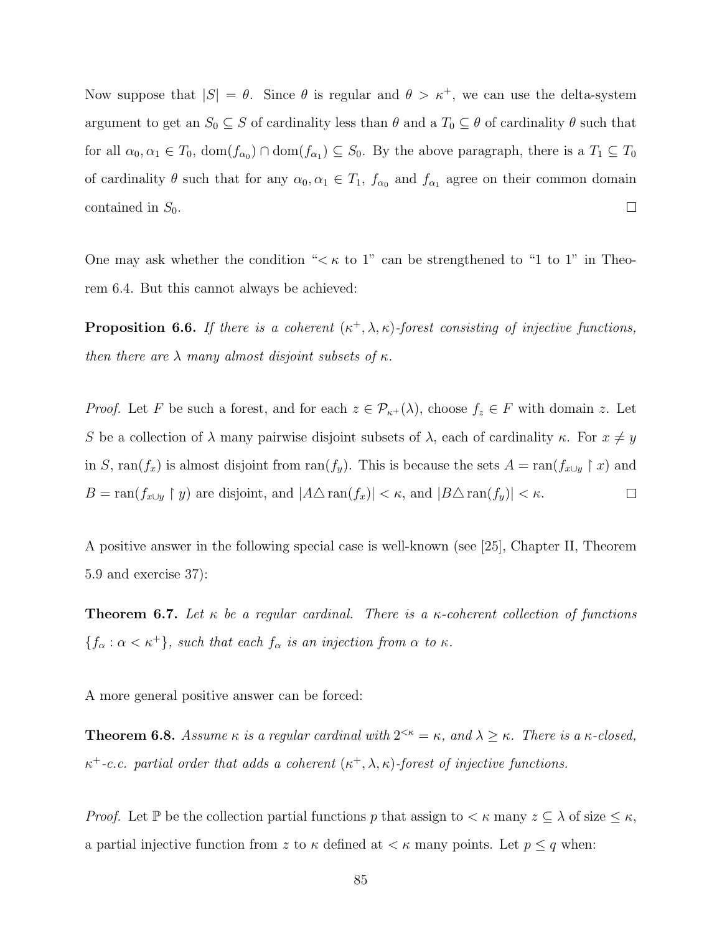Now suppose that  $|S| = \theta$ . Since  $\theta$  is regular and  $\theta > \kappa^+$ , we can use the delta-system argument to get an  $S_0 \subseteq S$  of cardinality less than  $\theta$  and a  $T_0 \subseteq \theta$  of cardinality  $\theta$  such that for all  $\alpha_0, \alpha_1 \in T_0$ ,  $\text{dom}(f_{\alpha_0}) \cap \text{dom}(f_{\alpha_1}) \subseteq S_0$ . By the above paragraph, there is a  $T_1 \subseteq T_0$ of cardinality  $\theta$  such that for any  $\alpha_0, \alpha_1 \in T_1$ ,  $f_{\alpha_0}$  and  $f_{\alpha_1}$  agree on their common domain  $\Box$ contained in  $S_0$ .

One may ask whether the condition " $\lt \kappa$  to 1" can be strengthened to "1 to 1" in Theorem [6.4.](#page-90-0) But this cannot always be achieved:

<span id="page-93-0"></span>**Proposition 6.6.** If there is a coherent  $(\kappa^+, \lambda, \kappa)$ -forest consisting of injective functions, then there are  $\lambda$  many almost disjoint subsets of  $\kappa$ .

*Proof.* Let F be such a forest, and for each  $z \in \mathcal{P}_{\kappa^+}(\lambda)$ , choose  $f_z \in F$  with domain z. Let S be a collection of  $\lambda$  many pairwise disjoint subsets of  $\lambda$ , each of cardinality  $\kappa$ . For  $x \neq y$ in S, ran(fx) is almost disjoint from ran(fy). This is because the sets  $A = \text{ran}(f_{x\cup y} \restriction x)$  and  $B = \text{ran}(f_{x \cup y} \restriction y)$  are disjoint, and  $|A \triangle \text{ran}(f_x)| < \kappa$ , and  $|B \triangle \text{ran}(f_y)| < \kappa$ .  $\Box$ 

A positive answer in the following special case is well-known (see [\[25\]](#page-109-4), Chapter II, Theorem 5.9 and exercise 37):

**Theorem 6.7.** Let  $\kappa$  be a regular cardinal. There is a  $\kappa$ -coherent collection of functions  ${f_{\alpha} : \alpha < \kappa^+}$ , such that each  $f_{\alpha}$  is an injection from  $\alpha$  to  $\kappa$ .

A more general positive answer can be forced:

<span id="page-93-1"></span>**Theorem 6.8.** Assume  $\kappa$  is a regular cardinal with  $2^{<\kappa} = \kappa$ , and  $\lambda \geq \kappa$ . There is a  $\kappa$ -closed,  $\kappa^+$ -c.c. partial order that adds a coherent  $(\kappa^+, \lambda, \kappa)$ -forest of injective functions.

*Proof.* Let P be the collection partial functions p that assign to  $\lt \kappa$  many  $z \subseteq \lambda$  of size  $\leq \kappa$ , a partial injective function from z to  $\kappa$  defined at  $\lt \kappa$  many points. Let  $p \leq q$  when: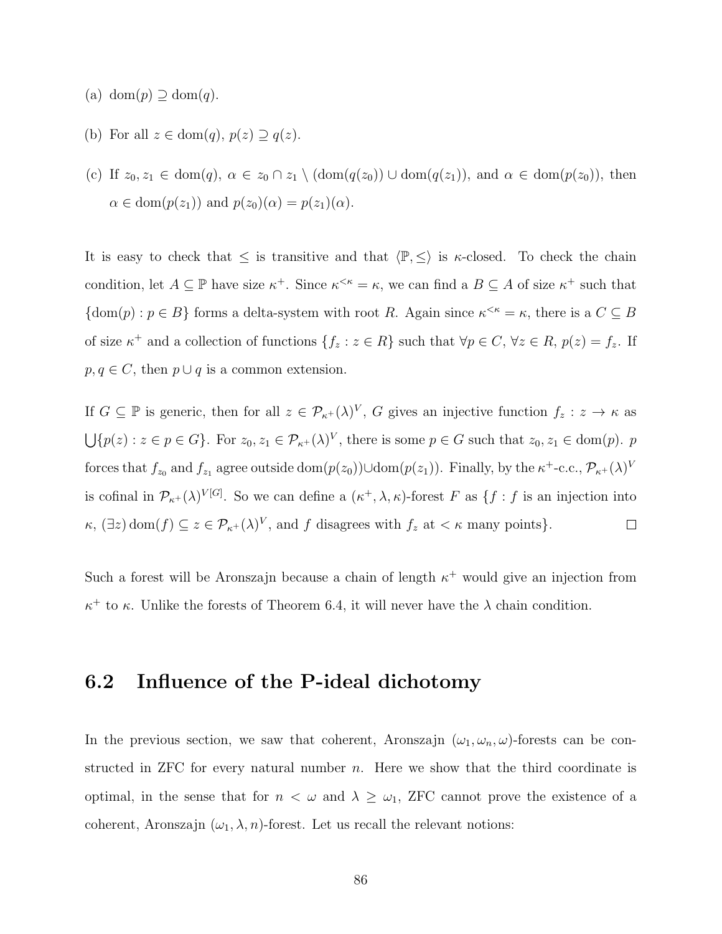- (a) dom $(p) \supseteq \text{dom}(q)$ .
- (b) For all  $z \in \text{dom}(q)$ ,  $p(z) \supseteq q(z)$ .
- (c) If  $z_0, z_1 \in \text{dom}(q), \ \alpha \in z_0 \cap z_1 \setminus (\text{dom}(q(z_0))) \cup \text{dom}(q(z_1)), \text{ and } \alpha \in \text{dom}(p(z_0)), \text{ then}$  $\alpha \in \text{dom}(p(z_1))$  and  $p(z_0)(\alpha) = p(z_1)(\alpha)$ .

It is easy to check that  $\leq$  is transitive and that  $\langle \mathbb{P}, \leq \rangle$  is  $\kappa$ -closed. To check the chain condition, let  $A \subseteq \mathbb{P}$  have size  $\kappa^+$ . Since  $\kappa^{\leq \kappa} = \kappa$ , we can find a  $B \subseteq A$  of size  $\kappa^+$  such that  $\{\text{dom}(p) : p \in B\}$  forms a delta-system with root R. Again since  $\kappa^{\leq \kappa} = \kappa$ , there is a  $C \subseteq B$ of size  $\kappa^+$  and a collection of functions  $\{f_z : z \in R\}$  such that  $\forall p \in C, \forall z \in R, p(z) = f_z$ . If  $p, q \in C$ , then  $p \cup q$  is a common extension.

If  $G \subseteq \mathbb{P}$  is generic, then for all  $z \in \mathcal{P}_{\kappa^+}(\lambda)^V$ , G gives an injective function  $f_z : z \to \kappa$  as  $\bigcup \{p(z) : z \in p \in G\}$ . For  $z_0, z_1 \in \mathcal{P}_{\kappa^+}(\lambda)^V$ , there is some  $p \in G$  such that  $z_0, z_1 \in \text{dom}(p)$ . p forces that  $f_{z_0}$  and  $f_{z_1}$  agree outside  $\text{dom}(p(z_0)) \cup \text{dom}(p(z_1))$ . Finally, by the  $\kappa^+$ -c.c.,  $\mathcal{P}_{\kappa^+}(\lambda)^V$ is cofinal in  $\mathcal{P}_{\kappa^+}(\lambda)^{V[G]}$ . So we can define a  $(\kappa^+,\lambda,\kappa)$ -forest F as  $\{f: f$  is an injection into  $\kappa$ ,  $(\exists z)$  dom $(f) \subseteq z \in \mathcal{P}_{\kappa^+}(\lambda)^V$ , and f disagrees with  $f_z$  at  $\lt \kappa$  many points}.  $\Box$ 

Such a forest will be Aronszajn because a chain of length  $\kappa^+$  would give an injection from  $\kappa^+$  to  $\kappa$ . Unlike the forests of Theorem [6.4,](#page-90-0) it will never have the  $\lambda$  chain condition.

### 6.2 Influence of the P-ideal dichotomy

In the previous section, we saw that coherent, Aronszajn  $(\omega_1, \omega_n, \omega)$ -forests can be constructed in ZFC for every natural number  $n$ . Here we show that the third coordinate is optimal, in the sense that for  $n < \omega$  and  $\lambda \geq \omega_1$ , ZFC cannot prove the existence of a coherent, Aronszajn  $(\omega_1, \lambda, n)$ -forest. Let us recall the relevant notions: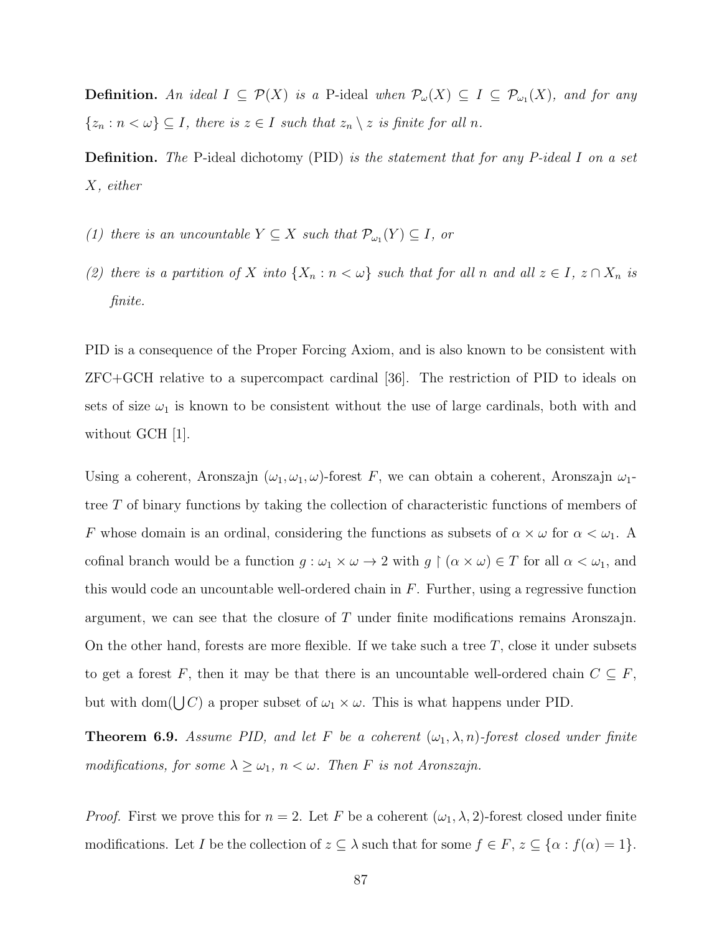**Definition.** An ideal  $I \subseteq \mathcal{P}(X)$  is a P-ideal when  $\mathcal{P}_{\omega}(X) \subseteq I \subseteq \mathcal{P}_{\omega_1}(X)$ , and for any  $\{z_n : n < \omega\} \subseteq I$ , there is  $z \in I$  such that  $z_n \setminus z$  is finite for all n.

Definition. The P-ideal dichotomy (PID) is the statement that for any P-ideal I on a set X, either

- (1) there is an uncountable  $Y \subseteq X$  such that  $\mathcal{P}_{\omega_1}(Y) \subseteq I$ , or
- (2) there is a partition of X into  $\{X_n : n < \omega\}$  such that for all n and all  $z \in I$ ,  $z \cap X_n$  is finite.

PID is a consequence of the Proper Forcing Axiom, and is also known to be consistent with ZFC+GCH relative to a supercompact cardinal [\[36\]](#page-110-2). The restriction of PID to ideals on sets of size  $\omega_1$  is known to be consistent without the use of large cardinals, both with and without GCH [\[1\]](#page-108-3).

Using a coherent, Aronszajn  $(\omega_1, \omega_1, \omega)$ -forest F, we can obtain a coherent, Aronszajn  $\omega_1$ tree T of binary functions by taking the collection of characteristic functions of members of F whose domain is an ordinal, considering the functions as subsets of  $\alpha \times \omega$  for  $\alpha < \omega_1$ . cofinal branch would be a function  $g : \omega_1 \times \omega \to 2$  with  $g \upharpoonright (\alpha \times \omega) \in T$  for all  $\alpha < \omega_1$ , and this would code an uncountable well-ordered chain in  $F$ . Further, using a regressive function argument, we can see that the closure of T under finite modifications remains Aronszajn. On the other hand, forests are more flexible. If we take such a tree  $T$ , close it under subsets to get a forest F, then it may be that there is an uncountable well-ordered chain  $C \subseteq F$ , but with dom( $\bigcup C$ ) a proper subset of  $\omega_1 \times \omega$ . This is what happens under PID.

**Theorem 6.9.** Assume PID, and let F be a coherent  $(\omega_1, \lambda, n)$ -forest closed under finite modifications, for some  $\lambda \geq \omega_1$ ,  $n < \omega$ . Then F is not Aronszajn.

*Proof.* First we prove this for  $n = 2$ . Let F be a coherent  $(\omega_1, \lambda, 2)$ -forest closed under finite modifications. Let I be the collection of  $z \subseteq \lambda$  such that for some  $f \in F$ ,  $z \subseteq {\alpha : f(\alpha) = 1}$ .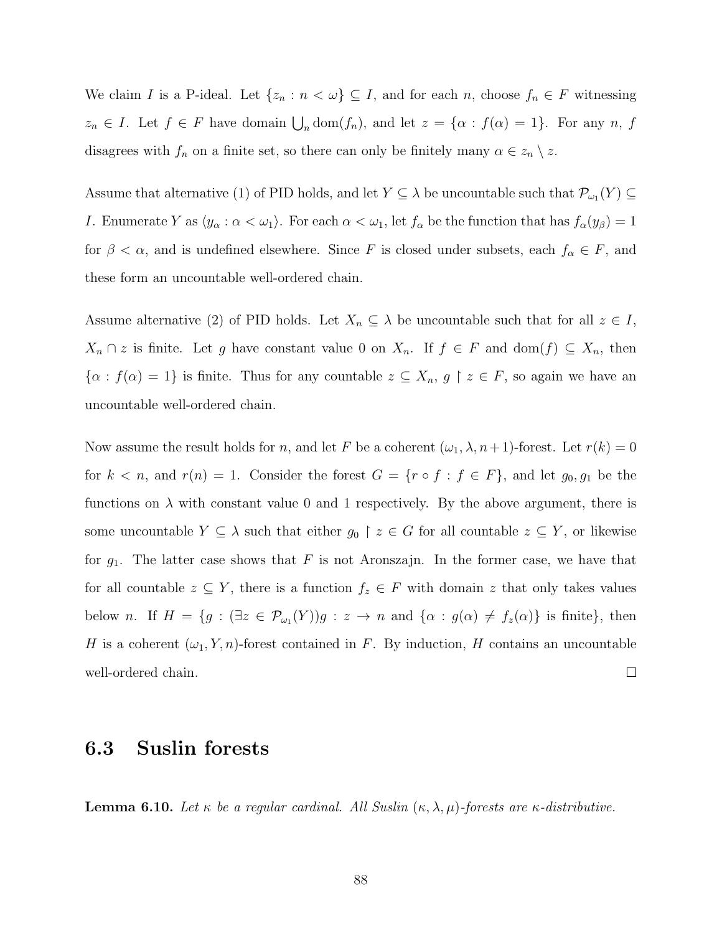We claim I is a P-ideal. Let  $\{z_n : n < \omega\} \subseteq I$ , and for each n, choose  $f_n \in F$  witnessing  $z_n \in I$ . Let  $f \in F$  have domain  $\bigcup_n \text{dom}(f_n)$ , and let  $z = \{\alpha : f(\alpha) = 1\}$ . For any n, f disagrees with  $f_n$  on a finite set, so there can only be finitely many  $\alpha \in z_n \setminus z$ .

Assume that alternative (1) of PID holds, and let  $Y \subseteq \lambda$  be uncountable such that  $\mathcal{P}_{\omega_1}(Y) \subseteq$ I. Enumerate Y as  $\langle y_\alpha : \alpha < \omega_1 \rangle$ . For each  $\alpha < \omega_1$ , let  $f_\alpha$  be the function that has  $f_\alpha(y_\beta) = 1$ for  $\beta < \alpha$ , and is undefined elsewhere. Since F is closed under subsets, each  $f_{\alpha} \in F$ , and these form an uncountable well-ordered chain.

Assume alternative (2) of PID holds. Let  $X_n \subseteq \lambda$  be uncountable such that for all  $z \in I$ ,  $X_n \cap z$  is finite. Let g have constant value 0 on  $X_n$ . If  $f \in F$  and  $dom(f) \subseteq X_n$ , then  $\{\alpha : f(\alpha) = 1\}$  is finite. Thus for any countable  $z \subseteq X_n$ ,  $g \restriction z \in F$ , so again we have an uncountable well-ordered chain.

Now assume the result holds for n, and let F be a coherent  $(\omega_1, \lambda, n+1)$ -forest. Let  $r(k) = 0$ for  $k < n$ , and  $r(n) = 1$ . Consider the forest  $G = \{r \circ f : f \in F\}$ , and let  $g_0, g_1$  be the functions on  $\lambda$  with constant value 0 and 1 respectively. By the above argument, there is some uncountable  $Y \subseteq \lambda$  such that either  $g_0 \upharpoonright z \in G$  for all countable  $z \subseteq Y$ , or likewise for  $g_1$ . The latter case shows that F is not Aronszajn. In the former case, we have that for all countable  $z \subseteq Y$ , there is a function  $f_z \in F$  with domain z that only takes values below *n*. If  $H = \{g : (\exists z \in \mathcal{P}_{\omega_1}(Y))g : z \to n \text{ and } \{\alpha : g(\alpha) \neq f_z(\alpha)\}\)$  is finite, then H is a coherent  $(\omega_1, Y, n)$ -forest contained in F. By induction, H contains an uncountable well-ordered chain.  $\Box$ 

#### 6.3 Suslin forests

**Lemma 6.10.** Let  $\kappa$  be a regular cardinal. All Suslin  $(\kappa, \lambda, \mu)$ -forests are  $\kappa$ -distributive.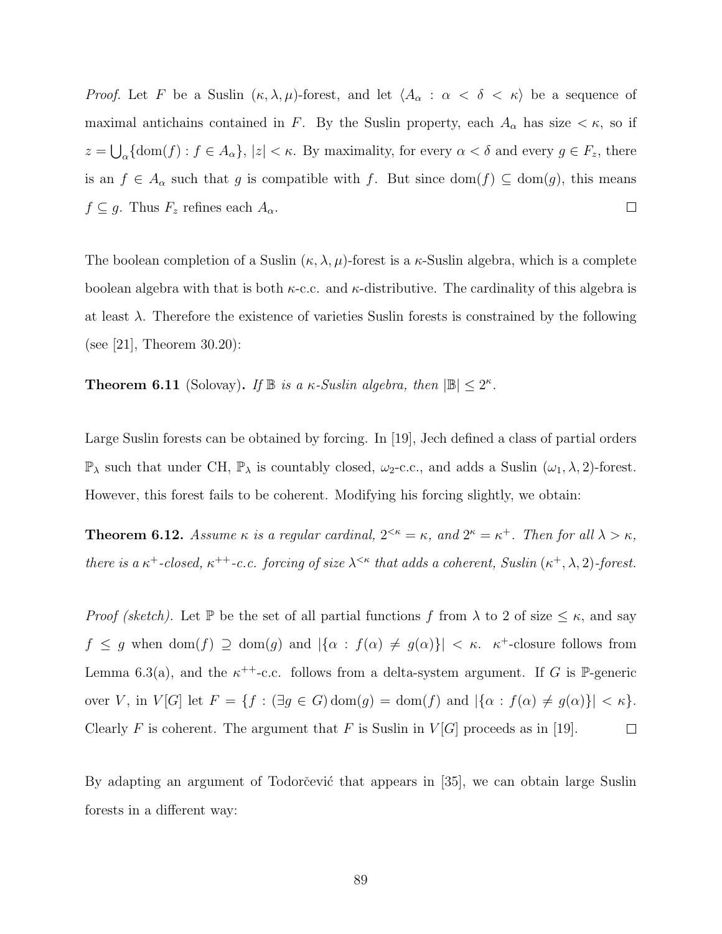*Proof.* Let F be a Suslin  $(\kappa, \lambda, \mu)$ -forest, and let  $\langle A_{\alpha} : \alpha < \delta < \kappa \rangle$  be a sequence of maximal antichains contained in F. By the Suslin property, each  $A_{\alpha}$  has size  $\lt \kappa$ , so if  $z = \bigcup_{\alpha} {\rm dom}(f) : f \in A_{\alpha}$ ,  $|z| < \kappa$ . By maximality, for every  $\alpha < \delta$  and every  $g \in F_z$ , there is an  $f \in A_{\alpha}$  such that g is compatible with f. But since  $dom(f) \subseteq dom(g)$ , this means  $f \subseteq g$ . Thus  $F_z$  refines each  $A_\alpha$ .  $\Box$ 

The boolean completion of a Suslin  $(\kappa, \lambda, \mu)$ -forest is a  $\kappa$ -Suslin algebra, which is a complete boolean algebra with that is both  $\kappa$ -c.c. and  $\kappa$ -distributive. The cardinality of this algebra is at least  $\lambda$ . Therefore the existence of varieties Suslin forests is constrained by the following (see [\[21\]](#page-109-5), Theorem 30.20):

**Theorem 6.11** (Solovay). If  $\mathbb{B}$  is a  $\kappa$ -Suslin algebra, then  $|\mathbb{B}| \leq 2^{\kappa}$ .

Large Suslin forests can be obtained by forcing. In [\[19\]](#page-109-2), Jech defined a class of partial orders  $\mathbb{P}_{\lambda}$  such that under CH,  $\mathbb{P}_{\lambda}$  is countably closed,  $\omega_2$ -c.c., and adds a Suslin  $(\omega_1, \lambda, 2)$ -forest. However, this forest fails to be coherent. Modifying his forcing slightly, we obtain:

**Theorem 6.12.** Assume  $\kappa$  is a regular cardinal,  $2^{<\kappa} = \kappa$ , and  $2^{\kappa} = \kappa^+$ . Then for all  $\lambda > \kappa$ , there is a  $\kappa^+$ -closed,  $\kappa^{++}$ -c.c. forcing of size  $\lambda^{<\kappa}$  that adds a coherent, Suslin  $(\kappa^+, \lambda, 2)$ -forest.

*Proof (sketch)*. Let  $\mathbb P$  be the set of all partial functions f from  $\lambda$  to 2 of size  $\leq \kappa$ , and say  $f \leq g$  when  $\text{dom}(f) \supseteq \text{dom}(g)$  and  $|\{\alpha : f(\alpha) \neq g(\alpha)\}| < \kappa$ .  $\kappa^+$ -closure follows from Lemma [6.3\(](#page-89-0)a), and the  $\kappa^{++}$ -c.c. follows from a delta-system argument. If G is P-generic over V, in  $V[G]$  let  $F = \{f : (\exists g \in G) \text{dom}(g) = \text{dom}(f) \text{ and } |\{\alpha : f(\alpha) \neq g(\alpha)\}| < \kappa\}.$ Clearly F is coherent. The argument that F is Suslin in  $V[G]$  proceeds as in [\[19\]](#page-109-2).  $\Box$ 

By adapting an argument of Todorčević that appears in [\[35\]](#page-110-3), we can obtain large Suslin forests in a different way: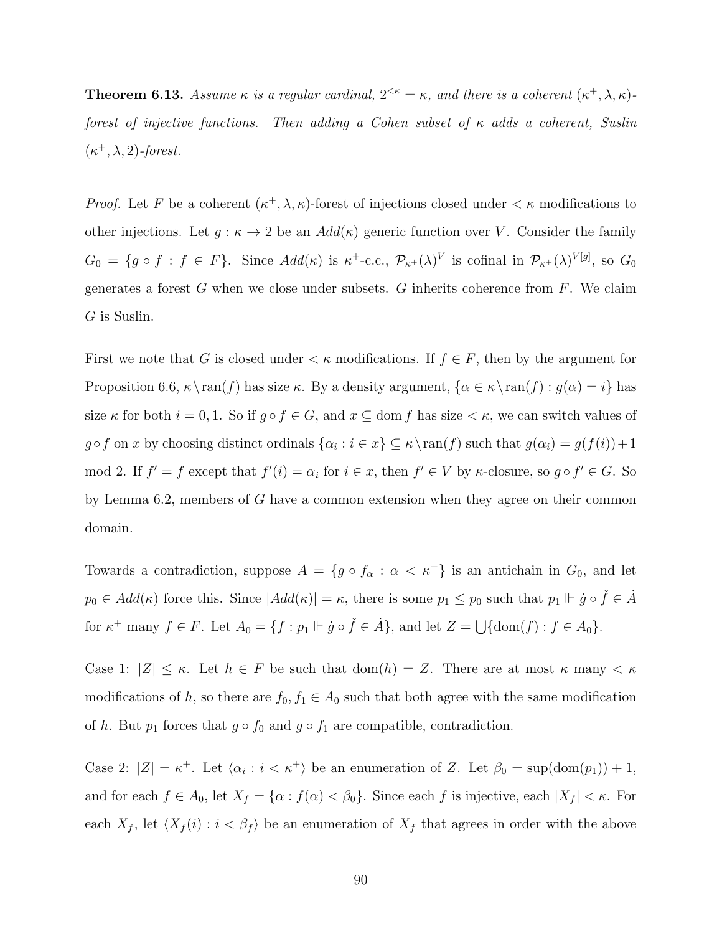<span id="page-98-0"></span>**Theorem 6.13.** Assume  $\kappa$  is a regular cardinal,  $2^{<\kappa} = \kappa$ , and there is a coherent  $(\kappa^+, \lambda, \kappa)$ forest of injective functions. Then adding a Cohen subset of  $\kappa$  adds a coherent, Suslin  $(\kappa^+, \lambda, 2)$ -forest.

*Proof.* Let F be a coherent  $(\kappa^+, \lambda, \kappa)$ -forest of injections closed under  $\lt \kappa$  modifications to other injections. Let  $g : \kappa \to 2$  be an  $Add(\kappa)$  generic function over V. Consider the family  $G_0 = \{g \circ f : f \in F\}$ . Since  $Add(\kappa)$  is  $\kappa^+$ -c.c.,  $\mathcal{P}_{\kappa^+}(\lambda)^V$  is cofinal in  $\mathcal{P}_{\kappa^+}(\lambda)^{V[g]}$ , so  $G_0$ generates a forest  $G$  when we close under subsets.  $G$  inherits coherence from  $F$ . We claim G is Suslin.

First we note that G is closed under  $\lt \kappa$  modifications. If  $f \in F$ , then by the argument for Proposition [6.6,](#page-93-0)  $\kappa \ran(f)$  has size  $\kappa$ . By a density argument,  $\{\alpha \in \kappa \ran(f) : g(\alpha) = i\}$  has size  $\kappa$  for both  $i = 0, 1$ . So if  $g \circ f \in G$ , and  $x \subseteq \text{dom } f$  has size  $\lt \kappa$ , we can switch values of  $g \circ f$  on x by choosing distinct ordinals  $\{\alpha_i : i \in x\} \subseteq \kappa \setminus \text{ran}(f)$  such that  $g(\alpha_i) = g(f(i)) + 1$ mod 2. If  $f' = f$  except that  $f'(i) = \alpha_i$  for  $i \in \mathcal{X}$ , then  $f' \in V$  by  $\kappa$ -closure, so  $g \circ f' \in G$ . So by Lemma [6.2,](#page-88-0) members of G have a common extension when they agree on their common domain.

Towards a contradiction, suppose  $A = \{g \circ f_\alpha : \alpha < \kappa^+\}$  is an antichain in  $G_0$ , and let  $p_0 \in Add(\kappa)$  force this. Since  $|Add(\kappa)| = \kappa$ , there is some  $p_1 \leq p_0$  such that  $p_1 \Vdash \dot{g} \circ \check{f} \in \dot{A}$ for  $\kappa^+$  many  $f \in F$ . Let  $A_0 = \{f : p_1 \Vdash \dot{g} \circ \check{f} \in \dot{A}\}$ , and let  $Z = \bigcup \{\text{dom}(f) : f \in A_0\}$ .

Case 1:  $|Z| \leq \kappa$ . Let  $h \in F$  be such that  $dom(h) = Z$ . There are at most  $\kappa$  many  $\lt \kappa$ modifications of h, so there are  $f_0, f_1 \in A_0$  such that both agree with the same modification of  $h$ . But  $p_1$  forces that  $g \circ f_0$  and  $g \circ f_1$  are compatible, contradiction.

Case 2:  $|Z| = \kappa^+$ . Let  $\langle \alpha_i : i < \kappa^+ \rangle$  be an enumeration of Z. Let  $\beta_0 = \sup(\text{dom}(p_1)) + 1$ , and for each  $f \in A_0$ , let  $X_f = \{\alpha : f(\alpha) < \beta_0\}$ . Since each f is injective, each  $|X_f| < \kappa$ . For each  $X_f$ , let  $\langle X_f (i) : i < \beta_f \rangle$  be an enumeration of  $X_f$  that agrees in order with the above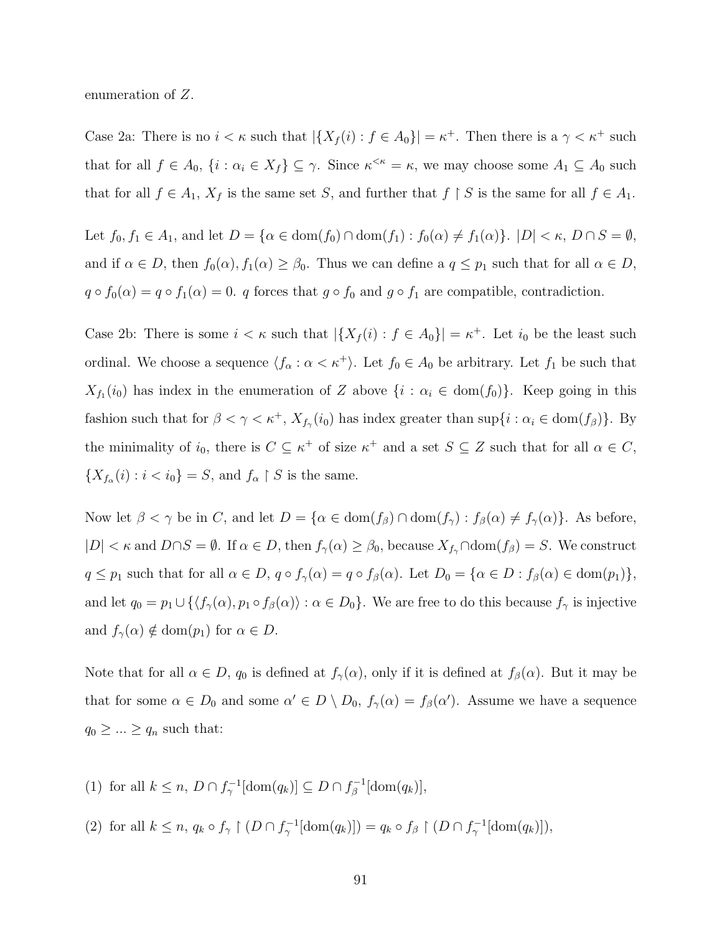enumeration of Z.

Case 2a: There is no  $i < \kappa$  such that  $|\{X_f(i) : f \in A_0\}| = \kappa^+$ . Then there is a  $\gamma < \kappa^+$  such that for all  $f \in A_0$ ,  $\{i : \alpha_i \in X_f\} \subseteq \gamma$ . Since  $\kappa^{\leq \kappa} = \kappa$ , we may choose some  $A_1 \subseteq A_0$  such that for all  $f \in A_1$ ,  $X_f$  is the same set S, and further that  $f \restriction S$  is the same for all  $f \in A_1$ .

Let  $f_0, f_1 \in A_1$ , and let  $D = \{ \alpha \in \text{dom}(f_0) \cap \text{dom}(f_1) : f_0(\alpha) \neq f_1(\alpha) \}$ .  $|D| < \kappa$ ,  $D \cap S = \emptyset$ , and if  $\alpha \in D$ , then  $f_0(\alpha)$ ,  $f_1(\alpha) \geq \beta_0$ . Thus we can define a  $q \leq p_1$  such that for all  $\alpha \in D$ ,  $q \circ f_0(\alpha) = q \circ f_1(\alpha) = 0$ . q forces that  $g \circ f_0$  and  $g \circ f_1$  are compatible, contradiction.

Case 2b: There is some  $i < \kappa$  such that  $|\{X_f(i) : f \in A_0\}| = \kappa^+$ . Let  $i_0$  be the least such ordinal. We choose a sequence  $\langle f_{\alpha} : \alpha < \kappa^{+} \rangle$ . Let  $f_0 \in A_0$  be arbitrary. Let  $f_1$  be such that  $X_{f_1}(i_0)$  has index in the enumeration of Z above  $\{i : \alpha_i \in \text{dom}(f_0)\}\$ . Keep going in this fashion such that for  $\beta < \gamma < \kappa^+$ ,  $X_{f_\gamma}(i_0)$  has index greater than  $\sup\{i : \alpha_i \in \text{dom}(f_\beta)\}\$ . By the minimality of  $i_0$ , there is  $C \subseteq \kappa^+$  of size  $\kappa^+$  and a set  $S \subseteq Z$  such that for all  $\alpha \in C$ ,  ${X_{f_\alpha}(i) : i < i_0} = S$ , and  $f_\alpha \restriction S$  is the same.

Now let  $\beta < \gamma$  be in C, and let  $D = {\alpha \in \text{dom}(f_{\beta}) \cap \text{dom}(f_{\gamma}) : f_{\beta}(\alpha) \neq f_{\gamma}(\alpha)}$ . As before,  $|D| < \kappa$  and  $D \cap S = \emptyset$ . If  $\alpha \in D$ , then  $f_{\gamma}(\alpha) \geq \beta_0$ , because  $X_{f_{\gamma}} \cap \text{dom}(f_{\beta}) = S$ . We construct  $q \leq p_1$  such that for all  $\alpha \in D$ ,  $q \circ f_\gamma(\alpha) = q \circ f_\beta(\alpha)$ . Let  $D_0 = \{ \alpha \in D : f_\beta(\alpha) \in \text{dom}(p_1) \},$ and let  $q_0 = p_1 \cup \{\langle f_\gamma(\alpha), p_1 \circ f_\beta(\alpha) \rangle : \alpha \in D_0\}$ . We are free to do this because  $f_\gamma$  is injective and  $f_{\gamma}(\alpha) \notin \text{dom}(p_1)$  for  $\alpha \in D$ .

Note that for all  $\alpha \in D$ ,  $q_0$  is defined at  $f_\gamma(\alpha)$ , only if it is defined at  $f_\beta(\alpha)$ . But it may be that for some  $\alpha \in D_0$  and some  $\alpha' \in D \setminus D_0$ ,  $f_\gamma(\alpha) = f_\beta(\alpha')$ . Assume we have a sequence  $q_0 \geq ... \geq q_n$  such that:

(1) for all  $k \leq n$ ,  $D \cap f_{\gamma}^{-1}[\text{dom}(q_k)] \subseteq D \cap f_{\beta}^{-1}$  $\tilde{\beta}^{-1}[\mathrm{dom}(q_k)],$ 

(2) for all  $k \leq n$ ,  $q_k \circ f_\gamma \upharpoonright (D \cap f_\gamma^{-1}[\text{dom}(q_k)]) = q_k \circ f_\beta \upharpoonright (D \cap f_\gamma^{-1}[\text{dom}(q_k)]),$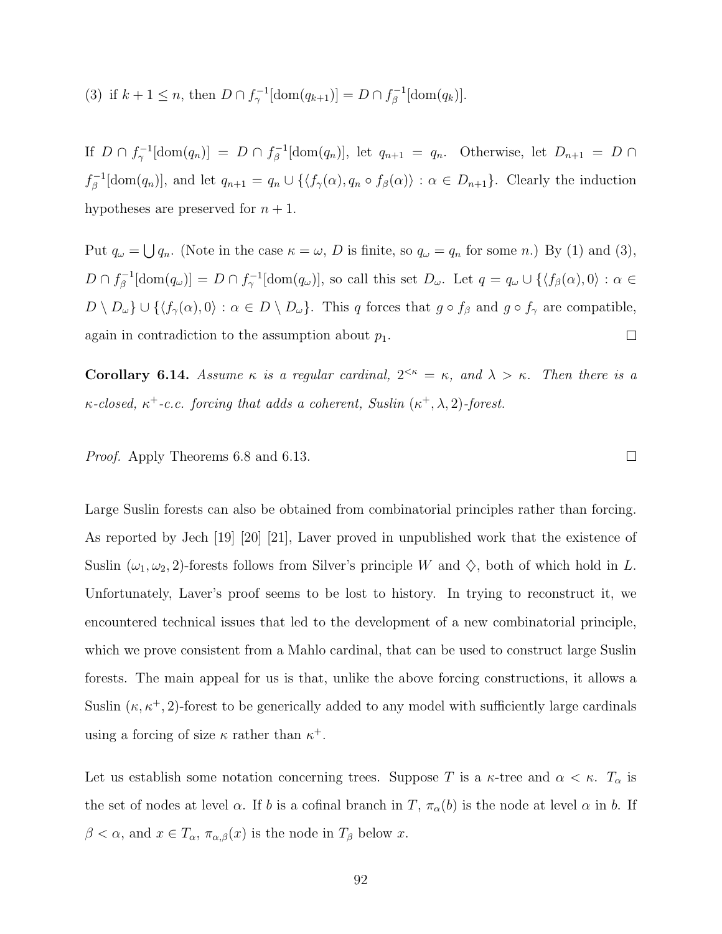(3) if  $k + 1 \leq n$ , then  $D \cap f_{\gamma}^{-1}[\text{dom}(q_{k+1})] = D \cap f_{\beta}^{-1}$  $\zeta^{-1}[\mathrm{dom}(q_k)].$ 

If  $D \cap f_{\gamma}^{-1}[\text{dom}(q_n)] = D \cap f_{\beta}^{-1}$  $\beta^{-1}$ [dom $(q_n)$ ], let  $q_{n+1} = q_n$ . Otherwise, let  $D_{n+1} = D \cap$  $f^{-1}_{\beta}$  $\mathcal{G}_{\beta}^{-1}[\text{dom}(q_n)],$  and let  $q_{n+1} = q_n \cup \{\langle f_\gamma(\alpha), q_n \circ f_\beta(\alpha)\rangle : \alpha \in D_{n+1}\}.$  Clearly the induction hypotheses are preserved for  $n + 1$ .

Put  $q_{\omega} = \bigcup q_n$ . (Note in the case  $\kappa = \omega$ , D is finite, so  $q_{\omega} = q_n$  for some n.) By (1) and (3),  $D \cap f_{\beta}^{-1}$  $\mathcal{B}_{\beta}^{-1}[\text{dom}(q_{\omega})] = D \cap f_{\gamma}^{-1}[\text{dom}(q_{\omega})],$  so call this set  $D_{\omega}$ . Let  $q = q_{\omega} \cup \{\langle f_{\beta}(\alpha), 0 \rangle : \alpha \in \mathbb{R} \}$  $D \setminus D_{\omega} \cup \{ \langle f_{\gamma}(\alpha), 0 \rangle : \alpha \in D \setminus D_{\omega} \}.$  This q forces that  $g \circ f_{\beta}$  and  $g \circ f_{\gamma}$  are compatible, again in contradiction to the assumption about  $p_1$ .  $\Box$ 

**Corollary 6.14.** Assume  $\kappa$  is a regular cardinal,  $2^{<\kappa} = \kappa$ , and  $\lambda > \kappa$ . Then there is a  $\kappa$ -closed,  $\kappa^+$ -c.c. forcing that adds a coherent, Suslin  $(\kappa^+, \lambda, 2)$ -forest.

Proof. Apply Theorems [6.8](#page-93-1) and [6.13.](#page-98-0)

Large Suslin forests can also be obtained from combinatorial principles rather than forcing. As reported by Jech [\[19\]](#page-109-2) [\[20\]](#page-109-6) [\[21\]](#page-109-5), Laver proved in unpublished work that the existence of Suslin  $(\omega_1, \omega_2, 2)$ -forests follows from Silver's principle W and  $\diamondsuit$ , both of which hold in L. Unfortunately, Laver's proof seems to be lost to history. In trying to reconstruct it, we encountered technical issues that led to the development of a new combinatorial principle, which we prove consistent from a Mahlo cardinal, that can be used to construct large Suslin forests. The main appeal for us is that, unlike the above forcing constructions, it allows a Suslin  $(\kappa, \kappa^+, 2)$ -forest to be generically added to any model with sufficiently large cardinals using a forcing of size  $\kappa$  rather than  $\kappa^+$ .

Let us establish some notation concerning trees. Suppose T is a  $\kappa$ -tree and  $\alpha < \kappa$ . T<sub> $\alpha$ </sub> is the set of nodes at level  $\alpha$ . If b is a cofinal branch in T,  $\pi_{\alpha}(b)$  is the node at level  $\alpha$  in b. If  $\beta < \alpha$ , and  $x \in T_{\alpha}$ ,  $\pi_{\alpha,\beta}(x)$  is the node in  $T_{\beta}$  below x.

 $\Box$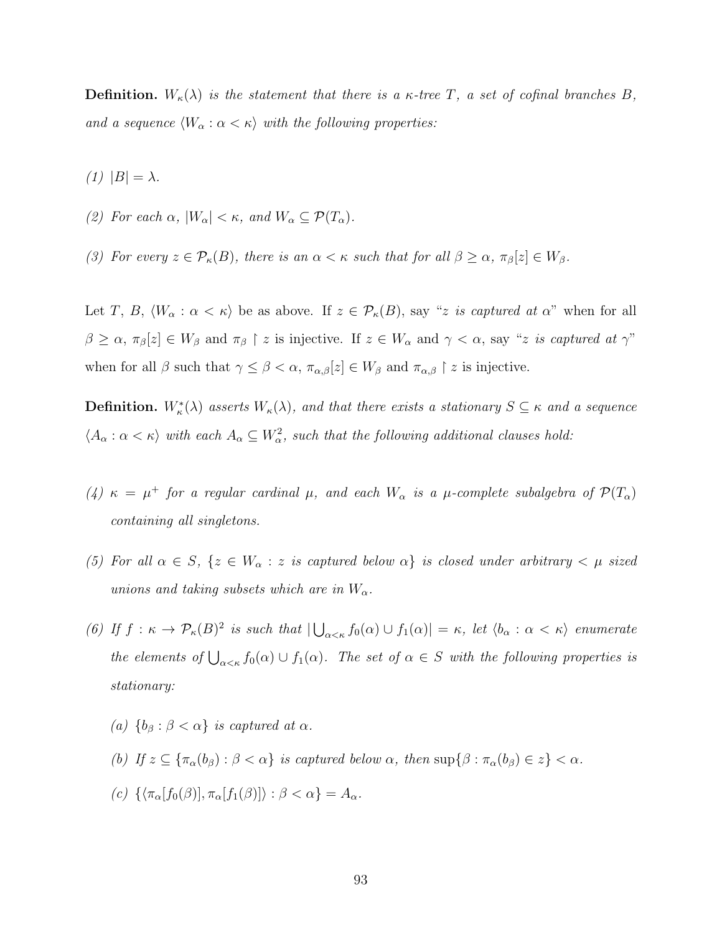**Definition.**  $W_{\kappa}(\lambda)$  is the statement that there is a  $\kappa$ -tree T, a set of cofinal branches B, and a sequence  $\langle W_{\alpha} : \alpha < \kappa \rangle$  with the following properties:

(1)  $|B| = \lambda$ .

(2) For each  $\alpha$ ,  $|W_{\alpha}| < \kappa$ , and  $W_{\alpha} \subseteq \mathcal{P}(T_{\alpha})$ .

(3) For every  $z \in \mathcal{P}_{\kappa}(B)$ , there is an  $\alpha < \kappa$  such that for all  $\beta \geq \alpha$ ,  $\pi_{\beta}[z] \in W_{\beta}$ .

Let T, B,  $\langle W_\alpha : \alpha < \kappa \rangle$  be as above. If  $z \in \mathcal{P}_\kappa(B)$ , say "z is captured at  $\alpha$ " when for all  $\beta \geq \alpha$ ,  $\pi_{\beta}[z] \in W_{\beta}$  and  $\pi_{\beta} \restriction z$  is injective. If  $z \in W_{\alpha}$  and  $\gamma < \alpha$ , say "z is captured at  $\gamma$ " when for all  $\beta$  such that  $\gamma \leq \beta < \alpha$ ,  $\pi_{\alpha,\beta}[z] \in W_\beta$  and  $\pi_{\alpha,\beta} \restriction z$  is injective.

**Definition.**  $W^*_\kappa(\lambda)$  asserts  $W_\kappa(\lambda)$ , and that there exists a stationary  $S \subseteq \kappa$  and a sequence  $\langle A_\alpha: \alpha<\kappa\rangle$  with each  $A_\alpha\subseteq W_\alpha^2$ , such that the following additional clauses hold:

- (4)  $\kappa = \mu^+$  for a regular cardinal  $\mu$ , and each  $W_\alpha$  is a  $\mu$ -complete subalgebra of  $\mathcal{P}(T_\alpha)$ containing all singletons.
- (5) For all  $\alpha \in S$ ,  $\{z \in W_\alpha : z \text{ is captured below } \alpha\}$  is closed under arbitrary  $\langle \mu \text{ sized} \rangle$ unions and taking subsets which are in  $W_{\alpha}$ .
- (6) If  $f: \kappa \to \mathcal{P}_{\kappa}(B)^2$  is such that  $|\bigcup_{\alpha<\kappa}f_0(\alpha) \cup f_1(\alpha)| = \kappa$ , let  $\langle b_{\alpha} : \alpha < \kappa \rangle$  enumerate the elements of  $\bigcup_{\alpha<\kappa}f_0(\alpha)\cup f_1(\alpha)$ . The set of  $\alpha\in S$  with the following properties is stationary:
	- (a)  ${b_\beta : \beta < \alpha}$  is captured at  $\alpha$ .
	- (b) If  $z \subseteq {\pi_{\alpha}(b_{\beta}) : \beta < \alpha}$  is captured below  $\alpha$ , then  $\sup{\{\beta : \pi_{\alpha}(b_{\beta}) \in z\}} < \alpha$ .
	- (c)  $\{\langle \pi_{\alpha}[f_0(\beta)], \pi_{\alpha}[f_1(\beta)]\rangle : \beta < \alpha\} = A_{\alpha}$ .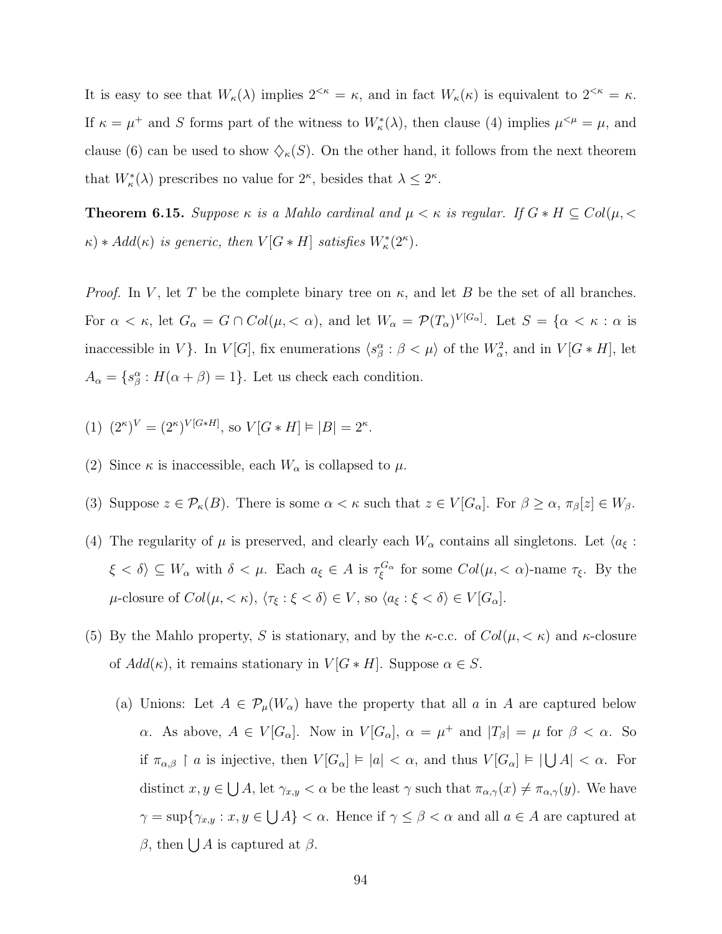It is easy to see that  $W_{\kappa}(\lambda)$  implies  $2^{<\kappa} = \kappa$ , and in fact  $W_{\kappa}(\kappa)$  is equivalent to  $2^{<\kappa} = \kappa$ . If  $\kappa = \mu^+$  and S forms part of the witness to  $W^*_\kappa(\lambda)$ , then clause (4) implies  $\mu^{\leq \mu} = \mu$ , and clause (6) can be used to show  $\Diamond_{\kappa}(S)$ . On the other hand, it follows from the next theorem that  $W^*_\kappa(\lambda)$  prescribes no value for  $2^\kappa$ , besides that  $\lambda \leq 2^\kappa$ .

**Theorem 6.15.** Suppose  $\kappa$  is a Mahlo cardinal and  $\mu < \kappa$  is regular. If  $G * H \subseteq Col(\mu, \leq$  $\kappa$ ) \* Add( $\kappa$ ) is generic, then  $V[G * H]$  satisfies  $W^*_{\kappa}(2^{\kappa})$ .

*Proof.* In V, let T be the complete binary tree on  $\kappa$ , and let B be the set of all branches. For  $\alpha < \kappa$ , let  $G_{\alpha} = G \cap Col(\mu, < \alpha)$ , and let  $W_{\alpha} = \mathcal{P}(T_{\alpha})^{V[G_{\alpha}]}$ . Let  $S = {\alpha < \kappa : \alpha$  is inaccessible in V $\}$ . In  $V[G]$ , fix enumerations  $\langle s_\beta^\alpha : \beta < \mu \rangle$  of the  $W_\alpha^2$ , and in  $V[G * H]$ , let  $A_{\alpha} = \{s_{\beta}^{\alpha} : H(\alpha + \beta) = 1\}.$  Let us check each condition.

(1) 
$$
(2^{\kappa})^V = (2^{\kappa})^{V[G*H]}
$$
, so  $V[G*H] \models |B| = 2^{\kappa}$ .

- (2) Since  $\kappa$  is inaccessible, each  $W_{\alpha}$  is collapsed to  $\mu$ .
- (3) Suppose  $z \in \mathcal{P}_{\kappa}(B)$ . There is some  $\alpha < \kappa$  such that  $z \in V[G_{\alpha}]$ . For  $\beta \geq \alpha$ ,  $\pi_{\beta}[z] \in W_{\beta}$ .
- (4) The regularity of  $\mu$  is preserved, and clearly each  $W_{\alpha}$  contains all singletons. Let  $\langle a_{\xi} :$  $\xi < \delta$ )  $\subseteq W_\alpha$  with  $\delta < \mu$ . Each  $a_{\xi} \in A$  is  $\tau_{\xi}^{G_\alpha}$  for some  $Col(\mu, < \alpha)$ -name  $\tau_{\xi}$ . By the  $\mu$ -closure of  $Col(\mu, <\kappa)$ ,  $\langle \tau_{\xi} : \xi < \delta \rangle \in V$ , so  $\langle a_{\xi} : \xi < \delta \rangle \in V[G_{\alpha}]$ .
- (5) By the Mahlo property, S is stationary, and by the  $\kappa$ -c.c. of  $Col(\mu, < \kappa)$  and  $\kappa$ -closure of  $Add(\kappa)$ , it remains stationary in  $V[G*H]$ . Suppose  $\alpha \in S$ .
	- (a) Unions: Let  $A \in \mathcal{P}_{\mu}(W_{\alpha})$  have the property that all a in A are captured below  $\alpha$ . As above,  $A \in V[G_\alpha]$ . Now in  $V[G_\alpha]$ ,  $\alpha = \mu^+$  and  $|T_\beta| = \mu$  for  $\beta < \alpha$ . So if  $\pi_{\alpha,\beta} \restriction a$  is injective, then  $V[G_\alpha] \models |a| < \alpha$ , and thus  $V[G_\alpha] \models |\bigcup A| < \alpha$ . For distinct  $x, y \in \bigcup A$ , let  $\gamma_{x,y} < \alpha$  be the least  $\gamma$  such that  $\pi_{\alpha,\gamma}(x) \neq \pi_{\alpha,\gamma}(y)$ . We have  $\gamma = \sup\{\gamma_{x,y} : x, y \in \bigcup A\} < \alpha$ . Hence if  $\gamma \le \beta < \alpha$  and all  $a \in A$  are captured at β, then  $\bigcup A$  is captured at β.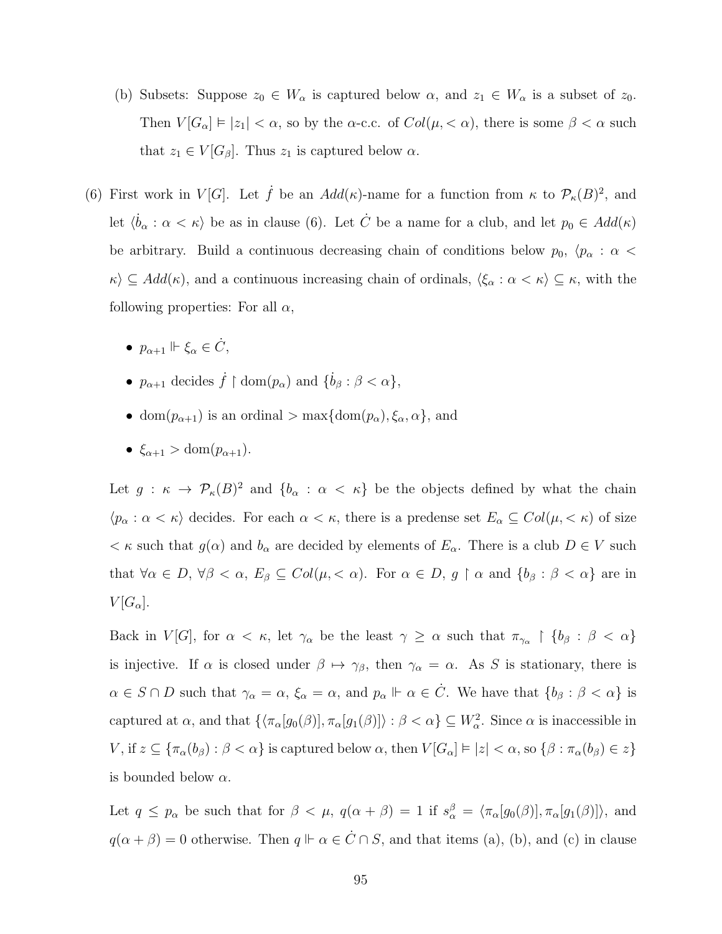- (b) Subsets: Suppose  $z_0 \in W_\alpha$  is captured below  $\alpha$ , and  $z_1 \in W_\alpha$  is a subset of  $z_0$ . Then  $V[G_\alpha] \models |z_1| < \alpha$ , so by the  $\alpha$ -c.c. of  $Col(\mu, < \alpha)$ , there is some  $\beta < \alpha$  such that  $z_1 \in V[G_\beta]$ . Thus  $z_1$  is captured below  $\alpha$ .
- (6) First work in  $V[G]$ . Let  $\dot{f}$  be an  $Add(\kappa)$ -name for a function from  $\kappa$  to  $\mathcal{P}_{\kappa}(B)^2$ , and let  $\langle \dot{b}_{\alpha} : \alpha < \kappa \rangle$  be as in clause (6). Let  $\dot{C}$  be a name for a club, and let  $p_0 \in Add(\kappa)$ be arbitrary. Build a continuous decreasing chain of conditions below  $p_0$ ,  $\langle p_\alpha : \alpha <$  $\kappa \rangle \subseteq Add(\kappa)$ , and a continuous increasing chain of ordinals,  $\langle \xi_\alpha : \alpha < \kappa \rangle \subseteq \kappa$ , with the following properties: For all  $\alpha$ ,
	- $p_{\alpha+1} \Vdash \xi_{\alpha} \in \dot{C}$ ,
	- $p_{\alpha+1}$  decides  $\dot{f} \restriction \text{dom}(p_{\alpha})$  and  $\{\dot{b}_{\beta} : \beta < \alpha\},$
	- dom $(p_{\alpha+1})$  is an ordinal  $>$  max $\{\text{dom}(p_{\alpha}), \xi_{\alpha}, \alpha\},\$ and
	- $\xi_{\alpha+1} > \text{dom}(p_{\alpha+1}).$

Let  $g: \kappa \to \mathcal{P}_{\kappa}(B)^2$  and  $\{b_{\alpha}: \alpha < \kappa\}$  be the objects defined by what the chain  $\langle p_\alpha : \alpha < \kappa \rangle$  decides. For each  $\alpha < \kappa$ , there is a predense set  $E_\alpha \subseteq Col(\mu, < \kappa)$  of size  $\lt \kappa$  such that  $g(\alpha)$  and  $b_{\alpha}$  are decided by elements of  $E_{\alpha}$ . There is a club  $D \in V$  such that  $\forall \alpha \in D, \forall \beta < \alpha, E_{\beta} \subseteq Col(\mu, < \alpha)$ . For  $\alpha \in D, g \restriction \alpha$  and  $\{b_{\beta} : \beta < \alpha\}$  are in  $V[G_\alpha].$ 

Back in  $V[G]$ , for  $\alpha < \kappa$ , let  $\gamma_\alpha$  be the least  $\gamma \geq \alpha$  such that  $\pi_{\gamma_\alpha} \upharpoonright \{b_\beta : \beta < \alpha\}$ is injective. If  $\alpha$  is closed under  $\beta \mapsto \gamma_{\beta}$ , then  $\gamma_{\alpha} = \alpha$ . As S is stationary, there is  $\alpha \in S \cap D$  such that  $\gamma_{\alpha} = \alpha$ ,  $\xi_{\alpha} = \alpha$ , and  $p_{\alpha} \Vdash \alpha \in \dot{C}$ . We have that  $\{b_{\beta} : \beta < \alpha\}$  is captured at  $\alpha$ , and that  $\{\langle \pi_{\alpha}[g_0(\beta)], \pi_{\alpha}[g_1(\beta)]\rangle : \beta < \alpha\} \subseteq W_\alpha^2$ . Since  $\alpha$  is inaccessible in V, if  $z \subseteq {\pi_\alpha(b_\beta) : \beta < \alpha}$  is captured below  $\alpha$ , then  $V[G_\alpha] \models |z| < \alpha$ , so  $\{\beta : \pi_\alpha(b_\beta) \in z\}$ is bounded below  $\alpha$ .

Let  $q \leq p_\alpha$  be such that for  $\beta < \mu$ ,  $q(\alpha + \beta) = 1$  if  $s_\alpha^\beta = \langle \pi_\alpha[g_0(\beta)], \pi_\alpha[g_1(\beta)] \rangle$ , and  $q(\alpha + \beta) = 0$  otherwise. Then  $q \Vdash \alpha \in \dot{C} \cap S$ , and that items (a), (b), and (c) in clause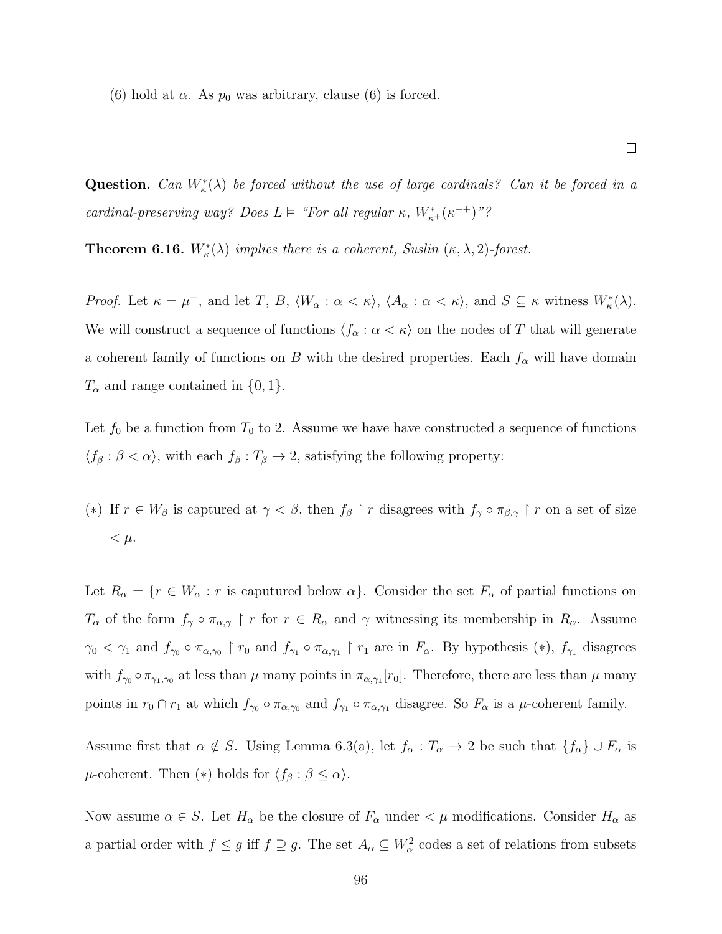(6) hold at  $\alpha$ . As  $p_0$  was arbitrary, clause (6) is forced.

Question. Can  $W^*_\kappa(\lambda)$  be forced without the use of large cardinals? Can it be forced in a cardinal-preserving way? Does  $L \models$  "For all regular  $\kappa$ ,  $W^*_{\kappa^+}(\kappa^{++})$ "?

**Theorem 6.16.**  $W_{\kappa}^*(\lambda)$  implies there is a coherent, Suslin  $(\kappa, \lambda, 2)$ -forest.

Proof. Let  $\kappa = \mu^+$ , and let T, B,  $\langle W_\alpha : \alpha < \kappa \rangle$ ,  $\langle A_\alpha : \alpha < \kappa \rangle$ , and  $S \subseteq \kappa$  witness  $W^*_\kappa(\lambda)$ . We will construct a sequence of functions  $\langle f_\alpha : \alpha < \kappa \rangle$  on the nodes of T that will generate a coherent family of functions on B with the desired properties. Each  $f_{\alpha}$  will have domain  $T_{\alpha}$  and range contained in  $\{0, 1\}.$ 

Let  $f_0$  be a function from  $T_0$  to 2. Assume we have have constructed a sequence of functions  $\langle f_\beta : \beta < \alpha \rangle$ , with each  $f_\beta : T_\beta \to 2$ , satisfying the following property:

(\*) If  $r \in W_\beta$  is captured at  $\gamma < \beta$ , then  $f_\beta \restriction r$  disagrees with  $f_\gamma \circ \pi_{\beta,\gamma} \restriction r$  on a set of size  $< \mu$ .

Let  $R_{\alpha} = \{r \in W_{\alpha} : r \text{ is captured below } \alpha\}$ . Consider the set  $F_{\alpha}$  of partial functions on  $T_{\alpha}$  of the form  $f_{\gamma} \circ \pi_{\alpha,\gamma}$  | r for  $r \in R_{\alpha}$  and  $\gamma$  witnessing its membership in  $R_{\alpha}$ . Assume  $\gamma_0 < \gamma_1$  and  $f_{\gamma_0} \circ \pi_{\alpha,\gamma_0} \upharpoonright r_0$  and  $f_{\gamma_1} \circ \pi_{\alpha,\gamma_1} \upharpoonright r_1$  are in  $F_{\alpha}$ . By hypothesis  $(*)$ ,  $f_{\gamma_1}$  disagrees with  $f_{\gamma_0} \circ \pi_{\gamma_1,\gamma_0}$  at less than  $\mu$  many points in  $\pi_{\alpha,\gamma_1}[r_0]$ . Therefore, there are less than  $\mu$  many points in  $r_0 \cap r_1$  at which  $f_{\gamma_0} \circ \pi_{\alpha,\gamma_0}$  and  $f_{\gamma_1} \circ \pi_{\alpha,\gamma_1}$  disagree. So  $F_{\alpha}$  is a  $\mu$ -coherent family.

Assume first that  $\alpha \notin S$ . Using Lemma [6.3\(](#page-89-0)a), let  $f_{\alpha}: T_{\alpha} \to 2$  be such that  $\{f_{\alpha}\} \cup F_{\alpha}$  is  $\mu$ -coherent. Then (\*) holds for  $\langle f_\beta : \beta \leq \alpha \rangle$ .

Now assume  $\alpha \in S$ . Let  $H_{\alpha}$  be the closure of  $F_{\alpha}$  under  $\lt \mu$  modifications. Consider  $H_{\alpha}$  as a partial order with  $f \leq g$  iff  $f \supseteq g$ . The set  $A_\alpha \subseteq W_\alpha^2$  codes a set of relations from subsets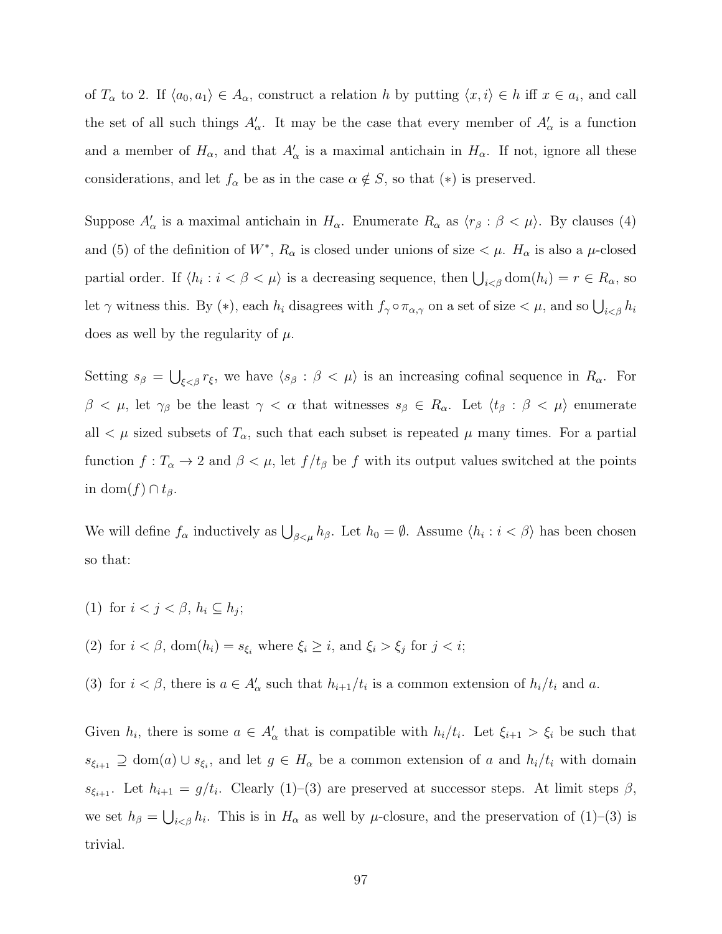of  $T_{\alpha}$  to 2. If  $\langle a_0, a_1 \rangle \in A_{\alpha}$ , construct a relation h by putting  $\langle x, i \rangle \in h$  iff  $x \in a_i$ , and call the set of all such things  $A'_\n\alpha$ . It may be the case that every member of  $A'_\n\alpha$  is a function and a member of  $H_{\alpha}$ , and that  $A'_{\alpha}$  is a maximal antichain in  $H_{\alpha}$ . If not, ignore all these considerations, and let  $f_{\alpha}$  be as in the case  $\alpha \notin S$ , so that  $(*)$  is preserved.

Suppose  $A'_\n\alpha$  is a maximal antichain in  $H_\alpha$ . Enumerate  $R_\alpha$  as  $\langle r_\beta : \beta < \mu \rangle$ . By clauses (4) and (5) of the definition of  $W^*$ ,  $R_\alpha$  is closed under unions of size  $\lt \mu$ .  $H_\alpha$  is also a  $\mu$ -closed partial order. If  $\langle h_i : i < \beta < \mu \rangle$  is a decreasing sequence, then  $\bigcup_{i < \beta} \text{dom}(h_i) = r \in R_\alpha$ , so let  $\gamma$  witness this. By (\*), each  $h_i$  disagrees with  $f_\gamma \circ \pi_{\alpha,\gamma}$  on a set of size  $\lt \mu$ , and so  $\bigcup_{i \lt \beta} h_i$ does as well by the regularity of  $\mu$ .

Setting  $s_{\beta} = \bigcup_{\xi < \beta} r_{\xi}$ , we have  $\langle s_{\beta} : \beta < \mu \rangle$  is an increasing cofinal sequence in  $R_{\alpha}$ . For  $\beta < \mu$ , let  $\gamma_{\beta}$  be the least  $\gamma < \alpha$  that witnesses  $s_{\beta} \in R_{\alpha}$ . Let  $\langle t_{\beta} : \beta < \mu \rangle$  enumerate all  $\lt \mu$  sized subsets of  $T_{\alpha}$ , such that each subset is repeated  $\mu$  many times. For a partial function  $f: T_\alpha \to 2$  and  $\beta < \mu$ , let  $f/t_\beta$  be f with its output values switched at the points in dom $(f) \cap t_{\beta}$ .

We will define  $f_{\alpha}$  inductively as  $\bigcup_{\beta<\mu}h_{\beta}$ . Let  $h_0=\emptyset$ . Assume  $\langle h_i:i<\beta\rangle$  has been chosen so that:

- (1) for  $i < j < \beta$ ,  $h_i \subseteq h_j$ ;
- (2) for  $i < \beta$ ,  $dom(h_i) = s_{\xi_i}$  where  $\xi_i \geq i$ , and  $\xi_i > \xi_j$  for  $j < i$ ;
- (3) for  $i < \beta$ , there is  $a \in A'_\alpha$  such that  $h_{i+1}/t_i$  is a common extension of  $h_i/t_i$  and a.

Given  $h_i$ , there is some  $a \in A'_\alpha$  that is compatible with  $h_i/t_i$ . Let  $\xi_{i+1} > \xi_i$  be such that  $s_{\xi_{i+1}} \supseteq \text{dom}(a) \cup s_{\xi_i}$ , and let  $g \in H_\alpha$  be a common extension of a and  $h_i/t_i$  with domain  $s_{\xi_{i+1}}$ . Let  $h_{i+1} = g/t_i$ . Clearly (1)–(3) are preserved at successor steps. At limit steps  $\beta$ , we set  $h_{\beta} = \bigcup_{i < \beta} h_i$ . This is in  $H_{\alpha}$  as well by  $\mu$ -closure, and the preservation of (1)–(3) is trivial.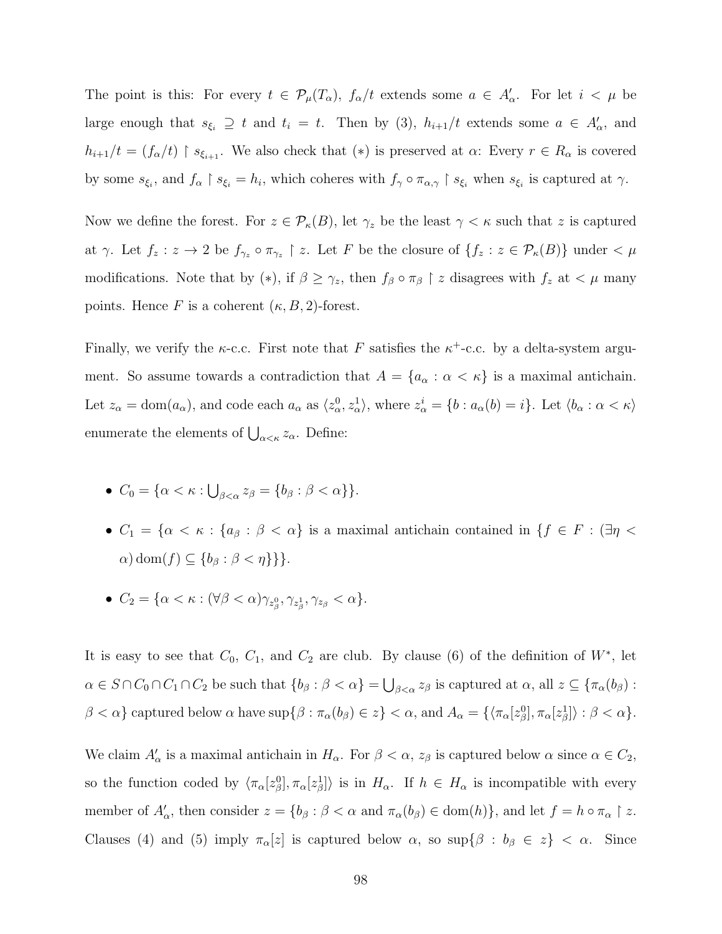The point is this: For every  $t \in \mathcal{P}_{\mu}(T_{\alpha})$ ,  $f_{\alpha}/t$  extends some  $a \in A'_{\alpha}$ . For let  $i < \mu$  be large enough that  $s_{\xi_i} \supseteq t$  and  $t_i = t$ . Then by (3),  $h_{i+1}/t$  extends some  $a \in A'_\alpha$ , and  $h_{i+1}/t = (f_{\alpha}/t) \restriction s_{\xi_{i+1}}$ . We also check that  $(*)$  is preserved at  $\alpha$ : Every  $r \in R_{\alpha}$  is covered by some  $s_{\xi_i}$ , and  $f_{\alpha} \upharpoonright s_{\xi_i} = h_i$ , which coheres with  $f_{\gamma} \circ \pi_{\alpha,\gamma} \upharpoonright s_{\xi_i}$  when  $s_{\xi_i}$  is captured at  $\gamma$ .

Now we define the forest. For  $z \in \mathcal{P}_{\kappa}(B)$ , let  $\gamma_z$  be the least  $\gamma < \kappa$  such that z is captured at  $\gamma$ . Let  $f_z: z \to 2$  be  $f_{\gamma_z} \circ \pi_{\gamma_z} \upharpoonright z$ . Let F be the closure of  $\{f_z: z \in \mathcal{P}_{\kappa}(B)\}\$ under  $\langle \mu \rangle$ modifications. Note that by (\*), if  $\beta \geq \gamma_z$ , then  $f_\beta \circ \pi_\beta \upharpoonright z$  disagrees with  $f_z$  at  $\lt \mu$  many points. Hence F is a coherent  $(\kappa, B, 2)$ -forest.

Finally, we verify the  $\kappa$ -c.c. First note that F satisfies the  $\kappa^+$ -c.c. by a delta-system argument. So assume towards a contradiction that  $A = \{a_{\alpha} : \alpha < \kappa\}$  is a maximal antichain. Let  $z_{\alpha} = \text{dom}(a_{\alpha})$ , and code each  $a_{\alpha}$  as  $\langle z_{\alpha}^0, z_{\alpha}^1 \rangle$ , where  $z_{\alpha}^i = \{b : a_{\alpha}(b) = i\}$ . Let  $\langle b_{\alpha} : \alpha < \kappa \rangle$ enumerate the elements of  $\bigcup_{\alpha<\kappa}z_\alpha$ . Define:

- $C_0 = \{ \alpha < \kappa : \bigcup_{\beta < \alpha} z_\beta = \{ b_\beta : \beta < \alpha \} \}.$
- $C_1 = \{ \alpha < \kappa : \{ a_\beta : \beta < \alpha \}$  is a maximal antichain contained in  $\{ f \in F : \exists \eta <$  $\alpha$ ) dom $(f) \subset \{b_{\beta} : \beta < \eta\}$ }.
- $C_2 = \{ \alpha < \kappa : (\forall \beta < \alpha) \gamma_{z_\beta^0}, \gamma_{z_\beta^1}, \gamma_{z_\beta} < \alpha \}.$

It is easy to see that  $C_0$ ,  $C_1$ , and  $C_2$  are club. By clause (6) of the definition of  $W^*$ , let  $\alpha \in S \cap C_0 \cap C_1 \cap C_2$  be such that  $\{b_\beta : \beta < \alpha\} = \bigcup_{\beta < \alpha} z_\beta$  is captured at  $\alpha$ , all  $z \subseteq \{\pi_\alpha(b_\beta) : \beta < \alpha\}$  $\beta < \alpha$ } captured below  $\alpha$  have  $\sup\{\beta : \pi_{\alpha}(b_{\beta}) \in z\} < \alpha$ , and  $A_{\alpha} = \{\langle \pi_{\alpha}[z_{\beta}^0], \pi_{\alpha}[z_{\beta}^1] \rangle : \beta < \alpha\}.$ 

We claim  $A'_\alpha$  is a maximal antichain in  $H_\alpha$ . For  $\beta < \alpha$ ,  $z_\beta$  is captured below  $\alpha$  since  $\alpha \in C_2$ , so the function coded by  $\langle \pi_\alpha[z_\beta^0], \pi_\alpha[z_\beta^1] \rangle$  is in  $H_\alpha$ . If  $h \in H_\alpha$  is incompatible with every member of  $A'_\n\alpha$ , then consider  $z = \{b_\beta : \beta < \alpha \text{ and } \pi_\alpha(b_\beta) \in \text{dom}(h)\}\)$ , and let  $f = h \circ \pi_\alpha \upharpoonright z$ . Clauses (4) and (5) imply  $\pi_{\alpha}[z]$  is captured below  $\alpha$ , so  $\sup\{\beta : b_{\beta} \in z\} < \alpha$ . Since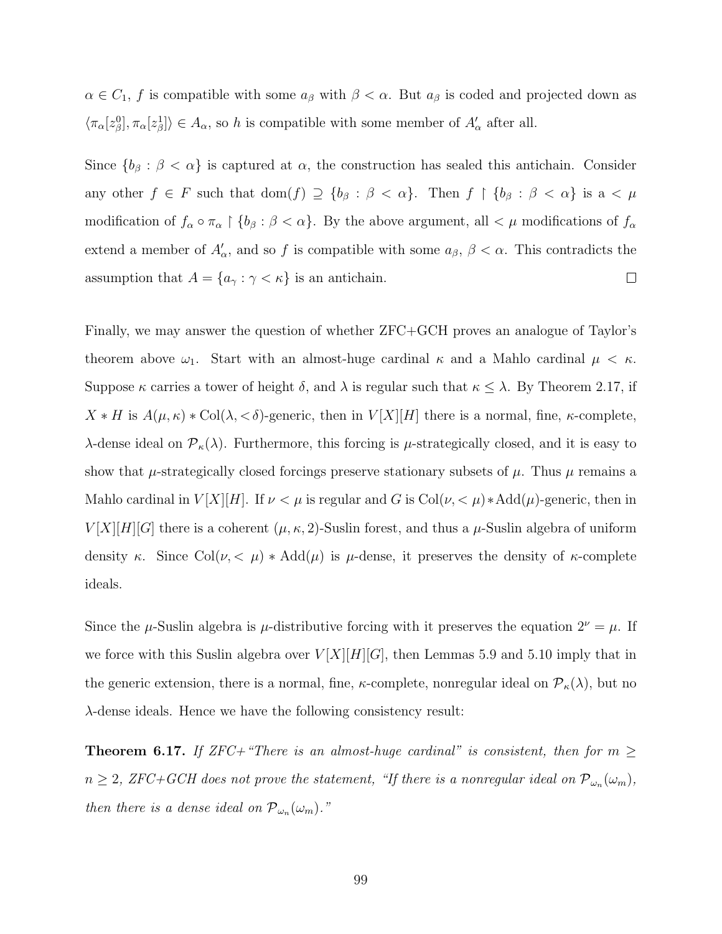$\alpha \in C_1$ , f is compatible with some  $a_\beta$  with  $\beta < \alpha$ . But  $a_\beta$  is coded and projected down as  $\langle \pi_\alpha[z_\beta^0], \pi_\alpha[z_\beta^1] \rangle \in A_\alpha$ , so h is compatible with some member of  $A'_\alpha$  after all.

Since  ${b_\beta : \beta < \alpha}$  is captured at  $\alpha$ , the construction has sealed this antichain. Consider any other  $f \in F$  such that  $dom(f) \supseteq \{b_{\beta} : \beta < \alpha\}$ . Then  $f \upharpoonright \{b_{\beta} : \beta < \alpha\}$  is  $a < \mu$ modification of  $f_{\alpha} \circ \pi_{\alpha} \restriction \{b_{\beta} : \beta < \alpha\}$ . By the above argument, all  $\lt \mu$  modifications of  $f_{\alpha}$ extend a member of  $A'_\n\alpha$ , and so f is compatible with some  $a_\beta$ ,  $\beta < \alpha$ . This contradicts the assumption that  $A = \{a_{\gamma} : \gamma < \kappa\}$  is an antichain.  $\Box$ 

Finally, we may answer the question of whether ZFC+GCH proves an analogue of Taylor's theorem above  $\omega_1$ . Start with an almost-huge cardinal  $\kappa$  and a Mahlo cardinal  $\mu < \kappa$ . Suppose  $\kappa$  carries a tower of height  $\delta$ , and  $\lambda$  is regular such that  $\kappa \leq \lambda$ . By Theorem [2.17,](#page-37-0) if  $X * H$  is  $A(\mu, \kappa) * \text{Col}(\lambda, <\delta)$ -generic, then in  $V[X][H]$  there is a normal, fine,  $\kappa$ -complete, λ-dense ideal on  $\mathcal{P}_\kappa(\lambda)$ . Furthermore, this forcing is *μ*-strategically closed, and it is easy to show that  $\mu$ -strategically closed forcings preserve stationary subsets of  $\mu$ . Thus  $\mu$  remains a Mahlo cardinal in  $V[X][H]$ . If  $\nu < \mu$  is regular and G is Col $(\nu, < \mu) * \text{Add}(\mu)$ -generic, then in  $V[X][H][G]$  there is a coherent  $(\mu, \kappa, 2)$ -Suslin forest, and thus a  $\mu$ -Suslin algebra of uniform density κ. Since Col $(\nu, \langle \mu \rangle) * \text{Add}(\mu)$  is  $\mu$ -dense, it preserves the density of κ-complete ideals.

Since the  $\mu$ -Suslin algebra is  $\mu$ -distributive forcing with it preserves the equation  $2^{\nu} = \mu$ . If we force with this Suslin algebra over  $V[X][H][G]$ , then Lemmas [5.9](#page-74-0) and [5.10](#page-75-0) imply that in the generic extension, there is a normal, fine,  $\kappa$ -complete, nonregular ideal on  $\mathcal{P}_{\kappa}(\lambda)$ , but no λ-dense ideals. Hence we have the following consistency result:

Theorem 6.17. If ZFC+"There is an almost-huge cardinal" is consistent, then for  $m \geq$  $n \geq 2$ , ZFC+GCH does not prove the statement, "If there is a nonregular ideal on  $\mathcal{P}_{\omega_n}(\omega_m)$ , then there is a dense ideal on  $\mathcal{P}_{\omega_n}(\omega_m)$ ."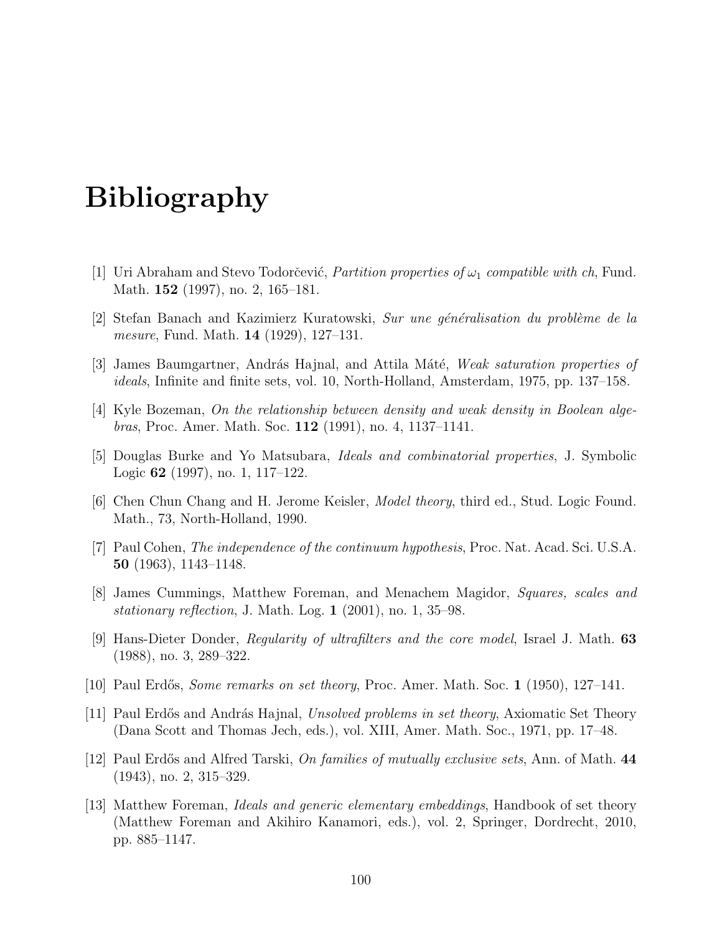## Bibliography

- [1] Uri Abraham and Stevo Todorčević, *Partition properties of*  $\omega_1$  *compatible with ch*, Fund. Math. 152 (1997), no. 2, 165–181.
- [2] Stefan Banach and Kazimierz Kuratowski, Sur une généralisation du problème de la mesure, Fund. Math. 14 (1929), 127–131.
- [3] James Baumgartner, András Hajnal, and Attila Máté, Weak saturation properties of ideals, Infinite and finite sets, vol. 10, North-Holland, Amsterdam, 1975, pp. 137–158.
- [4] Kyle Bozeman, On the relationship between density and weak density in Boolean algebras, Proc. Amer. Math. Soc. 112 (1991), no. 4, 1137–1141.
- [5] Douglas Burke and Yo Matsubara, Ideals and combinatorial properties, J. Symbolic Logic 62 (1997), no. 1, 117–122.
- [6] Chen Chun Chang and H. Jerome Keisler, Model theory, third ed., Stud. Logic Found. Math., 73, North-Holland, 1990.
- [7] Paul Cohen, *The independence of the continuum hypothesis*, Proc. Nat. Acad. Sci. U.S.A. 50 (1963), 1143–1148.
- [8] James Cummings, Matthew Foreman, and Menachem Magidor, Squares, scales and stationary reflection, J. Math. Log.  $1$  (2001), no. 1, 35–98.
- [9] Hans-Dieter Donder, Regularity of ultrafilters and the core model, Israel J. Math. 63 (1988), no. 3, 289–322.
- [10] Paul Erdős, *Some remarks on set theory*, Proc. Amer. Math. Soc. 1 (1950), 127–141.
- [11] Paul Erdős and András Hajnal, Unsolved problems in set theory, Axiomatic Set Theory (Dana Scott and Thomas Jech, eds.), vol. XIII, Amer. Math. Soc., 1971, pp. 17–48.
- [12] Paul Erdős and Alfred Tarski, *On families of mutually exclusive sets*, Ann. of Math. 44 (1943), no. 2, 315–329.
- [13] Matthew Foreman, Ideals and generic elementary embeddings, Handbook of set theory (Matthew Foreman and Akihiro Kanamori, eds.), vol. 2, Springer, Dordrecht, 2010, pp. 885–1147.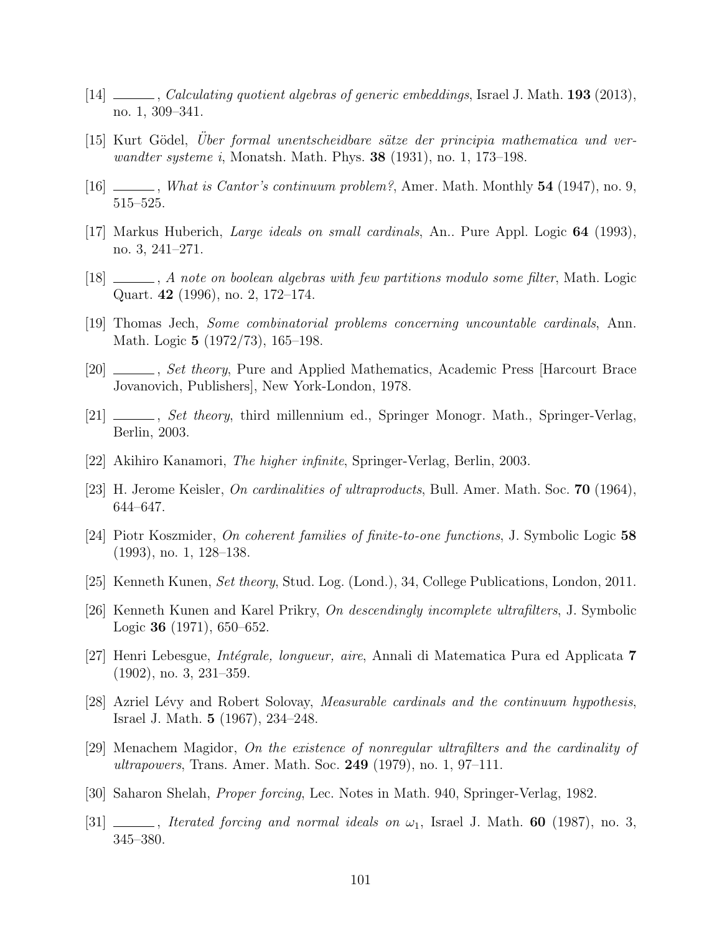- [14] Calculating quotient algebras of generic embeddings, Israel J. Math. 193 (2013), no. 1, 309–341.
- [15] Kurt Gödel, Uber formal unentscheidbare sätze der principia mathematica und verwandter systeme i, Monatsh. Math. Phys.  $38$  (1931), no. 1, 173–198.
- [16]  $\Box$ , What is Cantor's continuum problem?, Amer. Math. Monthly 54 (1947), no. 9, 515–525.
- [17] Markus Huberich, Large ideals on small cardinals, An.. Pure Appl. Logic 64 (1993), no. 3, 241–271.
- [18]  $\_\_\_\_\_$ , A note on boolean algebras with few partitions modulo some filter, Math. Logic Quart. 42 (1996), no. 2, 172–174.
- [19] Thomas Jech, Some combinatorial problems concerning uncountable cardinals, Ann. Math. Logic 5 (1972/73), 165–198.
- [20]  $\_\_\_\_\_\$ , Set theory, Pure and Applied Mathematics, Academic Press [Harcourt Brace] Jovanovich, Publishers], New York-London, 1978.
- [21] Set theory, third millennium ed., Springer Monogr. Math., Springer-Verlag, Berlin, 2003.
- [22] Akihiro Kanamori, The higher infinite, Springer-Verlag, Berlin, 2003.
- [23] H. Jerome Keisler, On cardinalities of ultraproducts, Bull. Amer. Math. Soc. 70 (1964), 644–647.
- [24] Piotr Koszmider, On coherent families of finite-to-one functions, J. Symbolic Logic 58 (1993), no. 1, 128–138.
- [25] Kenneth Kunen, Set theory, Stud. Log. (Lond.), 34, College Publications, London, 2011.
- [26] Kenneth Kunen and Karel Prikry, On descendingly incomplete ultrafilters, J. Symbolic Logic 36 (1971), 650–652.
- [27] Henri Lebesgue, Int´egrale, longueur, aire, Annali di Matematica Pura ed Applicata 7 (1902), no. 3, 231–359.
- [28] Azriel Lévy and Robert Solovay, *Measurable cardinals and the continuum hypothesis*, Israel J. Math. 5 (1967), 234–248.
- [29] Menachem Magidor, On the existence of nonregular ultrafilters and the cardinality of ultrapowers, Trans. Amer. Math. Soc. 249 (1979), no. 1, 97–111.
- [30] Saharon Shelah, Proper forcing, Lec. Notes in Math. 940, Springer-Verlag, 1982.
- [31]  $\_\_\_\_\_\_\$  Iterated forcing and normal ideals on  $\omega_1$ , Israel J. Math. 60 (1987), no. 3, 345–380.